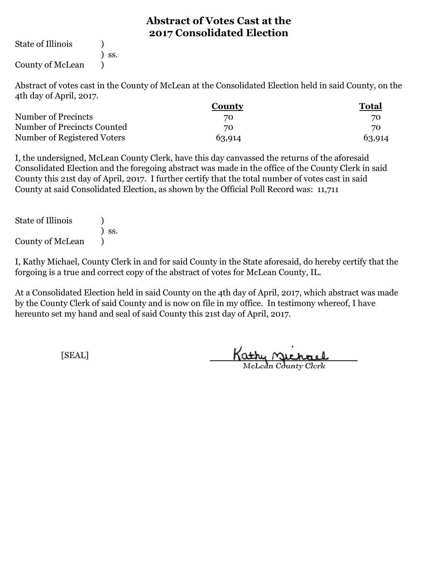State of Illinois (1)

) ss.

County of McLean )

Abstract of votes cast in the County of McLean at the Consolidated Election held in said County, on the 4th day of April, 2017.

|                             | <b>County</b> | <b>Total</b> |
|-----------------------------|---------------|--------------|
| Number of Precincts         | 70            | 70           |
| Number of Precincts Counted | 70            | 70           |
| Number of Registered Voters | 63,914        | 63,914       |

I, the undersigned, McLean County Clerk, have this day canvassed the returns of the aforesaid Consolidated Election and the foregoing abstract was made in the office of the County Clerk in said County this 21st day of April, 2017. I further certify that the total number of votes cast in said County at said Consolidated Election, as shown by the Official Poll Record was: 11,711

| <b>State of Illinois</b> |                              |
|--------------------------|------------------------------|
|                          | $\overline{\phantom{a}}$ SS. |
| <b>County of McLean</b>  |                              |

I, Kathy Michael, County Clerk in and for said County in the State aforesaid, do hereby certify that the forgoing is a true and correct copy of the abstract of votes for McLean County, IL.

At a Consolidated Election held in said County on the 4th day of April, 2017, which abstract was made by the County Clerk of said County and is now on file in my office. In testimony whereof, I have hereunto set my hand and seal of said County this 21st day of April, 2017.

Kathy Michael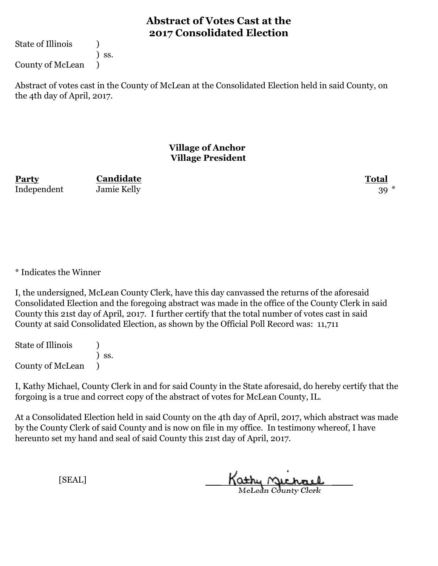State of Illinois (1)

) ss.

County of McLean )

Abstract of votes cast in the County of McLean at the Consolidated Election held in said County, on the 4th day of April, 2017.

### **Village of Anchor Village President**

**Party Total Candidate** Independent Jamie Kelly 39 \*

\* Indicates the Winner

I, the undersigned, McLean County Clerk, have this day canvassed the returns of the aforesaid Consolidated Election and the foregoing abstract was made in the office of the County Clerk in said County this 21st day of April, 2017. I further certify that the total number of votes cast in said County at said Consolidated Election, as shown by the Official Poll Record was: 11,711

State of Illinois (1) ) ss. County of McLean )

I, Kathy Michael, County Clerk in and for said County in the State aforesaid, do hereby certify that the forgoing is a true and correct copy of the abstract of votes for McLean County, IL.

At a Consolidated Election held in said County on the 4th day of April, 2017, which abstract was made by the County Clerk of said County and is now on file in my office. In testimony whereof, I have hereunto set my hand and seal of said County this 21st day of April, 2017.

Kathy Michael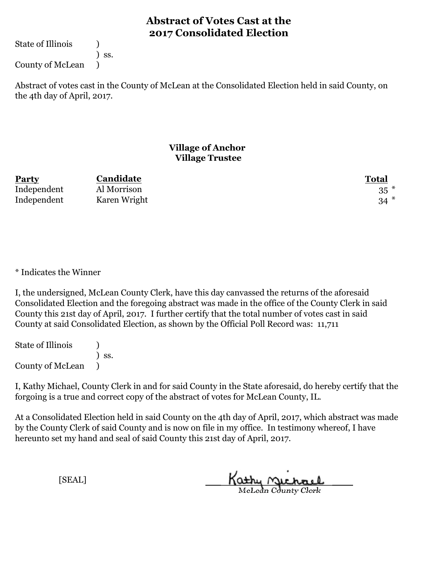State of Illinois (1)

) ss.

County of McLean )

Abstract of votes cast in the County of McLean at the Consolidated Election held in said County, on the 4th day of April, 2017.

### **Village of Anchor Village Trustee**

| <b>Party</b> | Candidate    | Total    |
|--------------|--------------|----------|
| Independent  | Al Morrison  | $35$ $*$ |
| Independent  | Karen Wright | $34$ $*$ |

\* Indicates the Winner

I, the undersigned, McLean County Clerk, have this day canvassed the returns of the aforesaid Consolidated Election and the foregoing abstract was made in the office of the County Clerk in said County this 21st day of April, 2017. I further certify that the total number of votes cast in said County at said Consolidated Election, as shown by the Official Poll Record was: 11,711

State of Illinois (1) ) ss. County of McLean )

I, Kathy Michael, County Clerk in and for said County in the State aforesaid, do hereby certify that the forgoing is a true and correct copy of the abstract of votes for McLean County, IL.

At a Consolidated Election held in said County on the 4th day of April, 2017, which abstract was made by the County Clerk of said County and is now on file in my office. In testimony whereof, I have hereunto set my hand and seal of said County this 21st day of April, 2017.

Kathy <u>Michael</u>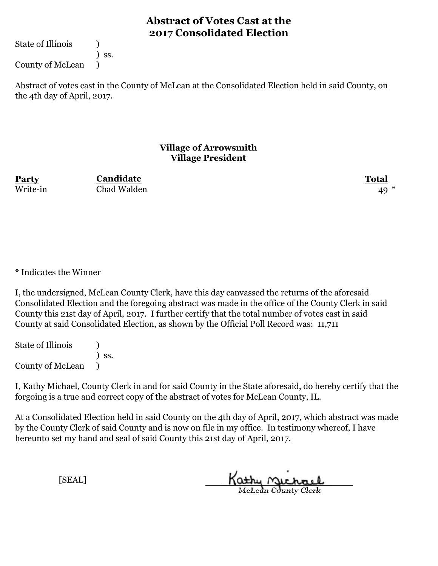State of Illinois (1)

) ss.

County of McLean )

Abstract of votes cast in the County of McLean at the Consolidated Election held in said County, on the 4th day of April, 2017.

### **Village of Arrowsmith Village President**

**Party Total Candidate** Write-in Chad Walden 49

\* Indicates the Winner

I, the undersigned, McLean County Clerk, have this day canvassed the returns of the aforesaid Consolidated Election and the foregoing abstract was made in the office of the County Clerk in said County this 21st day of April, 2017. I further certify that the total number of votes cast in said County at said Consolidated Election, as shown by the Official Poll Record was: 11,711

State of Illinois (1) ) ss. County of McLean )

I, Kathy Michael, County Clerk in and for said County in the State aforesaid, do hereby certify that the forgoing is a true and correct copy of the abstract of votes for McLean County, IL.

At a Consolidated Election held in said County on the 4th day of April, 2017, which abstract was made by the County Clerk of said County and is now on file in my office. In testimony whereof, I have hereunto set my hand and seal of said County this 21st day of April, 2017.

Kathy Michael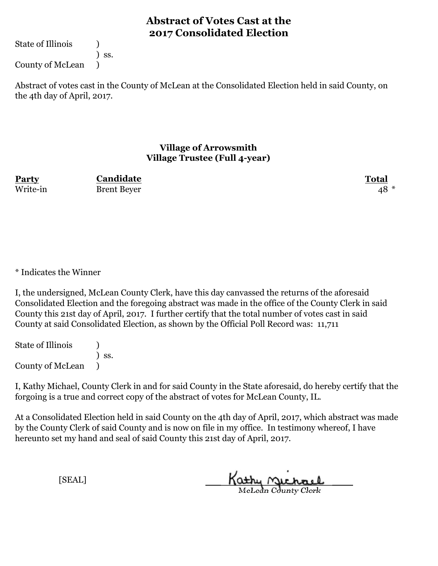State of Illinois (1)

) ss.

County of McLean )

Abstract of votes cast in the County of McLean at the Consolidated Election held in said County, on the 4th day of April, 2017.

### **Village of Arrowsmith Village Trustee (Full 4-year)**

**Party Total Candidate** Write-in Brent Beyer 48 \*

\* Indicates the Winner

I, the undersigned, McLean County Clerk, have this day canvassed the returns of the aforesaid Consolidated Election and the foregoing abstract was made in the office of the County Clerk in said County this 21st day of April, 2017. I further certify that the total number of votes cast in said County at said Consolidated Election, as shown by the Official Poll Record was: 11,711

State of Illinois (1) ) ss. County of McLean )

I, Kathy Michael, County Clerk in and for said County in the State aforesaid, do hereby certify that the forgoing is a true and correct copy of the abstract of votes for McLean County, IL.

At a Consolidated Election held in said County on the 4th day of April, 2017, which abstract was made by the County Clerk of said County and is now on file in my office. In testimony whereof, I have hereunto set my hand and seal of said County this 21st day of April, 2017.

Kathy Michael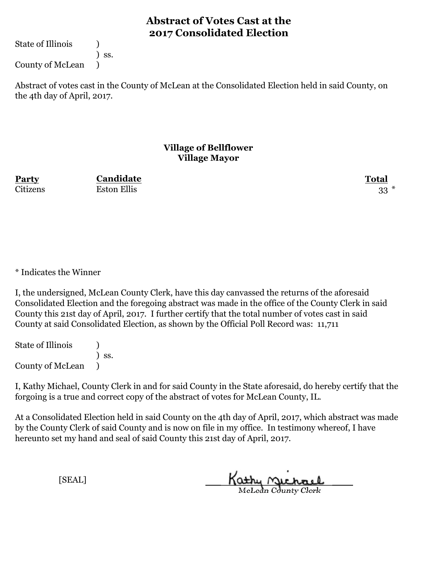State of Illinois (1)

) ss.

County of McLean )

Abstract of votes cast in the County of McLean at the Consolidated Election held in said County, on the 4th day of April, 2017.

#### **Village of Bellflower Village Mayor**

**Party Total Candidate** Citizens Eston Ellis 33 \*

\* Indicates the Winner

I, the undersigned, McLean County Clerk, have this day canvassed the returns of the aforesaid Consolidated Election and the foregoing abstract was made in the office of the County Clerk in said County this 21st day of April, 2017. I further certify that the total number of votes cast in said County at said Consolidated Election, as shown by the Official Poll Record was: 11,711

State of Illinois (1) ) ss. County of McLean )

I, Kathy Michael, County Clerk in and for said County in the State aforesaid, do hereby certify that the forgoing is a true and correct copy of the abstract of votes for McLean County, IL.

At a Consolidated Election held in said County on the 4th day of April, 2017, which abstract was made by the County Clerk of said County and is now on file in my office. In testimony whereof, I have hereunto set my hand and seal of said County this 21st day of April, 2017.

Kathy Michael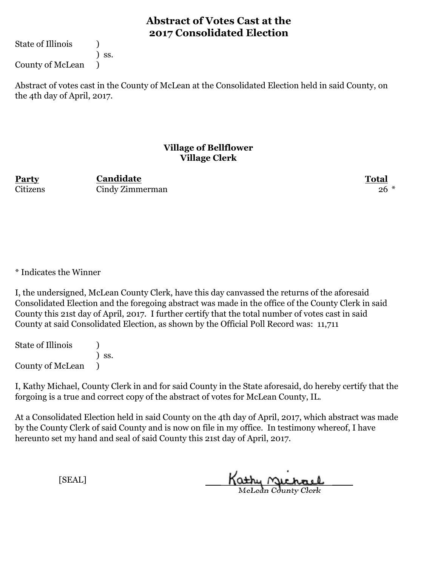State of Illinois (1)

) ss.

County of McLean )

Abstract of votes cast in the County of McLean at the Consolidated Election held in said County, on the 4th day of April, 2017.

#### **Village of Bellflower Village Clerk**

**Party Total Candidate** Citizens Cindy Zimmerman 26 \*

\* Indicates the Winner

I, the undersigned, McLean County Clerk, have this day canvassed the returns of the aforesaid Consolidated Election and the foregoing abstract was made in the office of the County Clerk in said County this 21st day of April, 2017. I further certify that the total number of votes cast in said County at said Consolidated Election, as shown by the Official Poll Record was: 11,711

State of Illinois (1) ) ss. County of McLean )

I, Kathy Michael, County Clerk in and for said County in the State aforesaid, do hereby certify that the forgoing is a true and correct copy of the abstract of votes for McLean County, IL.

At a Consolidated Election held in said County on the 4th day of April, 2017, which abstract was made by the County Clerk of said County and is now on file in my office. In testimony whereof, I have hereunto set my hand and seal of said County this 21st day of April, 2017.

Kathy Michael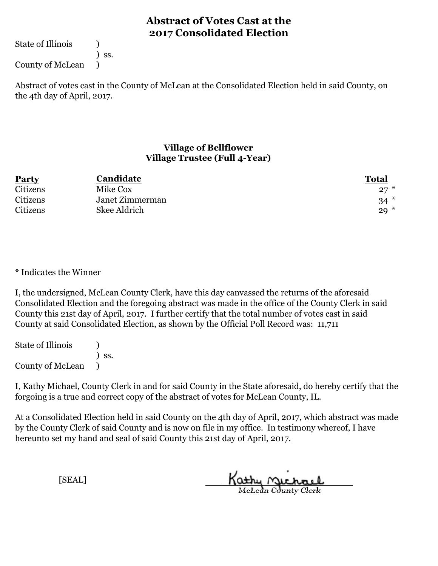State of Illinois (1)

) ss.

County of McLean )

Abstract of votes cast in the County of McLean at the Consolidated Election held in said County, on the 4th day of April, 2017.

### **Village of Bellflower Village Trustee (Full 4-Year)**

| <b>Party</b> | Candidate       | <b>Total</b> |
|--------------|-----------------|--------------|
| Citizens     | Mike Cox        | $27*$        |
| Citizens     | Janet Zimmerman | $34*$        |
| Citizens     | Skee Aldrich    | $29*$        |

\* Indicates the Winner

I, the undersigned, McLean County Clerk, have this day canvassed the returns of the aforesaid Consolidated Election and the foregoing abstract was made in the office of the County Clerk in said County this 21st day of April, 2017. I further certify that the total number of votes cast in said County at said Consolidated Election, as shown by the Official Poll Record was: 11,711

State of Illinois (1) ) ss. County of McLean )

I, Kathy Michael, County Clerk in and for said County in the State aforesaid, do hereby certify that the forgoing is a true and correct copy of the abstract of votes for McLean County, IL.

At a Consolidated Election held in said County on the 4th day of April, 2017, which abstract was made by the County Clerk of said County and is now on file in my office. In testimony whereof, I have hereunto set my hand and seal of said County this 21st day of April, 2017.

Kathy Michael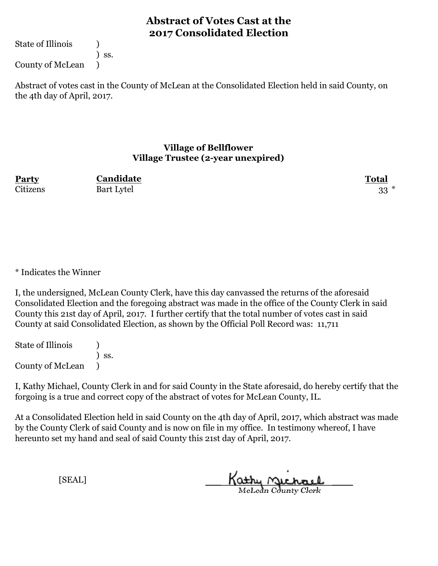State of Illinois (1)

) ss.

County of McLean )

Abstract of votes cast in the County of McLean at the Consolidated Election held in said County, on the 4th day of April, 2017.

#### **Village of Bellflower Village Trustee (2-year unexpired)**

**Party Total Candidate** Citizens Bart Lytel 33 \*

\* Indicates the Winner

I, the undersigned, McLean County Clerk, have this day canvassed the returns of the aforesaid Consolidated Election and the foregoing abstract was made in the office of the County Clerk in said County this 21st day of April, 2017. I further certify that the total number of votes cast in said County at said Consolidated Election, as shown by the Official Poll Record was: 11,711

State of Illinois (1) ) ss. County of McLean )

I, Kathy Michael, County Clerk in and for said County in the State aforesaid, do hereby certify that the forgoing is a true and correct copy of the abstract of votes for McLean County, IL.

At a Consolidated Election held in said County on the 4th day of April, 2017, which abstract was made by the County Clerk of said County and is now on file in my office. In testimony whereof, I have hereunto set my hand and seal of said County this 21st day of April, 2017.

Kathy Michael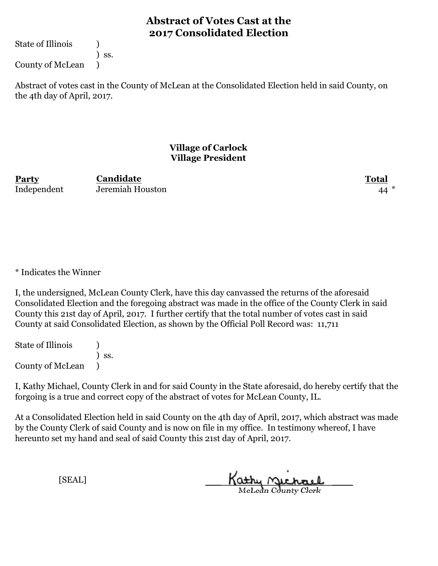State of Illinois (1)

) ss.

County of McLean )

Abstract of votes cast in the County of McLean at the Consolidated Election held in said County, on the 4th day of April, 2017.

### **Village of Carlock Village President**

**Party Total** Independent Jeremiah Houston 44 \*

**Candidate**

\* Indicates the Winner

I, the undersigned, McLean County Clerk, have this day canvassed the returns of the aforesaid Consolidated Election and the foregoing abstract was made in the office of the County Clerk in said County this 21st day of April, 2017. I further certify that the total number of votes cast in said County at said Consolidated Election, as shown by the Official Poll Record was: 11,711

State of Illinois (1) ) ss. County of McLean )

I, Kathy Michael, County Clerk in and for said County in the State aforesaid, do hereby certify that the forgoing is a true and correct copy of the abstract of votes for McLean County, IL.

At a Consolidated Election held in said County on the 4th day of April, 2017, which abstract was made by the County Clerk of said County and is now on file in my office. In testimony whereof, I have hereunto set my hand and seal of said County this 21st day of April, 2017.

Kathy Michael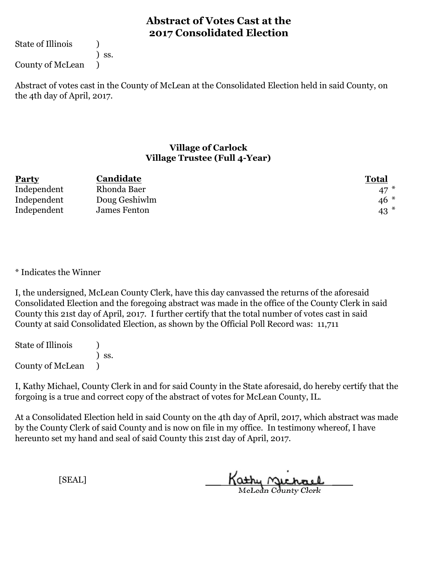State of Illinois (1)

) ss.

County of McLean )

Abstract of votes cast in the County of McLean at the Consolidated Election held in said County, on the 4th day of April, 2017.

### **Village of Carlock Village Trustee (Full 4-Year)**

| <b>Party</b> | Candidate     | <b>Total</b> |
|--------------|---------------|--------------|
| Independent  | Rhonda Baer   | $47*$        |
| Independent  | Doug Geshiwlm | $46*$        |
| Independent  | James Fenton  | $43$ $*$     |

\* Indicates the Winner

I, the undersigned, McLean County Clerk, have this day canvassed the returns of the aforesaid Consolidated Election and the foregoing abstract was made in the office of the County Clerk in said County this 21st day of April, 2017. I further certify that the total number of votes cast in said County at said Consolidated Election, as shown by the Official Poll Record was: 11,711

State of Illinois (1) ) ss. County of McLean )

I, Kathy Michael, County Clerk in and for said County in the State aforesaid, do hereby certify that the forgoing is a true and correct copy of the abstract of votes for McLean County, IL.

At a Consolidated Election held in said County on the 4th day of April, 2017, which abstract was made by the County Clerk of said County and is now on file in my office. In testimony whereof, I have hereunto set my hand and seal of said County this 21st day of April, 2017.

Kathy Michael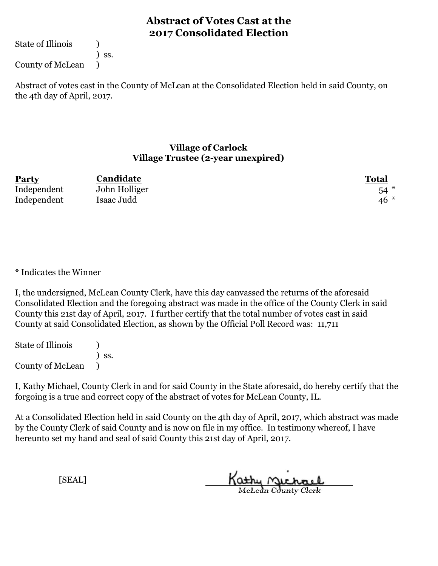State of Illinois (1)

) ss.

County of McLean )

Abstract of votes cast in the County of McLean at the Consolidated Election held in said County, on the 4th day of April, 2017.

#### **Village of Carlock Village Trustee (2-year unexpired)**

| <b>Party</b> | Candidate     | Total |
|--------------|---------------|-------|
| Independent  | John Holliger | $54*$ |
| Independent  | Isaac Judd    | $46*$ |

\* Indicates the Winner

I, the undersigned, McLean County Clerk, have this day canvassed the returns of the aforesaid Consolidated Election and the foregoing abstract was made in the office of the County Clerk in said County this 21st day of April, 2017. I further certify that the total number of votes cast in said County at said Consolidated Election, as shown by the Official Poll Record was: 11,711

State of Illinois (1) ) ss. County of McLean )

I, Kathy Michael, County Clerk in and for said County in the State aforesaid, do hereby certify that the forgoing is a true and correct copy of the abstract of votes for McLean County, IL.

At a Consolidated Election held in said County on the 4th day of April, 2017, which abstract was made by the County Clerk of said County and is now on file in my office. In testimony whereof, I have hereunto set my hand and seal of said County this 21st day of April, 2017.

Kathy Michael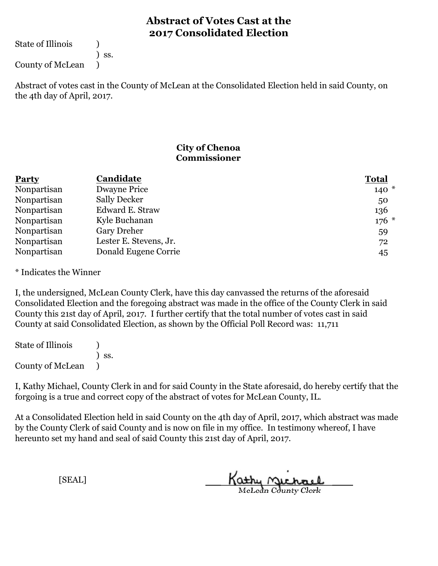State of Illinois (1)

) ss.

County of McLean )

Abstract of votes cast in the County of McLean at the Consolidated Election held in said County, on the 4th day of April, 2017.

### **City of Chenoa Commissioner**

| Party       | Candidate              | <b>Total</b> |
|-------------|------------------------|--------------|
| Nonpartisan | Dwayne Price           | $140*$       |
| Nonpartisan | <b>Sally Decker</b>    | 50           |
| Nonpartisan | Edward E. Straw        | 136          |
| Nonpartisan | Kyle Buchanan          | $176$ *      |
| Nonpartisan | <b>Gary Dreher</b>     | 59           |
| Nonpartisan | Lester E. Stevens, Jr. | 72           |
| Nonpartisan | Donald Eugene Corrie   | 45           |

\* Indicates the Winner

I, the undersigned, McLean County Clerk, have this day canvassed the returns of the aforesaid Consolidated Election and the foregoing abstract was made in the office of the County Clerk in said County this 21st day of April, 2017. I further certify that the total number of votes cast in said County at said Consolidated Election, as shown by the Official Poll Record was: 11,711

State of Illinois (1) ) ss. County of McLean )

I, Kathy Michael, County Clerk in and for said County in the State aforesaid, do hereby certify that the forgoing is a true and correct copy of the abstract of votes for McLean County, IL.

At a Consolidated Election held in said County on the 4th day of April, 2017, which abstract was made by the County Clerk of said County and is now on file in my office. In testimony whereof, I have hereunto set my hand and seal of said County this 21st day of April, 2017.

Kathy Michael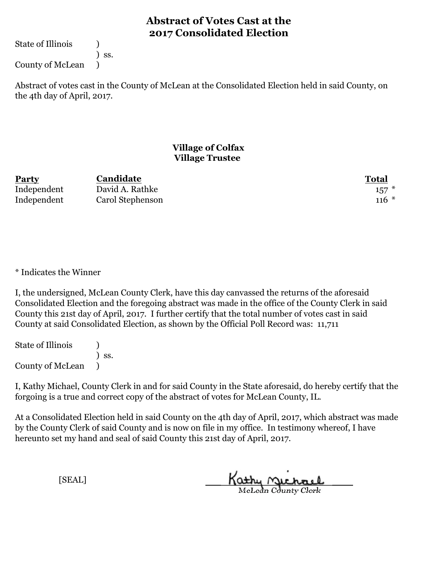State of Illinois (1)

) ss.

County of McLean )

Abstract of votes cast in the County of McLean at the Consolidated Election held in said County, on the 4th day of April, 2017.

### **Village of Colfax Village Trustee**

| <b>Party</b> | Candidate        | Total     |
|--------------|------------------|-----------|
| Independent  | David A. Rathke  | $157$ $*$ |
| Independent  | Carol Stephenson | $116 *$   |

\* Indicates the Winner

I, the undersigned, McLean County Clerk, have this day canvassed the returns of the aforesaid Consolidated Election and the foregoing abstract was made in the office of the County Clerk in said County this 21st day of April, 2017. I further certify that the total number of votes cast in said County at said Consolidated Election, as shown by the Official Poll Record was: 11,711

State of Illinois (1) ) ss. County of McLean )

I, Kathy Michael, County Clerk in and for said County in the State aforesaid, do hereby certify that the forgoing is a true and correct copy of the abstract of votes for McLean County, IL.

At a Consolidated Election held in said County on the 4th day of April, 2017, which abstract was made by the County Clerk of said County and is now on file in my office. In testimony whereof, I have hereunto set my hand and seal of said County this 21st day of April, 2017.

Kathy Michael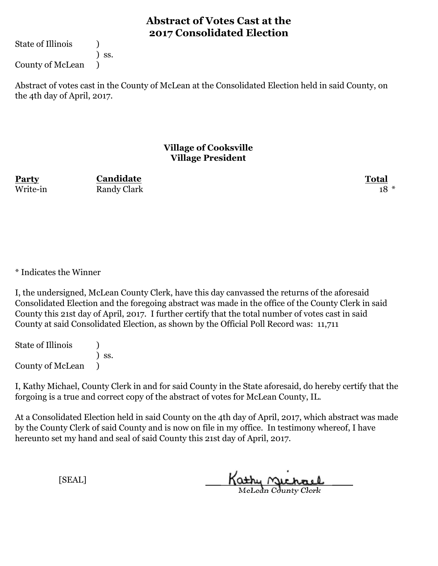State of Illinois (1)

) ss.

County of McLean )

Abstract of votes cast in the County of McLean at the Consolidated Election held in said County, on the 4th day of April, 2017.

### **Village of Cooksville Village President**

**Party Total Candidate** Write-in Randy Clark 18 \*

\* Indicates the Winner

I, the undersigned, McLean County Clerk, have this day canvassed the returns of the aforesaid Consolidated Election and the foregoing abstract was made in the office of the County Clerk in said County this 21st day of April, 2017. I further certify that the total number of votes cast in said County at said Consolidated Election, as shown by the Official Poll Record was: 11,711

State of Illinois (1) ) ss. County of McLean )

I, Kathy Michael, County Clerk in and for said County in the State aforesaid, do hereby certify that the forgoing is a true and correct copy of the abstract of votes for McLean County, IL.

At a Consolidated Election held in said County on the 4th day of April, 2017, which abstract was made by the County Clerk of said County and is now on file in my office. In testimony whereof, I have hereunto set my hand and seal of said County this 21st day of April, 2017.

Kathy Michael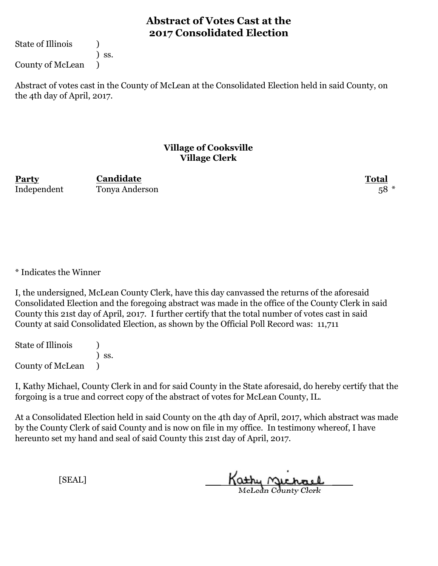State of Illinois (1)

) ss.

County of McLean )

Abstract of votes cast in the County of McLean at the Consolidated Election held in said County, on the 4th day of April, 2017.

### **Village of Cooksville Village Clerk**

**Party Total Candidate** Independent Tonya Anderson 58 \*

\* Indicates the Winner

I, the undersigned, McLean County Clerk, have this day canvassed the returns of the aforesaid Consolidated Election and the foregoing abstract was made in the office of the County Clerk in said County this 21st day of April, 2017. I further certify that the total number of votes cast in said County at said Consolidated Election, as shown by the Official Poll Record was: 11,711

State of Illinois (1) ) ss. County of McLean )

I, Kathy Michael, County Clerk in and for said County in the State aforesaid, do hereby certify that the forgoing is a true and correct copy of the abstract of votes for McLean County, IL.

At a Consolidated Election held in said County on the 4th day of April, 2017, which abstract was made by the County Clerk of said County and is now on file in my office. In testimony whereof, I have hereunto set my hand and seal of said County this 21st day of April, 2017.

Kathy Michael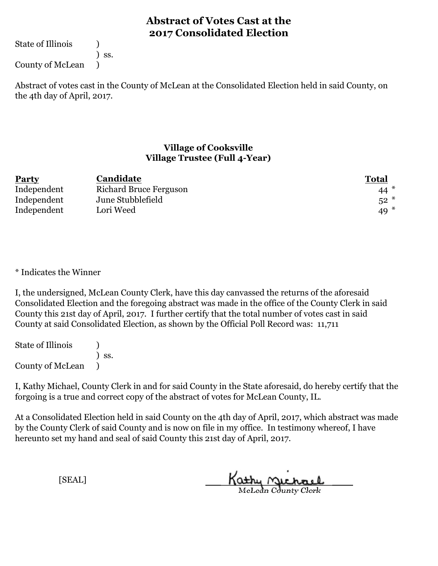State of Illinois (1)

) ss.

County of McLean )

Abstract of votes cast in the County of McLean at the Consolidated Election held in said County, on the 4th day of April, 2017.

### **Village of Cooksville Village Trustee (Full 4-Year)**

| Party       | Candidate              | <b>Total</b> |
|-------------|------------------------|--------------|
| Independent | Richard Bruce Ferguson | $44*$        |
| Independent | June Stubblefield      | $52*$        |
| Independent | Lori Weed              | 49 $*$       |

\* Indicates the Winner

I, the undersigned, McLean County Clerk, have this day canvassed the returns of the aforesaid Consolidated Election and the foregoing abstract was made in the office of the County Clerk in said County this 21st day of April, 2017. I further certify that the total number of votes cast in said County at said Consolidated Election, as shown by the Official Poll Record was: 11,711

State of Illinois (1) ) ss. County of McLean )

I, Kathy Michael, County Clerk in and for said County in the State aforesaid, do hereby certify that the forgoing is a true and correct copy of the abstract of votes for McLean County, IL.

At a Consolidated Election held in said County on the 4th day of April, 2017, which abstract was made by the County Clerk of said County and is now on file in my office. In testimony whereof, I have hereunto set my hand and seal of said County this 21st day of April, 2017.

Kathy Michael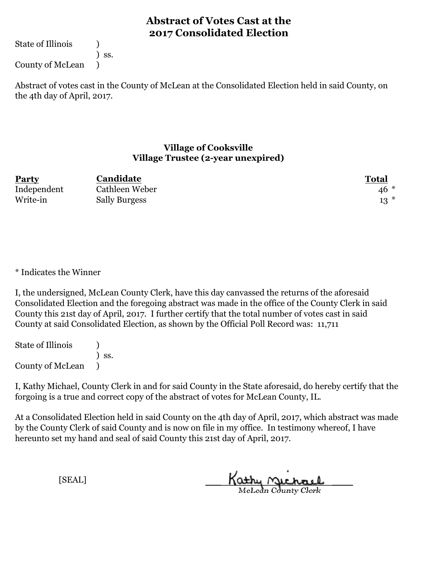State of Illinois (1)

) ss.

County of McLean )

Abstract of votes cast in the County of McLean at the Consolidated Election held in said County, on the 4th day of April, 2017.

#### **Village of Cooksville Village Trustee (2-year unexpired)**

| <b>Party</b> | Candidate            | Total |
|--------------|----------------------|-------|
| Independent  | Cathleen Weber       | $46*$ |
| Write-in     | <b>Sally Burgess</b> | $13*$ |

\* Indicates the Winner

I, the undersigned, McLean County Clerk, have this day canvassed the returns of the aforesaid Consolidated Election and the foregoing abstract was made in the office of the County Clerk in said County this 21st day of April, 2017. I further certify that the total number of votes cast in said County at said Consolidated Election, as shown by the Official Poll Record was: 11,711

State of Illinois (1) ) ss. County of McLean )

I, Kathy Michael, County Clerk in and for said County in the State aforesaid, do hereby certify that the forgoing is a true and correct copy of the abstract of votes for McLean County, IL.

At a Consolidated Election held in said County on the 4th day of April, 2017, which abstract was made by the County Clerk of said County and is now on file in my office. In testimony whereof, I have hereunto set my hand and seal of said County this 21st day of April, 2017.

Kathy Michael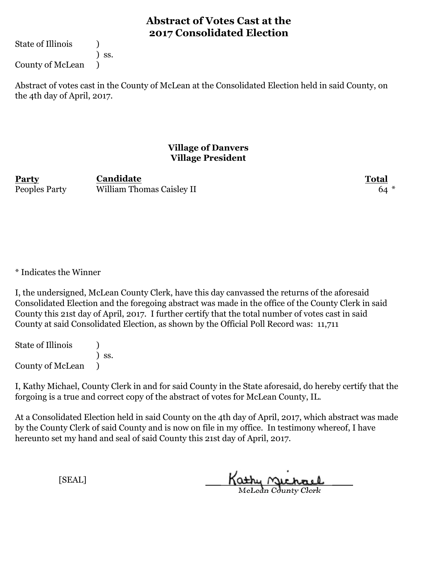State of Illinois (1)

) ss.

County of McLean )

Abstract of votes cast in the County of McLean at the Consolidated Election held in said County, on the 4th day of April, 2017.

### **Village of Danvers Village President**

**Party Total** Peoples Party William Thomas Caisley II 64 **Candidate**

\* Indicates the Winner

I, the undersigned, McLean County Clerk, have this day canvassed the returns of the aforesaid Consolidated Election and the foregoing abstract was made in the office of the County Clerk in said County this 21st day of April, 2017. I further certify that the total number of votes cast in said County at said Consolidated Election, as shown by the Official Poll Record was: 11,711

State of Illinois (1) ) ss. County of McLean )

I, Kathy Michael, County Clerk in and for said County in the State aforesaid, do hereby certify that the forgoing is a true and correct copy of the abstract of votes for McLean County, IL.

At a Consolidated Election held in said County on the 4th day of April, 2017, which abstract was made by the County Clerk of said County and is now on file in my office. In testimony whereof, I have hereunto set my hand and seal of said County this 21st day of April, 2017.

Kathy Michael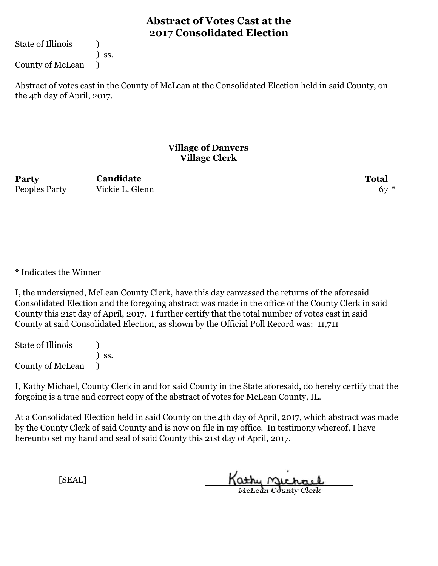State of Illinois (1)

) ss.

County of McLean )

Abstract of votes cast in the County of McLean at the Consolidated Election held in said County, on the 4th day of April, 2017.

#### **Village of Danvers Village Clerk**

**Party Total** Peoples Party Vickie L. Glenn 67

**Candidate**

\* Indicates the Winner

I, the undersigned, McLean County Clerk, have this day canvassed the returns of the aforesaid Consolidated Election and the foregoing abstract was made in the office of the County Clerk in said County this 21st day of April, 2017. I further certify that the total number of votes cast in said County at said Consolidated Election, as shown by the Official Poll Record was: 11,711

State of Illinois (1) ) ss. County of McLean )

I, Kathy Michael, County Clerk in and for said County in the State aforesaid, do hereby certify that the forgoing is a true and correct copy of the abstract of votes for McLean County, IL.

At a Consolidated Election held in said County on the 4th day of April, 2017, which abstract was made by the County Clerk of said County and is now on file in my office. In testimony whereof, I have hereunto set my hand and seal of said County this 21st day of April, 2017.

Kathy Michael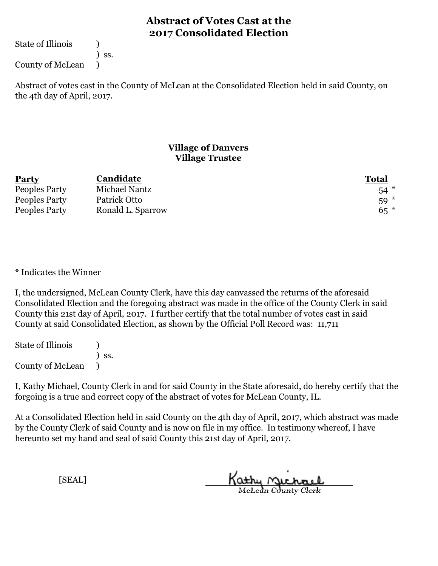State of Illinois (1)

) ss.

County of McLean )

Abstract of votes cast in the County of McLean at the Consolidated Election held in said County, on the 4th day of April, 2017.

### **Village of Danvers Village Trustee**

| <b>Party</b>  | Candidate         | <b>Total</b> |
|---------------|-------------------|--------------|
| Peoples Party | Michael Nantz     | $54$ $*$     |
| Peoples Party | Patrick Otto      | $59*$        |
| Peoples Party | Ronald L. Sparrow | $65*$        |

\* Indicates the Winner

I, the undersigned, McLean County Clerk, have this day canvassed the returns of the aforesaid Consolidated Election and the foregoing abstract was made in the office of the County Clerk in said County this 21st day of April, 2017. I further certify that the total number of votes cast in said County at said Consolidated Election, as shown by the Official Poll Record was: 11,711

State of Illinois (1) ) ss. County of McLean )

I, Kathy Michael, County Clerk in and for said County in the State aforesaid, do hereby certify that the forgoing is a true and correct copy of the abstract of votes for McLean County, IL.

At a Consolidated Election held in said County on the 4th day of April, 2017, which abstract was made by the County Clerk of said County and is now on file in my office. In testimony whereof, I have hereunto set my hand and seal of said County this 21st day of April, 2017.

Kathy Michael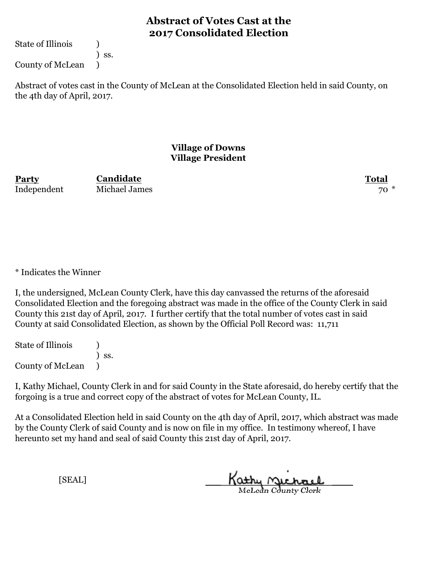State of Illinois (1)

) ss.

County of McLean )

Abstract of votes cast in the County of McLean at the Consolidated Election held in said County, on the 4th day of April, 2017.

### **Village of Downs Village President**

**Party Total** Independent Michael James 70 \*

**Candidate**

\* Indicates the Winner

I, the undersigned, McLean County Clerk, have this day canvassed the returns of the aforesaid Consolidated Election and the foregoing abstract was made in the office of the County Clerk in said County this 21st day of April, 2017. I further certify that the total number of votes cast in said County at said Consolidated Election, as shown by the Official Poll Record was: 11,711

State of Illinois (1) ) ss. County of McLean )

I, Kathy Michael, County Clerk in and for said County in the State aforesaid, do hereby certify that the forgoing is a true and correct copy of the abstract of votes for McLean County, IL.

At a Consolidated Election held in said County on the 4th day of April, 2017, which abstract was made by the County Clerk of said County and is now on file in my office. In testimony whereof, I have hereunto set my hand and seal of said County this 21st day of April, 2017.

Kathy Michael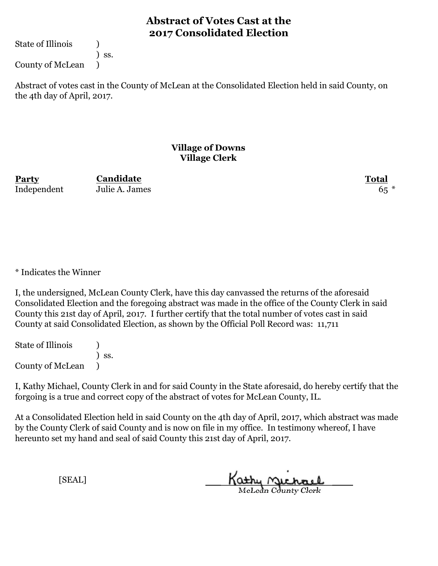State of Illinois (1)

) ss.

County of McLean )

Abstract of votes cast in the County of McLean at the Consolidated Election held in said County, on the 4th day of April, 2017.

#### **Village of Downs Village Clerk**

**Party Total** Independent Julie A. James 65

**Candidate**

\* Indicates the Winner

I, the undersigned, McLean County Clerk, have this day canvassed the returns of the aforesaid Consolidated Election and the foregoing abstract was made in the office of the County Clerk in said County this 21st day of April, 2017. I further certify that the total number of votes cast in said County at said Consolidated Election, as shown by the Official Poll Record was: 11,711

State of Illinois (1) ) ss. County of McLean )

I, Kathy Michael, County Clerk in and for said County in the State aforesaid, do hereby certify that the forgoing is a true and correct copy of the abstract of votes for McLean County, IL.

At a Consolidated Election held in said County on the 4th day of April, 2017, which abstract was made by the County Clerk of said County and is now on file in my office. In testimony whereof, I have hereunto set my hand and seal of said County this 21st day of April, 2017.

Kathy Michael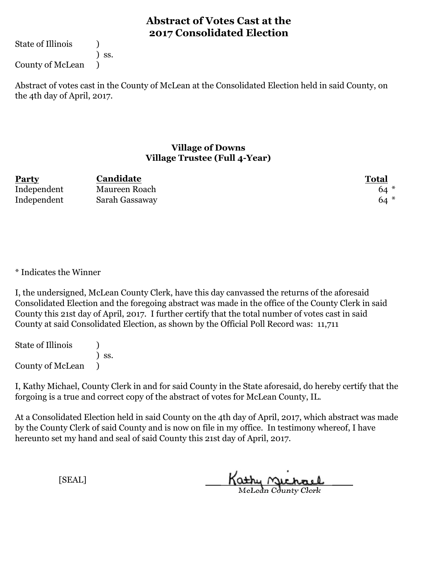State of Illinois (1)

) ss.

County of McLean )

Abstract of votes cast in the County of McLean at the Consolidated Election held in said County, on the 4th day of April, 2017.

#### **Village of Downs Village Trustee (Full 4-Year)**

| <b>Party</b> | Candidate      | Total |
|--------------|----------------|-------|
| Independent  | Maureen Roach  | $64*$ |
| Independent  | Sarah Gassaway | $64*$ |

\* Indicates the Winner

I, the undersigned, McLean County Clerk, have this day canvassed the returns of the aforesaid Consolidated Election and the foregoing abstract was made in the office of the County Clerk in said County this 21st day of April, 2017. I further certify that the total number of votes cast in said County at said Consolidated Election, as shown by the Official Poll Record was: 11,711

State of Illinois (1) ) ss. County of McLean )

I, Kathy Michael, County Clerk in and for said County in the State aforesaid, do hereby certify that the forgoing is a true and correct copy of the abstract of votes for McLean County, IL.

At a Consolidated Election held in said County on the 4th day of April, 2017, which abstract was made by the County Clerk of said County and is now on file in my office. In testimony whereof, I have hereunto set my hand and seal of said County this 21st day of April, 2017.

Kathy Michael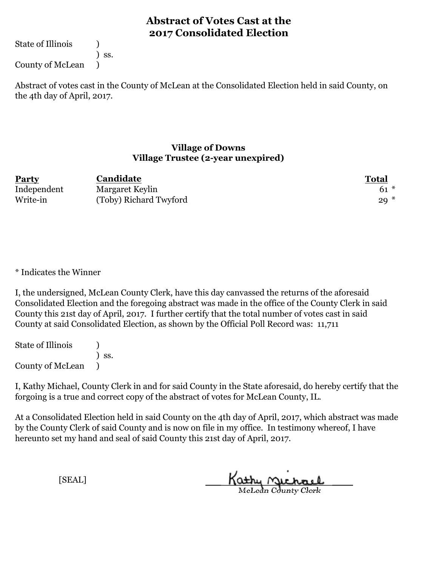State of Illinois (1)

) ss.

County of McLean )

Abstract of votes cast in the County of McLean at the Consolidated Election held in said County, on the 4th day of April, 2017.

#### **Village of Downs Village Trustee (2-year unexpired)**

| <b>Party</b> | Candidate              | Total  |
|--------------|------------------------|--------|
| Independent  | Margaret Keylin        | $61 *$ |
| Write-in     | (Toby) Richard Twyford | $29*$  |

\* Indicates the Winner

I, the undersigned, McLean County Clerk, have this day canvassed the returns of the aforesaid Consolidated Election and the foregoing abstract was made in the office of the County Clerk in said County this 21st day of April, 2017. I further certify that the total number of votes cast in said County at said Consolidated Election, as shown by the Official Poll Record was: 11,711

State of Illinois (1) ) ss. County of McLean )

I, Kathy Michael, County Clerk in and for said County in the State aforesaid, do hereby certify that the forgoing is a true and correct copy of the abstract of votes for McLean County, IL.

At a Consolidated Election held in said County on the 4th day of April, 2017, which abstract was made by the County Clerk of said County and is now on file in my office. In testimony whereof, I have hereunto set my hand and seal of said County this 21st day of April, 2017.

Kathy Michael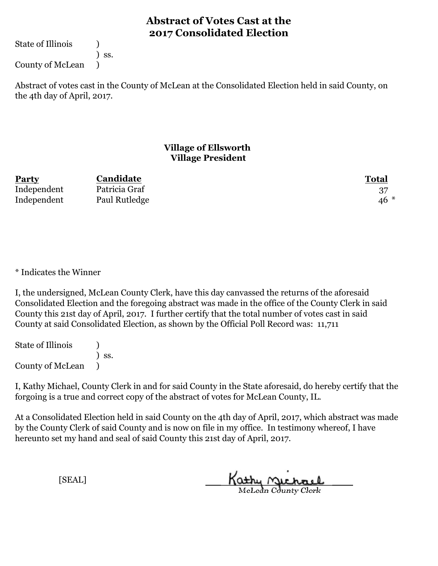State of Illinois (1)

) ss.

County of McLean )

Abstract of votes cast in the County of McLean at the Consolidated Election held in said County, on the 4th day of April, 2017.

### **Village of Ellsworth Village President**

| <b>Party</b> | Candidate     | <b>Total</b> |
|--------------|---------------|--------------|
| Independent  | Patricia Graf |              |
| Independent  | Paul Rutledge | $46*$        |

\* Indicates the Winner

I, the undersigned, McLean County Clerk, have this day canvassed the returns of the aforesaid Consolidated Election and the foregoing abstract was made in the office of the County Clerk in said County this 21st day of April, 2017. I further certify that the total number of votes cast in said County at said Consolidated Election, as shown by the Official Poll Record was: 11,711

State of Illinois (1) ) ss. County of McLean )

I, Kathy Michael, County Clerk in and for said County in the State aforesaid, do hereby certify that the forgoing is a true and correct copy of the abstract of votes for McLean County, IL.

At a Consolidated Election held in said County on the 4th day of April, 2017, which abstract was made by the County Clerk of said County and is now on file in my office. In testimony whereof, I have hereunto set my hand and seal of said County this 21st day of April, 2017.

Kathy <u>Michael</u>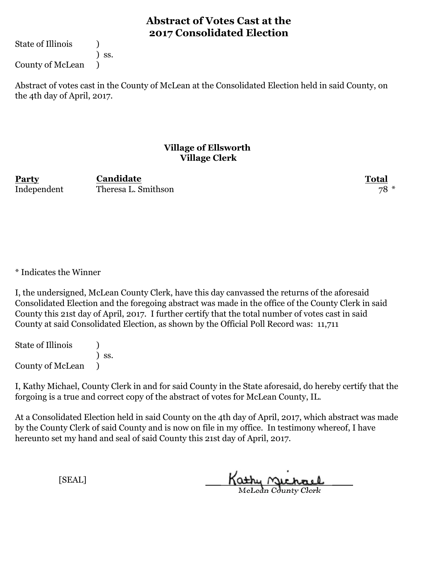State of Illinois (1)

) ss.

County of McLean )

Abstract of votes cast in the County of McLean at the Consolidated Election held in said County, on the 4th day of April, 2017.

### **Village of Ellsworth Village Clerk**

**Party Total** Independent Theresa L. Smithson 78 \* **Candidate**

\* Indicates the Winner

I, the undersigned, McLean County Clerk, have this day canvassed the returns of the aforesaid Consolidated Election and the foregoing abstract was made in the office of the County Clerk in said County this 21st day of April, 2017. I further certify that the total number of votes cast in said County at said Consolidated Election, as shown by the Official Poll Record was: 11,711

State of Illinois (1) ) ss. County of McLean )

I, Kathy Michael, County Clerk in and for said County in the State aforesaid, do hereby certify that the forgoing is a true and correct copy of the abstract of votes for McLean County, IL.

At a Consolidated Election held in said County on the 4th day of April, 2017, which abstract was made by the County Clerk of said County and is now on file in my office. In testimony whereof, I have hereunto set my hand and seal of said County this 21st day of April, 2017.

Kathy Michael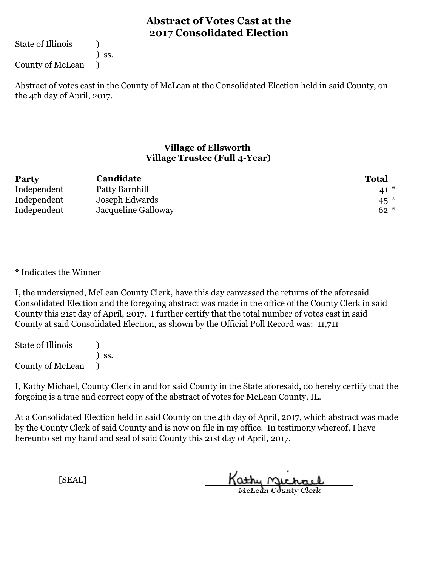State of Illinois (1)

) ss.

County of McLean )

Abstract of votes cast in the County of McLean at the Consolidated Election held in said County, on the 4th day of April, 2017.

### **Village of Ellsworth Village Trustee (Full 4-Year)**

| <b>Party</b> | Candidate           | <b>Total</b>    |
|--------------|---------------------|-----------------|
| Independent  | Patty Barnhill      | $41 *$          |
| Independent  | Joseph Edwards      | 45 <sup>2</sup> |
| Independent  | Jacqueline Galloway | $62 *$          |

\* Indicates the Winner

I, the undersigned, McLean County Clerk, have this day canvassed the returns of the aforesaid Consolidated Election and the foregoing abstract was made in the office of the County Clerk in said County this 21st day of April, 2017. I further certify that the total number of votes cast in said County at said Consolidated Election, as shown by the Official Poll Record was: 11,711

State of Illinois (1) ) ss. County of McLean )

I, Kathy Michael, County Clerk in and for said County in the State aforesaid, do hereby certify that the forgoing is a true and correct copy of the abstract of votes for McLean County, IL.

At a Consolidated Election held in said County on the 4th day of April, 2017, which abstract was made by the County Clerk of said County and is now on file in my office. In testimony whereof, I have hereunto set my hand and seal of said County this 21st day of April, 2017.

Kathy Michael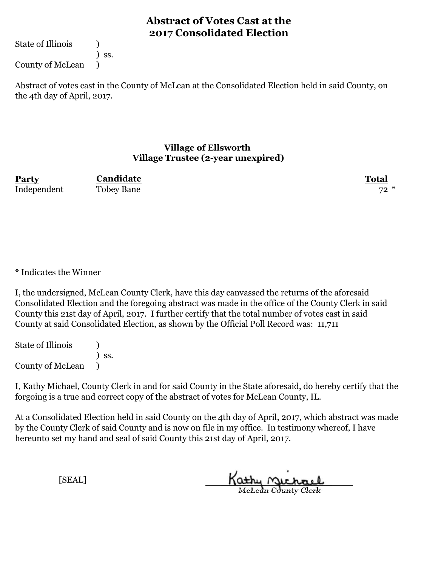State of Illinois (1)

) ss.

County of McLean )

Abstract of votes cast in the County of McLean at the Consolidated Election held in said County, on the 4th day of April, 2017.

#### **Village of Ellsworth Village Trustee (2-year unexpired)**

**Party Total Candidate** Independent Tobey Bane 72 \*

\* Indicates the Winner

I, the undersigned, McLean County Clerk, have this day canvassed the returns of the aforesaid Consolidated Election and the foregoing abstract was made in the office of the County Clerk in said County this 21st day of April, 2017. I further certify that the total number of votes cast in said County at said Consolidated Election, as shown by the Official Poll Record was: 11,711

State of Illinois (1) ) ss. County of McLean )

I, Kathy Michael, County Clerk in and for said County in the State aforesaid, do hereby certify that the forgoing is a true and correct copy of the abstract of votes for McLean County, IL.

At a Consolidated Election held in said County on the 4th day of April, 2017, which abstract was made by the County Clerk of said County and is now on file in my office. In testimony whereof, I have hereunto set my hand and seal of said County this 21st day of April, 2017.

Kathy Michael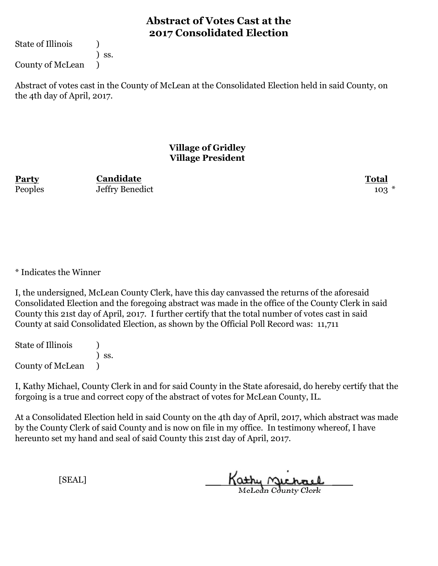State of Illinois (1)

) ss.

County of McLean )

Abstract of votes cast in the County of McLean at the Consolidated Election held in said County, on the 4th day of April, 2017.

### **Village of Gridley Village President**

**Party Total Candidate** Peoples Jeffry Benedict 103 \*

\* Indicates the Winner

I, the undersigned, McLean County Clerk, have this day canvassed the returns of the aforesaid Consolidated Election and the foregoing abstract was made in the office of the County Clerk in said County this 21st day of April, 2017. I further certify that the total number of votes cast in said County at said Consolidated Election, as shown by the Official Poll Record was: 11,711

State of Illinois (1) ) ss. County of McLean )

I, Kathy Michael, County Clerk in and for said County in the State aforesaid, do hereby certify that the forgoing is a true and correct copy of the abstract of votes for McLean County, IL.

At a Consolidated Election held in said County on the 4th day of April, 2017, which abstract was made by the County Clerk of said County and is now on file in my office. In testimony whereof, I have hereunto set my hand and seal of said County this 21st day of April, 2017.

Kathy Michael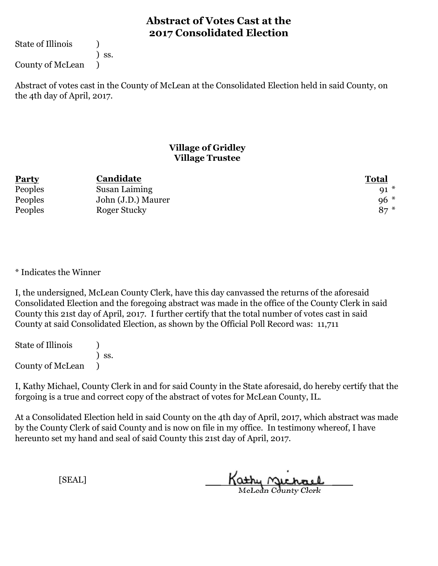State of Illinois (1)

) ss.

County of McLean )

Abstract of votes cast in the County of McLean at the Consolidated Election held in said County, on the 4th day of April, 2017.

### **Village of Gridley Village Trustee**

| <b>Party</b> | Candidate          | <b>Total</b> |
|--------------|--------------------|--------------|
| Peoples      | Susan Laiming      | 91           |
| Peoples      | John (J.D.) Maurer | $96 *$       |
| Peoples      | Roger Stucky       | $87*$        |

\* Indicates the Winner

I, the undersigned, McLean County Clerk, have this day canvassed the returns of the aforesaid Consolidated Election and the foregoing abstract was made in the office of the County Clerk in said County this 21st day of April, 2017. I further certify that the total number of votes cast in said County at said Consolidated Election, as shown by the Official Poll Record was: 11,711

State of Illinois (1) ) ss. County of McLean )

I, Kathy Michael, County Clerk in and for said County in the State aforesaid, do hereby certify that the forgoing is a true and correct copy of the abstract of votes for McLean County, IL.

At a Consolidated Election held in said County on the 4th day of April, 2017, which abstract was made by the County Clerk of said County and is now on file in my office. In testimony whereof, I have hereunto set my hand and seal of said County this 21st day of April, 2017.

Kathy Michael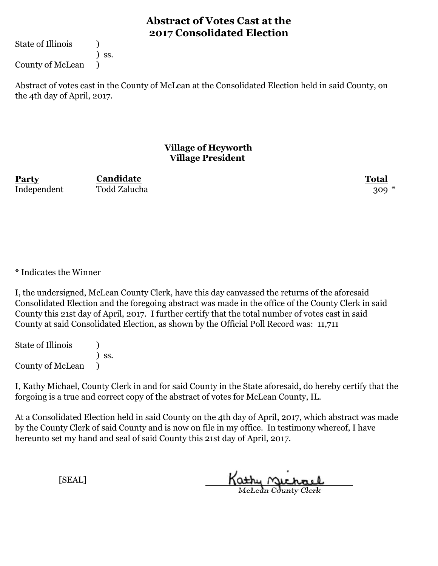State of Illinois (1)

) ss.

County of McLean )

Abstract of votes cast in the County of McLean at the Consolidated Election held in said County, on the 4th day of April, 2017.

### **Village of Heyworth Village President**

**Party Total Candidate** Independent Todd Zalucha 309 \*

\* Indicates the Winner

I, the undersigned, McLean County Clerk, have this day canvassed the returns of the aforesaid Consolidated Election and the foregoing abstract was made in the office of the County Clerk in said County this 21st day of April, 2017. I further certify that the total number of votes cast in said County at said Consolidated Election, as shown by the Official Poll Record was: 11,711

State of Illinois (1) ) ss. County of McLean )

I, Kathy Michael, County Clerk in and for said County in the State aforesaid, do hereby certify that the forgoing is a true and correct copy of the abstract of votes for McLean County, IL.

At a Consolidated Election held in said County on the 4th day of April, 2017, which abstract was made by the County Clerk of said County and is now on file in my office. In testimony whereof, I have hereunto set my hand and seal of said County this 21st day of April, 2017.

Kathy Michael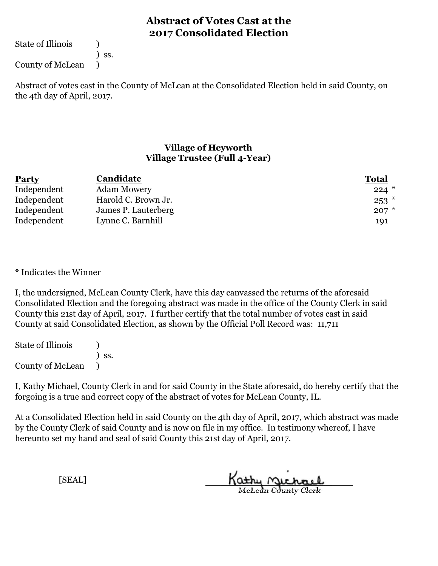State of Illinois (1)

) ss.

County of McLean )

Abstract of votes cast in the County of McLean at the Consolidated Election held in said County, on the 4th day of April, 2017.

### **Village of Heyworth Village Trustee (Full 4-Year)**

| <b>Party</b> | Candidate           | <b>Total</b> |
|--------------|---------------------|--------------|
| Independent  | Adam Mowery         | $224$ $*$    |
| Independent  | Harold C. Brown Jr. | $253$ $*$    |
| Independent  | James P. Lauterberg | $207*$       |
| Independent  | Lynne C. Barnhill   | 191          |

\* Indicates the Winner

I, the undersigned, McLean County Clerk, have this day canvassed the returns of the aforesaid Consolidated Election and the foregoing abstract was made in the office of the County Clerk in said County this 21st day of April, 2017. I further certify that the total number of votes cast in said County at said Consolidated Election, as shown by the Official Poll Record was: 11,711

State of Illinois (1) ) ss. County of McLean )

I, Kathy Michael, County Clerk in and for said County in the State aforesaid, do hereby certify that the forgoing is a true and correct copy of the abstract of votes for McLean County, IL.

At a Consolidated Election held in said County on the 4th day of April, 2017, which abstract was made by the County Clerk of said County and is now on file in my office. In testimony whereof, I have hereunto set my hand and seal of said County this 21st day of April, 2017.

Kathy Michael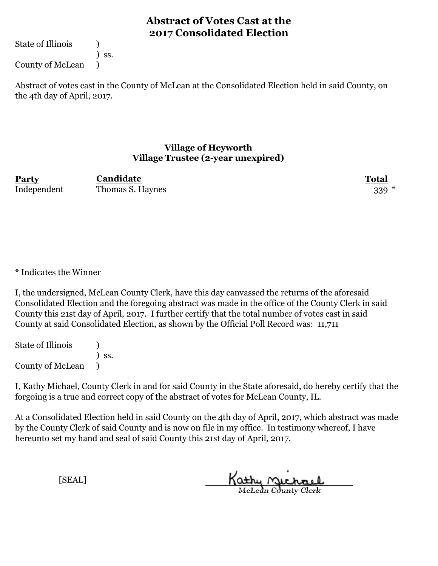State of Illinois (1)

) ss.

County of McLean )

Abstract of votes cast in the County of McLean at the Consolidated Election held in said County, on the 4th day of April, 2017.

#### **Village of Heyworth Village Trustee (2-year unexpired)**

**Party Total Candidate** Independent Thomas S. Haynes 339 \*

\* Indicates the Winner

I, the undersigned, McLean County Clerk, have this day canvassed the returns of the aforesaid Consolidated Election and the foregoing abstract was made in the office of the County Clerk in said County this 21st day of April, 2017. I further certify that the total number of votes cast in said County at said Consolidated Election, as shown by the Official Poll Record was: 11,711

State of Illinois (1) ) ss. County of McLean )

I, Kathy Michael, County Clerk in and for said County in the State aforesaid, do hereby certify that the forgoing is a true and correct copy of the abstract of votes for McLean County, IL.

At a Consolidated Election held in said County on the 4th day of April, 2017, which abstract was made by the County Clerk of said County and is now on file in my office. In testimony whereof, I have hereunto set my hand and seal of said County this 21st day of April, 2017.

Kathy Michael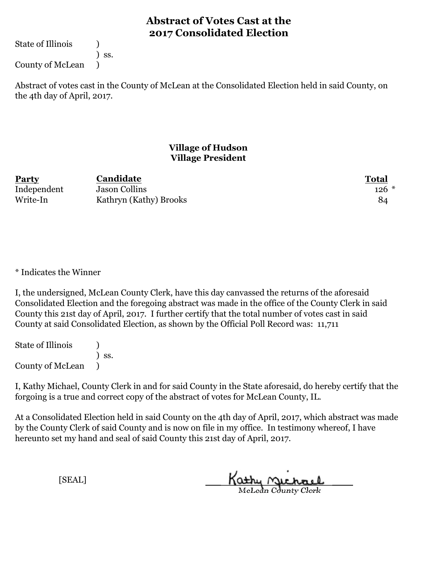State of Illinois (1)

) ss.

County of McLean )

Abstract of votes cast in the County of McLean at the Consolidated Election held in said County, on the 4th day of April, 2017.

### **Village of Hudson Village President**

| Party       | Candidate              | <b>Total</b> |
|-------------|------------------------|--------------|
| Independent | <b>Jason Collins</b>   | $126$ $*$    |
| Write-In    | Kathryn (Kathy) Brooks | 84           |

\* Indicates the Winner

I, the undersigned, McLean County Clerk, have this day canvassed the returns of the aforesaid Consolidated Election and the foregoing abstract was made in the office of the County Clerk in said County this 21st day of April, 2017. I further certify that the total number of votes cast in said County at said Consolidated Election, as shown by the Official Poll Record was: 11,711

State of Illinois (1) ) ss. County of McLean )

I, Kathy Michael, County Clerk in and for said County in the State aforesaid, do hereby certify that the forgoing is a true and correct copy of the abstract of votes for McLean County, IL.

At a Consolidated Election held in said County on the 4th day of April, 2017, which abstract was made by the County Clerk of said County and is now on file in my office. In testimony whereof, I have hereunto set my hand and seal of said County this 21st day of April, 2017.

Kathy <u>Michael</u>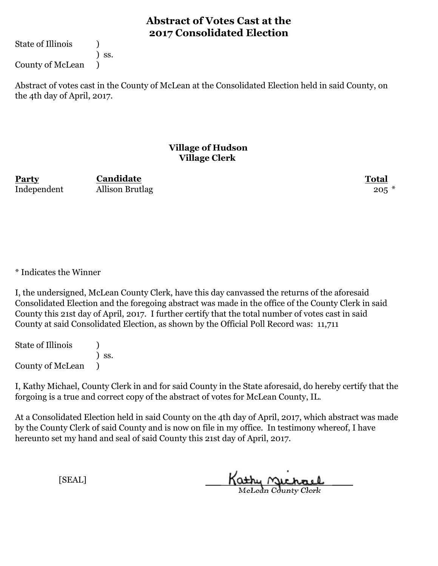State of Illinois (1)

) ss.

County of McLean )

Abstract of votes cast in the County of McLean at the Consolidated Election held in said County, on the 4th day of April, 2017.

### **Village of Hudson Village Clerk**

**Party Total Candidate** Independent Allison Brutlag 205<sup>\*</sup>

\* Indicates the Winner

I, the undersigned, McLean County Clerk, have this day canvassed the returns of the aforesaid Consolidated Election and the foregoing abstract was made in the office of the County Clerk in said County this 21st day of April, 2017. I further certify that the total number of votes cast in said County at said Consolidated Election, as shown by the Official Poll Record was: 11,711

State of Illinois (1) ) ss. County of McLean )

I, Kathy Michael, County Clerk in and for said County in the State aforesaid, do hereby certify that the forgoing is a true and correct copy of the abstract of votes for McLean County, IL.

At a Consolidated Election held in said County on the 4th day of April, 2017, which abstract was made by the County Clerk of said County and is now on file in my office. In testimony whereof, I have hereunto set my hand and seal of said County this 21st day of April, 2017.

Kathy Michael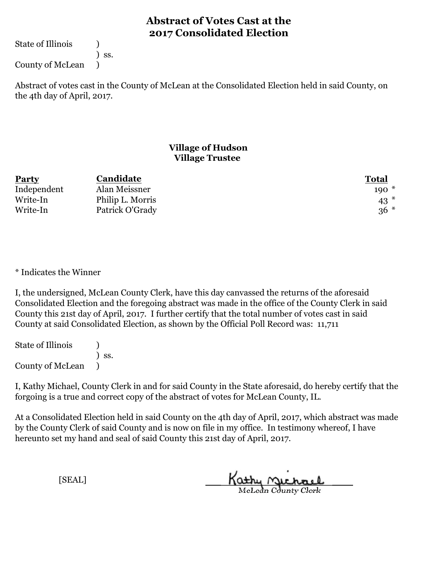State of Illinois (1)

) ss.

County of McLean )

Abstract of votes cast in the County of McLean at the Consolidated Election held in said County, on the 4th day of April, 2017.

### **Village of Hudson Village Trustee**

| <b>Party</b> | Candidate        | <b>Total</b> |
|--------------|------------------|--------------|
| Independent  | Alan Meissner    | $190*$       |
| Write-In     | Philip L. Morris | $43*$        |
| Write-In     | Patrick O'Grady  | $36*$        |

\* Indicates the Winner

I, the undersigned, McLean County Clerk, have this day canvassed the returns of the aforesaid Consolidated Election and the foregoing abstract was made in the office of the County Clerk in said County this 21st day of April, 2017. I further certify that the total number of votes cast in said County at said Consolidated Election, as shown by the Official Poll Record was: 11,711

State of Illinois (1) ) ss. County of McLean )

I, Kathy Michael, County Clerk in and for said County in the State aforesaid, do hereby certify that the forgoing is a true and correct copy of the abstract of votes for McLean County, IL.

At a Consolidated Election held in said County on the 4th day of April, 2017, which abstract was made by the County Clerk of said County and is now on file in my office. In testimony whereof, I have hereunto set my hand and seal of said County this 21st day of April, 2017.

Kathy Michael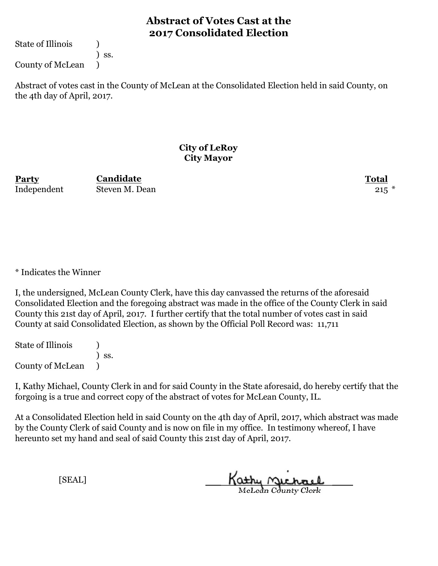State of Illinois (1)

) ss.

County of McLean )

Abstract of votes cast in the County of McLean at the Consolidated Election held in said County, on the 4th day of April, 2017.

### **City of LeRoy City Mayor**

**Party Total** Independent Steven M. Dean 215 \*

**Candidate**

\* Indicates the Winner

I, the undersigned, McLean County Clerk, have this day canvassed the returns of the aforesaid Consolidated Election and the foregoing abstract was made in the office of the County Clerk in said County this 21st day of April, 2017. I further certify that the total number of votes cast in said County at said Consolidated Election, as shown by the Official Poll Record was: 11,711

State of Illinois (1) ) ss. County of McLean )

I, Kathy Michael, County Clerk in and for said County in the State aforesaid, do hereby certify that the forgoing is a true and correct copy of the abstract of votes for McLean County, IL.

At a Consolidated Election held in said County on the 4th day of April, 2017, which abstract was made by the County Clerk of said County and is now on file in my office. In testimony whereof, I have hereunto set my hand and seal of said County this 21st day of April, 2017.

Kathy Michael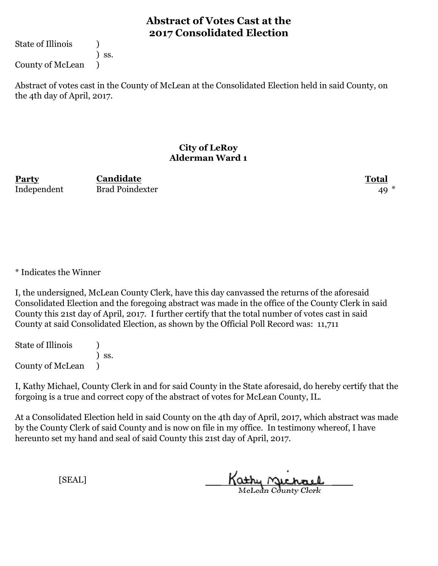State of Illinois (1)

) ss.

County of McLean )

Abstract of votes cast in the County of McLean at the Consolidated Election held in said County, on the 4th day of April, 2017.

#### **City of LeRoy Alderman Ward 1**

**Party Total Candidate** Independent Brad Poindexter 49

\* Indicates the Winner

I, the undersigned, McLean County Clerk, have this day canvassed the returns of the aforesaid Consolidated Election and the foregoing abstract was made in the office of the County Clerk in said County this 21st day of April, 2017. I further certify that the total number of votes cast in said County at said Consolidated Election, as shown by the Official Poll Record was: 11,711

State of Illinois (1) ) ss. County of McLean )

I, Kathy Michael, County Clerk in and for said County in the State aforesaid, do hereby certify that the forgoing is a true and correct copy of the abstract of votes for McLean County, IL.

At a Consolidated Election held in said County on the 4th day of April, 2017, which abstract was made by the County Clerk of said County and is now on file in my office. In testimony whereof, I have hereunto set my hand and seal of said County this 21st day of April, 2017.

Kathy Michael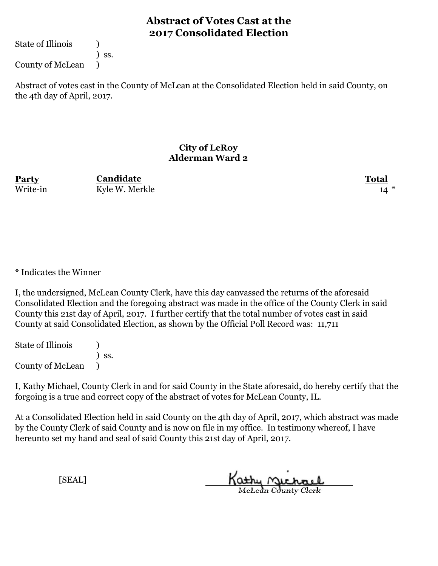State of Illinois (1)

) ss.

County of McLean )

Abstract of votes cast in the County of McLean at the Consolidated Election held in said County, on the 4th day of April, 2017.

#### **City of LeRoy Alderman Ward 2**

**Party Total Candidate** Write-in Kyle W. Merkle 14

\* Indicates the Winner

I, the undersigned, McLean County Clerk, have this day canvassed the returns of the aforesaid Consolidated Election and the foregoing abstract was made in the office of the County Clerk in said County this 21st day of April, 2017. I further certify that the total number of votes cast in said County at said Consolidated Election, as shown by the Official Poll Record was: 11,711

State of Illinois (1) ) ss. County of McLean )

I, Kathy Michael, County Clerk in and for said County in the State aforesaid, do hereby certify that the forgoing is a true and correct copy of the abstract of votes for McLean County, IL.

At a Consolidated Election held in said County on the 4th day of April, 2017, which abstract was made by the County Clerk of said County and is now on file in my office. In testimony whereof, I have hereunto set my hand and seal of said County this 21st day of April, 2017.

Kathy Michael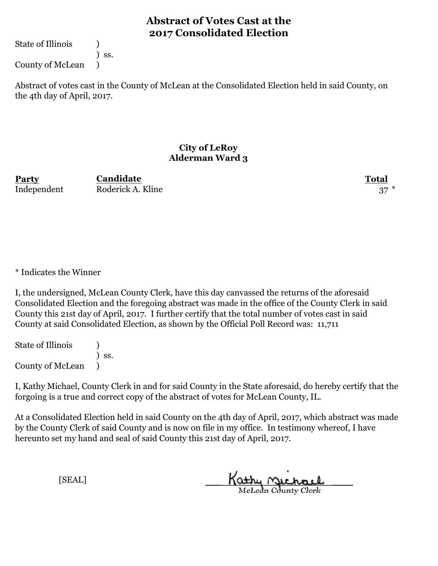State of Illinois (1)

) ss.

County of McLean )

Abstract of votes cast in the County of McLean at the Consolidated Election held in said County, on the 4th day of April, 2017.

#### **City of LeRoy Alderman Ward 3**

**Party Total** Independent Roderick A. Kline 37 **Candidate**

\* Indicates the Winner

I, the undersigned, McLean County Clerk, have this day canvassed the returns of the aforesaid Consolidated Election and the foregoing abstract was made in the office of the County Clerk in said County this 21st day of April, 2017. I further certify that the total number of votes cast in said County at said Consolidated Election, as shown by the Official Poll Record was: 11,711

State of Illinois (1) ) ss. County of McLean )

I, Kathy Michael, County Clerk in and for said County in the State aforesaid, do hereby certify that the forgoing is a true and correct copy of the abstract of votes for McLean County, IL.

At a Consolidated Election held in said County on the 4th day of April, 2017, which abstract was made by the County Clerk of said County and is now on file in my office. In testimony whereof, I have hereunto set my hand and seal of said County this 21st day of April, 2017.

Kathy Michael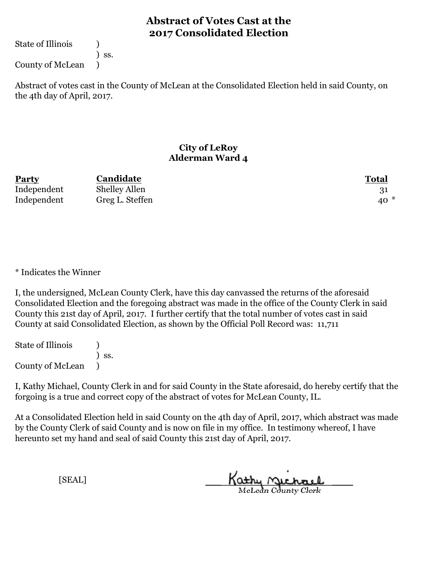State of Illinois (1)

) ss.

County of McLean )

Abstract of votes cast in the County of McLean at the Consolidated Election held in said County, on the 4th day of April, 2017.

#### **City of LeRoy Alderman Ward 4**

| Party       | Candidate            | <b>Total</b> |
|-------------|----------------------|--------------|
| Independent | <b>Shelley Allen</b> |              |
| Independent | Greg L. Steffen      | $40*$        |

\* Indicates the Winner

I, the undersigned, McLean County Clerk, have this day canvassed the returns of the aforesaid Consolidated Election and the foregoing abstract was made in the office of the County Clerk in said County this 21st day of April, 2017. I further certify that the total number of votes cast in said County at said Consolidated Election, as shown by the Official Poll Record was: 11,711

State of Illinois (1) ) ss. County of McLean )

I, Kathy Michael, County Clerk in and for said County in the State aforesaid, do hereby certify that the forgoing is a true and correct copy of the abstract of votes for McLean County, IL.

At a Consolidated Election held in said County on the 4th day of April, 2017, which abstract was made by the County Clerk of said County and is now on file in my office. In testimony whereof, I have hereunto set my hand and seal of said County this 21st day of April, 2017.

Kathy Michael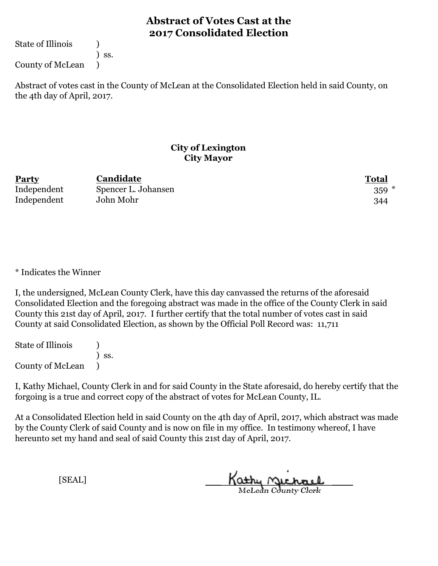State of Illinois (1)

) ss.

County of McLean )

Abstract of votes cast in the County of McLean at the Consolidated Election held in said County, on the 4th day of April, 2017.

### **City of Lexington City Mayor**

| <b>Party</b> | Candidate           | <b>Total</b> |
|--------------|---------------------|--------------|
| Independent  | Spencer L. Johansen | $359 *$      |
| Independent  | John Mohr           | 344          |

\* Indicates the Winner

I, the undersigned, McLean County Clerk, have this day canvassed the returns of the aforesaid Consolidated Election and the foregoing abstract was made in the office of the County Clerk in said County this 21st day of April, 2017. I further certify that the total number of votes cast in said County at said Consolidated Election, as shown by the Official Poll Record was: 11,711

State of Illinois (1) ) ss. County of McLean )

I, Kathy Michael, County Clerk in and for said County in the State aforesaid, do hereby certify that the forgoing is a true and correct copy of the abstract of votes for McLean County, IL.

At a Consolidated Election held in said County on the 4th day of April, 2017, which abstract was made by the County Clerk of said County and is now on file in my office. In testimony whereof, I have hereunto set my hand and seal of said County this 21st day of April, 2017.

Kathy Michael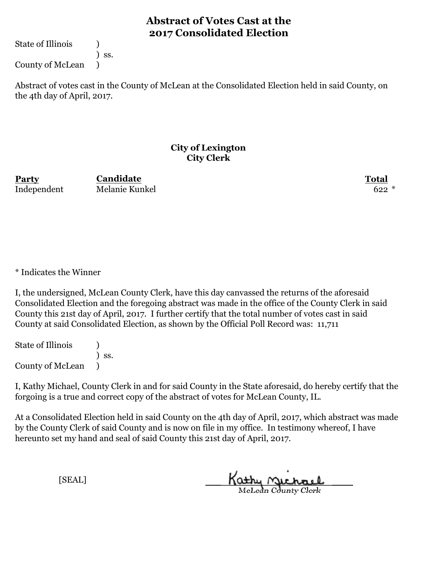State of Illinois (1)

) ss.

County of McLean )

Abstract of votes cast in the County of McLean at the Consolidated Election held in said County, on the 4th day of April, 2017.

#### **City of Lexington City Clerk**

**Party Total** Independent Melanie Kunkel 622 \* **Candidate**

\* Indicates the Winner

I, the undersigned, McLean County Clerk, have this day canvassed the returns of the aforesaid Consolidated Election and the foregoing abstract was made in the office of the County Clerk in said County this 21st day of April, 2017. I further certify that the total number of votes cast in said County at said Consolidated Election, as shown by the Official Poll Record was: 11,711

State of Illinois (1) ) ss. County of McLean )

I, Kathy Michael, County Clerk in and for said County in the State aforesaid, do hereby certify that the forgoing is a true and correct copy of the abstract of votes for McLean County, IL.

At a Consolidated Election held in said County on the 4th day of April, 2017, which abstract was made by the County Clerk of said County and is now on file in my office. In testimony whereof, I have hereunto set my hand and seal of said County this 21st day of April, 2017.

Kathy Michael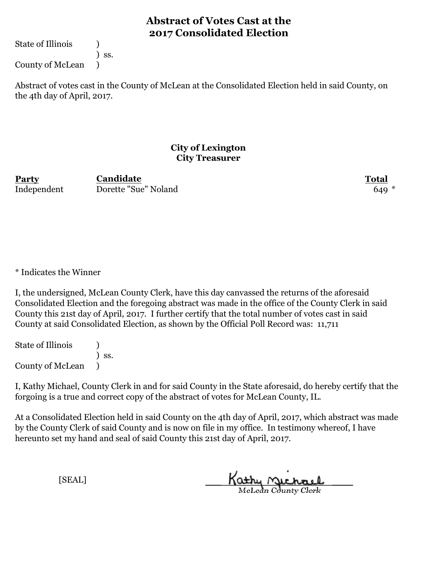State of Illinois (1)

) ss.

County of McLean )

Abstract of votes cast in the County of McLean at the Consolidated Election held in said County, on the 4th day of April, 2017.

#### **City of Lexington City Treasurer**

**Party Total** Independent Dorette "Sue" Noland 649 \* 649 \* **Candidate**

\* Indicates the Winner

I, the undersigned, McLean County Clerk, have this day canvassed the returns of the aforesaid Consolidated Election and the foregoing abstract was made in the office of the County Clerk in said County this 21st day of April, 2017. I further certify that the total number of votes cast in said County at said Consolidated Election, as shown by the Official Poll Record was: 11,711

State of Illinois (1) ) ss. County of McLean )

I, Kathy Michael, County Clerk in and for said County in the State aforesaid, do hereby certify that the forgoing is a true and correct copy of the abstract of votes for McLean County, IL.

At a Consolidated Election held in said County on the 4th day of April, 2017, which abstract was made by the County Clerk of said County and is now on file in my office. In testimony whereof, I have hereunto set my hand and seal of said County this 21st day of April, 2017.

Kathy Michael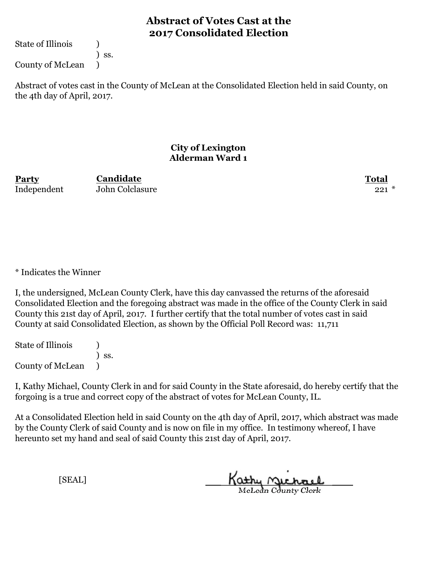State of Illinois (1)

) ss.

County of McLean )

Abstract of votes cast in the County of McLean at the Consolidated Election held in said County, on the 4th day of April, 2017.

#### **City of Lexington Alderman Ward 1**

**Party Total** Independent John Colclasure 221 \*

**Candidate**

\* Indicates the Winner

I, the undersigned, McLean County Clerk, have this day canvassed the returns of the aforesaid Consolidated Election and the foregoing abstract was made in the office of the County Clerk in said County this 21st day of April, 2017. I further certify that the total number of votes cast in said County at said Consolidated Election, as shown by the Official Poll Record was: 11,711

State of Illinois (1) ) ss. County of McLean )

I, Kathy Michael, County Clerk in and for said County in the State aforesaid, do hereby certify that the forgoing is a true and correct copy of the abstract of votes for McLean County, IL.

At a Consolidated Election held in said County on the 4th day of April, 2017, which abstract was made by the County Clerk of said County and is now on file in my office. In testimony whereof, I have hereunto set my hand and seal of said County this 21st day of April, 2017.

Kathy Michael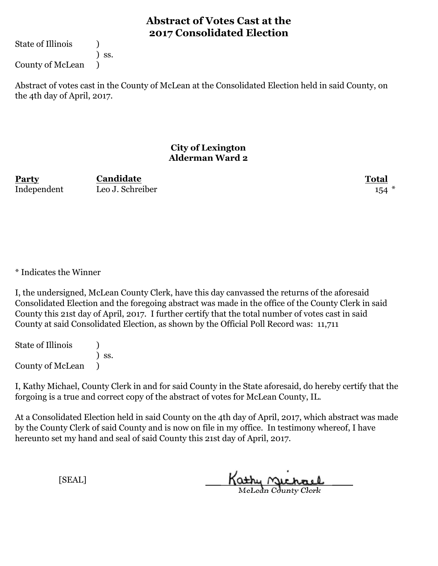State of Illinois (1)

) ss.

County of McLean )

Abstract of votes cast in the County of McLean at the Consolidated Election held in said County, on the 4th day of April, 2017.

### **City of Lexington Alderman Ward 2**

**Party Total** Independent Leo J. Schreiber 154

**Candidate**

\* Indicates the Winner

I, the undersigned, McLean County Clerk, have this day canvassed the returns of the aforesaid Consolidated Election and the foregoing abstract was made in the office of the County Clerk in said County this 21st day of April, 2017. I further certify that the total number of votes cast in said County at said Consolidated Election, as shown by the Official Poll Record was: 11,711

State of Illinois (1) ) ss. County of McLean )

I, Kathy Michael, County Clerk in and for said County in the State aforesaid, do hereby certify that the forgoing is a true and correct copy of the abstract of votes for McLean County, IL.

At a Consolidated Election held in said County on the 4th day of April, 2017, which abstract was made by the County Clerk of said County and is now on file in my office. In testimony whereof, I have hereunto set my hand and seal of said County this 21st day of April, 2017.

Kathy Michael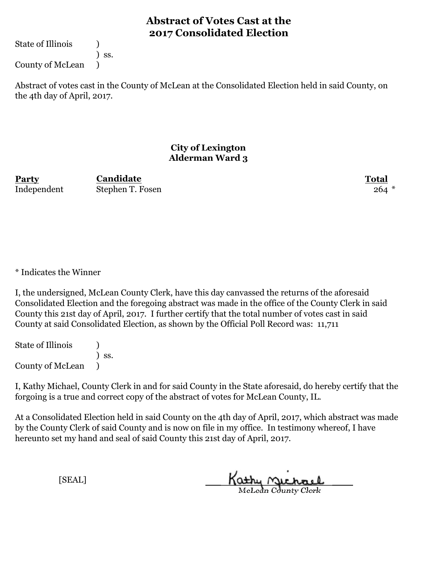State of Illinois (1)

) ss.

County of McLean )

Abstract of votes cast in the County of McLean at the Consolidated Election held in said County, on the 4th day of April, 2017.

### **City of Lexington Alderman Ward 3**

**Party Total Candidate** Independent Stephen T. Fosen 264 \*

\* Indicates the Winner

I, the undersigned, McLean County Clerk, have this day canvassed the returns of the aforesaid Consolidated Election and the foregoing abstract was made in the office of the County Clerk in said County this 21st day of April, 2017. I further certify that the total number of votes cast in said County at said Consolidated Election, as shown by the Official Poll Record was: 11,711

State of Illinois (1) ) ss. County of McLean )

I, Kathy Michael, County Clerk in and for said County in the State aforesaid, do hereby certify that the forgoing is a true and correct copy of the abstract of votes for McLean County, IL.

At a Consolidated Election held in said County on the 4th day of April, 2017, which abstract was made by the County Clerk of said County and is now on file in my office. In testimony whereof, I have hereunto set my hand and seal of said County this 21st day of April, 2017.

Kathy Michael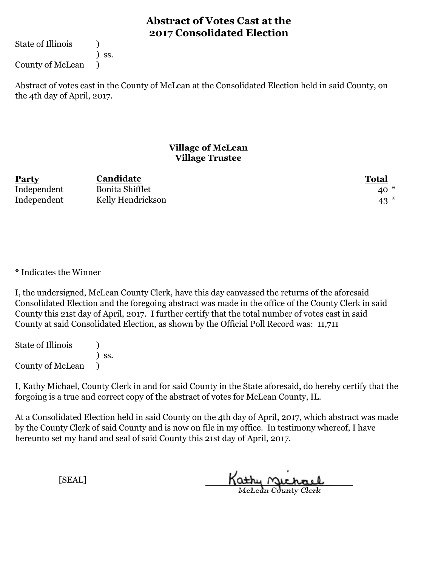State of Illinois (1)

) ss.

County of McLean )

Abstract of votes cast in the County of McLean at the Consolidated Election held in said County, on the 4th day of April, 2017.

### **Village of McLean Village Trustee**

| <b>Party</b> | Candidate              | <b>Total</b> |
|--------------|------------------------|--------------|
| Independent  | <b>Bonita Shifflet</b> | $40*$        |
| Independent  | Kelly Hendrickson      | $43$ $*$     |

\* Indicates the Winner

I, the undersigned, McLean County Clerk, have this day canvassed the returns of the aforesaid Consolidated Election and the foregoing abstract was made in the office of the County Clerk in said County this 21st day of April, 2017. I further certify that the total number of votes cast in said County at said Consolidated Election, as shown by the Official Poll Record was: 11,711

State of Illinois (1) ) ss. County of McLean )

I, Kathy Michael, County Clerk in and for said County in the State aforesaid, do hereby certify that the forgoing is a true and correct copy of the abstract of votes for McLean County, IL.

At a Consolidated Election held in said County on the 4th day of April, 2017, which abstract was made by the County Clerk of said County and is now on file in my office. In testimony whereof, I have hereunto set my hand and seal of said County this 21st day of April, 2017.

Kathy Michael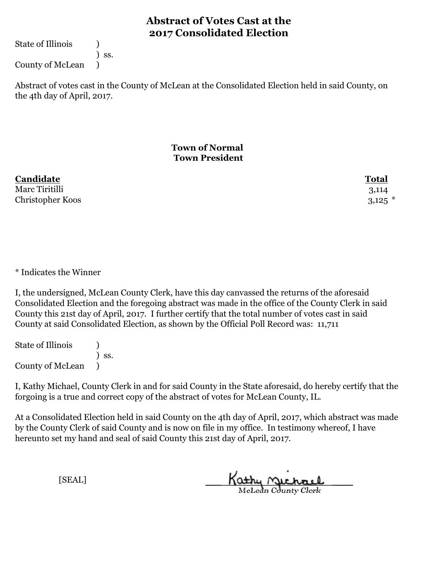State of Illinois (1)

) ss.

County of McLean )

Abstract of votes cast in the County of McLean at the Consolidated Election held in said County, on the 4th day of April, 2017.

### **Town of Normal Town President**

| Candidate        | <b>Total</b> |
|------------------|--------------|
| Marc Tiritilli   | 3,114        |
| Christopher Koos | $3,125$ $*$  |

\* Indicates the Winner

I, the undersigned, McLean County Clerk, have this day canvassed the returns of the aforesaid Consolidated Election and the foregoing abstract was made in the office of the County Clerk in said County this 21st day of April, 2017. I further certify that the total number of votes cast in said County at said Consolidated Election, as shown by the Official Poll Record was: 11,711

State of Illinois (1) ) ss. County of McLean )

I, Kathy Michael, County Clerk in and for said County in the State aforesaid, do hereby certify that the forgoing is a true and correct copy of the abstract of votes for McLean County, IL.

At a Consolidated Election held in said County on the 4th day of April, 2017, which abstract was made by the County Clerk of said County and is now on file in my office. In testimony whereof, I have hereunto set my hand and seal of said County this 21st day of April, 2017.

Kathy Michael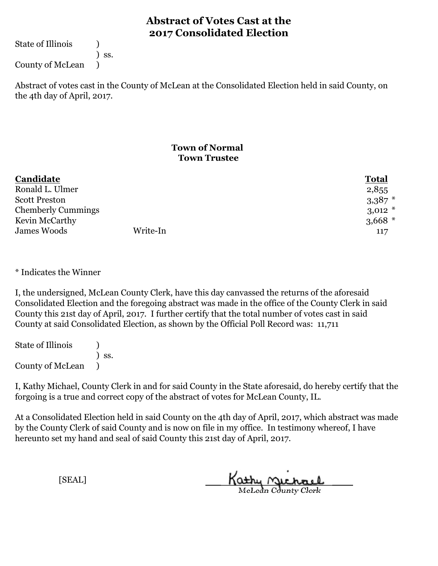State of Illinois (1)

) ss.

County of McLean )

Abstract of votes cast in the County of McLean at the Consolidated Election held in said County, on the 4th day of April, 2017.

### **Town of Normal Town Trustee**

| Candidate                 |  | <b>Total</b> |
|---------------------------|--|--------------|
| Ronald L. Ulmer           |  | 2,855        |
| <b>Scott Preston</b>      |  | $3,387$ *    |
| <b>Chemberly Cummings</b> |  | $3,012$ *    |
| Kevin McCarthy            |  | $3,668$ *    |
| Write-In<br>James Woods   |  | 117          |

\* Indicates the Winner

I, the undersigned, McLean County Clerk, have this day canvassed the returns of the aforesaid Consolidated Election and the foregoing abstract was made in the office of the County Clerk in said County this 21st day of April, 2017. I further certify that the total number of votes cast in said County at said Consolidated Election, as shown by the Official Poll Record was: 11,711

State of Illinois (1) ) ss. County of McLean )

I, Kathy Michael, County Clerk in and for said County in the State aforesaid, do hereby certify that the forgoing is a true and correct copy of the abstract of votes for McLean County, IL.

At a Consolidated Election held in said County on the 4th day of April, 2017, which abstract was made by the County Clerk of said County and is now on file in my office. In testimony whereof, I have hereunto set my hand and seal of said County this 21st day of April, 2017.

Kathy Michael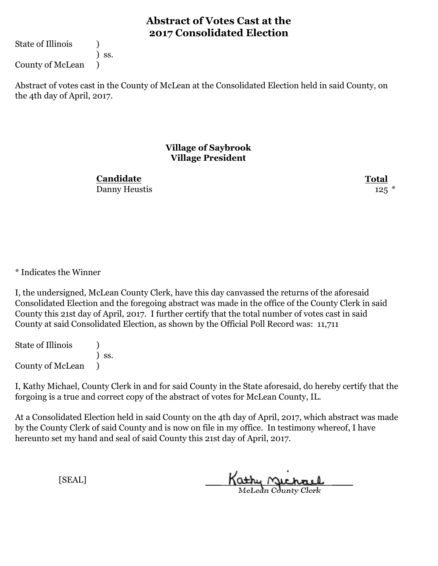State of Illinois (1)

) ss.

County of McLean )

Abstract of votes cast in the County of McLean at the Consolidated Election held in said County, on the 4th day of April, 2017.

#### **Village of Saybrook Village President**

Danny Heustis 125  $*$ **Candidate**

**Total**

\* Indicates the Winner

I, the undersigned, McLean County Clerk, have this day canvassed the returns of the aforesaid Consolidated Election and the foregoing abstract was made in the office of the County Clerk in said County this 21st day of April, 2017. I further certify that the total number of votes cast in said County at said Consolidated Election, as shown by the Official Poll Record was: 11,711

State of Illinois (1) ) ss. County of McLean )

I, Kathy Michael, County Clerk in and for said County in the State aforesaid, do hereby certify that the forgoing is a true and correct copy of the abstract of votes for McLean County, IL.

At a Consolidated Election held in said County on the 4th day of April, 2017, which abstract was made by the County Clerk of said County and is now on file in my office. In testimony whereof, I have hereunto set my hand and seal of said County this 21st day of April, 2017.

Kathy Michael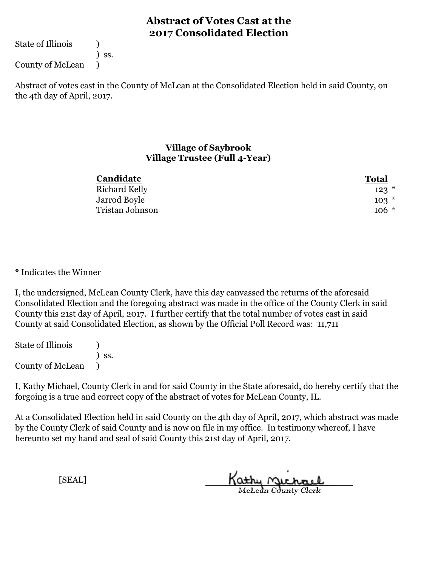State of Illinois (1)

) ss.

County of McLean )

Abstract of votes cast in the County of McLean at the Consolidated Election held in said County, on the 4th day of April, 2017.

#### **Village of Saybrook Village Trustee (Full 4-Year)**

| Candidate       | <b>Total</b> |
|-----------------|--------------|
| Richard Kelly   | $123$ $*$    |
| Jarrod Boyle    | $103*$       |
| Tristan Johnson | $106 *$      |

#### \* Indicates the Winner

I, the undersigned, McLean County Clerk, have this day canvassed the returns of the aforesaid Consolidated Election and the foregoing abstract was made in the office of the County Clerk in said County this 21st day of April, 2017. I further certify that the total number of votes cast in said County at said Consolidated Election, as shown by the Official Poll Record was: 11,711

State of Illinois (1) ) ss. County of McLean )

I, Kathy Michael, County Clerk in and for said County in the State aforesaid, do hereby certify that the forgoing is a true and correct copy of the abstract of votes for McLean County, IL.

At a Consolidated Election held in said County on the 4th day of April, 2017, which abstract was made by the County Clerk of said County and is now on file in my office. In testimony whereof, I have hereunto set my hand and seal of said County this 21st day of April, 2017.

Kathy Michael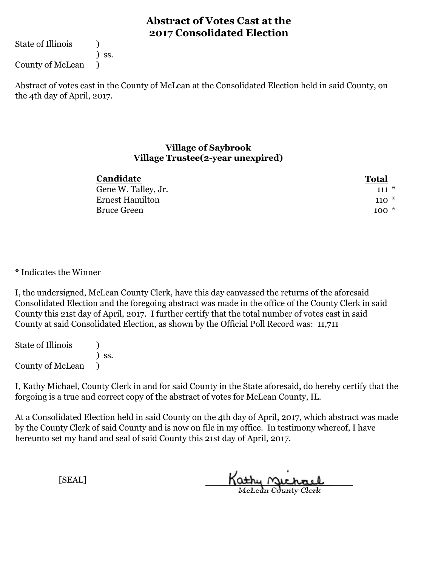State of Illinois (1)

) ss.

County of McLean )

Abstract of votes cast in the County of McLean at the Consolidated Election held in said County, on the 4th day of April, 2017.

#### **Village of Saybrook Village Trustee(2-year unexpired)**

| <b>Candidate</b>       | <b>Total</b> |
|------------------------|--------------|
| Gene W. Talley, Jr.    | $111 \times$ |
| <b>Ernest Hamilton</b> | $110*$       |
| <b>Bruce Green</b>     | $100*$       |

#### \* Indicates the Winner

I, the undersigned, McLean County Clerk, have this day canvassed the returns of the aforesaid Consolidated Election and the foregoing abstract was made in the office of the County Clerk in said County this 21st day of April, 2017. I further certify that the total number of votes cast in said County at said Consolidated Election, as shown by the Official Poll Record was: 11,711

State of Illinois (1) ) ss. County of McLean )

I, Kathy Michael, County Clerk in and for said County in the State aforesaid, do hereby certify that the forgoing is a true and correct copy of the abstract of votes for McLean County, IL.

At a Consolidated Election held in said County on the 4th day of April, 2017, which abstract was made by the County Clerk of said County and is now on file in my office. In testimony whereof, I have hereunto set my hand and seal of said County this 21st day of April, 2017.

Kathy Michael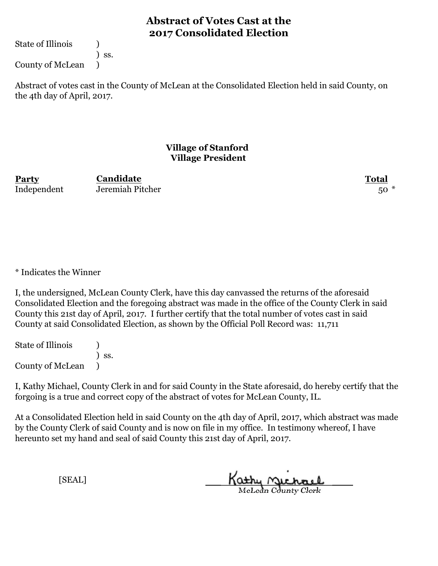State of Illinois (1)

) ss.

County of McLean )

Abstract of votes cast in the County of McLean at the Consolidated Election held in said County, on the 4th day of April, 2017.

#### **Village of Stanford Village President**

Independent Jeremiah Pitcher 50 \*

**Party Total Candidate**

\* Indicates the Winner

I, the undersigned, McLean County Clerk, have this day canvassed the returns of the aforesaid Consolidated Election and the foregoing abstract was made in the office of the County Clerk in said County this 21st day of April, 2017. I further certify that the total number of votes cast in said County at said Consolidated Election, as shown by the Official Poll Record was: 11,711

State of Illinois (1) ) ss. County of McLean )

I, Kathy Michael, County Clerk in and for said County in the State aforesaid, do hereby certify that the forgoing is a true and correct copy of the abstract of votes for McLean County, IL.

At a Consolidated Election held in said County on the 4th day of April, 2017, which abstract was made by the County Clerk of said County and is now on file in my office. In testimony whereof, I have hereunto set my hand and seal of said County this 21st day of April, 2017.

Kathy Michael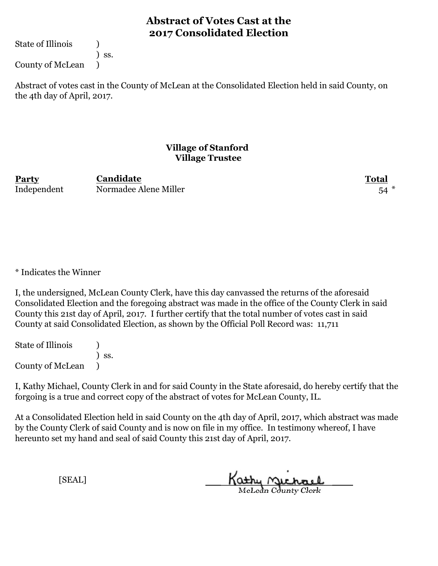State of Illinois (1)

) ss.

County of McLean )

Abstract of votes cast in the County of McLean at the Consolidated Election held in said County, on the 4th day of April, 2017.

#### **Village of Stanford Village Trustee**

**Party Total Candidate** Independent Normadee Alene Miller 54

\* Indicates the Winner

I, the undersigned, McLean County Clerk, have this day canvassed the returns of the aforesaid Consolidated Election and the foregoing abstract was made in the office of the County Clerk in said County this 21st day of April, 2017. I further certify that the total number of votes cast in said County at said Consolidated Election, as shown by the Official Poll Record was: 11,711

State of Illinois (1) ) ss. County of McLean )

I, Kathy Michael, County Clerk in and for said County in the State aforesaid, do hereby certify that the forgoing is a true and correct copy of the abstract of votes for McLean County, IL.

At a Consolidated Election held in said County on the 4th day of April, 2017, which abstract was made by the County Clerk of said County and is now on file in my office. In testimony whereof, I have hereunto set my hand and seal of said County this 21st day of April, 2017.

Kathy Michael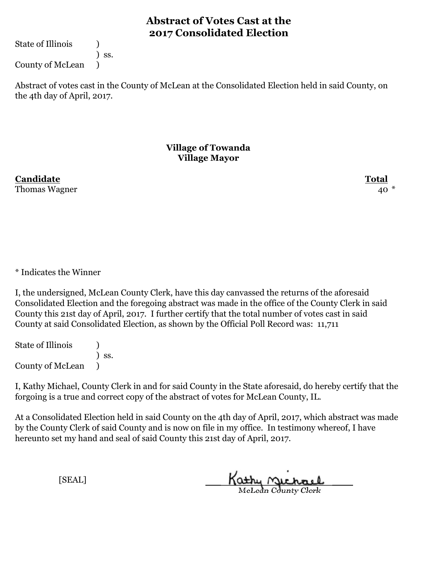State of Illinois (1)

) ss.

County of McLean )

Abstract of votes cast in the County of McLean at the Consolidated Election held in said County, on the 4th day of April, 2017.

#### **Village of Towanda Village Mayor**

**Candidate Total** Thomas Wagner 40  $^{\circ}$ 

\* Indicates the Winner

I, the undersigned, McLean County Clerk, have this day canvassed the returns of the aforesaid Consolidated Election and the foregoing abstract was made in the office of the County Clerk in said County this 21st day of April, 2017. I further certify that the total number of votes cast in said County at said Consolidated Election, as shown by the Official Poll Record was: 11,711

State of Illinois (1) ) ss. County of McLean )

I, Kathy Michael, County Clerk in and for said County in the State aforesaid, do hereby certify that the forgoing is a true and correct copy of the abstract of votes for McLean County, IL.

At a Consolidated Election held in said County on the 4th day of April, 2017, which abstract was made by the County Clerk of said County and is now on file in my office. In testimony whereof, I have hereunto set my hand and seal of said County this 21st day of April, 2017.

Kathy Michael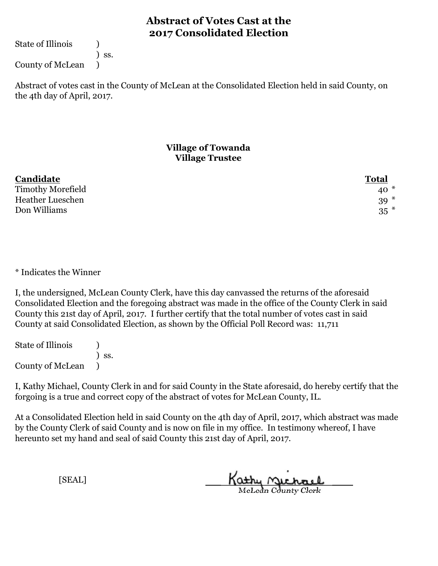State of Illinois (1)

) ss.

County of McLean )

Abstract of votes cast in the County of McLean at the Consolidated Election held in said County, on the 4th day of April, 2017.

### **Village of Towanda Village Trustee**

| Candidate                | <b>Total</b> |
|--------------------------|--------------|
| <b>Timothy Morefield</b> | $40*$        |
| <b>Heather Lueschen</b>  | $39*$        |
| Don Williams             | $35$ $*$     |

#### \* Indicates the Winner

I, the undersigned, McLean County Clerk, have this day canvassed the returns of the aforesaid Consolidated Election and the foregoing abstract was made in the office of the County Clerk in said County this 21st day of April, 2017. I further certify that the total number of votes cast in said County at said Consolidated Election, as shown by the Official Poll Record was: 11,711

State of Illinois (1) ) ss. County of McLean )

I, Kathy Michael, County Clerk in and for said County in the State aforesaid, do hereby certify that the forgoing is a true and correct copy of the abstract of votes for McLean County, IL.

At a Consolidated Election held in said County on the 4th day of April, 2017, which abstract was made by the County Clerk of said County and is now on file in my office. In testimony whereof, I have hereunto set my hand and seal of said County this 21st day of April, 2017.

Kathy Michael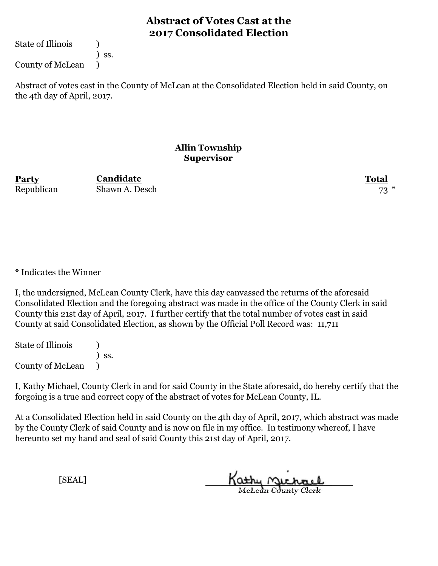State of Illinois (1)

) ss.

County of McLean )

Abstract of votes cast in the County of McLean at the Consolidated Election held in said County, on the 4th day of April, 2017.

#### **Allin Township Supervisor**

**Party Total** Republican Shawn A. Desch 73 **Candidate**

\* Indicates the Winner

I, the undersigned, McLean County Clerk, have this day canvassed the returns of the aforesaid Consolidated Election and the foregoing abstract was made in the office of the County Clerk in said County this 21st day of April, 2017. I further certify that the total number of votes cast in said County at said Consolidated Election, as shown by the Official Poll Record was: 11,711

State of Illinois (1) ) ss. County of McLean )

I, Kathy Michael, County Clerk in and for said County in the State aforesaid, do hereby certify that the forgoing is a true and correct copy of the abstract of votes for McLean County, IL.

At a Consolidated Election held in said County on the 4th day of April, 2017, which abstract was made by the County Clerk of said County and is now on file in my office. In testimony whereof, I have hereunto set my hand and seal of said County this 21st day of April, 2017.

Kathy Michael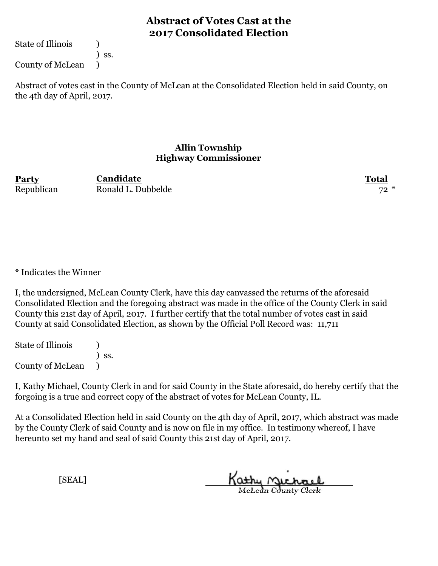State of Illinois (1)

) ss.

County of McLean )

Abstract of votes cast in the County of McLean at the Consolidated Election held in said County, on the 4th day of April, 2017.

#### **Allin Township Highway Commissioner**

**Party Total** Republican Ronald L. Dubbelde 72 \* **Candidate**

\* Indicates the Winner

I, the undersigned, McLean County Clerk, have this day canvassed the returns of the aforesaid Consolidated Election and the foregoing abstract was made in the office of the County Clerk in said County this 21st day of April, 2017. I further certify that the total number of votes cast in said County at said Consolidated Election, as shown by the Official Poll Record was: 11,711

State of Illinois (1) ) ss. County of McLean )

I, Kathy Michael, County Clerk in and for said County in the State aforesaid, do hereby certify that the forgoing is a true and correct copy of the abstract of votes for McLean County, IL.

At a Consolidated Election held in said County on the 4th day of April, 2017, which abstract was made by the County Clerk of said County and is now on file in my office. In testimony whereof, I have hereunto set my hand and seal of said County this 21st day of April, 2017.

Kathy Michael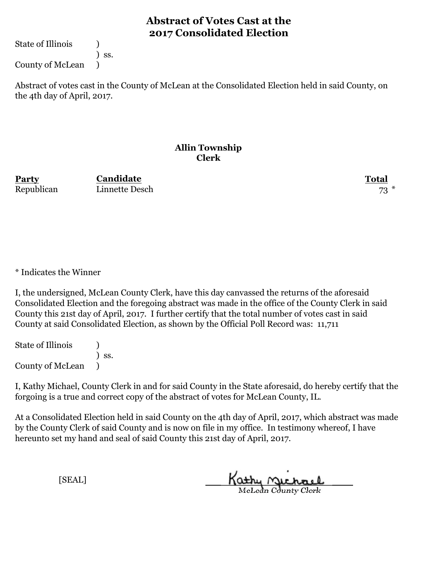State of Illinois (1)

) ss.

County of McLean )

Abstract of votes cast in the County of McLean at the Consolidated Election held in said County, on the 4th day of April, 2017.

#### **Allin Township Clerk**

**Party Total Candidate** Republican Linnette Desch 73

\* Indicates the Winner

I, the undersigned, McLean County Clerk, have this day canvassed the returns of the aforesaid Consolidated Election and the foregoing abstract was made in the office of the County Clerk in said County this 21st day of April, 2017. I further certify that the total number of votes cast in said County at said Consolidated Election, as shown by the Official Poll Record was: 11,711

State of Illinois (1) ) ss. County of McLean )

I, Kathy Michael, County Clerk in and for said County in the State aforesaid, do hereby certify that the forgoing is a true and correct copy of the abstract of votes for McLean County, IL.

At a Consolidated Election held in said County on the 4th day of April, 2017, which abstract was made by the County Clerk of said County and is now on file in my office. In testimony whereof, I have hereunto set my hand and seal of said County this 21st day of April, 2017.

Kathy Michael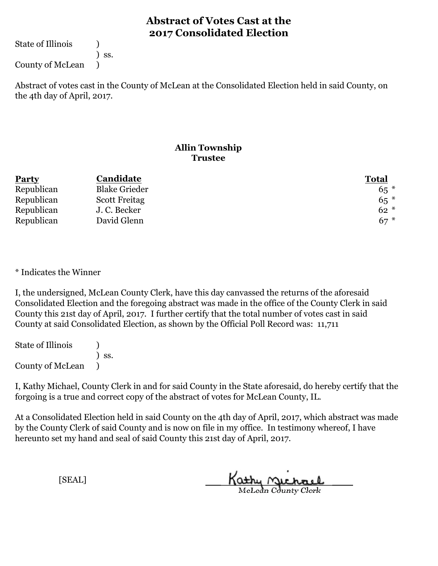State of Illinois (1)

) ss.

County of McLean )

Abstract of votes cast in the County of McLean at the Consolidated Election held in said County, on the 4th day of April, 2017.

### **Allin Township Trustee**

| <b>Party</b> | Candidate            | <b>Total</b> |
|--------------|----------------------|--------------|
| Republican   | <b>Blake Grieder</b> | $65*$        |
| Republican   | <b>Scott Freitag</b> | $65*$        |
| Republican   | J. C. Becker         | $62*$        |
| Republican   | David Glenn          | $67*$        |

\* Indicates the Winner

I, the undersigned, McLean County Clerk, have this day canvassed the returns of the aforesaid Consolidated Election and the foregoing abstract was made in the office of the County Clerk in said County this 21st day of April, 2017. I further certify that the total number of votes cast in said County at said Consolidated Election, as shown by the Official Poll Record was: 11,711

State of Illinois (1) ) ss. County of McLean )

I, Kathy Michael, County Clerk in and for said County in the State aforesaid, do hereby certify that the forgoing is a true and correct copy of the abstract of votes for McLean County, IL.

At a Consolidated Election held in said County on the 4th day of April, 2017, which abstract was made by the County Clerk of said County and is now on file in my office. In testimony whereof, I have hereunto set my hand and seal of said County this 21st day of April, 2017.

Kathy Michael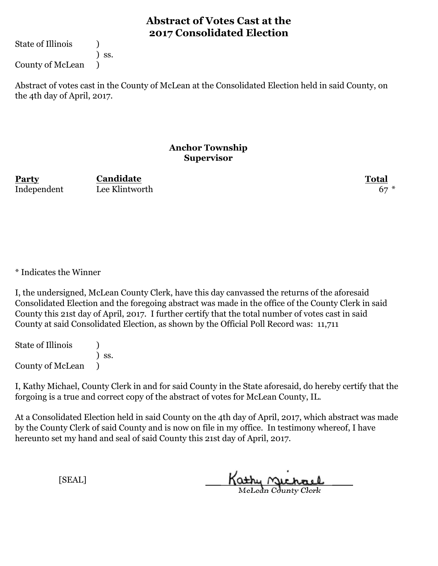State of Illinois (1)

) ss.

County of McLean )

Abstract of votes cast in the County of McLean at the Consolidated Election held in said County, on the 4th day of April, 2017.

#### **Anchor Township Supervisor**

**Party Total Candidate** Independent Lee Klintworth 67

\* Indicates the Winner

I, the undersigned, McLean County Clerk, have this day canvassed the returns of the aforesaid Consolidated Election and the foregoing abstract was made in the office of the County Clerk in said County this 21st day of April, 2017. I further certify that the total number of votes cast in said County at said Consolidated Election, as shown by the Official Poll Record was: 11,711

State of Illinois (1) ) ss. County of McLean )

I, Kathy Michael, County Clerk in and for said County in the State aforesaid, do hereby certify that the forgoing is a true and correct copy of the abstract of votes for McLean County, IL.

At a Consolidated Election held in said County on the 4th day of April, 2017, which abstract was made by the County Clerk of said County and is now on file in my office. In testimony whereof, I have hereunto set my hand and seal of said County this 21st day of April, 2017.

Kathy Michael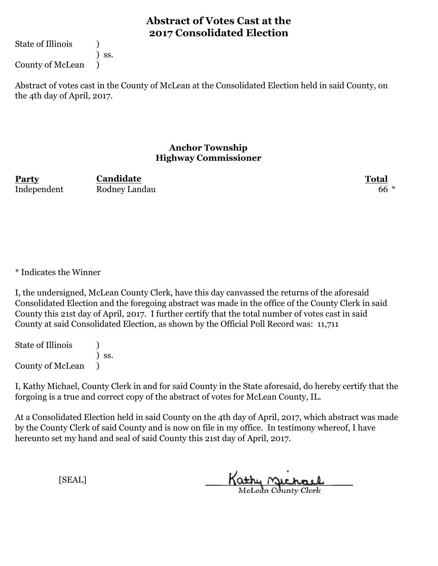State of Illinois (1)

) ss.

County of McLean )

Abstract of votes cast in the County of McLean at the Consolidated Election held in said County, on the 4th day of April, 2017.

#### **Anchor Township Highway Commissioner**

**Party Total Candidate** Independent Rodney Landau 66 \*

\* Indicates the Winner

I, the undersigned, McLean County Clerk, have this day canvassed the returns of the aforesaid Consolidated Election and the foregoing abstract was made in the office of the County Clerk in said County this 21st day of April, 2017. I further certify that the total number of votes cast in said County at said Consolidated Election, as shown by the Official Poll Record was: 11,711

State of Illinois (1) ) ss. County of McLean )

I, Kathy Michael, County Clerk in and for said County in the State aforesaid, do hereby certify that the forgoing is a true and correct copy of the abstract of votes for McLean County, IL.

At a Consolidated Election held in said County on the 4th day of April, 2017, which abstract was made by the County Clerk of said County and is now on file in my office. In testimony whereof, I have hereunto set my hand and seal of said County this 21st day of April, 2017.

Kathy Michael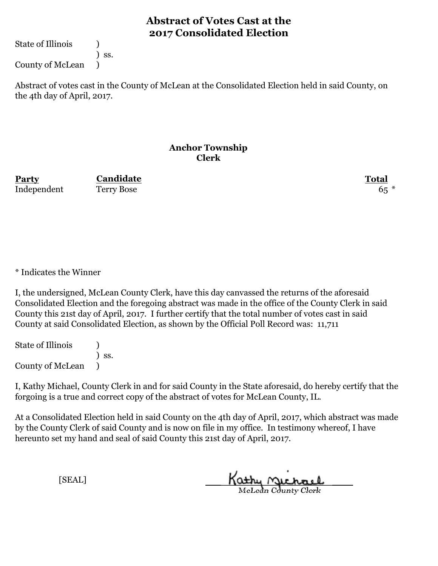State of Illinois (1)

) ss.

County of McLean )

Abstract of votes cast in the County of McLean at the Consolidated Election held in said County, on the 4th day of April, 2017.

#### **Anchor Township Clerk**

**Party Total Candidate** Independent Terry Bose 65

\* Indicates the Winner

I, the undersigned, McLean County Clerk, have this day canvassed the returns of the aforesaid Consolidated Election and the foregoing abstract was made in the office of the County Clerk in said County this 21st day of April, 2017. I further certify that the total number of votes cast in said County at said Consolidated Election, as shown by the Official Poll Record was: 11,711

State of Illinois (1) ) ss. County of McLean )

I, Kathy Michael, County Clerk in and for said County in the State aforesaid, do hereby certify that the forgoing is a true and correct copy of the abstract of votes for McLean County, IL.

At a Consolidated Election held in said County on the 4th day of April, 2017, which abstract was made by the County Clerk of said County and is now on file in my office. In testimony whereof, I have hereunto set my hand and seal of said County this 21st day of April, 2017.

Kathy Michael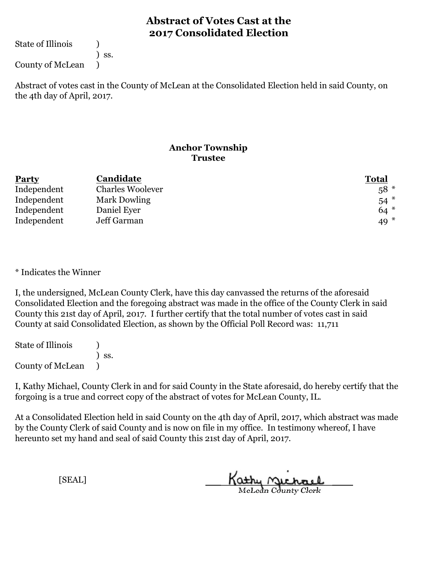State of Illinois (1)

) ss.

County of McLean )

Abstract of votes cast in the County of McLean at the Consolidated Election held in said County, on the 4th day of April, 2017.

#### **Anchor Township Trustee**

| <b>Party</b> | Candidate               | <b>Total</b> |
|--------------|-------------------------|--------------|
| Independent  | <b>Charles Woolever</b> | $58*$        |
| Independent  | Mark Dowling            | $54$ $*$     |
| Independent  | Daniel Eyer             | $64*$        |
| Independent  | Jeff Garman             | 49 $*$       |

\* Indicates the Winner

I, the undersigned, McLean County Clerk, have this day canvassed the returns of the aforesaid Consolidated Election and the foregoing abstract was made in the office of the County Clerk in said County this 21st day of April, 2017. I further certify that the total number of votes cast in said County at said Consolidated Election, as shown by the Official Poll Record was: 11,711

State of Illinois (1) ) ss. County of McLean )

I, Kathy Michael, County Clerk in and for said County in the State aforesaid, do hereby certify that the forgoing is a true and correct copy of the abstract of votes for McLean County, IL.

At a Consolidated Election held in said County on the 4th day of April, 2017, which abstract was made by the County Clerk of said County and is now on file in my office. In testimony whereof, I have hereunto set my hand and seal of said County this 21st day of April, 2017.

Kathy Michael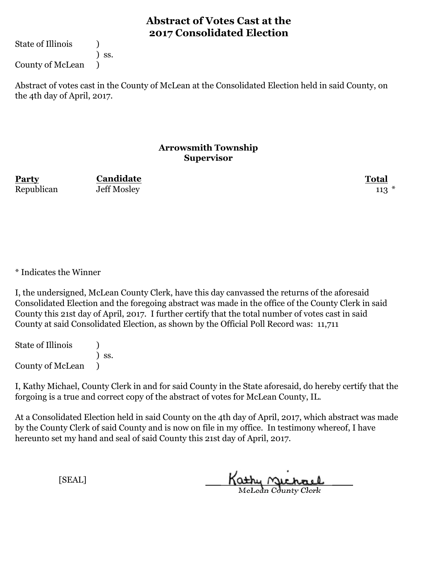State of Illinois (1)

) ss.

County of McLean )

Abstract of votes cast in the County of McLean at the Consolidated Election held in said County, on the 4th day of April, 2017.

#### **Arrowsmith Township Supervisor**

Republican Jeff Mosley 113 \*

**Party Total Candidate**

\* Indicates the Winner

I, the undersigned, McLean County Clerk, have this day canvassed the returns of the aforesaid Consolidated Election and the foregoing abstract was made in the office of the County Clerk in said County this 21st day of April, 2017. I further certify that the total number of votes cast in said County at said Consolidated Election, as shown by the Official Poll Record was: 11,711

State of Illinois (1) ) ss. County of McLean )

I, Kathy Michael, County Clerk in and for said County in the State aforesaid, do hereby certify that the forgoing is a true and correct copy of the abstract of votes for McLean County, IL.

At a Consolidated Election held in said County on the 4th day of April, 2017, which abstract was made by the County Clerk of said County and is now on file in my office. In testimony whereof, I have hereunto set my hand and seal of said County this 21st day of April, 2017.

Kathy <u>Michael</u>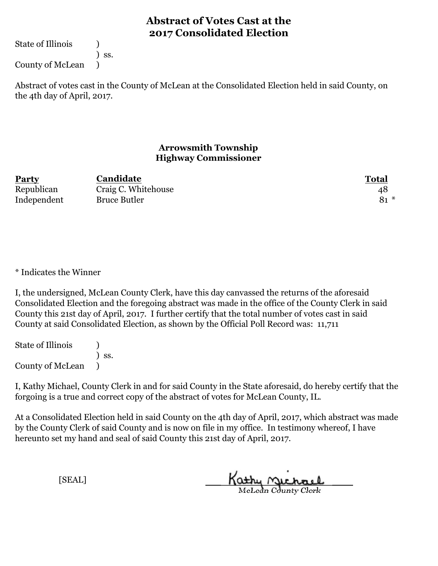State of Illinois (1)

) ss.

County of McLean )

Abstract of votes cast in the County of McLean at the Consolidated Election held in said County, on the 4th day of April, 2017.

#### **Arrowsmith Township Highway Commissioner**

| <b>Party</b> | Candidate           | <b>Total</b> |
|--------------|---------------------|--------------|
| Republican   | Craig C. Whitehouse | 48           |
| Independent  | <b>Bruce Butler</b> | $81 *$       |

\* Indicates the Winner

I, the undersigned, McLean County Clerk, have this day canvassed the returns of the aforesaid Consolidated Election and the foregoing abstract was made in the office of the County Clerk in said County this 21st day of April, 2017. I further certify that the total number of votes cast in said County at said Consolidated Election, as shown by the Official Poll Record was: 11,711

State of Illinois (1) ) ss. County of McLean )

I, Kathy Michael, County Clerk in and for said County in the State aforesaid, do hereby certify that the forgoing is a true and correct copy of the abstract of votes for McLean County, IL.

At a Consolidated Election held in said County on the 4th day of April, 2017, which abstract was made by the County Clerk of said County and is now on file in my office. In testimony whereof, I have hereunto set my hand and seal of said County this 21st day of April, 2017.

Kathy Michael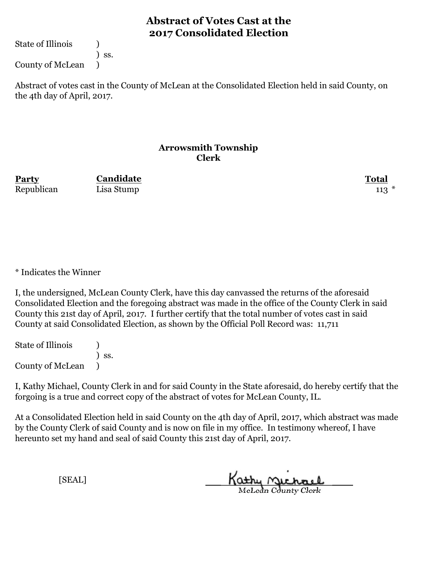State of Illinois (1)

) ss.

County of McLean )

Abstract of votes cast in the County of McLean at the Consolidated Election held in said County, on the 4th day of April, 2017.

#### **Arrowsmith Township Clerk**

**Party Total Candidate** Republican Lisa Stump 113 \*

\* Indicates the Winner

I, the undersigned, McLean County Clerk, have this day canvassed the returns of the aforesaid Consolidated Election and the foregoing abstract was made in the office of the County Clerk in said County this 21st day of April, 2017. I further certify that the total number of votes cast in said County at said Consolidated Election, as shown by the Official Poll Record was: 11,711

State of Illinois (1) ) ss. County of McLean )

I, Kathy Michael, County Clerk in and for said County in the State aforesaid, do hereby certify that the forgoing is a true and correct copy of the abstract of votes for McLean County, IL.

At a Consolidated Election held in said County on the 4th day of April, 2017, which abstract was made by the County Clerk of said County and is now on file in my office. In testimony whereof, I have hereunto set my hand and seal of said County this 21st day of April, 2017.

Kathy Michael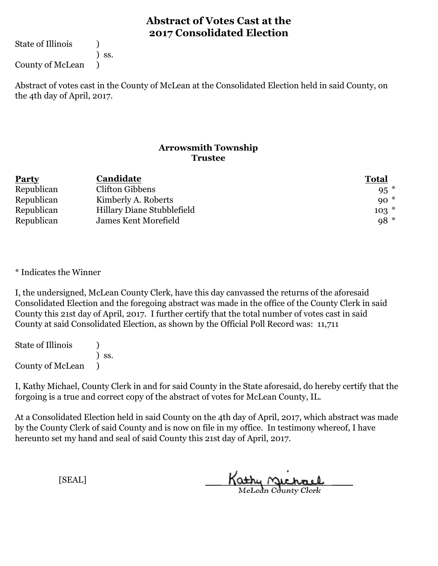State of Illinois (1)

) ss.

County of McLean )

Abstract of votes cast in the County of McLean at the Consolidated Election held in said County, on the 4th day of April, 2017.

#### **Arrowsmith Township Trustee**

| <b>Party</b> | Candidate                  | <b>Total</b> |
|--------------|----------------------------|--------------|
| Republican   | Clifton Gibbens            | $95*$        |
| Republican   | Kimberly A. Roberts        | $90*$        |
| Republican   | Hillary Diane Stubblefield | $103*$       |
| Republican   | James Kent Morefield       | $98*$        |

\* Indicates the Winner

I, the undersigned, McLean County Clerk, have this day canvassed the returns of the aforesaid Consolidated Election and the foregoing abstract was made in the office of the County Clerk in said County this 21st day of April, 2017. I further certify that the total number of votes cast in said County at said Consolidated Election, as shown by the Official Poll Record was: 11,711

State of Illinois (1) ) ss. County of McLean )

I, Kathy Michael, County Clerk in and for said County in the State aforesaid, do hereby certify that the forgoing is a true and correct copy of the abstract of votes for McLean County, IL.

At a Consolidated Election held in said County on the 4th day of April, 2017, which abstract was made by the County Clerk of said County and is now on file in my office. In testimony whereof, I have hereunto set my hand and seal of said County this 21st day of April, 2017.

Kathy Michael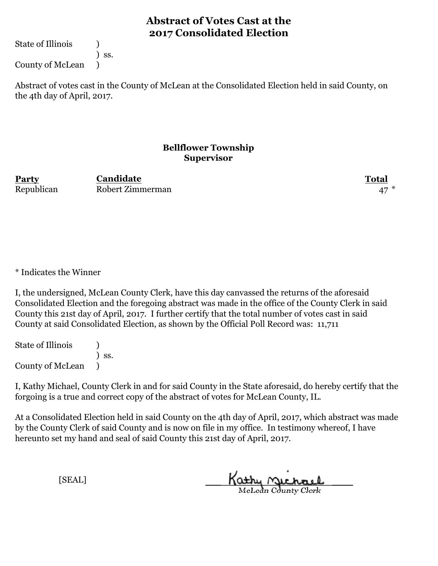State of Illinois (1)

) ss.

County of McLean )

Abstract of votes cast in the County of McLean at the Consolidated Election held in said County, on the 4th day of April, 2017.

#### **Bellflower Township Supervisor**

**Party Total** Republican Robert Zimmerman **Candidate**

\* Indicates the Winner

I, the undersigned, McLean County Clerk, have this day canvassed the returns of the aforesaid Consolidated Election and the foregoing abstract was made in the office of the County Clerk in said County this 21st day of April, 2017. I further certify that the total number of votes cast in said County at said Consolidated Election, as shown by the Official Poll Record was: 11,711

State of Illinois (1) ) ss. County of McLean )

I, Kathy Michael, County Clerk in and for said County in the State aforesaid, do hereby certify that the forgoing is a true and correct copy of the abstract of votes for McLean County, IL.

At a Consolidated Election held in said County on the 4th day of April, 2017, which abstract was made by the County Clerk of said County and is now on file in my office. In testimony whereof, I have hereunto set my hand and seal of said County this 21st day of April, 2017.

Kathy Michael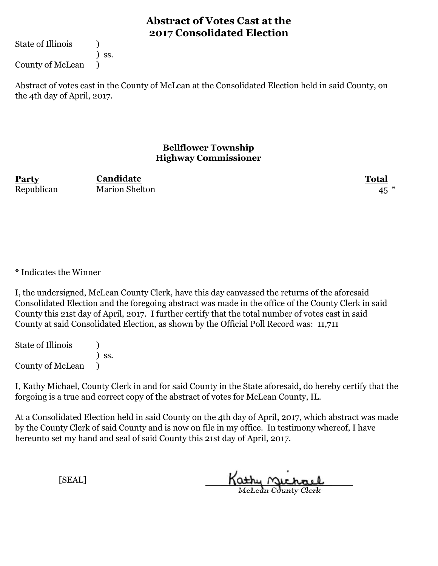State of Illinois (1)

) ss.

County of McLean )

Abstract of votes cast in the County of McLean at the Consolidated Election held in said County, on the 4th day of April, 2017.

#### **Bellflower Township Highway Commissioner**

**Party Total** Republican Marion Shelton 45 **Candidate**

\* Indicates the Winner

I, the undersigned, McLean County Clerk, have this day canvassed the returns of the aforesaid Consolidated Election and the foregoing abstract was made in the office of the County Clerk in said County this 21st day of April, 2017. I further certify that the total number of votes cast in said County at said Consolidated Election, as shown by the Official Poll Record was: 11,711

State of Illinois (1) ) ss. County of McLean )

I, Kathy Michael, County Clerk in and for said County in the State aforesaid, do hereby certify that the forgoing is a true and correct copy of the abstract of votes for McLean County, IL.

At a Consolidated Election held in said County on the 4th day of April, 2017, which abstract was made by the County Clerk of said County and is now on file in my office. In testimony whereof, I have hereunto set my hand and seal of said County this 21st day of April, 2017.

Kathy Michael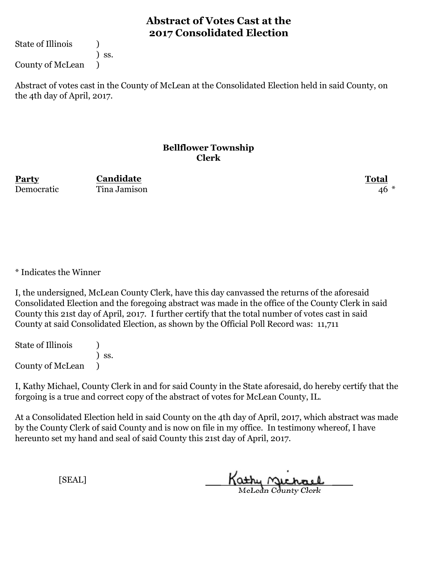State of Illinois (1)

) ss.

County of McLean )

Abstract of votes cast in the County of McLean at the Consolidated Election held in said County, on the 4th day of April, 2017.

#### **Bellflower Township Clerk**

**Party Total Candidate** Democratic Tina Jamison 46 \*

\* Indicates the Winner

I, the undersigned, McLean County Clerk, have this day canvassed the returns of the aforesaid Consolidated Election and the foregoing abstract was made in the office of the County Clerk in said County this 21st day of April, 2017. I further certify that the total number of votes cast in said County at said Consolidated Election, as shown by the Official Poll Record was: 11,711

State of Illinois (1) ) ss. County of McLean )

I, Kathy Michael, County Clerk in and for said County in the State aforesaid, do hereby certify that the forgoing is a true and correct copy of the abstract of votes for McLean County, IL.

At a Consolidated Election held in said County on the 4th day of April, 2017, which abstract was made by the County Clerk of said County and is now on file in my office. In testimony whereof, I have hereunto set my hand and seal of said County this 21st day of April, 2017.

Kathy Michael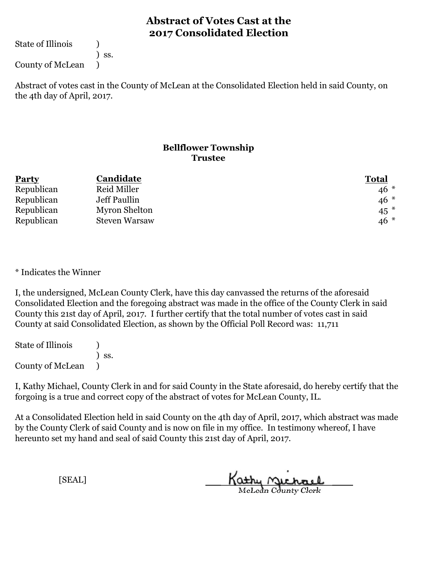State of Illinois (1)

) ss.

County of McLean )

Abstract of votes cast in the County of McLean at the Consolidated Election held in said County, on the 4th day of April, 2017.

### **Bellflower Township Trustee**

| <b>Party</b> | Candidate            | <b>Total</b> |
|--------------|----------------------|--------------|
| Republican   | Reid Miller          | $46*$        |
| Republican   | Jeff Paullin         | $46*$        |
| Republican   | Myron Shelton        | $45$ $*$     |
| Republican   | <b>Steven Warsaw</b> | $46*$        |

\* Indicates the Winner

I, the undersigned, McLean County Clerk, have this day canvassed the returns of the aforesaid Consolidated Election and the foregoing abstract was made in the office of the County Clerk in said County this 21st day of April, 2017. I further certify that the total number of votes cast in said County at said Consolidated Election, as shown by the Official Poll Record was: 11,711

State of Illinois (1) ) ss. County of McLean )

I, Kathy Michael, County Clerk in and for said County in the State aforesaid, do hereby certify that the forgoing is a true and correct copy of the abstract of votes for McLean County, IL.

At a Consolidated Election held in said County on the 4th day of April, 2017, which abstract was made by the County Clerk of said County and is now on file in my office. In testimony whereof, I have hereunto set my hand and seal of said County this 21st day of April, 2017.

Kathy Michael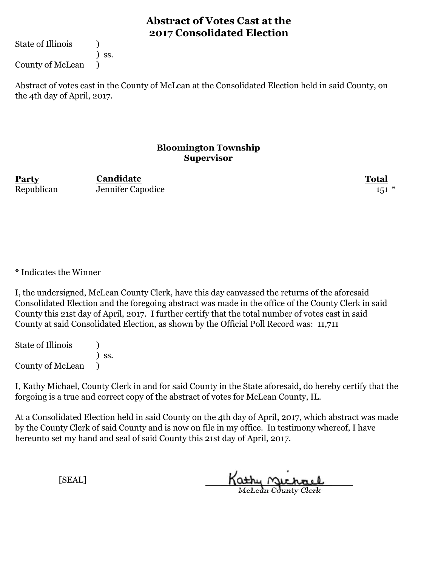State of Illinois (1)

) ss.

County of McLean )

Abstract of votes cast in the County of McLean at the Consolidated Election held in said County, on the 4th day of April, 2017.

#### **Bloomington Township Supervisor**

**Party Total Candidate** Republican Jennifer Capodice 151 \*

\* Indicates the Winner

I, the undersigned, McLean County Clerk, have this day canvassed the returns of the aforesaid Consolidated Election and the foregoing abstract was made in the office of the County Clerk in said County this 21st day of April, 2017. I further certify that the total number of votes cast in said County at said Consolidated Election, as shown by the Official Poll Record was: 11,711

State of Illinois (1) ) ss. County of McLean )

I, Kathy Michael, County Clerk in and for said County in the State aforesaid, do hereby certify that the forgoing is a true and correct copy of the abstract of votes for McLean County, IL.

At a Consolidated Election held in said County on the 4th day of April, 2017, which abstract was made by the County Clerk of said County and is now on file in my office. In testimony whereof, I have hereunto set my hand and seal of said County this 21st day of April, 2017.

Kathy Michael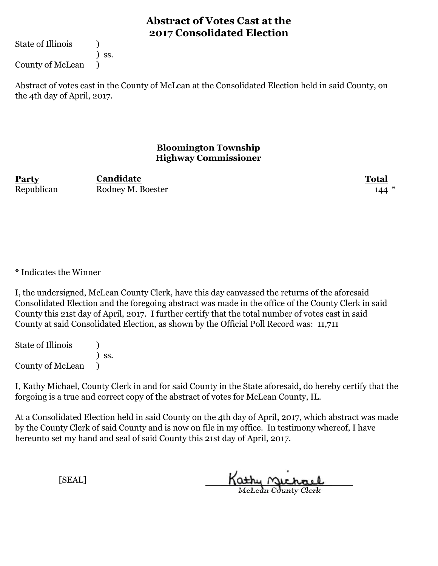State of Illinois (1)

) ss.

County of McLean )

Abstract of votes cast in the County of McLean at the Consolidated Election held in said County, on the 4th day of April, 2017.

### **Bloomington Township Highway Commissioner**

**Party Total** Republican Rodney M. Boester 144 **Candidate**

\* Indicates the Winner

I, the undersigned, McLean County Clerk, have this day canvassed the returns of the aforesaid Consolidated Election and the foregoing abstract was made in the office of the County Clerk in said County this 21st day of April, 2017. I further certify that the total number of votes cast in said County at said Consolidated Election, as shown by the Official Poll Record was: 11,711

State of Illinois (1) ) ss. County of McLean )

I, Kathy Michael, County Clerk in and for said County in the State aforesaid, do hereby certify that the forgoing is a true and correct copy of the abstract of votes for McLean County, IL.

At a Consolidated Election held in said County on the 4th day of April, 2017, which abstract was made by the County Clerk of said County and is now on file in my office. In testimony whereof, I have hereunto set my hand and seal of said County this 21st day of April, 2017.

Kathy Michael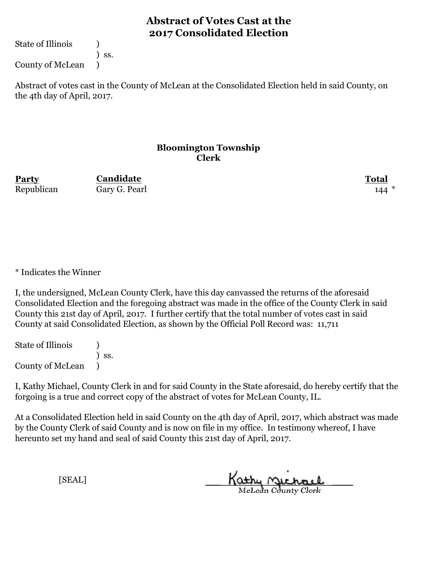State of Illinois (1)

) ss.

County of McLean )

Abstract of votes cast in the County of McLean at the Consolidated Election held in said County, on the 4th day of April, 2017.

#### **Bloomington Township Clerk**

**Party Total Candidate** Republican Gary G. Pearl 144

\* Indicates the Winner

I, the undersigned, McLean County Clerk, have this day canvassed the returns of the aforesaid Consolidated Election and the foregoing abstract was made in the office of the County Clerk in said County this 21st day of April, 2017. I further certify that the total number of votes cast in said County at said Consolidated Election, as shown by the Official Poll Record was: 11,711

State of Illinois (1) ) ss. County of McLean )

I, Kathy Michael, County Clerk in and for said County in the State aforesaid, do hereby certify that the forgoing is a true and correct copy of the abstract of votes for McLean County, IL.

At a Consolidated Election held in said County on the 4th day of April, 2017, which abstract was made by the County Clerk of said County and is now on file in my office. In testimony whereof, I have hereunto set my hand and seal of said County this 21st day of April, 2017.

Kathy Michael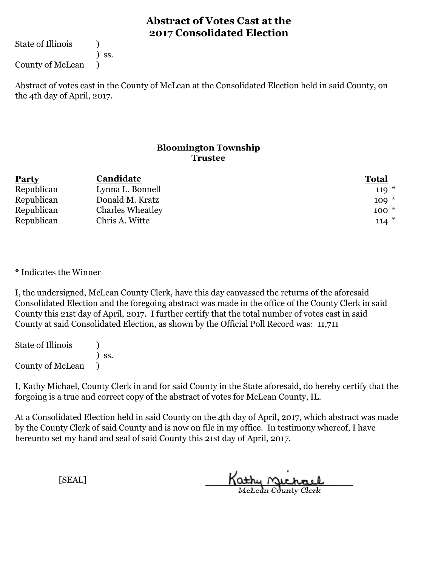State of Illinois (1)

) ss.

County of McLean )

Abstract of votes cast in the County of McLean at the Consolidated Election held in said County, on the 4th day of April, 2017.

### **Bloomington Township Trustee**

| <b>Party</b> | Candidate               | <b>Total</b> |
|--------------|-------------------------|--------------|
| Republican   | Lynna L. Bonnell        | $119*$       |
| Republican   | Donald M. Kratz         | $109 *$      |
| Republican   | <b>Charles Wheatley</b> | $100*$       |
| Republican   | Chris A. Witte          | $114*$       |

\* Indicates the Winner

I, the undersigned, McLean County Clerk, have this day canvassed the returns of the aforesaid Consolidated Election and the foregoing abstract was made in the office of the County Clerk in said County this 21st day of April, 2017. I further certify that the total number of votes cast in said County at said Consolidated Election, as shown by the Official Poll Record was: 11,711

State of Illinois (1) ) ss. County of McLean )

I, Kathy Michael, County Clerk in and for said County in the State aforesaid, do hereby certify that the forgoing is a true and correct copy of the abstract of votes for McLean County, IL.

At a Consolidated Election held in said County on the 4th day of April, 2017, which abstract was made by the County Clerk of said County and is now on file in my office. In testimony whereof, I have hereunto set my hand and seal of said County this 21st day of April, 2017.

Kathy Michael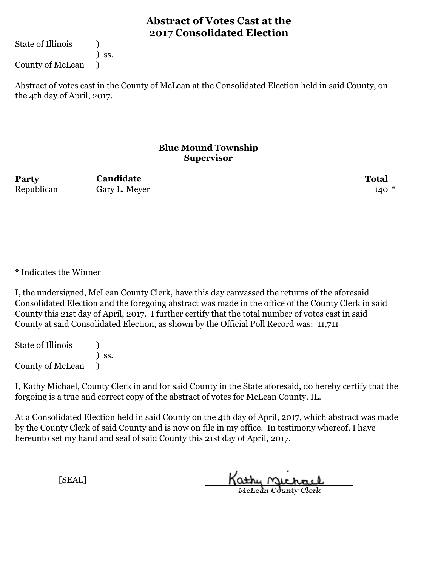State of Illinois (1)

) ss.

County of McLean )

Abstract of votes cast in the County of McLean at the Consolidated Election held in said County, on the 4th day of April, 2017.

#### **Blue Mound Township Supervisor**

**Party Total Candidate** Republican Gary L. Meyer  $\frac{140}{ }$  \*

\* Indicates the Winner

I, the undersigned, McLean County Clerk, have this day canvassed the returns of the aforesaid Consolidated Election and the foregoing abstract was made in the office of the County Clerk in said County this 21st day of April, 2017. I further certify that the total number of votes cast in said County at said Consolidated Election, as shown by the Official Poll Record was: 11,711

State of Illinois (1) ) ss. County of McLean )

I, Kathy Michael, County Clerk in and for said County in the State aforesaid, do hereby certify that the forgoing is a true and correct copy of the abstract of votes for McLean County, IL.

At a Consolidated Election held in said County on the 4th day of April, 2017, which abstract was made by the County Clerk of said County and is now on file in my office. In testimony whereof, I have hereunto set my hand and seal of said County this 21st day of April, 2017.

Kathy Michael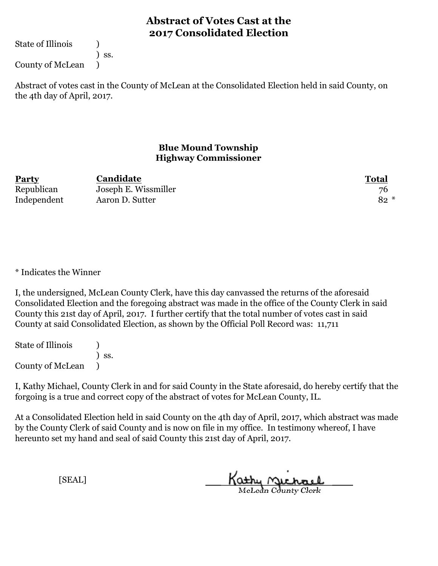State of Illinois (1)

) ss.

County of McLean )

Abstract of votes cast in the County of McLean at the Consolidated Election held in said County, on the 4th day of April, 2017.

### **Blue Mound Township Highway Commissioner**

| <b>Party</b> | Candidate            | <b>Total</b> |
|--------------|----------------------|--------------|
| Republican   | Joseph E. Wissmiller | 76           |
| Independent  | Aaron D. Sutter      | $82 *$       |

\* Indicates the Winner

I, the undersigned, McLean County Clerk, have this day canvassed the returns of the aforesaid Consolidated Election and the foregoing abstract was made in the office of the County Clerk in said County this 21st day of April, 2017. I further certify that the total number of votes cast in said County at said Consolidated Election, as shown by the Official Poll Record was: 11,711

State of Illinois (1) ) ss. County of McLean )

I, Kathy Michael, County Clerk in and for said County in the State aforesaid, do hereby certify that the forgoing is a true and correct copy of the abstract of votes for McLean County, IL.

At a Consolidated Election held in said County on the 4th day of April, 2017, which abstract was made by the County Clerk of said County and is now on file in my office. In testimony whereof, I have hereunto set my hand and seal of said County this 21st day of April, 2017.

Kathy Michael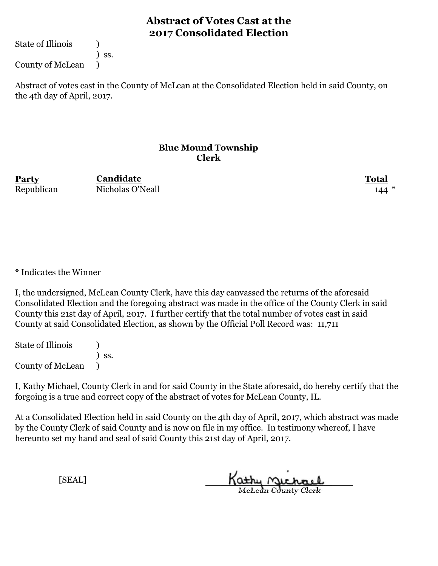State of Illinois (1)

) ss.

County of McLean )

Abstract of votes cast in the County of McLean at the Consolidated Election held in said County, on the 4th day of April, 2017.

#### **Blue Mound Township Clerk**

**Party Total** Republican Nicholas O'Neall 144 **Candidate**

\* Indicates the Winner

I, the undersigned, McLean County Clerk, have this day canvassed the returns of the aforesaid Consolidated Election and the foregoing abstract was made in the office of the County Clerk in said County this 21st day of April, 2017. I further certify that the total number of votes cast in said County at said Consolidated Election, as shown by the Official Poll Record was: 11,711

State of Illinois (1) ) ss. County of McLean )

I, Kathy Michael, County Clerk in and for said County in the State aforesaid, do hereby certify that the forgoing is a true and correct copy of the abstract of votes for McLean County, IL.

At a Consolidated Election held in said County on the 4th day of April, 2017, which abstract was made by the County Clerk of said County and is now on file in my office. In testimony whereof, I have hereunto set my hand and seal of said County this 21st day of April, 2017.

Kathy Michael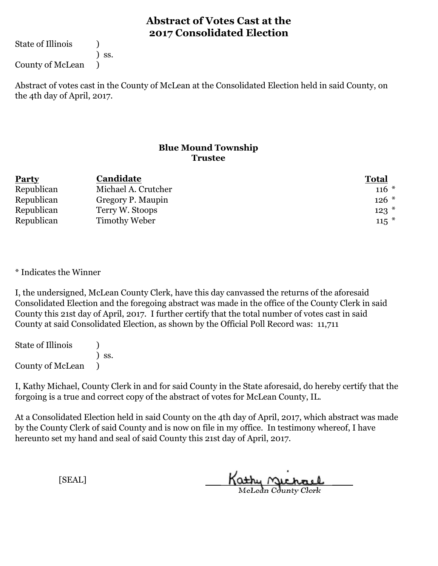State of Illinois (1)

) ss.

County of McLean )

Abstract of votes cast in the County of McLean at the Consolidated Election held in said County, on the 4th day of April, 2017.

### **Blue Mound Township Trustee**

| <b>Party</b> | Candidate           | <b>Total</b> |
|--------------|---------------------|--------------|
| Republican   | Michael A. Crutcher | $116 *$      |
| Republican   | Gregory P. Maupin   | $126$ *      |
| Republican   | Terry W. Stoops     | $123$ $*$    |
| Republican   | Timothy Weber       | $115$ *      |

\* Indicates the Winner

I, the undersigned, McLean County Clerk, have this day canvassed the returns of the aforesaid Consolidated Election and the foregoing abstract was made in the office of the County Clerk in said County this 21st day of April, 2017. I further certify that the total number of votes cast in said County at said Consolidated Election, as shown by the Official Poll Record was: 11,711

State of Illinois (1) ) ss. County of McLean )

I, Kathy Michael, County Clerk in and for said County in the State aforesaid, do hereby certify that the forgoing is a true and correct copy of the abstract of votes for McLean County, IL.

At a Consolidated Election held in said County on the 4th day of April, 2017, which abstract was made by the County Clerk of said County and is now on file in my office. In testimony whereof, I have hereunto set my hand and seal of said County this 21st day of April, 2017.

Kathy Michael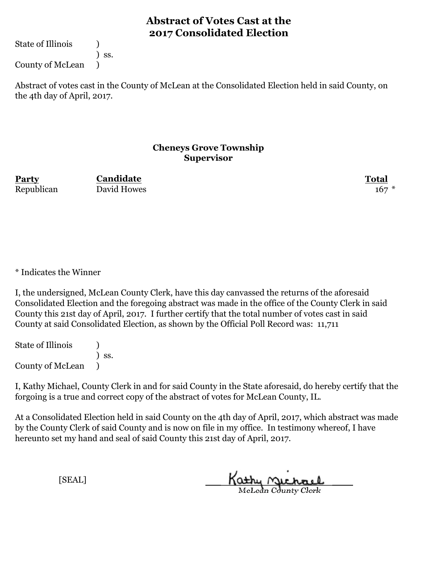State of Illinois (1)

) ss.

County of McLean )

Abstract of votes cast in the County of McLean at the Consolidated Election held in said County, on the 4th day of April, 2017.

#### **Cheneys Grove Township Supervisor**

Republican David Howes 2008 167 \*

**Party Total Candidate**

\* Indicates the Winner

I, the undersigned, McLean County Clerk, have this day canvassed the returns of the aforesaid Consolidated Election and the foregoing abstract was made in the office of the County Clerk in said County this 21st day of April, 2017. I further certify that the total number of votes cast in said County at said Consolidated Election, as shown by the Official Poll Record was: 11,711

State of Illinois (1) ) ss. County of McLean )

I, Kathy Michael, County Clerk in and for said County in the State aforesaid, do hereby certify that the forgoing is a true and correct copy of the abstract of votes for McLean County, IL.

At a Consolidated Election held in said County on the 4th day of April, 2017, which abstract was made by the County Clerk of said County and is now on file in my office. In testimony whereof, I have hereunto set my hand and seal of said County this 21st day of April, 2017.

Kathy <u>Michael</u>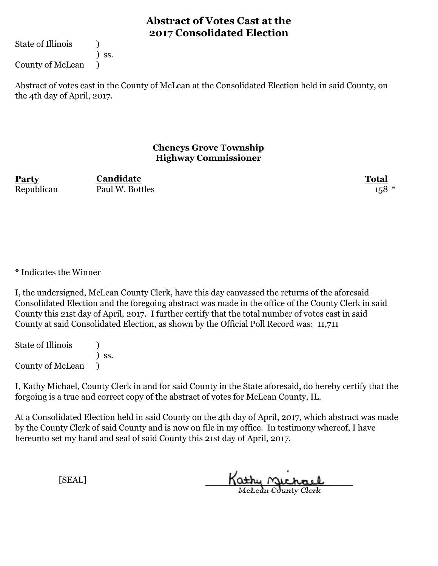State of Illinois (1)

) ss.

County of McLean )

Abstract of votes cast in the County of McLean at the Consolidated Election held in said County, on the 4th day of April, 2017.

#### **Cheneys Grove Township Highway Commissioner**

**Party Total** Republican Paul W. Bottles 158 \* **Candidate**

\* Indicates the Winner

I, the undersigned, McLean County Clerk, have this day canvassed the returns of the aforesaid Consolidated Election and the foregoing abstract was made in the office of the County Clerk in said County this 21st day of April, 2017. I further certify that the total number of votes cast in said County at said Consolidated Election, as shown by the Official Poll Record was: 11,711

State of Illinois (1) ) ss. County of McLean )

I, Kathy Michael, County Clerk in and for said County in the State aforesaid, do hereby certify that the forgoing is a true and correct copy of the abstract of votes for McLean County, IL.

At a Consolidated Election held in said County on the 4th day of April, 2017, which abstract was made by the County Clerk of said County and is now on file in my office. In testimony whereof, I have hereunto set my hand and seal of said County this 21st day of April, 2017.

Kathy Michael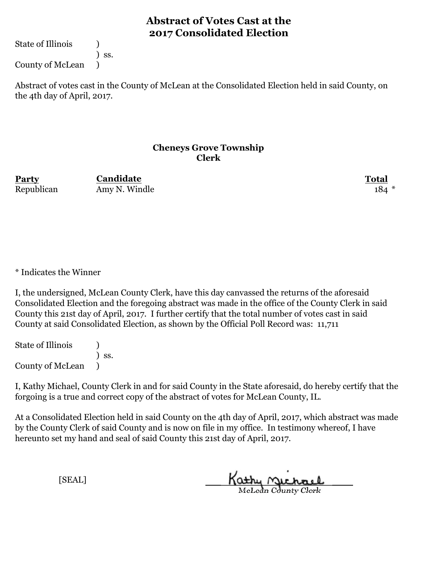State of Illinois (1)

) ss.

County of McLean )

Abstract of votes cast in the County of McLean at the Consolidated Election held in said County, on the 4th day of April, 2017.

#### **Cheneys Grove Township Clerk**

**Party Total Candidate** Republican Amy N. Windle 184 \*

\* Indicates the Winner

I, the undersigned, McLean County Clerk, have this day canvassed the returns of the aforesaid Consolidated Election and the foregoing abstract was made in the office of the County Clerk in said County this 21st day of April, 2017. I further certify that the total number of votes cast in said County at said Consolidated Election, as shown by the Official Poll Record was: 11,711

State of Illinois (1) ) ss. County of McLean )

I, Kathy Michael, County Clerk in and for said County in the State aforesaid, do hereby certify that the forgoing is a true and correct copy of the abstract of votes for McLean County, IL.

At a Consolidated Election held in said County on the 4th day of April, 2017, which abstract was made by the County Clerk of said County and is now on file in my office. In testimony whereof, I have hereunto set my hand and seal of said County this 21st day of April, 2017.

Kathy Michael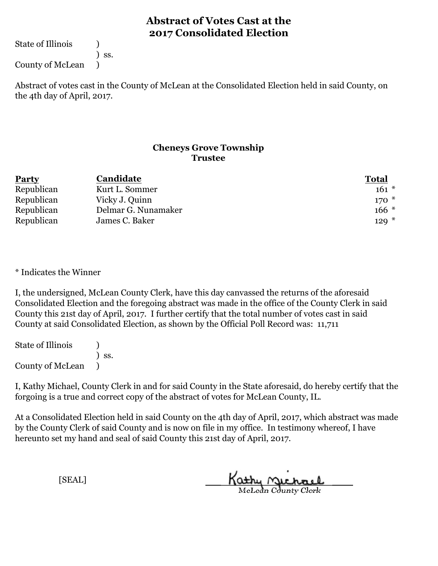State of Illinois (1)

) ss.

County of McLean )

Abstract of votes cast in the County of McLean at the Consolidated Election held in said County, on the 4th day of April, 2017.

#### **Cheneys Grove Township Trustee**

| <b>Party</b> | Candidate           | <b>Total</b> |
|--------------|---------------------|--------------|
| Republican   | Kurt L. Sommer      | $161 *$      |
| Republican   | Vicky J. Quinn      | $170*$       |
| Republican   | Delmar G. Nunamaker | $166*$       |
| Republican   | James C. Baker      | $129 *$      |

\* Indicates the Winner

I, the undersigned, McLean County Clerk, have this day canvassed the returns of the aforesaid Consolidated Election and the foregoing abstract was made in the office of the County Clerk in said County this 21st day of April, 2017. I further certify that the total number of votes cast in said County at said Consolidated Election, as shown by the Official Poll Record was: 11,711

State of Illinois (1) ) ss. County of McLean )

I, Kathy Michael, County Clerk in and for said County in the State aforesaid, do hereby certify that the forgoing is a true and correct copy of the abstract of votes for McLean County, IL.

At a Consolidated Election held in said County on the 4th day of April, 2017, which abstract was made by the County Clerk of said County and is now on file in my office. In testimony whereof, I have hereunto set my hand and seal of said County this 21st day of April, 2017.

Kathy Michael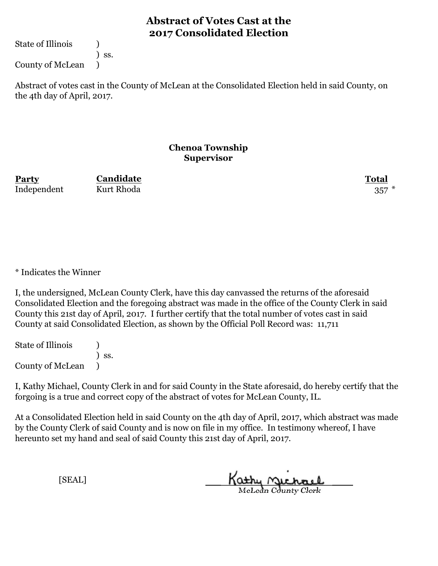State of Illinois (1)

) ss.

County of McLean )

Abstract of votes cast in the County of McLean at the Consolidated Election held in said County, on the 4th day of April, 2017.

#### **Chenoa Township Supervisor**

**Party Total Candidate** Independent Kurt Rhoda 357

\* Indicates the Winner

I, the undersigned, McLean County Clerk, have this day canvassed the returns of the aforesaid Consolidated Election and the foregoing abstract was made in the office of the County Clerk in said County this 21st day of April, 2017. I further certify that the total number of votes cast in said County at said Consolidated Election, as shown by the Official Poll Record was: 11,711

State of Illinois (1) ) ss. County of McLean )

I, Kathy Michael, County Clerk in and for said County in the State aforesaid, do hereby certify that the forgoing is a true and correct copy of the abstract of votes for McLean County, IL.

At a Consolidated Election held in said County on the 4th day of April, 2017, which abstract was made by the County Clerk of said County and is now on file in my office. In testimony whereof, I have hereunto set my hand and seal of said County this 21st day of April, 2017.

Kathy Michael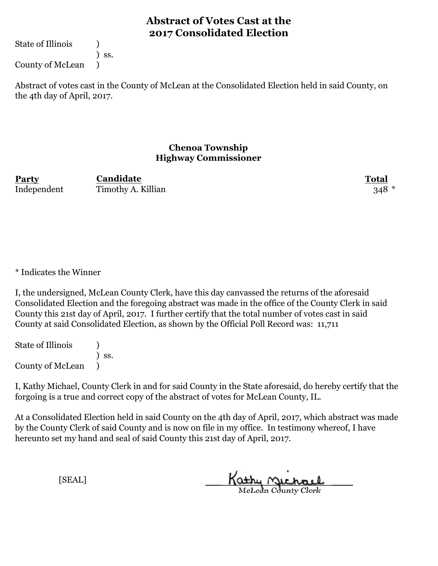State of Illinois (1)

) ss.

County of McLean )

Abstract of votes cast in the County of McLean at the Consolidated Election held in said County, on the 4th day of April, 2017.

#### **Chenoa Township Highway Commissioner**

**Party Total** Independent Timothy A. Killian 348 \* **Candidate**

\* Indicates the Winner

I, the undersigned, McLean County Clerk, have this day canvassed the returns of the aforesaid Consolidated Election and the foregoing abstract was made in the office of the County Clerk in said County this 21st day of April, 2017. I further certify that the total number of votes cast in said County at said Consolidated Election, as shown by the Official Poll Record was: 11,711

State of Illinois (1) ) ss. County of McLean )

I, Kathy Michael, County Clerk in and for said County in the State aforesaid, do hereby certify that the forgoing is a true and correct copy of the abstract of votes for McLean County, IL.

At a Consolidated Election held in said County on the 4th day of April, 2017, which abstract was made by the County Clerk of said County and is now on file in my office. In testimony whereof, I have hereunto set my hand and seal of said County this 21st day of April, 2017.

Kathy Michael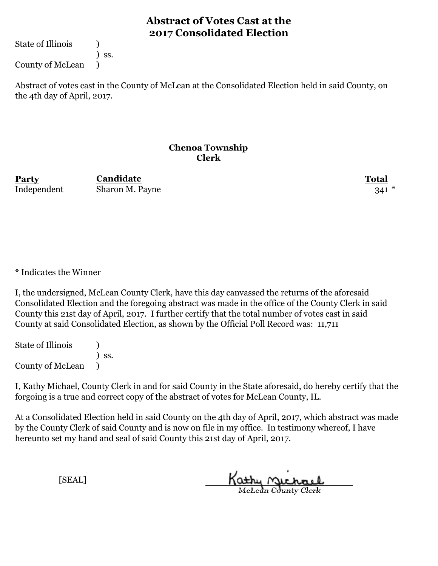State of Illinois (1)

) ss.

County of McLean )

Abstract of votes cast in the County of McLean at the Consolidated Election held in said County, on the 4th day of April, 2017.

#### **Chenoa Township Clerk**

**Party Total Candidate** Independent Sharon M. Payne 341 \*

\* Indicates the Winner

I, the undersigned, McLean County Clerk, have this day canvassed the returns of the aforesaid Consolidated Election and the foregoing abstract was made in the office of the County Clerk in said County this 21st day of April, 2017. I further certify that the total number of votes cast in said County at said Consolidated Election, as shown by the Official Poll Record was: 11,711

State of Illinois (1) ) ss. County of McLean )

I, Kathy Michael, County Clerk in and for said County in the State aforesaid, do hereby certify that the forgoing is a true and correct copy of the abstract of votes for McLean County, IL.

At a Consolidated Election held in said County on the 4th day of April, 2017, which abstract was made by the County Clerk of said County and is now on file in my office. In testimony whereof, I have hereunto set my hand and seal of said County this 21st day of April, 2017.

Kathy Michael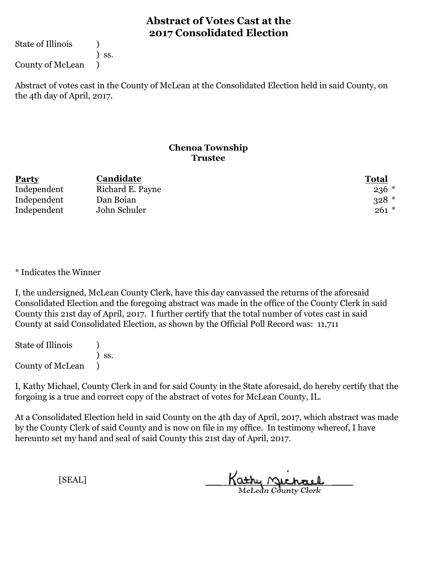State of Illinois (1)

) ss.

County of McLean )

Abstract of votes cast in the County of McLean at the Consolidated Election held in said County, on the 4th day of April, 2017.

#### **Chenoa Township Trustee**

| <b>Party</b> | Candidate        | <b>Total</b> |
|--------------|------------------|--------------|
| Independent  | Richard E. Payne | $236$ $*$    |
| Independent  | Dan Boian        | $328$ *      |
| Independent  | John Schuler     | $261 *$      |

\* Indicates the Winner

I, the undersigned, McLean County Clerk, have this day canvassed the returns of the aforesaid Consolidated Election and the foregoing abstract was made in the office of the County Clerk in said County this 21st day of April, 2017. I further certify that the total number of votes cast in said County at said Consolidated Election, as shown by the Official Poll Record was: 11,711

State of Illinois (1) ) ss. County of McLean )

I, Kathy Michael, County Clerk in and for said County in the State aforesaid, do hereby certify that the forgoing is a true and correct copy of the abstract of votes for McLean County, IL.

At a Consolidated Election held in said County on the 4th day of April, 2017, which abstract was made by the County Clerk of said County and is now on file in my office. In testimony whereof, I have hereunto set my hand and seal of said County this 21st day of April, 2017.

Kathy Michael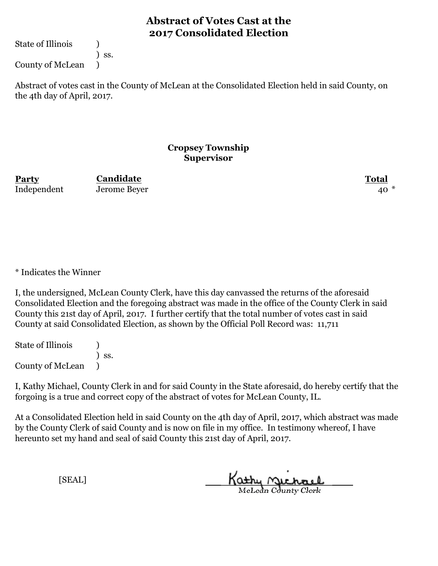State of Illinois (1)

) ss.

County of McLean )

Abstract of votes cast in the County of McLean at the Consolidated Election held in said County, on the 4th day of April, 2017.

#### **Cropsey Township Supervisor**

**Party Total Candidate** Independent Jerome Beyer 40

\* Indicates the Winner

I, the undersigned, McLean County Clerk, have this day canvassed the returns of the aforesaid Consolidated Election and the foregoing abstract was made in the office of the County Clerk in said County this 21st day of April, 2017. I further certify that the total number of votes cast in said County at said Consolidated Election, as shown by the Official Poll Record was: 11,711

State of Illinois (1) ) ss. County of McLean )

I, Kathy Michael, County Clerk in and for said County in the State aforesaid, do hereby certify that the forgoing is a true and correct copy of the abstract of votes for McLean County, IL.

At a Consolidated Election held in said County on the 4th day of April, 2017, which abstract was made by the County Clerk of said County and is now on file in my office. In testimony whereof, I have hereunto set my hand and seal of said County this 21st day of April, 2017.

Kathy Michael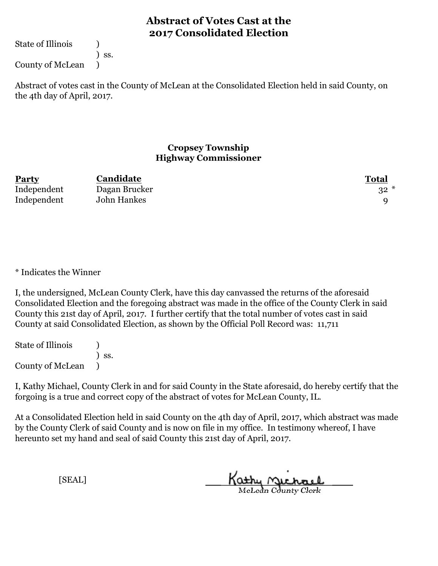State of Illinois (1)

) ss.

County of McLean )

Abstract of votes cast in the County of McLean at the Consolidated Election held in said County, on the 4th day of April, 2017.

#### **Cropsey Township Highway Commissioner**

| <b>Party</b> | Candidate     | <b>Total</b> |
|--------------|---------------|--------------|
| Independent  | Dagan Brucker | $32 *$       |
| Independent  | John Hankes   |              |

\* Indicates the Winner

I, the undersigned, McLean County Clerk, have this day canvassed the returns of the aforesaid Consolidated Election and the foregoing abstract was made in the office of the County Clerk in said County this 21st day of April, 2017. I further certify that the total number of votes cast in said County at said Consolidated Election, as shown by the Official Poll Record was: 11,711

State of Illinois (1) ) ss. County of McLean )

I, Kathy Michael, County Clerk in and for said County in the State aforesaid, do hereby certify that the forgoing is a true and correct copy of the abstract of votes for McLean County, IL.

At a Consolidated Election held in said County on the 4th day of April, 2017, which abstract was made by the County Clerk of said County and is now on file in my office. In testimony whereof, I have hereunto set my hand and seal of said County this 21st day of April, 2017.

Kathy Michael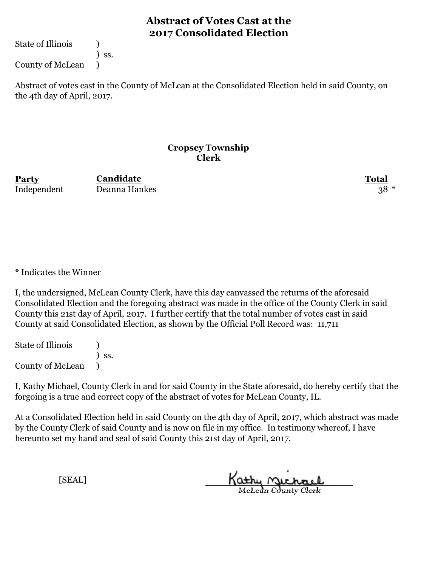State of Illinois (1)

) ss.

County of McLean )

Abstract of votes cast in the County of McLean at the Consolidated Election held in said County, on the 4th day of April, 2017.

#### **Cropsey Township Clerk**

**Party Total** Independent Deanna Hankes 38 \* **Candidate**

\* Indicates the Winner

I, the undersigned, McLean County Clerk, have this day canvassed the returns of the aforesaid Consolidated Election and the foregoing abstract was made in the office of the County Clerk in said County this 21st day of April, 2017. I further certify that the total number of votes cast in said County at said Consolidated Election, as shown by the Official Poll Record was: 11,711

State of Illinois (1) ) ss. County of McLean )

I, Kathy Michael, County Clerk in and for said County in the State aforesaid, do hereby certify that the forgoing is a true and correct copy of the abstract of votes for McLean County, IL.

At a Consolidated Election held in said County on the 4th day of April, 2017, which abstract was made by the County Clerk of said County and is now on file in my office. In testimony whereof, I have hereunto set my hand and seal of said County this 21st day of April, 2017.

Kathy Michael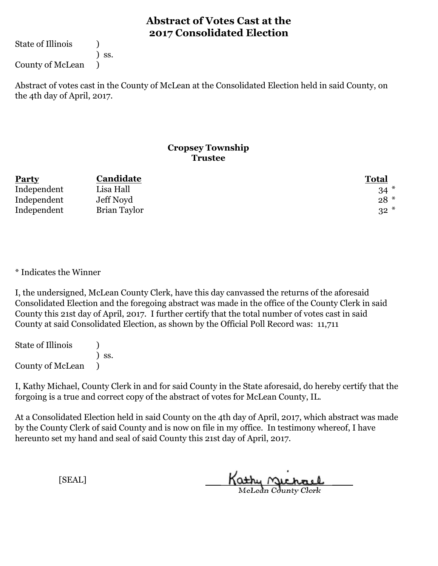State of Illinois (1)

) ss.

County of McLean )

Abstract of votes cast in the County of McLean at the Consolidated Election held in said County, on the 4th day of April, 2017.

#### **Cropsey Township Trustee**

| <b>Party</b> | Candidate    | <b>Total</b> |
|--------------|--------------|--------------|
| Independent  | Lisa Hall    | $34 *$       |
| Independent  | Jeff Noyd    | $28 *$       |
| Independent  | Brian Taylor | $32*$        |

#### \* Indicates the Winner

I, the undersigned, McLean County Clerk, have this day canvassed the returns of the aforesaid Consolidated Election and the foregoing abstract was made in the office of the County Clerk in said County this 21st day of April, 2017. I further certify that the total number of votes cast in said County at said Consolidated Election, as shown by the Official Poll Record was: 11,711

State of Illinois (1) ) ss. County of McLean )

I, Kathy Michael, County Clerk in and for said County in the State aforesaid, do hereby certify that the forgoing is a true and correct copy of the abstract of votes for McLean County, IL.

At a Consolidated Election held in said County on the 4th day of April, 2017, which abstract was made by the County Clerk of said County and is now on file in my office. In testimony whereof, I have hereunto set my hand and seal of said County this 21st day of April, 2017.

Kathy Michael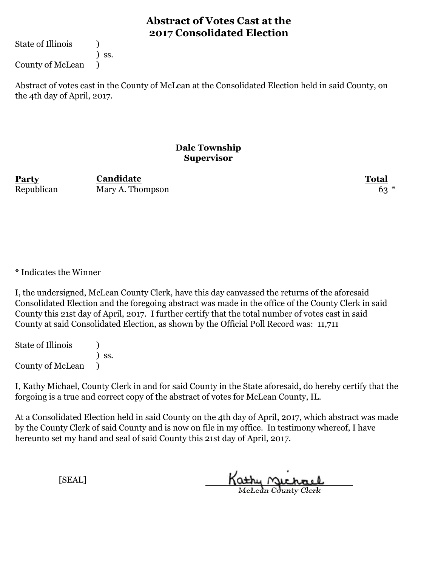State of Illinois (1)

) ss.

County of McLean )

Abstract of votes cast in the County of McLean at the Consolidated Election held in said County, on the 4th day of April, 2017.

#### **Dale Township Supervisor**

**Party Total Candidate** Republican Mary A. Thompson 63<sup>\*</sup>

\* Indicates the Winner

I, the undersigned, McLean County Clerk, have this day canvassed the returns of the aforesaid Consolidated Election and the foregoing abstract was made in the office of the County Clerk in said County this 21st day of April, 2017. I further certify that the total number of votes cast in said County at said Consolidated Election, as shown by the Official Poll Record was: 11,711

State of Illinois (1) ) ss. County of McLean )

I, Kathy Michael, County Clerk in and for said County in the State aforesaid, do hereby certify that the forgoing is a true and correct copy of the abstract of votes for McLean County, IL.

At a Consolidated Election held in said County on the 4th day of April, 2017, which abstract was made by the County Clerk of said County and is now on file in my office. In testimony whereof, I have hereunto set my hand and seal of said County this 21st day of April, 2017.

Kathy Michael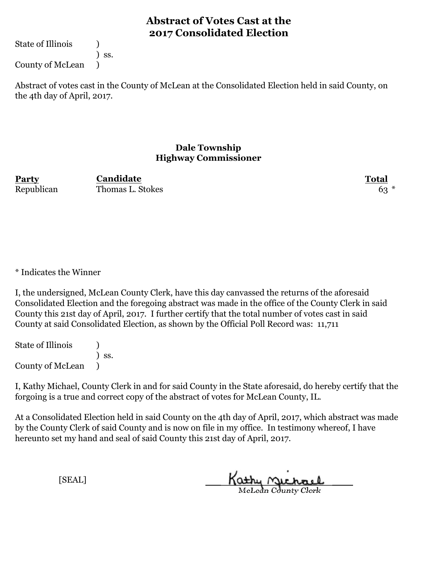State of Illinois (1)

) ss.

County of McLean )

Abstract of votes cast in the County of McLean at the Consolidated Election held in said County, on the 4th day of April, 2017.

#### **Dale Township Highway Commissioner**

**Party Total** Republican Thomas L. Stokes 63<sup>\*</sup> **Candidate**

\* Indicates the Winner

I, the undersigned, McLean County Clerk, have this day canvassed the returns of the aforesaid Consolidated Election and the foregoing abstract was made in the office of the County Clerk in said County this 21st day of April, 2017. I further certify that the total number of votes cast in said County at said Consolidated Election, as shown by the Official Poll Record was: 11,711

State of Illinois (1) ) ss. County of McLean )

I, Kathy Michael, County Clerk in and for said County in the State aforesaid, do hereby certify that the forgoing is a true and correct copy of the abstract of votes for McLean County, IL.

At a Consolidated Election held in said County on the 4th day of April, 2017, which abstract was made by the County Clerk of said County and is now on file in my office. In testimony whereof, I have hereunto set my hand and seal of said County this 21st day of April, 2017.

Kathy Michael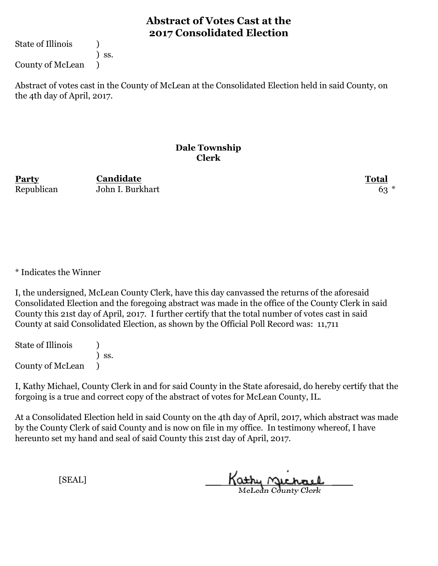State of Illinois (1)

) ss.

County of McLean )

Abstract of votes cast in the County of McLean at the Consolidated Election held in said County, on the 4th day of April, 2017.

#### **Dale Township Clerk**

**Party Total Candidate** Republican John I. Burkhart 63<sup>\*</sup>

\* Indicates the Winner

I, the undersigned, McLean County Clerk, have this day canvassed the returns of the aforesaid Consolidated Election and the foregoing abstract was made in the office of the County Clerk in said County this 21st day of April, 2017. I further certify that the total number of votes cast in said County at said Consolidated Election, as shown by the Official Poll Record was: 11,711

State of Illinois (1) ) ss. County of McLean )

I, Kathy Michael, County Clerk in and for said County in the State aforesaid, do hereby certify that the forgoing is a true and correct copy of the abstract of votes for McLean County, IL.

At a Consolidated Election held in said County on the 4th day of April, 2017, which abstract was made by the County Clerk of said County and is now on file in my office. In testimony whereof, I have hereunto set my hand and seal of said County this 21st day of April, 2017.

Kathy Michael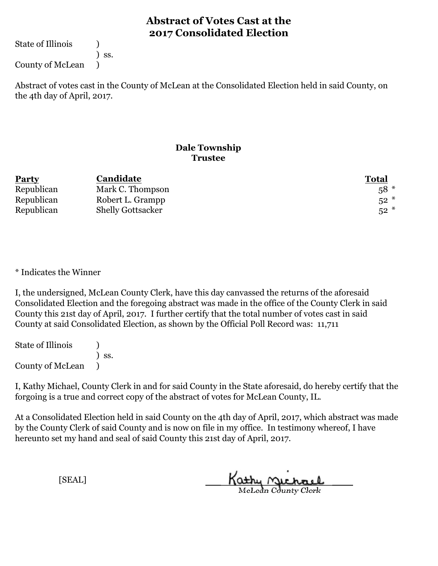State of Illinois (1)

) ss.

County of McLean )

Abstract of votes cast in the County of McLean at the Consolidated Election held in said County, on the 4th day of April, 2017.

### **Dale Township Trustee**

| <b>Party</b> | Candidate                | <b>Total</b> |
|--------------|--------------------------|--------------|
| Republican   | Mark C. Thompson         | $58*$        |
| Republican   | Robert L. Grampp         | $52*$        |
| Republican   | <b>Shelly Gottsacker</b> | $52*$        |

\* Indicates the Winner

I, the undersigned, McLean County Clerk, have this day canvassed the returns of the aforesaid Consolidated Election and the foregoing abstract was made in the office of the County Clerk in said County this 21st day of April, 2017. I further certify that the total number of votes cast in said County at said Consolidated Election, as shown by the Official Poll Record was: 11,711

State of Illinois (1) ) ss. County of McLean )

I, Kathy Michael, County Clerk in and for said County in the State aforesaid, do hereby certify that the forgoing is a true and correct copy of the abstract of votes for McLean County, IL.

At a Consolidated Election held in said County on the 4th day of April, 2017, which abstract was made by the County Clerk of said County and is now on file in my office. In testimony whereof, I have hereunto set my hand and seal of said County this 21st day of April, 2017.

Kathy Michael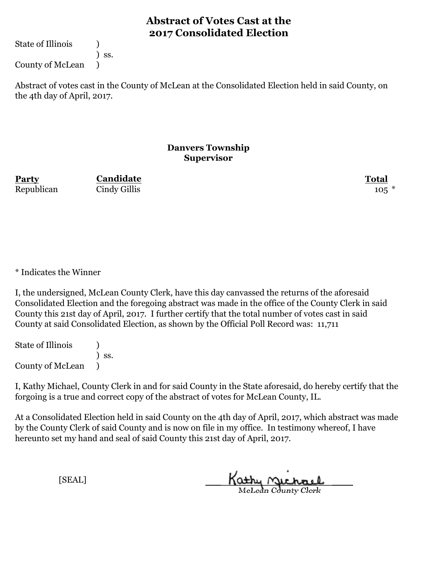State of Illinois (1)

) ss.

County of McLean )

Abstract of votes cast in the County of McLean at the Consolidated Election held in said County, on the 4th day of April, 2017.

#### **Danvers Township Supervisor**

**Party Total Candidate** Republican Cindy Gillis 105 \*

\* Indicates the Winner

I, the undersigned, McLean County Clerk, have this day canvassed the returns of the aforesaid Consolidated Election and the foregoing abstract was made in the office of the County Clerk in said County this 21st day of April, 2017. I further certify that the total number of votes cast in said County at said Consolidated Election, as shown by the Official Poll Record was: 11,711

State of Illinois (1) ) ss. County of McLean )

I, Kathy Michael, County Clerk in and for said County in the State aforesaid, do hereby certify that the forgoing is a true and correct copy of the abstract of votes for McLean County, IL.

At a Consolidated Election held in said County on the 4th day of April, 2017, which abstract was made by the County Clerk of said County and is now on file in my office. In testimony whereof, I have hereunto set my hand and seal of said County this 21st day of April, 2017.

Kathy Michael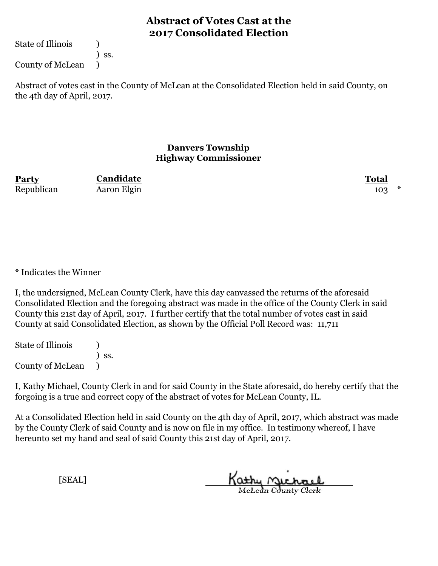State of Illinois (1)

) ss.

County of McLean )

Abstract of votes cast in the County of McLean at the Consolidated Election held in said County, on the 4th day of April, 2017.

#### **Danvers Township Highway Commissioner**

| Party      | Candidate   | <b>Total</b> |  |
|------------|-------------|--------------|--|
| Republican | Aaron Elgin | 103          |  |

\* Indicates the Winner

I, the undersigned, McLean County Clerk, have this day canvassed the returns of the aforesaid Consolidated Election and the foregoing abstract was made in the office of the County Clerk in said County this 21st day of April, 2017. I further certify that the total number of votes cast in said County at said Consolidated Election, as shown by the Official Poll Record was: 11,711

State of Illinois (1) ) ss. County of McLean )

I, Kathy Michael, County Clerk in and for said County in the State aforesaid, do hereby certify that the forgoing is a true and correct copy of the abstract of votes for McLean County, IL.

At a Consolidated Election held in said County on the 4th day of April, 2017, which abstract was made by the County Clerk of said County and is now on file in my office. In testimony whereof, I have hereunto set my hand and seal of said County this 21st day of April, 2017.

Kathy <u>Michael</u>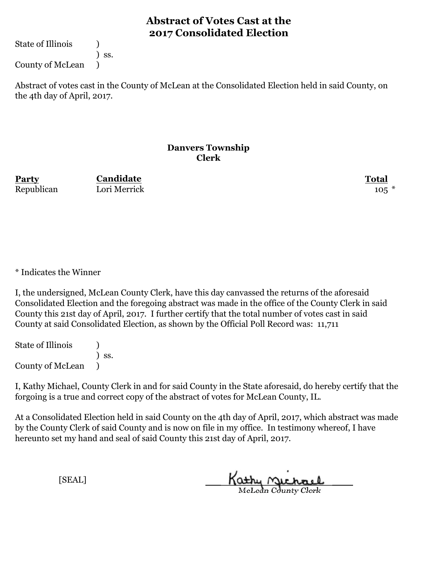State of Illinois (1)

) ss.

County of McLean )

Abstract of votes cast in the County of McLean at the Consolidated Election held in said County, on the 4th day of April, 2017.

#### **Danvers Township Clerk**

**Party Total Candidate** Republican Lori Merrick 105 \*

\* Indicates the Winner

I, the undersigned, McLean County Clerk, have this day canvassed the returns of the aforesaid Consolidated Election and the foregoing abstract was made in the office of the County Clerk in said County this 21st day of April, 2017. I further certify that the total number of votes cast in said County at said Consolidated Election, as shown by the Official Poll Record was: 11,711

State of Illinois (1) ) ss. County of McLean )

I, Kathy Michael, County Clerk in and for said County in the State aforesaid, do hereby certify that the forgoing is a true and correct copy of the abstract of votes for McLean County, IL.

At a Consolidated Election held in said County on the 4th day of April, 2017, which abstract was made by the County Clerk of said County and is now on file in my office. In testimony whereof, I have hereunto set my hand and seal of said County this 21st day of April, 2017.

Kathy Michael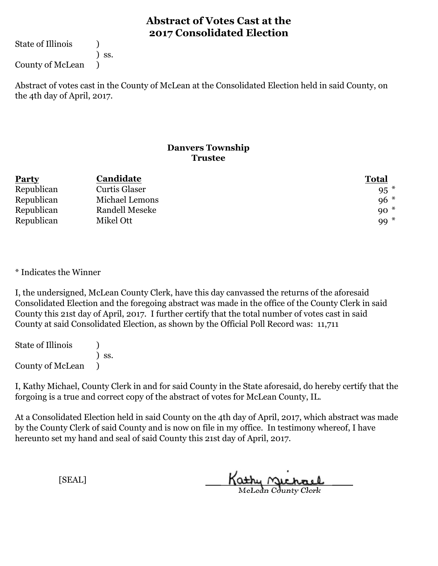State of Illinois (1)

) ss.

County of McLean )

Abstract of votes cast in the County of McLean at the Consolidated Election held in said County, on the 4th day of April, 2017.

### **Danvers Township Trustee**

| <b>Party</b> | Candidate            | <b>Total</b> |
|--------------|----------------------|--------------|
| Republican   | <b>Curtis Glaser</b> | $95*$        |
| Republican   | Michael Lemons       | $96*$        |
| Republican   | Randell Meseke       | $90*$        |
| Republican   | Mikel Ott            | $99*$        |

\* Indicates the Winner

I, the undersigned, McLean County Clerk, have this day canvassed the returns of the aforesaid Consolidated Election and the foregoing abstract was made in the office of the County Clerk in said County this 21st day of April, 2017. I further certify that the total number of votes cast in said County at said Consolidated Election, as shown by the Official Poll Record was: 11,711

State of Illinois (1) ) ss. County of McLean )

I, Kathy Michael, County Clerk in and for said County in the State aforesaid, do hereby certify that the forgoing is a true and correct copy of the abstract of votes for McLean County, IL.

At a Consolidated Election held in said County on the 4th day of April, 2017, which abstract was made by the County Clerk of said County and is now on file in my office. In testimony whereof, I have hereunto set my hand and seal of said County this 21st day of April, 2017.

Kathy Michael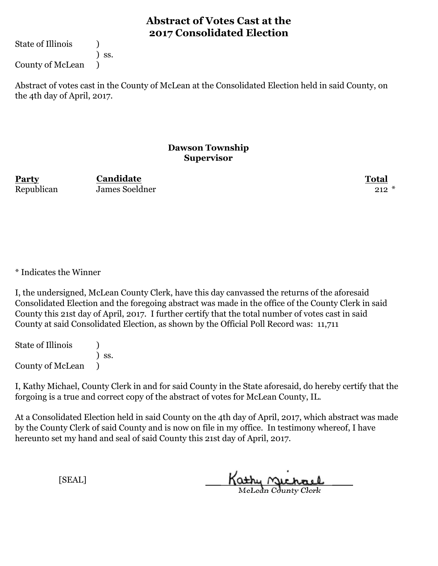State of Illinois (1)

) ss.

County of McLean )

Abstract of votes cast in the County of McLean at the Consolidated Election held in said County, on the 4th day of April, 2017.

#### **Dawson Township Supervisor**

**Party Total** Republican James Soeldner 212 \* **Candidate**

\* Indicates the Winner

I, the undersigned, McLean County Clerk, have this day canvassed the returns of the aforesaid Consolidated Election and the foregoing abstract was made in the office of the County Clerk in said County this 21st day of April, 2017. I further certify that the total number of votes cast in said County at said Consolidated Election, as shown by the Official Poll Record was: 11,711

State of Illinois (1) ) ss. County of McLean )

I, Kathy Michael, County Clerk in and for said County in the State aforesaid, do hereby certify that the forgoing is a true and correct copy of the abstract of votes for McLean County, IL.

At a Consolidated Election held in said County on the 4th day of April, 2017, which abstract was made by the County Clerk of said County and is now on file in my office. In testimony whereof, I have hereunto set my hand and seal of said County this 21st day of April, 2017.

Kathy Michael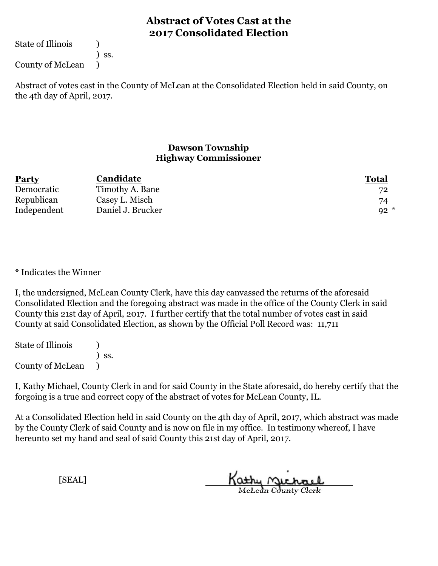State of Illinois (1)

) ss.

County of McLean )

Abstract of votes cast in the County of McLean at the Consolidated Election held in said County, on the 4th day of April, 2017.

#### **Dawson Township Highway Commissioner**

| Party       | Candidate         | <b>Total</b> |
|-------------|-------------------|--------------|
| Democratic  | Timothy A. Bane   | 72           |
| Republican  | Casey L. Misch    | 74           |
| Independent | Daniel J. Brucker | $92*$        |

\* Indicates the Winner

I, the undersigned, McLean County Clerk, have this day canvassed the returns of the aforesaid Consolidated Election and the foregoing abstract was made in the office of the County Clerk in said County this 21st day of April, 2017. I further certify that the total number of votes cast in said County at said Consolidated Election, as shown by the Official Poll Record was: 11,711

State of Illinois (1) ) ss. County of McLean )

I, Kathy Michael, County Clerk in and for said County in the State aforesaid, do hereby certify that the forgoing is a true and correct copy of the abstract of votes for McLean County, IL.

At a Consolidated Election held in said County on the 4th day of April, 2017, which abstract was made by the County Clerk of said County and is now on file in my office. In testimony whereof, I have hereunto set my hand and seal of said County this 21st day of April, 2017.

Kathy Michael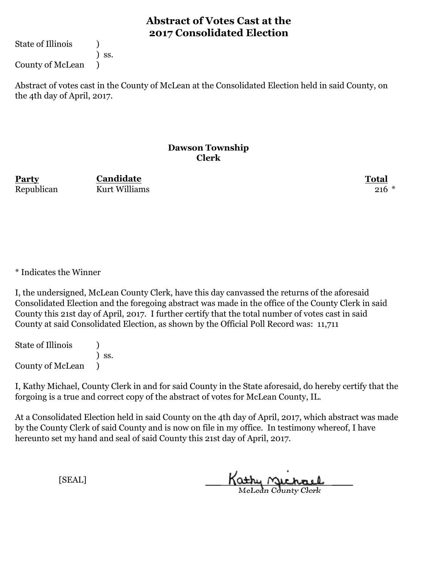State of Illinois (1)

) ss.

County of McLean )

Abstract of votes cast in the County of McLean at the Consolidated Election held in said County, on the 4th day of April, 2017.

#### **Dawson Township Clerk**

**Party Total Candidate** Republican Kurt Williams 216 \*

\* Indicates the Winner

I, the undersigned, McLean County Clerk, have this day canvassed the returns of the aforesaid Consolidated Election and the foregoing abstract was made in the office of the County Clerk in said County this 21st day of April, 2017. I further certify that the total number of votes cast in said County at said Consolidated Election, as shown by the Official Poll Record was: 11,711

State of Illinois (1) ) ss. County of McLean )

I, Kathy Michael, County Clerk in and for said County in the State aforesaid, do hereby certify that the forgoing is a true and correct copy of the abstract of votes for McLean County, IL.

At a Consolidated Election held in said County on the 4th day of April, 2017, which abstract was made by the County Clerk of said County and is now on file in my office. In testimony whereof, I have hereunto set my hand and seal of said County this 21st day of April, 2017.

Kathy Michael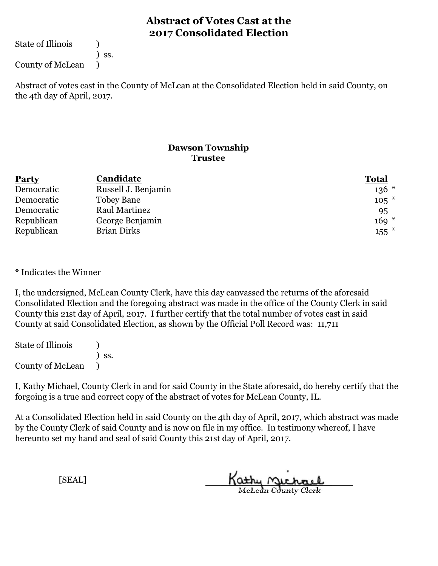State of Illinois (1)

) ss.

County of McLean )

Abstract of votes cast in the County of McLean at the Consolidated Election held in said County, on the 4th day of April, 2017.

### **Dawson Township Trustee**

| <b>Party</b> | Candidate            | <b>Total</b> |
|--------------|----------------------|--------------|
| Democratic   | Russell J. Benjamin  | $136 *$      |
| Democratic   | <b>Tobey Bane</b>    | $105*$       |
| Democratic   | <b>Raul Martinez</b> | 95           |
| Republican   | George Benjamin      | $169 *$      |
| Republican   | <b>Brian Dirks</b>   | $155$ $*$    |

\* Indicates the Winner

I, the undersigned, McLean County Clerk, have this day canvassed the returns of the aforesaid Consolidated Election and the foregoing abstract was made in the office of the County Clerk in said County this 21st day of April, 2017. I further certify that the total number of votes cast in said County at said Consolidated Election, as shown by the Official Poll Record was: 11,711

State of Illinois (1) ) ss. County of McLean )

I, Kathy Michael, County Clerk in and for said County in the State aforesaid, do hereby certify that the forgoing is a true and correct copy of the abstract of votes for McLean County, IL.

At a Consolidated Election held in said County on the 4th day of April, 2017, which abstract was made by the County Clerk of said County and is now on file in my office. In testimony whereof, I have hereunto set my hand and seal of said County this 21st day of April, 2017.

Kathy Michael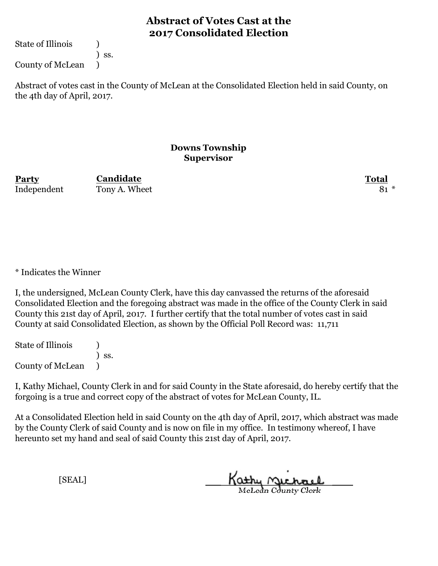State of Illinois (1)

) ss.

County of McLean )

Abstract of votes cast in the County of McLean at the Consolidated Election held in said County, on the 4th day of April, 2017.

#### **Downs Township Supervisor**

**Party Total Candidate** Independent Tony A. Wheet 81 \*

\* Indicates the Winner

I, the undersigned, McLean County Clerk, have this day canvassed the returns of the aforesaid Consolidated Election and the foregoing abstract was made in the office of the County Clerk in said County this 21st day of April, 2017. I further certify that the total number of votes cast in said County at said Consolidated Election, as shown by the Official Poll Record was: 11,711

State of Illinois (1) ) ss. County of McLean )

I, Kathy Michael, County Clerk in and for said County in the State aforesaid, do hereby certify that the forgoing is a true and correct copy of the abstract of votes for McLean County, IL.

At a Consolidated Election held in said County on the 4th day of April, 2017, which abstract was made by the County Clerk of said County and is now on file in my office. In testimony whereof, I have hereunto set my hand and seal of said County this 21st day of April, 2017.

Kathy Michael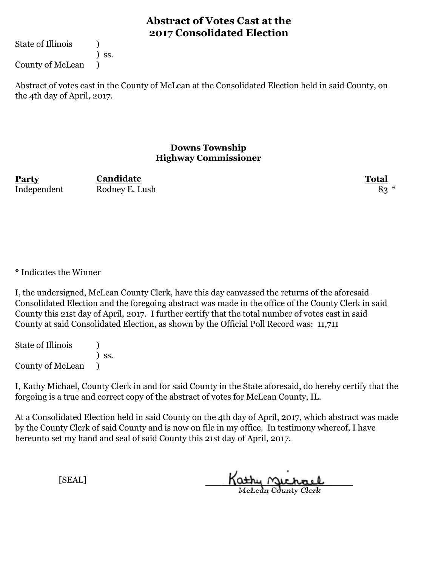State of Illinois (1)

) ss.

County of McLean )

Abstract of votes cast in the County of McLean at the Consolidated Election held in said County, on the 4th day of April, 2017.

#### **Downs Township Highway Commissioner**

**Party Total Candidate** Independent Rodney E. Lush 83 \*

\* Indicates the Winner

I, the undersigned, McLean County Clerk, have this day canvassed the returns of the aforesaid Consolidated Election and the foregoing abstract was made in the office of the County Clerk in said County this 21st day of April, 2017. I further certify that the total number of votes cast in said County at said Consolidated Election, as shown by the Official Poll Record was: 11,711

State of Illinois (1) ) ss. County of McLean )

I, Kathy Michael, County Clerk in and for said County in the State aforesaid, do hereby certify that the forgoing is a true and correct copy of the abstract of votes for McLean County, IL.

At a Consolidated Election held in said County on the 4th day of April, 2017, which abstract was made by the County Clerk of said County and is now on file in my office. In testimony whereof, I have hereunto set my hand and seal of said County this 21st day of April, 2017.

Kathy Michael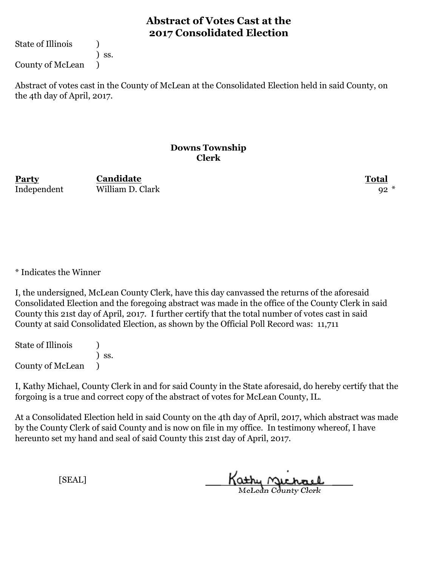State of Illinois (1)

) ss.

County of McLean )

Abstract of votes cast in the County of McLean at the Consolidated Election held in said County, on the 4th day of April, 2017.

#### **Downs Township Clerk**

**Party Total** Independent William D. Clark 92 \* **Candidate**

\* Indicates the Winner

I, the undersigned, McLean County Clerk, have this day canvassed the returns of the aforesaid Consolidated Election and the foregoing abstract was made in the office of the County Clerk in said County this 21st day of April, 2017. I further certify that the total number of votes cast in said County at said Consolidated Election, as shown by the Official Poll Record was: 11,711

State of Illinois (1) ) ss. County of McLean )

I, Kathy Michael, County Clerk in and for said County in the State aforesaid, do hereby certify that the forgoing is a true and correct copy of the abstract of votes for McLean County, IL.

At a Consolidated Election held in said County on the 4th day of April, 2017, which abstract was made by the County Clerk of said County and is now on file in my office. In testimony whereof, I have hereunto set my hand and seal of said County this 21st day of April, 2017.

Kathy Michael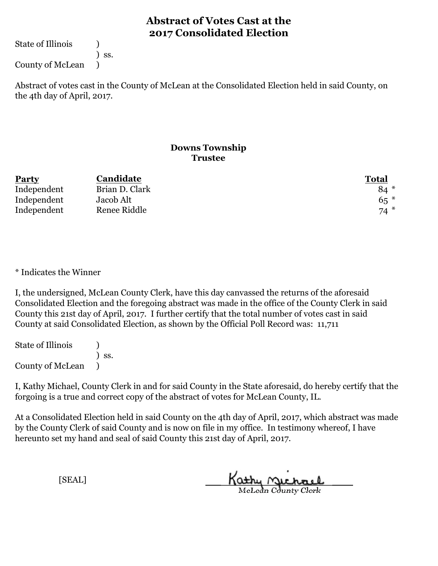State of Illinois (1)

) ss.

County of McLean )

Abstract of votes cast in the County of McLean at the Consolidated Election held in said County, on the 4th day of April, 2017.

### **Downs Township Trustee**

| <b>Party</b> | Candidate      | <b>Total</b> |
|--------------|----------------|--------------|
| Independent  | Brian D. Clark | $84*$        |
| Independent  | Jacob Alt      | $65*$        |
| Independent  | Renee Riddle   | $74*$        |

\* Indicates the Winner

I, the undersigned, McLean County Clerk, have this day canvassed the returns of the aforesaid Consolidated Election and the foregoing abstract was made in the office of the County Clerk in said County this 21st day of April, 2017. I further certify that the total number of votes cast in said County at said Consolidated Election, as shown by the Official Poll Record was: 11,711

State of Illinois (1) ) ss. County of McLean )

I, Kathy Michael, County Clerk in and for said County in the State aforesaid, do hereby certify that the forgoing is a true and correct copy of the abstract of votes for McLean County, IL.

At a Consolidated Election held in said County on the 4th day of April, 2017, which abstract was made by the County Clerk of said County and is now on file in my office. In testimony whereof, I have hereunto set my hand and seal of said County this 21st day of April, 2017.

Kathy Michael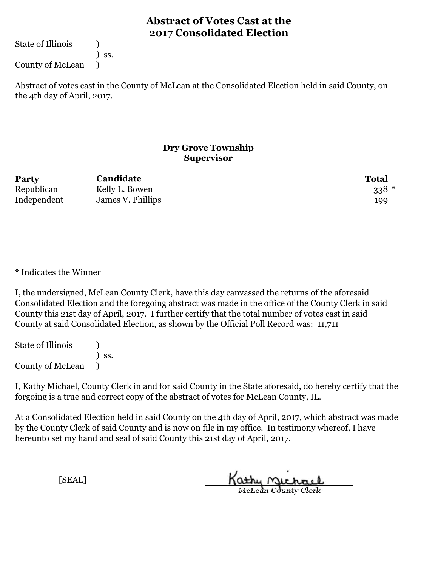State of Illinois (1)

) ss.

County of McLean )

Abstract of votes cast in the County of McLean at the Consolidated Election held in said County, on the 4th day of April, 2017.

### **Dry Grove Township Supervisor**

| <b>Party</b> | Candidate         | <b>Total</b> |
|--------------|-------------------|--------------|
| Republican   | Kelly L. Bowen    | $338 *$      |
| Independent  | James V. Phillips | 199          |

\* Indicates the Winner

I, the undersigned, McLean County Clerk, have this day canvassed the returns of the aforesaid Consolidated Election and the foregoing abstract was made in the office of the County Clerk in said County this 21st day of April, 2017. I further certify that the total number of votes cast in said County at said Consolidated Election, as shown by the Official Poll Record was: 11,711

State of Illinois (1) ) ss. County of McLean )

I, Kathy Michael, County Clerk in and for said County in the State aforesaid, do hereby certify that the forgoing is a true and correct copy of the abstract of votes for McLean County, IL.

At a Consolidated Election held in said County on the 4th day of April, 2017, which abstract was made by the County Clerk of said County and is now on file in my office. In testimony whereof, I have hereunto set my hand and seal of said County this 21st day of April, 2017.

Kathy Michael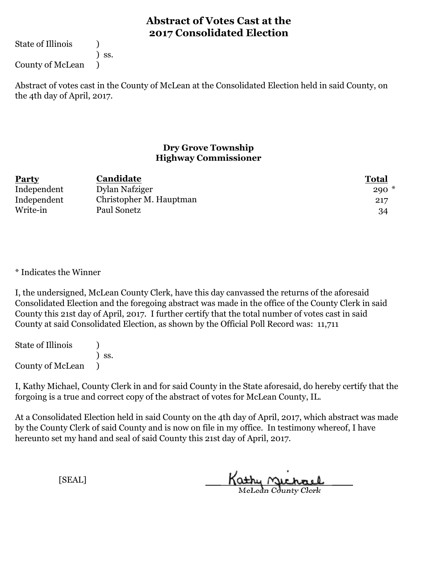State of Illinois (1)

) ss.

County of McLean )

Abstract of votes cast in the County of McLean at the Consolidated Election held in said County, on the 4th day of April, 2017.

### **Dry Grove Township Highway Commissioner**

| <b>Party</b> | Candidate               | <b>Total</b> |
|--------------|-------------------------|--------------|
| Independent  | Dylan Nafziger          | $290*$       |
| Independent  | Christopher M. Hauptman | 217          |
| Write-in     | Paul Sonetz             | 34           |

\* Indicates the Winner

I, the undersigned, McLean County Clerk, have this day canvassed the returns of the aforesaid Consolidated Election and the foregoing abstract was made in the office of the County Clerk in said County this 21st day of April, 2017. I further certify that the total number of votes cast in said County at said Consolidated Election, as shown by the Official Poll Record was: 11,711

State of Illinois (1) ) ss. County of McLean )

I, Kathy Michael, County Clerk in and for said County in the State aforesaid, do hereby certify that the forgoing is a true and correct copy of the abstract of votes for McLean County, IL.

At a Consolidated Election held in said County on the 4th day of April, 2017, which abstract was made by the County Clerk of said County and is now on file in my office. In testimony whereof, I have hereunto set my hand and seal of said County this 21st day of April, 2017.

Kathy Michael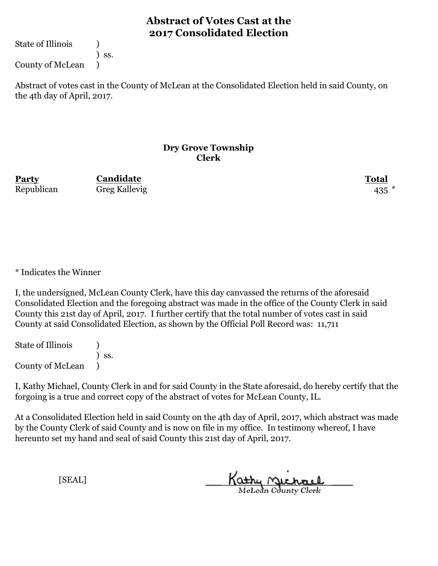State of Illinois (1)

) ss.

County of McLean )

Abstract of votes cast in the County of McLean at the Consolidated Election held in said County, on the 4th day of April, 2017.

#### **Dry Grove Township Clerk**

**Party Total Candidate** Republican Greg Kallevig 435 \*

\* Indicates the Winner

I, the undersigned, McLean County Clerk, have this day canvassed the returns of the aforesaid Consolidated Election and the foregoing abstract was made in the office of the County Clerk in said County this 21st day of April, 2017. I further certify that the total number of votes cast in said County at said Consolidated Election, as shown by the Official Poll Record was: 11,711

State of Illinois (1) ) ss. County of McLean )

I, Kathy Michael, County Clerk in and for said County in the State aforesaid, do hereby certify that the forgoing is a true and correct copy of the abstract of votes for McLean County, IL.

At a Consolidated Election held in said County on the 4th day of April, 2017, which abstract was made by the County Clerk of said County and is now on file in my office. In testimony whereof, I have hereunto set my hand and seal of said County this 21st day of April, 2017.

Kathy Michael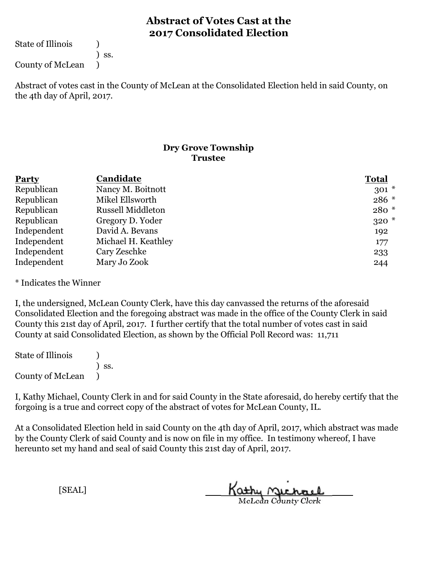State of Illinois (1)

) ss.

County of McLean )

Abstract of votes cast in the County of McLean at the Consolidated Election held in said County, on the 4th day of April, 2017.

### **Dry Grove Township Trustee**

| <b>Party</b> | Candidate                | <b>Total</b> |
|--------------|--------------------------|--------------|
| Republican   | Nancy M. Boitnott        | $301 *$      |
| Republican   | Mikel Ellsworth          | 286 *        |
| Republican   | <b>Russell Middleton</b> | $280 *$      |
| Republican   | Gregory D. Yoder         | $320*$       |
| Independent  | David A. Bevans          | 192          |
| Independent  | Michael H. Keathley      | 177          |
| Independent  | Cary Zeschke             | 233          |
| Independent  | Mary Jo Zook             | 244          |

\* Indicates the Winner

I, the undersigned, McLean County Clerk, have this day canvassed the returns of the aforesaid Consolidated Election and the foregoing abstract was made in the office of the County Clerk in said County this 21st day of April, 2017. I further certify that the total number of votes cast in said County at said Consolidated Election, as shown by the Official Poll Record was: 11,711

State of Illinois (1) ) ss. County of McLean )

I, Kathy Michael, County Clerk in and for said County in the State aforesaid, do hereby certify that the forgoing is a true and correct copy of the abstract of votes for McLean County, IL.

At a Consolidated Election held in said County on the 4th day of April, 2017, which abstract was made by the County Clerk of said County and is now on file in my office. In testimony whereof, I have hereunto set my hand and seal of said County this 21st day of April, 2017.

Kathy Michael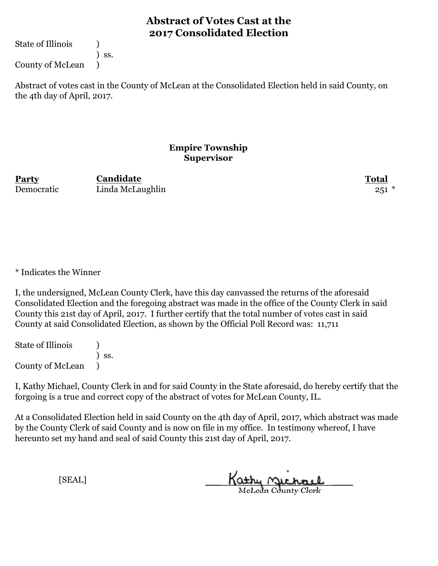State of Illinois (1)

) ss.

County of McLean )

Abstract of votes cast in the County of McLean at the Consolidated Election held in said County, on the 4th day of April, 2017.

#### **Empire Township Supervisor**

**Party Total Candidate** Democratic Linda McLaughlin 251 \*

\* Indicates the Winner

I, the undersigned, McLean County Clerk, have this day canvassed the returns of the aforesaid Consolidated Election and the foregoing abstract was made in the office of the County Clerk in said County this 21st day of April, 2017. I further certify that the total number of votes cast in said County at said Consolidated Election, as shown by the Official Poll Record was: 11,711

State of Illinois (1) ) ss. County of McLean )

I, Kathy Michael, County Clerk in and for said County in the State aforesaid, do hereby certify that the forgoing is a true and correct copy of the abstract of votes for McLean County, IL.

At a Consolidated Election held in said County on the 4th day of April, 2017, which abstract was made by the County Clerk of said County and is now on file in my office. In testimony whereof, I have hereunto set my hand and seal of said County this 21st day of April, 2017.

Kathy Michael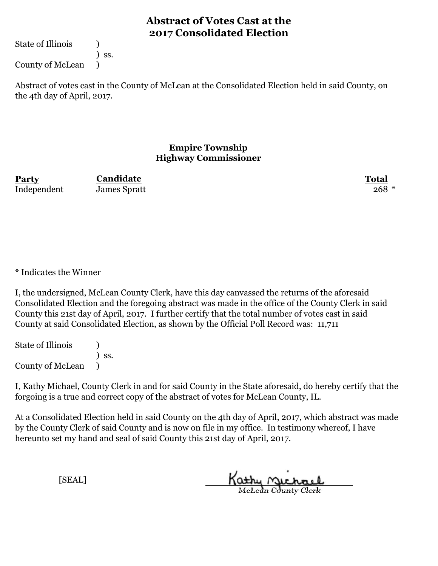State of Illinois (1)

) ss.

County of McLean )

Abstract of votes cast in the County of McLean at the Consolidated Election held in said County, on the 4th day of April, 2017.

### **Empire Township Highway Commissioner**

**Party Total Candidate** Independent James Spratt 268 \*

\* Indicates the Winner

I, the undersigned, McLean County Clerk, have this day canvassed the returns of the aforesaid Consolidated Election and the foregoing abstract was made in the office of the County Clerk in said County this 21st day of April, 2017. I further certify that the total number of votes cast in said County at said Consolidated Election, as shown by the Official Poll Record was: 11,711

State of Illinois (1) ) ss. County of McLean )

I, Kathy Michael, County Clerk in and for said County in the State aforesaid, do hereby certify that the forgoing is a true and correct copy of the abstract of votes for McLean County, IL.

At a Consolidated Election held in said County on the 4th day of April, 2017, which abstract was made by the County Clerk of said County and is now on file in my office. In testimony whereof, I have hereunto set my hand and seal of said County this 21st day of April, 2017.

Kathy Michael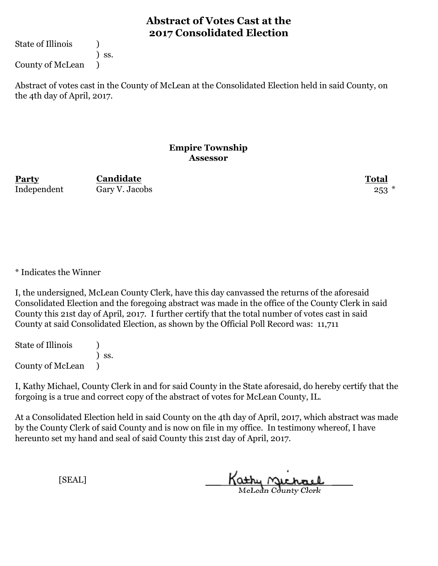State of Illinois (1)

) ss.

County of McLean )

Abstract of votes cast in the County of McLean at the Consolidated Election held in said County, on the 4th day of April, 2017.

#### **Empire Township Assessor**

**Party Total Candidate** Independent Gary V. Jacobs 253 \*

\* Indicates the Winner

I, the undersigned, McLean County Clerk, have this day canvassed the returns of the aforesaid Consolidated Election and the foregoing abstract was made in the office of the County Clerk in said County this 21st day of April, 2017. I further certify that the total number of votes cast in said County at said Consolidated Election, as shown by the Official Poll Record was: 11,711

State of Illinois (1) ) ss. County of McLean )

I, Kathy Michael, County Clerk in and for said County in the State aforesaid, do hereby certify that the forgoing is a true and correct copy of the abstract of votes for McLean County, IL.

At a Consolidated Election held in said County on the 4th day of April, 2017, which abstract was made by the County Clerk of said County and is now on file in my office. In testimony whereof, I have hereunto set my hand and seal of said County this 21st day of April, 2017.

Kathy Michael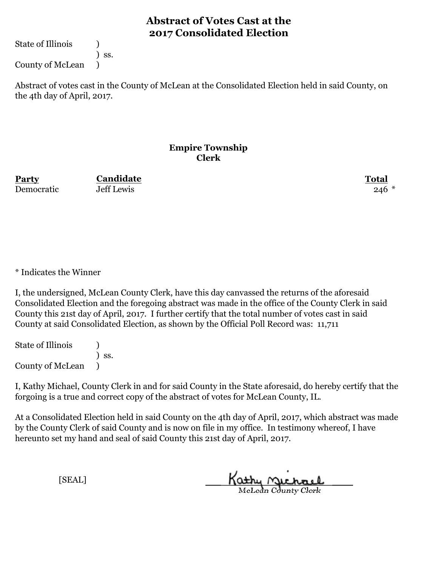State of Illinois (1)

) ss.

County of McLean )

Abstract of votes cast in the County of McLean at the Consolidated Election held in said County, on the 4th day of April, 2017.

#### **Empire Township Clerk**

**Party Total Candidate** Democratic 50 Jeff Lewis 246 \*

\* Indicates the Winner

I, the undersigned, McLean County Clerk, have this day canvassed the returns of the aforesaid Consolidated Election and the foregoing abstract was made in the office of the County Clerk in said County this 21st day of April, 2017. I further certify that the total number of votes cast in said County at said Consolidated Election, as shown by the Official Poll Record was: 11,711

State of Illinois (1) ) ss. County of McLean )

I, Kathy Michael, County Clerk in and for said County in the State aforesaid, do hereby certify that the forgoing is a true and correct copy of the abstract of votes for McLean County, IL.

At a Consolidated Election held in said County on the 4th day of April, 2017, which abstract was made by the County Clerk of said County and is now on file in my office. In testimony whereof, I have hereunto set my hand and seal of said County this 21st day of April, 2017.

Kathy Michael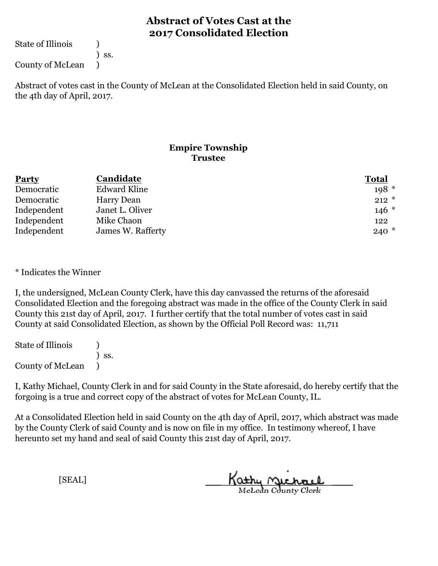State of Illinois (1)

) ss.

County of McLean )

Abstract of votes cast in the County of McLean at the Consolidated Election held in said County, on the 4th day of April, 2017.

### **Empire Township Trustee**

| <b>Party</b> | Candidate           | <b>Total</b> |
|--------------|---------------------|--------------|
| Democratic   | <b>Edward Kline</b> | $198*$       |
| Democratic   | Harry Dean          | $212 *$      |
| Independent  | Janet L. Oliver     | $146*$       |
| Independent  | Mike Chaon          | 122          |
| Independent  | James W. Rafferty   | $240*$       |

\* Indicates the Winner

I, the undersigned, McLean County Clerk, have this day canvassed the returns of the aforesaid Consolidated Election and the foregoing abstract was made in the office of the County Clerk in said County this 21st day of April, 2017. I further certify that the total number of votes cast in said County at said Consolidated Election, as shown by the Official Poll Record was: 11,711

State of Illinois (1) ) ss. County of McLean )

I, Kathy Michael, County Clerk in and for said County in the State aforesaid, do hereby certify that the forgoing is a true and correct copy of the abstract of votes for McLean County, IL.

At a Consolidated Election held in said County on the 4th day of April, 2017, which abstract was made by the County Clerk of said County and is now on file in my office. In testimony whereof, I have hereunto set my hand and seal of said County this 21st day of April, 2017.

Kathy Michael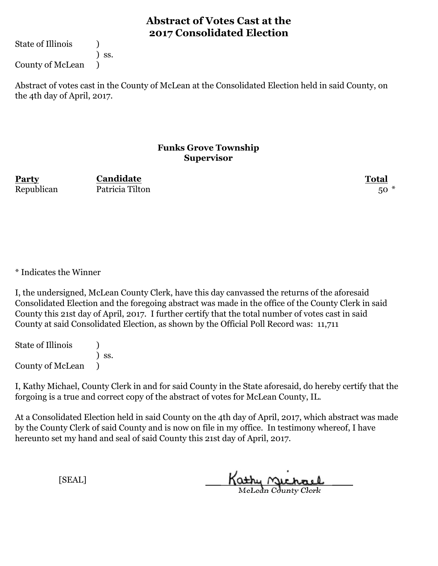State of Illinois (1)

) ss.

County of McLean )

Abstract of votes cast in the County of McLean at the Consolidated Election held in said County, on the 4th day of April, 2017.

#### **Funks Grove Township Supervisor**

**Party Total Candidate** Republican Patricia Tilton 50 \*

\* Indicates the Winner

I, the undersigned, McLean County Clerk, have this day canvassed the returns of the aforesaid Consolidated Election and the foregoing abstract was made in the office of the County Clerk in said County this 21st day of April, 2017. I further certify that the total number of votes cast in said County at said Consolidated Election, as shown by the Official Poll Record was: 11,711

State of Illinois (1) ) ss. County of McLean )

I, Kathy Michael, County Clerk in and for said County in the State aforesaid, do hereby certify that the forgoing is a true and correct copy of the abstract of votes for McLean County, IL.

At a Consolidated Election held in said County on the 4th day of April, 2017, which abstract was made by the County Clerk of said County and is now on file in my office. In testimony whereof, I have hereunto set my hand and seal of said County this 21st day of April, 2017.

Kathy Michael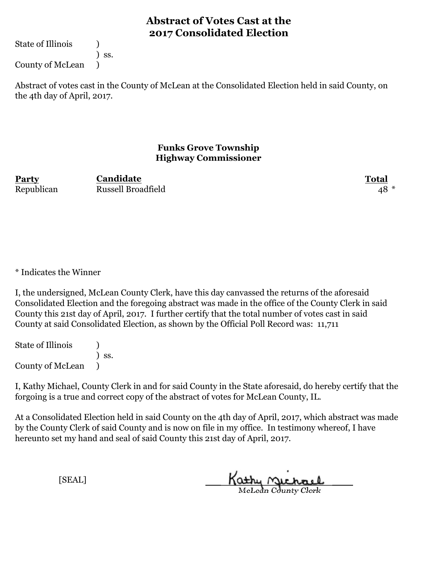State of Illinois (1)

) ss.

County of McLean )

Abstract of votes cast in the County of McLean at the Consolidated Election held in said County, on the 4th day of April, 2017.

### **Funks Grove Township Highway Commissioner**

**Party Total** Republican Russell Broadfield 48 \* **Candidate**

\* Indicates the Winner

I, the undersigned, McLean County Clerk, have this day canvassed the returns of the aforesaid Consolidated Election and the foregoing abstract was made in the office of the County Clerk in said County this 21st day of April, 2017. I further certify that the total number of votes cast in said County at said Consolidated Election, as shown by the Official Poll Record was: 11,711

State of Illinois (1) ) ss. County of McLean )

I, Kathy Michael, County Clerk in and for said County in the State aforesaid, do hereby certify that the forgoing is a true and correct copy of the abstract of votes for McLean County, IL.

At a Consolidated Election held in said County on the 4th day of April, 2017, which abstract was made by the County Clerk of said County and is now on file in my office. In testimony whereof, I have hereunto set my hand and seal of said County this 21st day of April, 2017.

Kathy Michael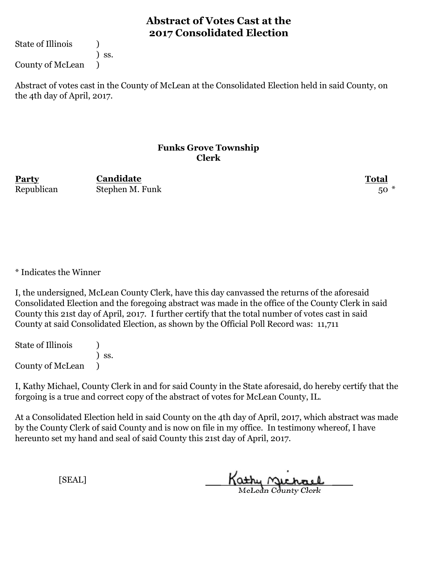State of Illinois (1)

) ss.

County of McLean )

Abstract of votes cast in the County of McLean at the Consolidated Election held in said County, on the 4th day of April, 2017.

### **Funks Grove Township Clerk**

**Party Total Candidate** Republican Stephen M. Funk 50 \*

\* Indicates the Winner

I, the undersigned, McLean County Clerk, have this day canvassed the returns of the aforesaid Consolidated Election and the foregoing abstract was made in the office of the County Clerk in said County this 21st day of April, 2017. I further certify that the total number of votes cast in said County at said Consolidated Election, as shown by the Official Poll Record was: 11,711

State of Illinois (1) ) ss. County of McLean )

I, Kathy Michael, County Clerk in and for said County in the State aforesaid, do hereby certify that the forgoing is a true and correct copy of the abstract of votes for McLean County, IL.

At a Consolidated Election held in said County on the 4th day of April, 2017, which abstract was made by the County Clerk of said County and is now on file in my office. In testimony whereof, I have hereunto set my hand and seal of said County this 21st day of April, 2017.

Kathy Michael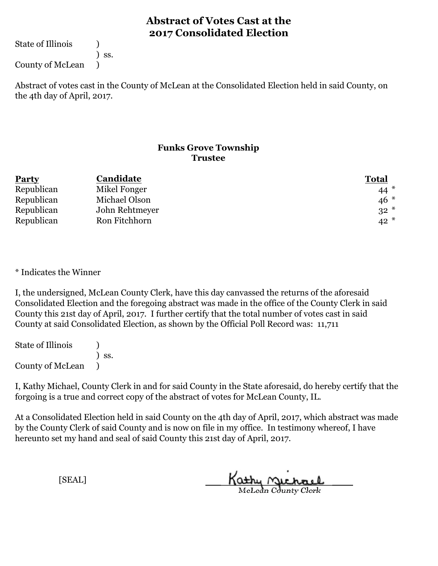State of Illinois (1)

) ss.

County of McLean )

Abstract of votes cast in the County of McLean at the Consolidated Election held in said County, on the 4th day of April, 2017.

### **Funks Grove Township Trustee**

| <b>Party</b> | Candidate      | <b>Total</b> |
|--------------|----------------|--------------|
| Republican   | Mikel Fonger   | $44*$        |
| Republican   | Michael Olson  | $46*$        |
| Republican   | John Rehtmeyer | $32*$        |
| Republican   | Ron Fitchhorn  | $42*$        |

\* Indicates the Winner

I, the undersigned, McLean County Clerk, have this day canvassed the returns of the aforesaid Consolidated Election and the foregoing abstract was made in the office of the County Clerk in said County this 21st day of April, 2017. I further certify that the total number of votes cast in said County at said Consolidated Election, as shown by the Official Poll Record was: 11,711

State of Illinois (1) ) ss. County of McLean )

I, Kathy Michael, County Clerk in and for said County in the State aforesaid, do hereby certify that the forgoing is a true and correct copy of the abstract of votes for McLean County, IL.

At a Consolidated Election held in said County on the 4th day of April, 2017, which abstract was made by the County Clerk of said County and is now on file in my office. In testimony whereof, I have hereunto set my hand and seal of said County this 21st day of April, 2017.

Kathy Michael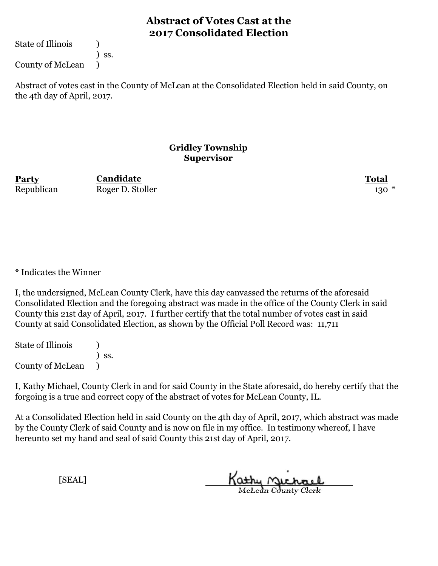State of Illinois (1)

) ss.

County of McLean )

Abstract of votes cast in the County of McLean at the Consolidated Election held in said County, on the 4th day of April, 2017.

#### **Gridley Township Supervisor**

**Party Total Candidate** Republican Roger D. Stoller 130 \*

\* Indicates the Winner

I, the undersigned, McLean County Clerk, have this day canvassed the returns of the aforesaid Consolidated Election and the foregoing abstract was made in the office of the County Clerk in said County this 21st day of April, 2017. I further certify that the total number of votes cast in said County at said Consolidated Election, as shown by the Official Poll Record was: 11,711

State of Illinois (1) ) ss. County of McLean )

I, Kathy Michael, County Clerk in and for said County in the State aforesaid, do hereby certify that the forgoing is a true and correct copy of the abstract of votes for McLean County, IL.

At a Consolidated Election held in said County on the 4th day of April, 2017, which abstract was made by the County Clerk of said County and is now on file in my office. In testimony whereof, I have hereunto set my hand and seal of said County this 21st day of April, 2017.

Kathy Michael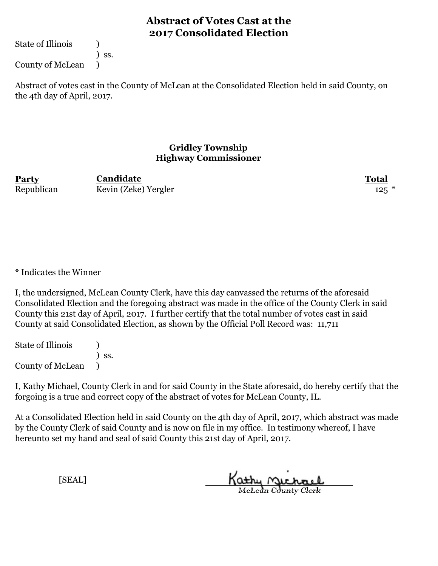State of Illinois (1)

) ss.

County of McLean )

Abstract of votes cast in the County of McLean at the Consolidated Election held in said County, on the 4th day of April, 2017.

### **Gridley Township Highway Commissioner**

**Party Total Candidate** Republican Kevin (Zeke) Yergler 125 \*

\* Indicates the Winner

I, the undersigned, McLean County Clerk, have this day canvassed the returns of the aforesaid Consolidated Election and the foregoing abstract was made in the office of the County Clerk in said County this 21st day of April, 2017. I further certify that the total number of votes cast in said County at said Consolidated Election, as shown by the Official Poll Record was: 11,711

State of Illinois (1) ) ss. County of McLean )

I, Kathy Michael, County Clerk in and for said County in the State aforesaid, do hereby certify that the forgoing is a true and correct copy of the abstract of votes for McLean County, IL.

At a Consolidated Election held in said County on the 4th day of April, 2017, which abstract was made by the County Clerk of said County and is now on file in my office. In testimony whereof, I have hereunto set my hand and seal of said County this 21st day of April, 2017.

Kathy Michael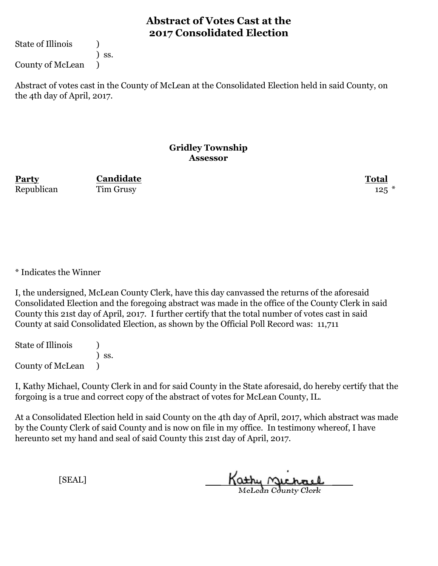State of Illinois (1)

) ss.

County of McLean )

Abstract of votes cast in the County of McLean at the Consolidated Election held in said County, on the 4th day of April, 2017.

#### **Gridley Township Assessor**

Republican Tim Grusy 125  $*$ 

**Party Total Candidate**

\* Indicates the Winner

I, the undersigned, McLean County Clerk, have this day canvassed the returns of the aforesaid Consolidated Election and the foregoing abstract was made in the office of the County Clerk in said County this 21st day of April, 2017. I further certify that the total number of votes cast in said County at said Consolidated Election, as shown by the Official Poll Record was: 11,711

State of Illinois (1) ) ss. County of McLean )

I, Kathy Michael, County Clerk in and for said County in the State aforesaid, do hereby certify that the forgoing is a true and correct copy of the abstract of votes for McLean County, IL.

At a Consolidated Election held in said County on the 4th day of April, 2017, which abstract was made by the County Clerk of said County and is now on file in my office. In testimony whereof, I have hereunto set my hand and seal of said County this 21st day of April, 2017.

Kathy Michael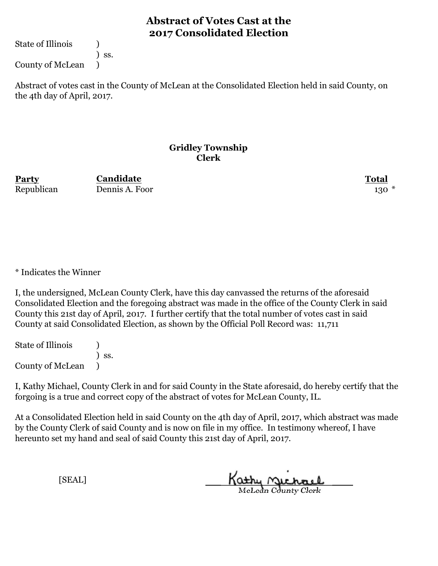State of Illinois (1)

) ss.

County of McLean )

Abstract of votes cast in the County of McLean at the Consolidated Election held in said County, on the 4th day of April, 2017.

#### **Gridley Township Clerk**

**Party Total** Republican Dennis A. Foor 130 \* **Candidate**

\* Indicates the Winner

I, the undersigned, McLean County Clerk, have this day canvassed the returns of the aforesaid Consolidated Election and the foregoing abstract was made in the office of the County Clerk in said County this 21st day of April, 2017. I further certify that the total number of votes cast in said County at said Consolidated Election, as shown by the Official Poll Record was: 11,711

State of Illinois (1) ) ss. County of McLean )

I, Kathy Michael, County Clerk in and for said County in the State aforesaid, do hereby certify that the forgoing is a true and correct copy of the abstract of votes for McLean County, IL.

At a Consolidated Election held in said County on the 4th day of April, 2017, which abstract was made by the County Clerk of said County and is now on file in my office. In testimony whereof, I have hereunto set my hand and seal of said County this 21st day of April, 2017.

Kathy Michael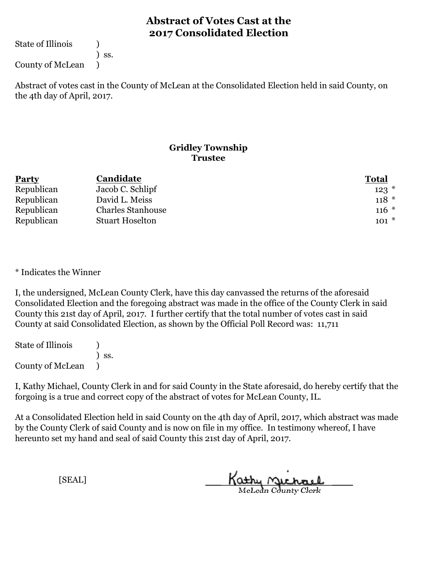State of Illinois (1)

) ss.

County of McLean )

Abstract of votes cast in the County of McLean at the Consolidated Election held in said County, on the 4th day of April, 2017.

### **Gridley Township Trustee**

| <b>Party</b> | Candidate                | <b>Total</b> |
|--------------|--------------------------|--------------|
| Republican   | Jacob C. Schlipf         | $123$ $*$    |
| Republican   | David L. Meiss           | $118 *$      |
| Republican   | <b>Charles Stanhouse</b> | $116 *$      |
| Republican   | <b>Stuart Hoselton</b>   | $101 *$      |

\* Indicates the Winner

I, the undersigned, McLean County Clerk, have this day canvassed the returns of the aforesaid Consolidated Election and the foregoing abstract was made in the office of the County Clerk in said County this 21st day of April, 2017. I further certify that the total number of votes cast in said County at said Consolidated Election, as shown by the Official Poll Record was: 11,711

State of Illinois (1) ) ss. County of McLean )

I, Kathy Michael, County Clerk in and for said County in the State aforesaid, do hereby certify that the forgoing is a true and correct copy of the abstract of votes for McLean County, IL.

At a Consolidated Election held in said County on the 4th day of April, 2017, which abstract was made by the County Clerk of said County and is now on file in my office. In testimony whereof, I have hereunto set my hand and seal of said County this 21st day of April, 2017.

Kathy Michael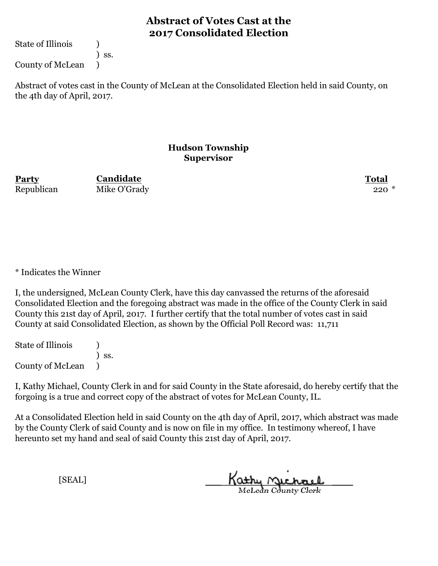State of Illinois (1)

) ss.

County of McLean )

Abstract of votes cast in the County of McLean at the Consolidated Election held in said County, on the 4th day of April, 2017.

### **Hudson Township Supervisor**

**Party Total Candidate** Republican Mike O'Grady 220 \*

\* Indicates the Winner

I, the undersigned, McLean County Clerk, have this day canvassed the returns of the aforesaid Consolidated Election and the foregoing abstract was made in the office of the County Clerk in said County this 21st day of April, 2017. I further certify that the total number of votes cast in said County at said Consolidated Election, as shown by the Official Poll Record was: 11,711

State of Illinois (1) ) ss. County of McLean )

I, Kathy Michael, County Clerk in and for said County in the State aforesaid, do hereby certify that the forgoing is a true and correct copy of the abstract of votes for McLean County, IL.

At a Consolidated Election held in said County on the 4th day of April, 2017, which abstract was made by the County Clerk of said County and is now on file in my office. In testimony whereof, I have hereunto set my hand and seal of said County this 21st day of April, 2017.

Kathy Michael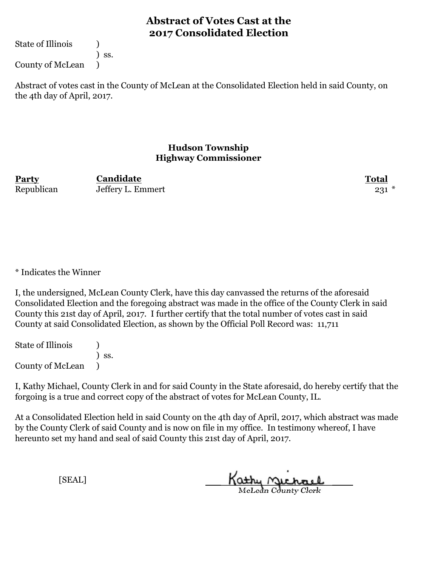State of Illinois (1)

) ss.

County of McLean )

Abstract of votes cast in the County of McLean at the Consolidated Election held in said County, on the 4th day of April, 2017.

### **Hudson Township Highway Commissioner**

**Party Total Candidate** Republican Jeffery L. Emmert 231 \*

\* Indicates the Winner

I, the undersigned, McLean County Clerk, have this day canvassed the returns of the aforesaid Consolidated Election and the foregoing abstract was made in the office of the County Clerk in said County this 21st day of April, 2017. I further certify that the total number of votes cast in said County at said Consolidated Election, as shown by the Official Poll Record was: 11,711

State of Illinois (1) ) ss. County of McLean )

I, Kathy Michael, County Clerk in and for said County in the State aforesaid, do hereby certify that the forgoing is a true and correct copy of the abstract of votes for McLean County, IL.

At a Consolidated Election held in said County on the 4th day of April, 2017, which abstract was made by the County Clerk of said County and is now on file in my office. In testimony whereof, I have hereunto set my hand and seal of said County this 21st day of April, 2017.

Kathy Michael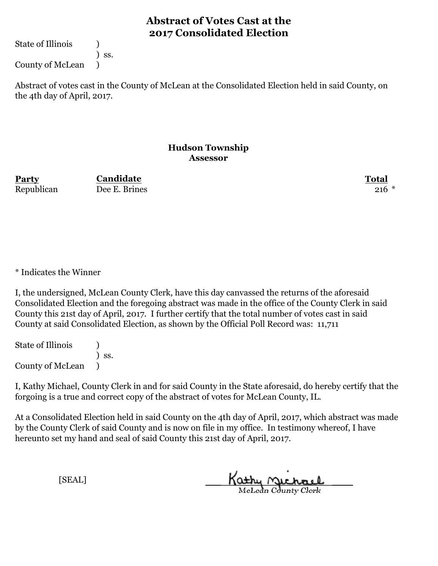State of Illinois (1)

) ss.

County of McLean )

Abstract of votes cast in the County of McLean at the Consolidated Election held in said County, on the 4th day of April, 2017.

### **Hudson Township Assessor**

**Party Total Candidate** Republican Dee E. Brines 216 \*

\* Indicates the Winner

I, the undersigned, McLean County Clerk, have this day canvassed the returns of the aforesaid Consolidated Election and the foregoing abstract was made in the office of the County Clerk in said County this 21st day of April, 2017. I further certify that the total number of votes cast in said County at said Consolidated Election, as shown by the Official Poll Record was: 11,711

State of Illinois (1) ) ss. County of McLean )

I, Kathy Michael, County Clerk in and for said County in the State aforesaid, do hereby certify that the forgoing is a true and correct copy of the abstract of votes for McLean County, IL.

At a Consolidated Election held in said County on the 4th day of April, 2017, which abstract was made by the County Clerk of said County and is now on file in my office. In testimony whereof, I have hereunto set my hand and seal of said County this 21st day of April, 2017.

Kathy <u>Michael</u>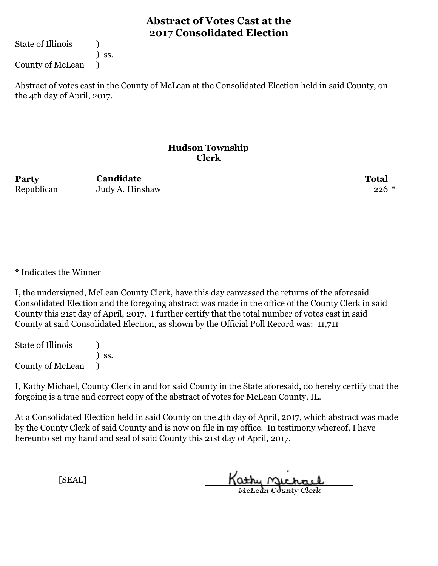State of Illinois (1)

) ss.

County of McLean )

Abstract of votes cast in the County of McLean at the Consolidated Election held in said County, on the 4th day of April, 2017.

#### **Hudson Township Clerk**

**Party Total Candidate** Republican Judy A. Hinshaw 226 \*

\* Indicates the Winner

I, the undersigned, McLean County Clerk, have this day canvassed the returns of the aforesaid Consolidated Election and the foregoing abstract was made in the office of the County Clerk in said County this 21st day of April, 2017. I further certify that the total number of votes cast in said County at said Consolidated Election, as shown by the Official Poll Record was: 11,711

State of Illinois (1) ) ss. County of McLean )

I, Kathy Michael, County Clerk in and for said County in the State aforesaid, do hereby certify that the forgoing is a true and correct copy of the abstract of votes for McLean County, IL.

At a Consolidated Election held in said County on the 4th day of April, 2017, which abstract was made by the County Clerk of said County and is now on file in my office. In testimony whereof, I have hereunto set my hand and seal of said County this 21st day of April, 2017.

Kathy Michael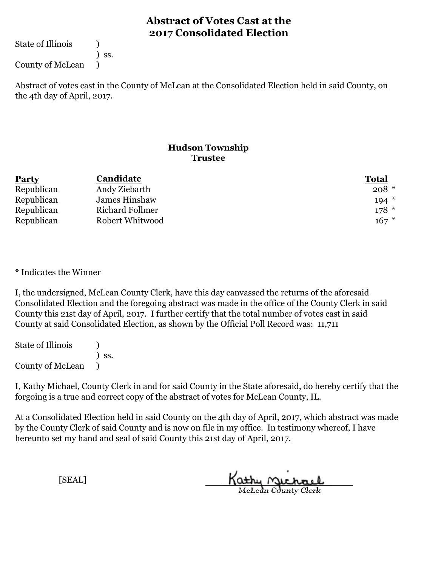State of Illinois (1)

) ss.

County of McLean )

Abstract of votes cast in the County of McLean at the Consolidated Election held in said County, on the 4th day of April, 2017.

### **Hudson Township Trustee**

| <b>Party</b> | Candidate       | <b>Total</b> |
|--------------|-----------------|--------------|
| Republican   | Andy Ziebarth   | $208 *$      |
| Republican   | James Hinshaw   | $194*$       |
| Republican   | Richard Follmer | $178*$       |
| Republican   | Robert Whitwood | $167 *$      |

\* Indicates the Winner

I, the undersigned, McLean County Clerk, have this day canvassed the returns of the aforesaid Consolidated Election and the foregoing abstract was made in the office of the County Clerk in said County this 21st day of April, 2017. I further certify that the total number of votes cast in said County at said Consolidated Election, as shown by the Official Poll Record was: 11,711

State of Illinois (1) ) ss. County of McLean )

I, Kathy Michael, County Clerk in and for said County in the State aforesaid, do hereby certify that the forgoing is a true and correct copy of the abstract of votes for McLean County, IL.

At a Consolidated Election held in said County on the 4th day of April, 2017, which abstract was made by the County Clerk of said County and is now on file in my office. In testimony whereof, I have hereunto set my hand and seal of said County this 21st day of April, 2017.

Kathy Michael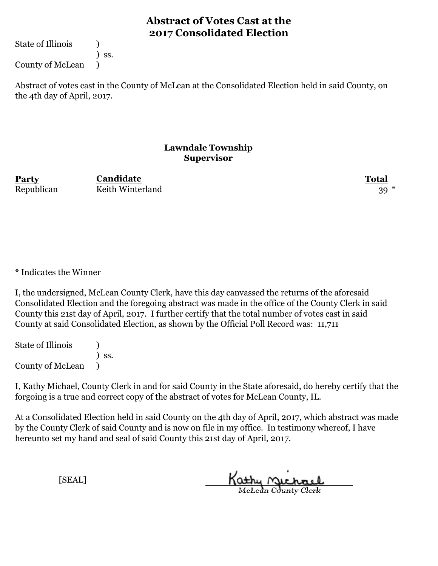State of Illinois (1)

) ss.

County of McLean )

Abstract of votes cast in the County of McLean at the Consolidated Election held in said County, on the 4th day of April, 2017.

### **Lawndale Township Supervisor**

**Party Total** Republican Keith Winterland 39<sup>\*</sup> **Candidate**

\* Indicates the Winner

I, the undersigned, McLean County Clerk, have this day canvassed the returns of the aforesaid Consolidated Election and the foregoing abstract was made in the office of the County Clerk in said County this 21st day of April, 2017. I further certify that the total number of votes cast in said County at said Consolidated Election, as shown by the Official Poll Record was: 11,711

State of Illinois (1) ) ss. County of McLean )

I, Kathy Michael, County Clerk in and for said County in the State aforesaid, do hereby certify that the forgoing is a true and correct copy of the abstract of votes for McLean County, IL.

At a Consolidated Election held in said County on the 4th day of April, 2017, which abstract was made by the County Clerk of said County and is now on file in my office. In testimony whereof, I have hereunto set my hand and seal of said County this 21st day of April, 2017.

Kathy Michael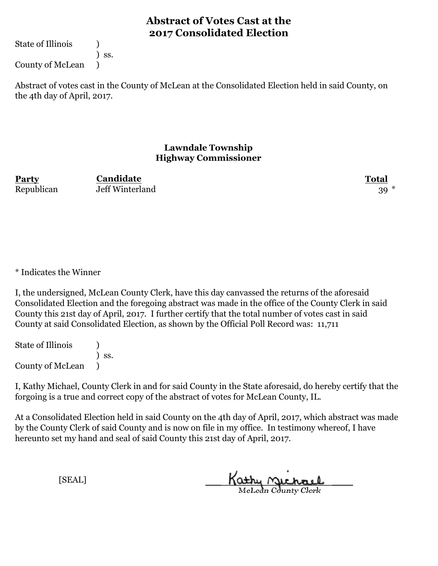State of Illinois (1)

) ss.

County of McLean )

Abstract of votes cast in the County of McLean at the Consolidated Election held in said County, on the 4th day of April, 2017.

### **Lawndale Township Highway Commissioner**

**Party Total Candidate** Republican Jeff Winterland 39<sup>\*</sup>

\* Indicates the Winner

I, the undersigned, McLean County Clerk, have this day canvassed the returns of the aforesaid Consolidated Election and the foregoing abstract was made in the office of the County Clerk in said County this 21st day of April, 2017. I further certify that the total number of votes cast in said County at said Consolidated Election, as shown by the Official Poll Record was: 11,711

State of Illinois (1) ) ss. County of McLean )

I, Kathy Michael, County Clerk in and for said County in the State aforesaid, do hereby certify that the forgoing is a true and correct copy of the abstract of votes for McLean County, IL.

At a Consolidated Election held in said County on the 4th day of April, 2017, which abstract was made by the County Clerk of said County and is now on file in my office. In testimony whereof, I have hereunto set my hand and seal of said County this 21st day of April, 2017.

Kathy Michael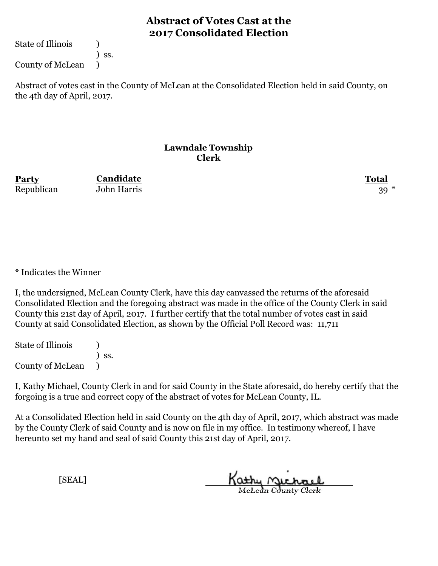State of Illinois (1)

) ss.

County of McLean )

Abstract of votes cast in the County of McLean at the Consolidated Election held in said County, on the 4th day of April, 2017.

#### **Lawndale Township Clerk**

**Party Total Candidate** Republican John Harris 39 \*

\* Indicates the Winner

I, the undersigned, McLean County Clerk, have this day canvassed the returns of the aforesaid Consolidated Election and the foregoing abstract was made in the office of the County Clerk in said County this 21st day of April, 2017. I further certify that the total number of votes cast in said County at said Consolidated Election, as shown by the Official Poll Record was: 11,711

State of Illinois (1) ) ss. County of McLean )

I, Kathy Michael, County Clerk in and for said County in the State aforesaid, do hereby certify that the forgoing is a true and correct copy of the abstract of votes for McLean County, IL.

At a Consolidated Election held in said County on the 4th day of April, 2017, which abstract was made by the County Clerk of said County and is now on file in my office. In testimony whereof, I have hereunto set my hand and seal of said County this 21st day of April, 2017.

Kathy Michael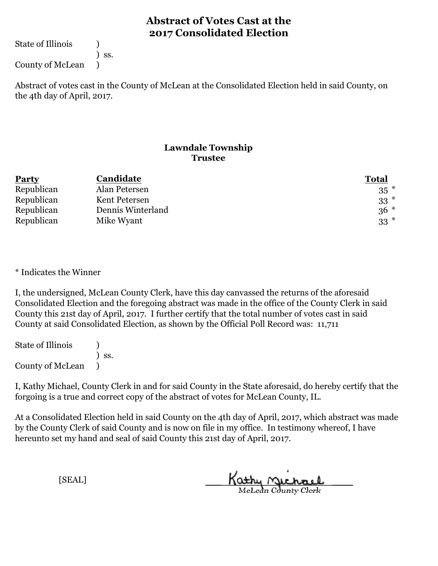State of Illinois (1)

) ss.

County of McLean )

Abstract of votes cast in the County of McLean at the Consolidated Election held in said County, on the 4th day of April, 2017.

### **Lawndale Township Trustee**

| <b>Party</b> | Candidate         | <b>Total</b> |
|--------------|-------------------|--------------|
| Republican   | Alan Petersen     | $35$ $*$     |
| Republican   | Kent Petersen     | $33^*$       |
| Republican   | Dennis Winterland | $36*$        |
| Republican   | Mike Wyant        | $33^*$       |

\* Indicates the Winner

I, the undersigned, McLean County Clerk, have this day canvassed the returns of the aforesaid Consolidated Election and the foregoing abstract was made in the office of the County Clerk in said County this 21st day of April, 2017. I further certify that the total number of votes cast in said County at said Consolidated Election, as shown by the Official Poll Record was: 11,711

State of Illinois (1) ) ss. County of McLean )

I, Kathy Michael, County Clerk in and for said County in the State aforesaid, do hereby certify that the forgoing is a true and correct copy of the abstract of votes for McLean County, IL.

At a Consolidated Election held in said County on the 4th day of April, 2017, which abstract was made by the County Clerk of said County and is now on file in my office. In testimony whereof, I have hereunto set my hand and seal of said County this 21st day of April, 2017.

Kathy Michael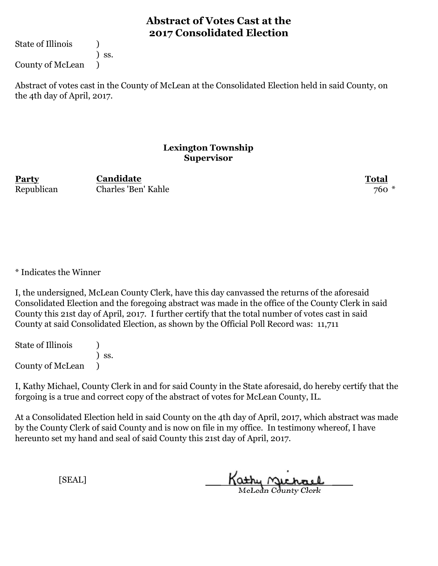State of Illinois (1)

) ss.

County of McLean )

Abstract of votes cast in the County of McLean at the Consolidated Election held in said County, on the 4th day of April, 2017.

### **Lexington Township Supervisor**

**Party Total** Republican Charles 'Ben' Kahle 760 \* **Candidate**

\* Indicates the Winner

I, the undersigned, McLean County Clerk, have this day canvassed the returns of the aforesaid Consolidated Election and the foregoing abstract was made in the office of the County Clerk in said County this 21st day of April, 2017. I further certify that the total number of votes cast in said County at said Consolidated Election, as shown by the Official Poll Record was: 11,711

State of Illinois (1) ) ss. County of McLean )

I, Kathy Michael, County Clerk in and for said County in the State aforesaid, do hereby certify that the forgoing is a true and correct copy of the abstract of votes for McLean County, IL.

At a Consolidated Election held in said County on the 4th day of April, 2017, which abstract was made by the County Clerk of said County and is now on file in my office. In testimony whereof, I have hereunto set my hand and seal of said County this 21st day of April, 2017.

Kathy Michael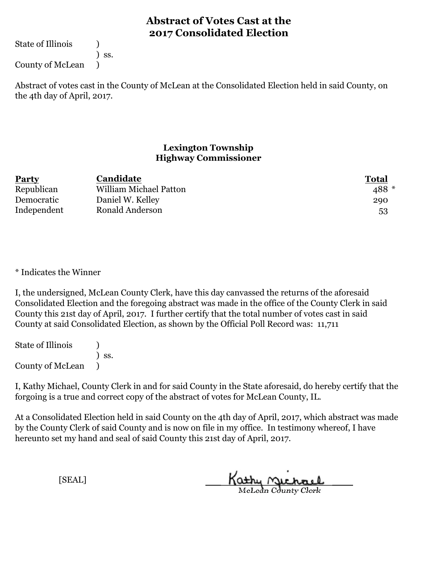State of Illinois (1)

) ss.

County of McLean )

Abstract of votes cast in the County of McLean at the Consolidated Election held in said County, on the 4th day of April, 2017.

### **Lexington Township Highway Commissioner**

| Party       | Candidate              | <b>Total</b> |
|-------------|------------------------|--------------|
| Republican  | William Michael Patton | 488 *        |
| Democratic  | Daniel W. Kelley       | 290          |
| Independent | Ronald Anderson        | 53           |

\* Indicates the Winner

I, the undersigned, McLean County Clerk, have this day canvassed the returns of the aforesaid Consolidated Election and the foregoing abstract was made in the office of the County Clerk in said County this 21st day of April, 2017. I further certify that the total number of votes cast in said County at said Consolidated Election, as shown by the Official Poll Record was: 11,711

State of Illinois (1) ) ss. County of McLean )

I, Kathy Michael, County Clerk in and for said County in the State aforesaid, do hereby certify that the forgoing is a true and correct copy of the abstract of votes for McLean County, IL.

At a Consolidated Election held in said County on the 4th day of April, 2017, which abstract was made by the County Clerk of said County and is now on file in my office. In testimony whereof, I have hereunto set my hand and seal of said County this 21st day of April, 2017.

Kathy Michael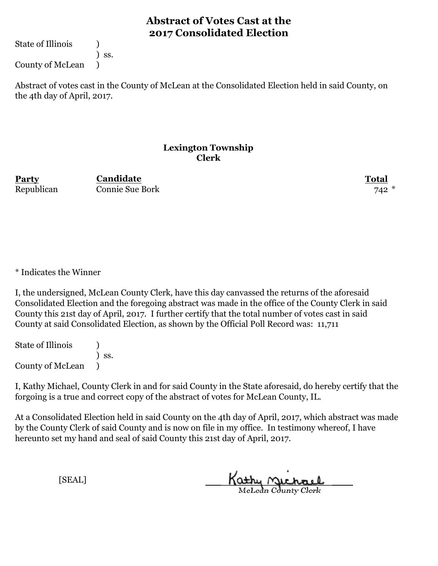State of Illinois (1)

) ss.

County of McLean )

Abstract of votes cast in the County of McLean at the Consolidated Election held in said County, on the 4th day of April, 2017.

### **Lexington Township Clerk**

**Party Total Candidate** Republican Connie Sue Bork 742 \*

\* Indicates the Winner

I, the undersigned, McLean County Clerk, have this day canvassed the returns of the aforesaid Consolidated Election and the foregoing abstract was made in the office of the County Clerk in said County this 21st day of April, 2017. I further certify that the total number of votes cast in said County at said Consolidated Election, as shown by the Official Poll Record was: 11,711

State of Illinois (1) ) ss. County of McLean )

I, Kathy Michael, County Clerk in and for said County in the State aforesaid, do hereby certify that the forgoing is a true and correct copy of the abstract of votes for McLean County, IL.

At a Consolidated Election held in said County on the 4th day of April, 2017, which abstract was made by the County Clerk of said County and is now on file in my office. In testimony whereof, I have hereunto set my hand and seal of said County this 21st day of April, 2017.

Kathy Michael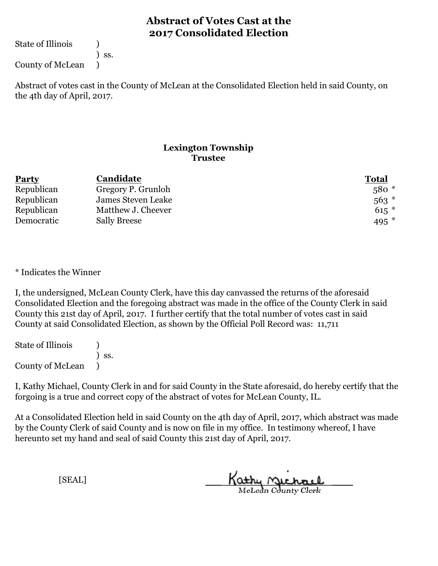State of Illinois (1)

) ss.

County of McLean )

Abstract of votes cast in the County of McLean at the Consolidated Election held in said County, on the 4th day of April, 2017.

### **Lexington Township Trustee**

| <b>Party</b> | Candidate           | <b>Total</b> |
|--------------|---------------------|--------------|
| Republican   | Gregory P. Grunloh  | $580*$       |
| Republican   | James Steven Leake  | $563$ $*$    |
| Republican   | Matthew J. Cheever  | $615$ *      |
| Democratic   | <b>Sally Breese</b> | 495 $*$      |

\* Indicates the Winner

I, the undersigned, McLean County Clerk, have this day canvassed the returns of the aforesaid Consolidated Election and the foregoing abstract was made in the office of the County Clerk in said County this 21st day of April, 2017. I further certify that the total number of votes cast in said County at said Consolidated Election, as shown by the Official Poll Record was: 11,711

State of Illinois (1) ) ss. County of McLean )

I, Kathy Michael, County Clerk in and for said County in the State aforesaid, do hereby certify that the forgoing is a true and correct copy of the abstract of votes for McLean County, IL.

At a Consolidated Election held in said County on the 4th day of April, 2017, which abstract was made by the County Clerk of said County and is now on file in my office. In testimony whereof, I have hereunto set my hand and seal of said County this 21st day of April, 2017.

Kathy Michael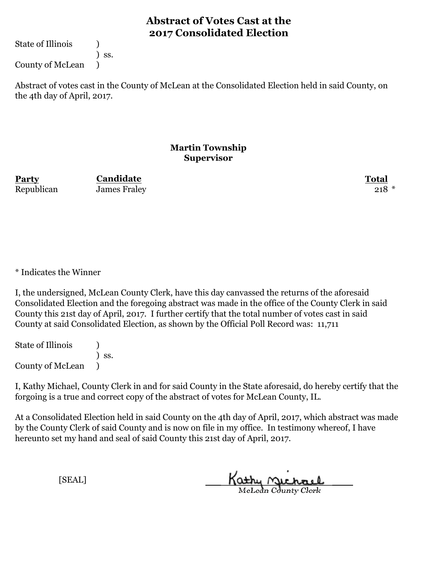State of Illinois (1)

) ss.

County of McLean )

Abstract of votes cast in the County of McLean at the Consolidated Election held in said County, on the 4th day of April, 2017.

### **Martin Township Supervisor**

**Party Total Candidate** Republican James Fraley 218 \*

\* Indicates the Winner

I, the undersigned, McLean County Clerk, have this day canvassed the returns of the aforesaid Consolidated Election and the foregoing abstract was made in the office of the County Clerk in said County this 21st day of April, 2017. I further certify that the total number of votes cast in said County at said Consolidated Election, as shown by the Official Poll Record was: 11,711

State of Illinois (1) ) ss. County of McLean )

I, Kathy Michael, County Clerk in and for said County in the State aforesaid, do hereby certify that the forgoing is a true and correct copy of the abstract of votes for McLean County, IL.

At a Consolidated Election held in said County on the 4th day of April, 2017, which abstract was made by the County Clerk of said County and is now on file in my office. In testimony whereof, I have hereunto set my hand and seal of said County this 21st day of April, 2017.

Kathy Michael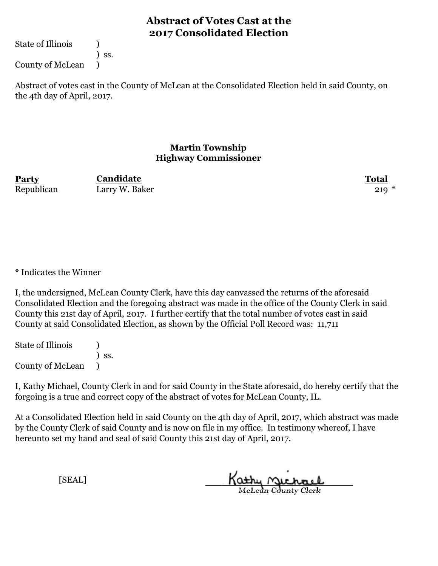State of Illinois (1)

) ss.

County of McLean )

Abstract of votes cast in the County of McLean at the Consolidated Election held in said County, on the 4th day of April, 2017.

### **Martin Township Highway Commissioner**

| Party      | <b>Candidate</b> | <b>Total</b> |
|------------|------------------|--------------|
| Republican | Larry W. Baker   | $219 *$      |

\* Indicates the Winner

I, the undersigned, McLean County Clerk, have this day canvassed the returns of the aforesaid Consolidated Election and the foregoing abstract was made in the office of the County Clerk in said County this 21st day of April, 2017. I further certify that the total number of votes cast in said County at said Consolidated Election, as shown by the Official Poll Record was: 11,711

State of Illinois (1) ) ss. County of McLean )

I, Kathy Michael, County Clerk in and for said County in the State aforesaid, do hereby certify that the forgoing is a true and correct copy of the abstract of votes for McLean County, IL.

At a Consolidated Election held in said County on the 4th day of April, 2017, which abstract was made by the County Clerk of said County and is now on file in my office. In testimony whereof, I have hereunto set my hand and seal of said County this 21st day of April, 2017.

Kathy Michael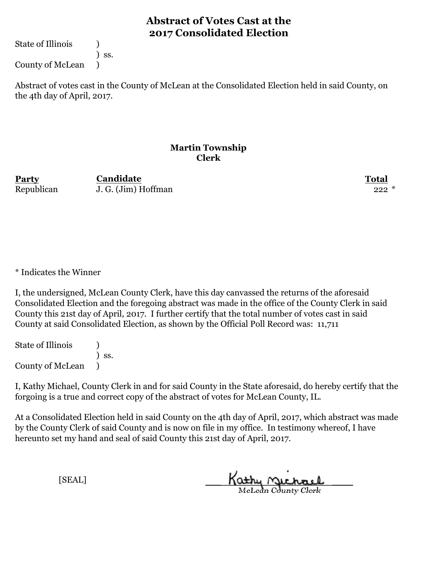State of Illinois (1)

) ss.

County of McLean )

Abstract of votes cast in the County of McLean at the Consolidated Election held in said County, on the 4th day of April, 2017.

### **Martin Township Clerk**

**Party Total Candidate** Republican J. G. (Jim) Hoffman 222 \*

\* Indicates the Winner

I, the undersigned, McLean County Clerk, have this day canvassed the returns of the aforesaid Consolidated Election and the foregoing abstract was made in the office of the County Clerk in said County this 21st day of April, 2017. I further certify that the total number of votes cast in said County at said Consolidated Election, as shown by the Official Poll Record was: 11,711

State of Illinois (1) ) ss. County of McLean )

I, Kathy Michael, County Clerk in and for said County in the State aforesaid, do hereby certify that the forgoing is a true and correct copy of the abstract of votes for McLean County, IL.

At a Consolidated Election held in said County on the 4th day of April, 2017, which abstract was made by the County Clerk of said County and is now on file in my office. In testimony whereof, I have hereunto set my hand and seal of said County this 21st day of April, 2017.

Kathy Michael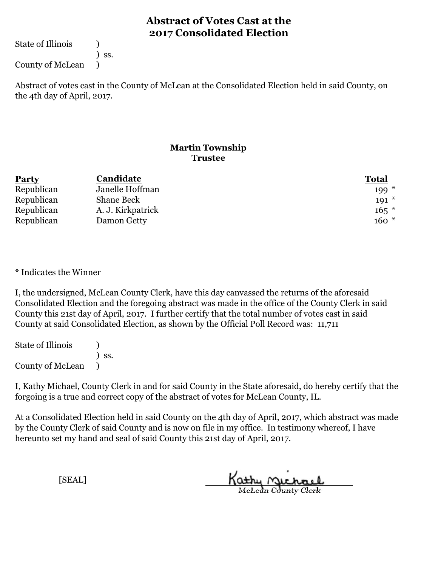State of Illinois (1)

) ss.

County of McLean )

Abstract of votes cast in the County of McLean at the Consolidated Election held in said County, on the 4th day of April, 2017.

### **Martin Township Trustee**

| <b>Party</b> | Candidate         | <b>Total</b> |
|--------------|-------------------|--------------|
| Republican   | Janelle Hoffman   | $199*$       |
| Republican   | <b>Shane Beck</b> | $191 *$      |
| Republican   | A. J. Kirkpatrick | $165$ *      |
| Republican   | Damon Getty       | $160*$       |

\* Indicates the Winner

I, the undersigned, McLean County Clerk, have this day canvassed the returns of the aforesaid Consolidated Election and the foregoing abstract was made in the office of the County Clerk in said County this 21st day of April, 2017. I further certify that the total number of votes cast in said County at said Consolidated Election, as shown by the Official Poll Record was: 11,711

State of Illinois (1) ) ss. County of McLean )

I, Kathy Michael, County Clerk in and for said County in the State aforesaid, do hereby certify that the forgoing is a true and correct copy of the abstract of votes for McLean County, IL.

At a Consolidated Election held in said County on the 4th day of April, 2017, which abstract was made by the County Clerk of said County and is now on file in my office. In testimony whereof, I have hereunto set my hand and seal of said County this 21st day of April, 2017.

Kathy Michael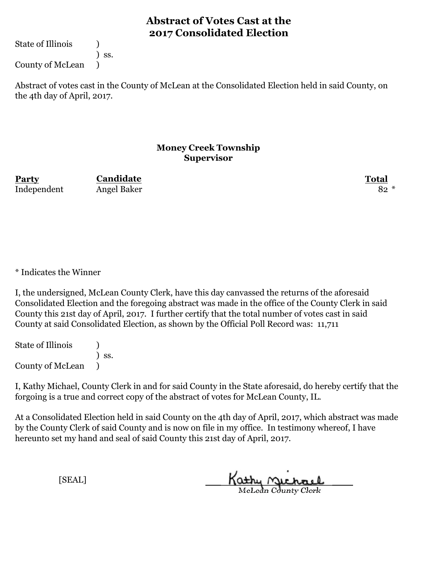State of Illinois (1)

) ss.

County of McLean )

Abstract of votes cast in the County of McLean at the Consolidated Election held in said County, on the 4th day of April, 2017.

#### **Money Creek Township Supervisor**

**Party Total Candidate** Independent Angel Baker 82 \*

\* Indicates the Winner

I, the undersigned, McLean County Clerk, have this day canvassed the returns of the aforesaid Consolidated Election and the foregoing abstract was made in the office of the County Clerk in said County this 21st day of April, 2017. I further certify that the total number of votes cast in said County at said Consolidated Election, as shown by the Official Poll Record was: 11,711

State of Illinois (1) ) ss. County of McLean )

I, Kathy Michael, County Clerk in and for said County in the State aforesaid, do hereby certify that the forgoing is a true and correct copy of the abstract of votes for McLean County, IL.

At a Consolidated Election held in said County on the 4th day of April, 2017, which abstract was made by the County Clerk of said County and is now on file in my office. In testimony whereof, I have hereunto set my hand and seal of said County this 21st day of April, 2017.

Kathy Michael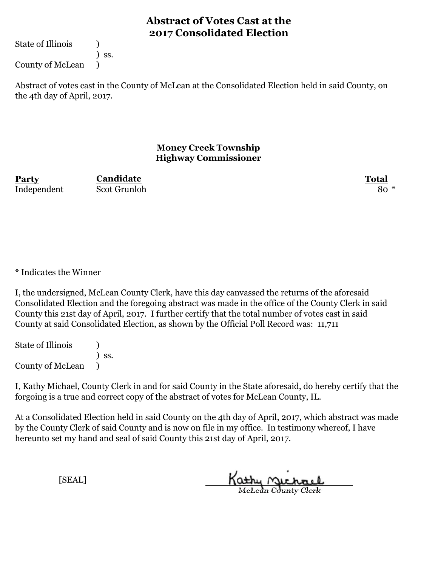State of Illinois (1)

) ss.

County of McLean )

Abstract of votes cast in the County of McLean at the Consolidated Election held in said County, on the 4th day of April, 2017.

### **Money Creek Township Highway Commissioner**

**Party Total** Independent Scot Grunloh 80 \*

**Candidate**

\* Indicates the Winner

I, the undersigned, McLean County Clerk, have this day canvassed the returns of the aforesaid Consolidated Election and the foregoing abstract was made in the office of the County Clerk in said County this 21st day of April, 2017. I further certify that the total number of votes cast in said County at said Consolidated Election, as shown by the Official Poll Record was: 11,711

State of Illinois (1) ) ss. County of McLean )

I, Kathy Michael, County Clerk in and for said County in the State aforesaid, do hereby certify that the forgoing is a true and correct copy of the abstract of votes for McLean County, IL.

At a Consolidated Election held in said County on the 4th day of April, 2017, which abstract was made by the County Clerk of said County and is now on file in my office. In testimony whereof, I have hereunto set my hand and seal of said County this 21st day of April, 2017.

Kathy Michael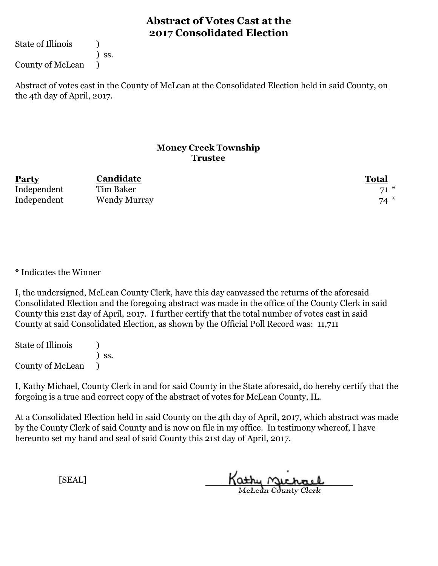State of Illinois (1)

) ss.

County of McLean )

Abstract of votes cast in the County of McLean at the Consolidated Election held in said County, on the 4th day of April, 2017.

### **Money Creek Township Trustee**

| Party       | <b>Candidate</b>    | Total    |
|-------------|---------------------|----------|
| Independent | Tim Baker           | $-1$ $*$ |
| Independent | <b>Wendy Murray</b> | $74*$    |

\* Indicates the Winner

I, the undersigned, McLean County Clerk, have this day canvassed the returns of the aforesaid Consolidated Election and the foregoing abstract was made in the office of the County Clerk in said County this 21st day of April, 2017. I further certify that the total number of votes cast in said County at said Consolidated Election, as shown by the Official Poll Record was: 11,711

State of Illinois (1) ) ss. County of McLean )

I, Kathy Michael, County Clerk in and for said County in the State aforesaid, do hereby certify that the forgoing is a true and correct copy of the abstract of votes for McLean County, IL.

At a Consolidated Election held in said County on the 4th day of April, 2017, which abstract was made by the County Clerk of said County and is now on file in my office. In testimony whereof, I have hereunto set my hand and seal of said County this 21st day of April, 2017.

Kathy Michael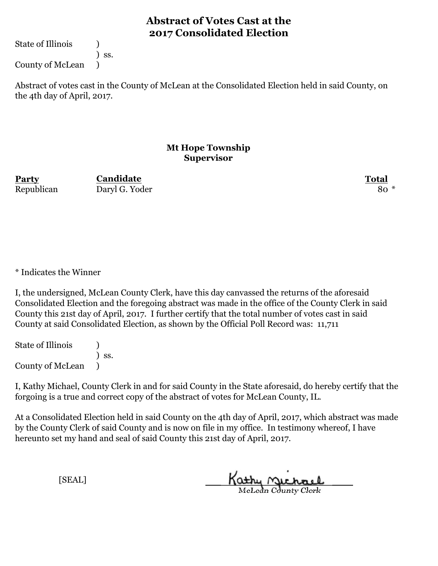State of Illinois (1)

) ss.

County of McLean )

Abstract of votes cast in the County of McLean at the Consolidated Election held in said County, on the 4th day of April, 2017.

#### **Mt Hope Township Supervisor**

**Party Total Candidate** Republican Daryl G. Yoder 80 \*

\* Indicates the Winner

I, the undersigned, McLean County Clerk, have this day canvassed the returns of the aforesaid Consolidated Election and the foregoing abstract was made in the office of the County Clerk in said County this 21st day of April, 2017. I further certify that the total number of votes cast in said County at said Consolidated Election, as shown by the Official Poll Record was: 11,711

State of Illinois (1) ) ss. County of McLean )

I, Kathy Michael, County Clerk in and for said County in the State aforesaid, do hereby certify that the forgoing is a true and correct copy of the abstract of votes for McLean County, IL.

At a Consolidated Election held in said County on the 4th day of April, 2017, which abstract was made by the County Clerk of said County and is now on file in my office. In testimony whereof, I have hereunto set my hand and seal of said County this 21st day of April, 2017.

Kathy Michael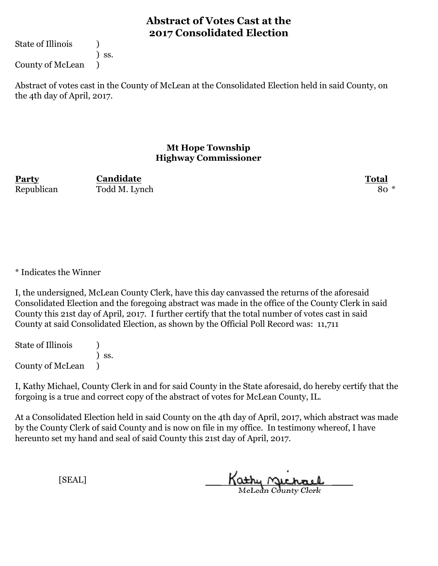State of Illinois (1)

) ss.

County of McLean )

Abstract of votes cast in the County of McLean at the Consolidated Election held in said County, on the 4th day of April, 2017.

#### **Mt Hope Township Highway Commissioner**

**Party Total Candidate** Republican Todd M. Lynch 80 \*

\* Indicates the Winner

I, the undersigned, McLean County Clerk, have this day canvassed the returns of the aforesaid Consolidated Election and the foregoing abstract was made in the office of the County Clerk in said County this 21st day of April, 2017. I further certify that the total number of votes cast in said County at said Consolidated Election, as shown by the Official Poll Record was: 11,711

State of Illinois (1) ) ss. County of McLean )

I, Kathy Michael, County Clerk in and for said County in the State aforesaid, do hereby certify that the forgoing is a true and correct copy of the abstract of votes for McLean County, IL.

At a Consolidated Election held in said County on the 4th day of April, 2017, which abstract was made by the County Clerk of said County and is now on file in my office. In testimony whereof, I have hereunto set my hand and seal of said County this 21st day of April, 2017.

Kathy Michael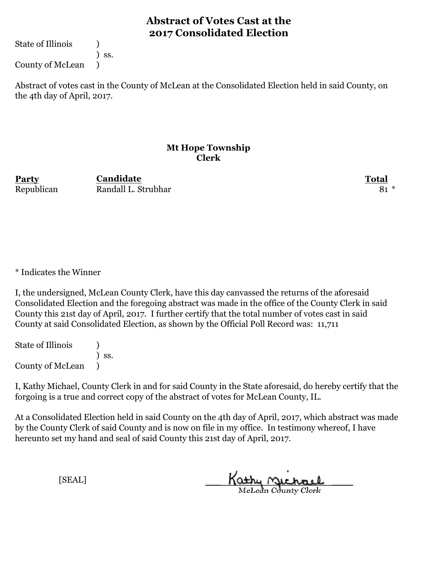State of Illinois (1)

) ss.

County of McLean )

Abstract of votes cast in the County of McLean at the Consolidated Election held in said County, on the 4th day of April, 2017.

#### **Mt Hope Township Clerk**

**Party Total Candidate** Republican Randall L. Strubhar 81 \*

\* Indicates the Winner

I, the undersigned, McLean County Clerk, have this day canvassed the returns of the aforesaid Consolidated Election and the foregoing abstract was made in the office of the County Clerk in said County this 21st day of April, 2017. I further certify that the total number of votes cast in said County at said Consolidated Election, as shown by the Official Poll Record was: 11,711

State of Illinois (1) ) ss. County of McLean )

I, Kathy Michael, County Clerk in and for said County in the State aforesaid, do hereby certify that the forgoing is a true and correct copy of the abstract of votes for McLean County, IL.

At a Consolidated Election held in said County on the 4th day of April, 2017, which abstract was made by the County Clerk of said County and is now on file in my office. In testimony whereof, I have hereunto set my hand and seal of said County this 21st day of April, 2017.

Kathy Michael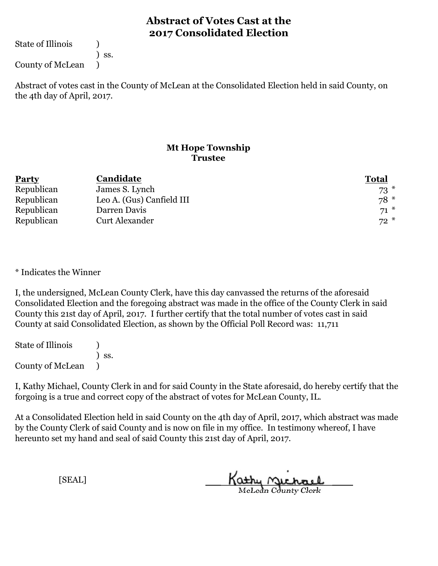State of Illinois (1)

) ss.

County of McLean )

Abstract of votes cast in the County of McLean at the Consolidated Election held in said County, on the 4th day of April, 2017.

### **Mt Hope Township Trustee**

| <b>Party</b> | Candidate                 | <b>Total</b> |
|--------------|---------------------------|--------------|
| Republican   | James S. Lynch            | $73$ $*$     |
| Republican   | Leo A. (Gus) Canfield III | $78*$        |
| Republican   | Darren Davis              | $71*$        |
| Republican   | Curt Alexander            | $72*$        |

\* Indicates the Winner

I, the undersigned, McLean County Clerk, have this day canvassed the returns of the aforesaid Consolidated Election and the foregoing abstract was made in the office of the County Clerk in said County this 21st day of April, 2017. I further certify that the total number of votes cast in said County at said Consolidated Election, as shown by the Official Poll Record was: 11,711

State of Illinois (1) ) ss. County of McLean )

I, Kathy Michael, County Clerk in and for said County in the State aforesaid, do hereby certify that the forgoing is a true and correct copy of the abstract of votes for McLean County, IL.

At a Consolidated Election held in said County on the 4th day of April, 2017, which abstract was made by the County Clerk of said County and is now on file in my office. In testimony whereof, I have hereunto set my hand and seal of said County this 21st day of April, 2017.

Kathy Michael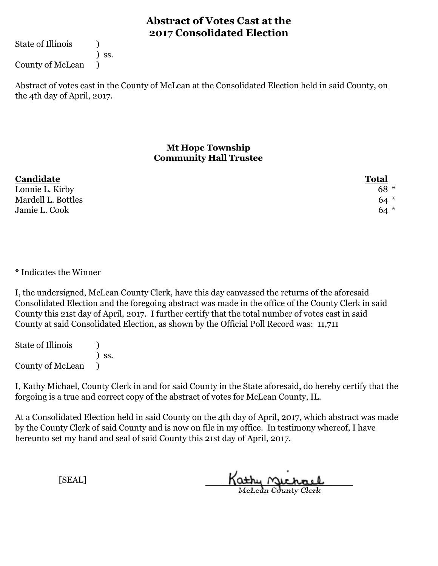State of Illinois (1)

) ss.

County of McLean )

Abstract of votes cast in the County of McLean at the Consolidated Election held in said County, on the 4th day of April, 2017.

### **Mt Hope Township Community Hall Trustee**

| Candidate          | <b>Total</b> |
|--------------------|--------------|
| Lonnie L. Kirby    | $68 *$       |
| Mardell L. Bottles | $64*$        |
| Jamie L. Cook      | $64*$        |

\* Indicates the Winner

I, the undersigned, McLean County Clerk, have this day canvassed the returns of the aforesaid Consolidated Election and the foregoing abstract was made in the office of the County Clerk in said County this 21st day of April, 2017. I further certify that the total number of votes cast in said County at said Consolidated Election, as shown by the Official Poll Record was: 11,711

State of Illinois (1) ) ss. County of McLean )

I, Kathy Michael, County Clerk in and for said County in the State aforesaid, do hereby certify that the forgoing is a true and correct copy of the abstract of votes for McLean County, IL.

At a Consolidated Election held in said County on the 4th day of April, 2017, which abstract was made by the County Clerk of said County and is now on file in my office. In testimony whereof, I have hereunto set my hand and seal of said County this 21st day of April, 2017.

Kathy Michael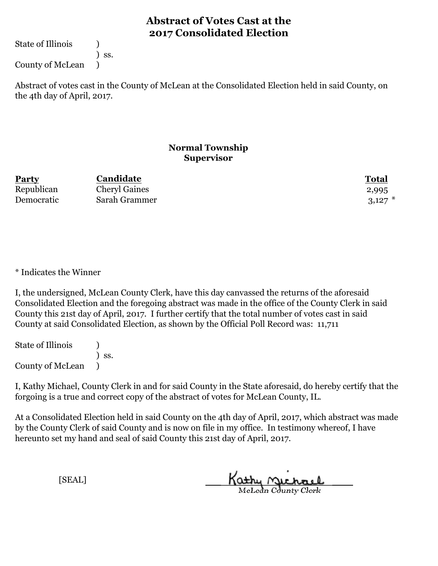State of Illinois (1)

) ss.

County of McLean )

Abstract of votes cast in the County of McLean at the Consolidated Election held in said County, on the 4th day of April, 2017.

### **Normal Township Supervisor**

| Party      | Candidate            | Total       |
|------------|----------------------|-------------|
| Republican | <b>Cheryl Gaines</b> | 2,995       |
| Democratic | Sarah Grammer        | $3,127$ $*$ |

\* Indicates the Winner

I, the undersigned, McLean County Clerk, have this day canvassed the returns of the aforesaid Consolidated Election and the foregoing abstract was made in the office of the County Clerk in said County this 21st day of April, 2017. I further certify that the total number of votes cast in said County at said Consolidated Election, as shown by the Official Poll Record was: 11,711

State of Illinois (1) ) ss. County of McLean )

I, Kathy Michael, County Clerk in and for said County in the State aforesaid, do hereby certify that the forgoing is a true and correct copy of the abstract of votes for McLean County, IL.

At a Consolidated Election held in said County on the 4th day of April, 2017, which abstract was made by the County Clerk of said County and is now on file in my office. In testimony whereof, I have hereunto set my hand and seal of said County this 21st day of April, 2017.

Kathy Michael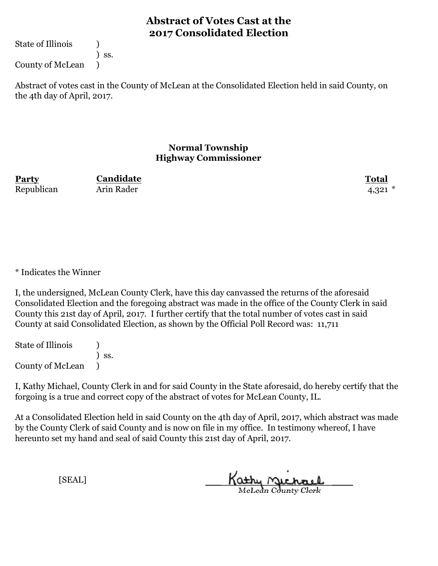State of Illinois (1)

) ss.

County of McLean )

Abstract of votes cast in the County of McLean at the Consolidated Election held in said County, on the 4th day of April, 2017.

### **Normal Township Highway Commissioner**

**Party Total Candidate** Republican Arin Rader 4,321 \*

\* Indicates the Winner

I, the undersigned, McLean County Clerk, have this day canvassed the returns of the aforesaid Consolidated Election and the foregoing abstract was made in the office of the County Clerk in said County this 21st day of April, 2017. I further certify that the total number of votes cast in said County at said Consolidated Election, as shown by the Official Poll Record was: 11,711

State of Illinois (1) ) ss. County of McLean )

I, Kathy Michael, County Clerk in and for said County in the State aforesaid, do hereby certify that the forgoing is a true and correct copy of the abstract of votes for McLean County, IL.

At a Consolidated Election held in said County on the 4th day of April, 2017, which abstract was made by the County Clerk of said County and is now on file in my office. In testimony whereof, I have hereunto set my hand and seal of said County this 21st day of April, 2017.

Kathy Michael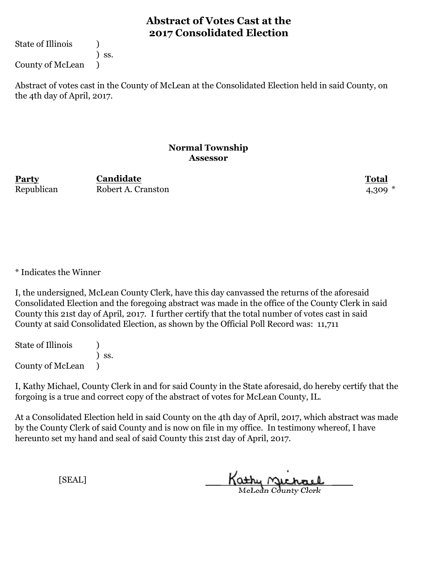State of Illinois (1)

) ss.

County of McLean )

Abstract of votes cast in the County of McLean at the Consolidated Election held in said County, on the 4th day of April, 2017.

#### **Normal Township Assessor**

**Party Total** Republican Robert A. Cranston 4,309 \* **Candidate**

\* Indicates the Winner

I, the undersigned, McLean County Clerk, have this day canvassed the returns of the aforesaid Consolidated Election and the foregoing abstract was made in the office of the County Clerk in said County this 21st day of April, 2017. I further certify that the total number of votes cast in said County at said Consolidated Election, as shown by the Official Poll Record was: 11,711

State of Illinois (1) ) ss. County of McLean )

I, Kathy Michael, County Clerk in and for said County in the State aforesaid, do hereby certify that the forgoing is a true and correct copy of the abstract of votes for McLean County, IL.

At a Consolidated Election held in said County on the 4th day of April, 2017, which abstract was made by the County Clerk of said County and is now on file in my office. In testimony whereof, I have hereunto set my hand and seal of said County this 21st day of April, 2017.

Kathy Michael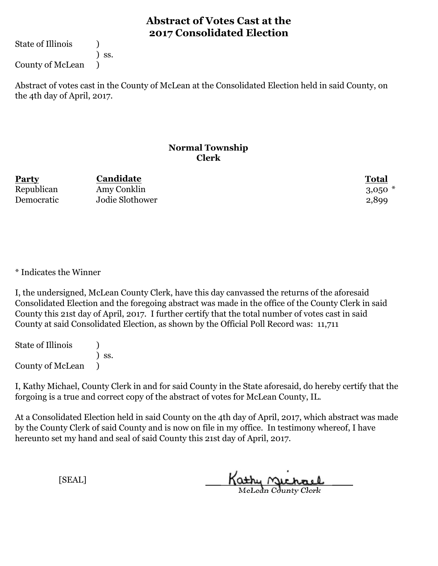State of Illinois (1)

) ss.

County of McLean )

Abstract of votes cast in the County of McLean at the Consolidated Election held in said County, on the 4th day of April, 2017.

#### **Normal Township Clerk**

| <b>Party</b> | Candidate       | <b>Total</b> |
|--------------|-----------------|--------------|
| Republican   | Amy Conklin     | $3,050$ $*$  |
| Democratic   | Jodie Slothower | 2,899        |

\* Indicates the Winner

I, the undersigned, McLean County Clerk, have this day canvassed the returns of the aforesaid Consolidated Election and the foregoing abstract was made in the office of the County Clerk in said County this 21st day of April, 2017. I further certify that the total number of votes cast in said County at said Consolidated Election, as shown by the Official Poll Record was: 11,711

State of Illinois (1) ) ss. County of McLean )

I, Kathy Michael, County Clerk in and for said County in the State aforesaid, do hereby certify that the forgoing is a true and correct copy of the abstract of votes for McLean County, IL.

At a Consolidated Election held in said County on the 4th day of April, 2017, which abstract was made by the County Clerk of said County and is now on file in my office. In testimony whereof, I have hereunto set my hand and seal of said County this 21st day of April, 2017.

Kathy Michael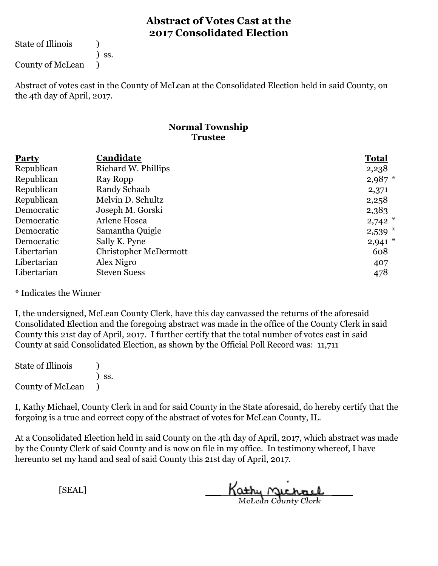State of Illinois (1)

) ss.

County of McLean )

Abstract of votes cast in the County of McLean at the Consolidated Election held in said County, on the 4th day of April, 2017.

### **Normal Township Trustee**

| <b>Party</b> | Candidate                    | <b>Total</b> |
|--------------|------------------------------|--------------|
| Republican   | Richard W. Phillips          | 2,238        |
| Republican   | Ray Ropp                     | $2,987$ *    |
| Republican   | Randy Schaab                 | 2,371        |
| Republican   | Melvin D. Schultz            | 2,258        |
| Democratic   | Joseph M. Gorski             | 2,383        |
| Democratic   | Arlene Hosea                 | $2,742$ *    |
| Democratic   | Samantha Quigle              | $2,539$ *    |
| Democratic   | Sally K. Pyne                | $2,941$ *    |
| Libertarian  | <b>Christopher McDermott</b> | 608          |
| Libertarian  | Alex Nigro                   | 407          |
| Libertarian  | <b>Steven Suess</b>          | 478          |

\* Indicates the Winner

I, the undersigned, McLean County Clerk, have this day canvassed the returns of the aforesaid Consolidated Election and the foregoing abstract was made in the office of the County Clerk in said County this 21st day of April, 2017. I further certify that the total number of votes cast in said County at said Consolidated Election, as shown by the Official Poll Record was: 11,711

State of Illinois (1) ) ss. County of McLean )

I, Kathy Michael, County Clerk in and for said County in the State aforesaid, do hereby certify that the forgoing is a true and correct copy of the abstract of votes for McLean County, IL.

At a Consolidated Election held in said County on the 4th day of April, 2017, which abstract was made by the County Clerk of said County and is now on file in my office. In testimony whereof, I have hereunto set my hand and seal of said County this 21st day of April, 2017.

Kathy Michael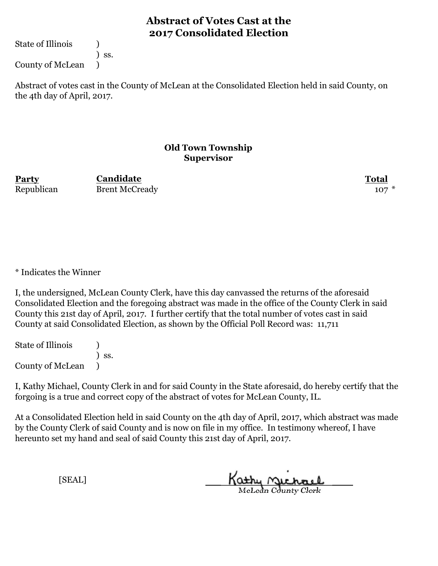State of Illinois (1)

) ss.

County of McLean )

Abstract of votes cast in the County of McLean at the Consolidated Election held in said County, on the 4th day of April, 2017.

#### **Old Town Township Supervisor**

**Party Total Candidate** Republican Brent McCready 107 \*

\* Indicates the Winner

I, the undersigned, McLean County Clerk, have this day canvassed the returns of the aforesaid Consolidated Election and the foregoing abstract was made in the office of the County Clerk in said County this 21st day of April, 2017. I further certify that the total number of votes cast in said County at said Consolidated Election, as shown by the Official Poll Record was: 11,711

State of Illinois (1) ) ss. County of McLean )

I, Kathy Michael, County Clerk in and for said County in the State aforesaid, do hereby certify that the forgoing is a true and correct copy of the abstract of votes for McLean County, IL.

At a Consolidated Election held in said County on the 4th day of April, 2017, which abstract was made by the County Clerk of said County and is now on file in my office. In testimony whereof, I have hereunto set my hand and seal of said County this 21st day of April, 2017.

Kathy Michael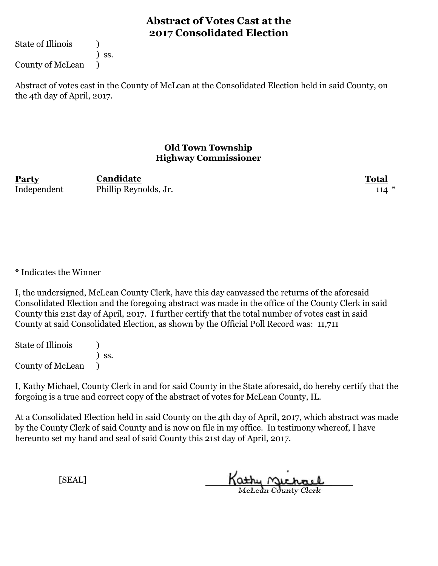State of Illinois (1)

) ss.

County of McLean )

Abstract of votes cast in the County of McLean at the Consolidated Election held in said County, on the 4th day of April, 2017.

### **Old Town Township Highway Commissioner**

**Party Total Candidate** Independent Phillip Reynolds, Jr. 114

\* Indicates the Winner

I, the undersigned, McLean County Clerk, have this day canvassed the returns of the aforesaid Consolidated Election and the foregoing abstract was made in the office of the County Clerk in said County this 21st day of April, 2017. I further certify that the total number of votes cast in said County at said Consolidated Election, as shown by the Official Poll Record was: 11,711

State of Illinois (1) ) ss. County of McLean )

I, Kathy Michael, County Clerk in and for said County in the State aforesaid, do hereby certify that the forgoing is a true and correct copy of the abstract of votes for McLean County, IL.

At a Consolidated Election held in said County on the 4th day of April, 2017, which abstract was made by the County Clerk of said County and is now on file in my office. In testimony whereof, I have hereunto set my hand and seal of said County this 21st day of April, 2017.

Kathy Michael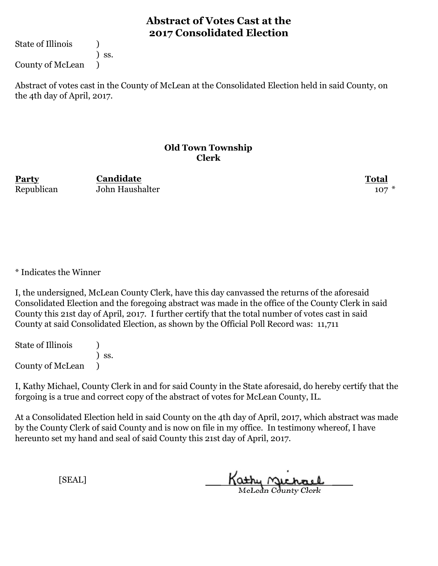State of Illinois (1)

) ss.

County of McLean )

Abstract of votes cast in the County of McLean at the Consolidated Election held in said County, on the 4th day of April, 2017.

#### **Old Town Township Clerk**

**Party Total Candidate** Republican John Haushalter 107 \*

\* Indicates the Winner

I, the undersigned, McLean County Clerk, have this day canvassed the returns of the aforesaid Consolidated Election and the foregoing abstract was made in the office of the County Clerk in said County this 21st day of April, 2017. I further certify that the total number of votes cast in said County at said Consolidated Election, as shown by the Official Poll Record was: 11,711

State of Illinois (1) ) ss. County of McLean )

I, Kathy Michael, County Clerk in and for said County in the State aforesaid, do hereby certify that the forgoing is a true and correct copy of the abstract of votes for McLean County, IL.

At a Consolidated Election held in said County on the 4th day of April, 2017, which abstract was made by the County Clerk of said County and is now on file in my office. In testimony whereof, I have hereunto set my hand and seal of said County this 21st day of April, 2017.

Kathy Michael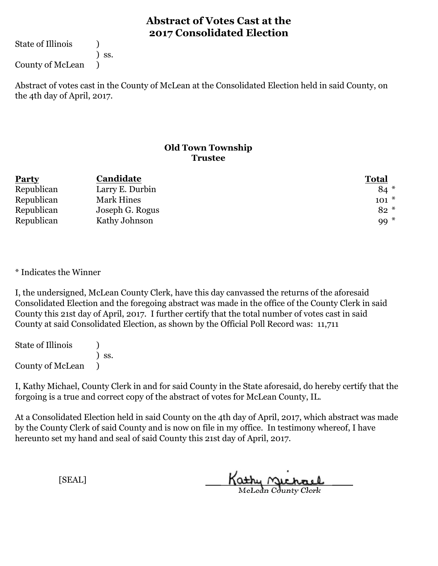State of Illinois (1)

) ss.

County of McLean )

Abstract of votes cast in the County of McLean at the Consolidated Election held in said County, on the 4th day of April, 2017.

### **Old Town Township Trustee**

| <b>Party</b> | Candidate       | <b>Total</b> |
|--------------|-----------------|--------------|
| Republican   | Larry E. Durbin | $84*$        |
| Republican   | Mark Hines      | $101 *$      |
| Republican   | Joseph G. Rogus | $82 *$       |
| Republican   | Kathy Johnson   | $99*$        |

\* Indicates the Winner

I, the undersigned, McLean County Clerk, have this day canvassed the returns of the aforesaid Consolidated Election and the foregoing abstract was made in the office of the County Clerk in said County this 21st day of April, 2017. I further certify that the total number of votes cast in said County at said Consolidated Election, as shown by the Official Poll Record was: 11,711

State of Illinois (1) ) ss. County of McLean )

I, Kathy Michael, County Clerk in and for said County in the State aforesaid, do hereby certify that the forgoing is a true and correct copy of the abstract of votes for McLean County, IL.

At a Consolidated Election held in said County on the 4th day of April, 2017, which abstract was made by the County Clerk of said County and is now on file in my office. In testimony whereof, I have hereunto set my hand and seal of said County this 21st day of April, 2017.

Kathy Michael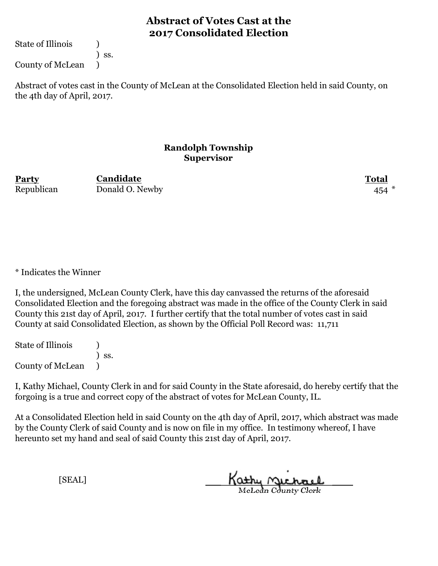State of Illinois (1)

) ss.

County of McLean )

Abstract of votes cast in the County of McLean at the Consolidated Election held in said County, on the 4th day of April, 2017.

#### **Randolph Township Supervisor**

**Party Total Candidate** Republican Donald O. Newby 454

\* Indicates the Winner

I, the undersigned, McLean County Clerk, have this day canvassed the returns of the aforesaid Consolidated Election and the foregoing abstract was made in the office of the County Clerk in said County this 21st day of April, 2017. I further certify that the total number of votes cast in said County at said Consolidated Election, as shown by the Official Poll Record was: 11,711

State of Illinois (1) ) ss. County of McLean )

I, Kathy Michael, County Clerk in and for said County in the State aforesaid, do hereby certify that the forgoing is a true and correct copy of the abstract of votes for McLean County, IL.

At a Consolidated Election held in said County on the 4th day of April, 2017, which abstract was made by the County Clerk of said County and is now on file in my office. In testimony whereof, I have hereunto set my hand and seal of said County this 21st day of April, 2017.

Kathy <u>Michael</u>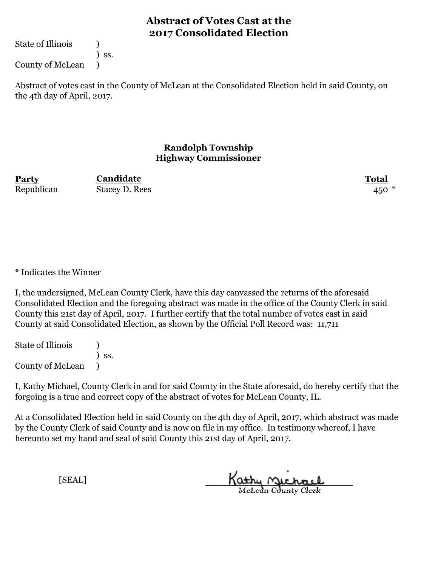State of Illinois (1)

) ss.

County of McLean )

Abstract of votes cast in the County of McLean at the Consolidated Election held in said County, on the 4th day of April, 2017.

### **Randolph Township Highway Commissioner**

**Party Total Candidate** Republican Stacey D. Rees 450 \*

\* Indicates the Winner

I, the undersigned, McLean County Clerk, have this day canvassed the returns of the aforesaid Consolidated Election and the foregoing abstract was made in the office of the County Clerk in said County this 21st day of April, 2017. I further certify that the total number of votes cast in said County at said Consolidated Election, as shown by the Official Poll Record was: 11,711

State of Illinois (1) ) ss. County of McLean )

I, Kathy Michael, County Clerk in and for said County in the State aforesaid, do hereby certify that the forgoing is a true and correct copy of the abstract of votes for McLean County, IL.

At a Consolidated Election held in said County on the 4th day of April, 2017, which abstract was made by the County Clerk of said County and is now on file in my office. In testimony whereof, I have hereunto set my hand and seal of said County this 21st day of April, 2017.

Kathy Michael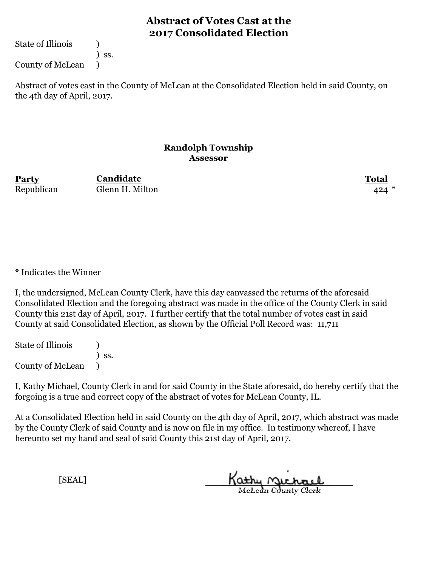State of Illinois (1)

) ss.

County of McLean )

Abstract of votes cast in the County of McLean at the Consolidated Election held in said County, on the 4th day of April, 2017.

### **Randolph Township Assessor**

**Party Total** Republican Glenn H. Milton 424 **Candidate**

\* Indicates the Winner

I, the undersigned, McLean County Clerk, have this day canvassed the returns of the aforesaid Consolidated Election and the foregoing abstract was made in the office of the County Clerk in said County this 21st day of April, 2017. I further certify that the total number of votes cast in said County at said Consolidated Election, as shown by the Official Poll Record was: 11,711

State of Illinois (1) ) ss. County of McLean )

I, Kathy Michael, County Clerk in and for said County in the State aforesaid, do hereby certify that the forgoing is a true and correct copy of the abstract of votes for McLean County, IL.

At a Consolidated Election held in said County on the 4th day of April, 2017, which abstract was made by the County Clerk of said County and is now on file in my office. In testimony whereof, I have hereunto set my hand and seal of said County this 21st day of April, 2017.

Kathy Michael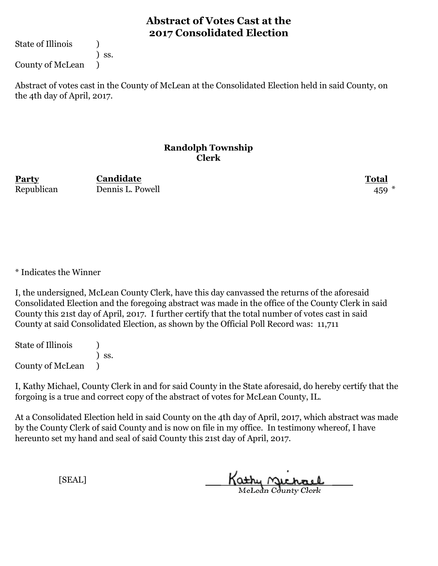State of Illinois (1)

) ss.

County of McLean )

Abstract of votes cast in the County of McLean at the Consolidated Election held in said County, on the 4th day of April, 2017.

#### **Randolph Township Clerk**

**Party Total** Republican Dennis L. Powell 459 \* **Candidate**

\* Indicates the Winner

I, the undersigned, McLean County Clerk, have this day canvassed the returns of the aforesaid Consolidated Election and the foregoing abstract was made in the office of the County Clerk in said County this 21st day of April, 2017. I further certify that the total number of votes cast in said County at said Consolidated Election, as shown by the Official Poll Record was: 11,711

State of Illinois (1) ) ss. County of McLean )

I, Kathy Michael, County Clerk in and for said County in the State aforesaid, do hereby certify that the forgoing is a true and correct copy of the abstract of votes for McLean County, IL.

At a Consolidated Election held in said County on the 4th day of April, 2017, which abstract was made by the County Clerk of said County and is now on file in my office. In testimony whereof, I have hereunto set my hand and seal of said County this 21st day of April, 2017.

Kathy Michael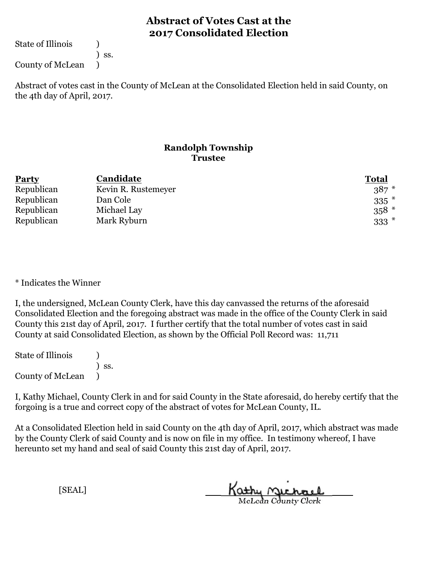State of Illinois (1)

) ss.

County of McLean )

Abstract of votes cast in the County of McLean at the Consolidated Election held in said County, on the 4th day of April, 2017.

### **Randolph Township Trustee**

| <b>Party</b> | Candidate           | <b>Total</b> |
|--------------|---------------------|--------------|
| Republican   | Kevin R. Rustemeyer | $387 *$      |
| Republican   | Dan Cole            | $335$ $*$    |
| Republican   | Michael Lay         | $358*$       |
| Republican   | Mark Ryburn         | $333*$       |

\* Indicates the Winner

I, the undersigned, McLean County Clerk, have this day canvassed the returns of the aforesaid Consolidated Election and the foregoing abstract was made in the office of the County Clerk in said County this 21st day of April, 2017. I further certify that the total number of votes cast in said County at said Consolidated Election, as shown by the Official Poll Record was: 11,711

State of Illinois (1) ) ss. County of McLean )

I, Kathy Michael, County Clerk in and for said County in the State aforesaid, do hereby certify that the forgoing is a true and correct copy of the abstract of votes for McLean County, IL.

At a Consolidated Election held in said County on the 4th day of April, 2017, which abstract was made by the County Clerk of said County and is now on file in my office. In testimony whereof, I have hereunto set my hand and seal of said County this 21st day of April, 2017.

Kathy Michael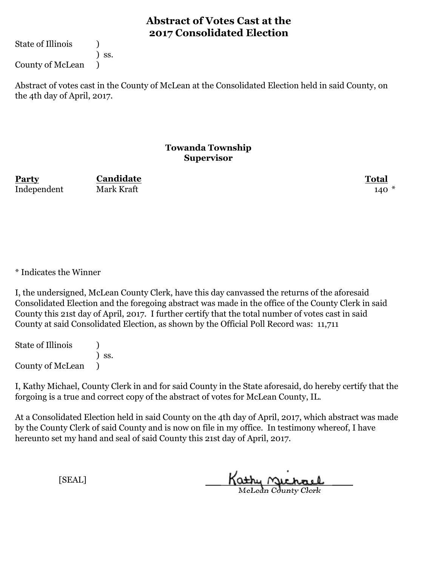State of Illinois (1)

) ss.

County of McLean )

Abstract of votes cast in the County of McLean at the Consolidated Election held in said County, on the 4th day of April, 2017.

#### **Towanda Township Supervisor**

**Party Total Candidate** Independent Mark Kraft 140 \*

\* Indicates the Winner

I, the undersigned, McLean County Clerk, have this day canvassed the returns of the aforesaid Consolidated Election and the foregoing abstract was made in the office of the County Clerk in said County this 21st day of April, 2017. I further certify that the total number of votes cast in said County at said Consolidated Election, as shown by the Official Poll Record was: 11,711

State of Illinois (1) ) ss. County of McLean )

I, Kathy Michael, County Clerk in and for said County in the State aforesaid, do hereby certify that the forgoing is a true and correct copy of the abstract of votes for McLean County, IL.

At a Consolidated Election held in said County on the 4th day of April, 2017, which abstract was made by the County Clerk of said County and is now on file in my office. In testimony whereof, I have hereunto set my hand and seal of said County this 21st day of April, 2017.

Kathy Michael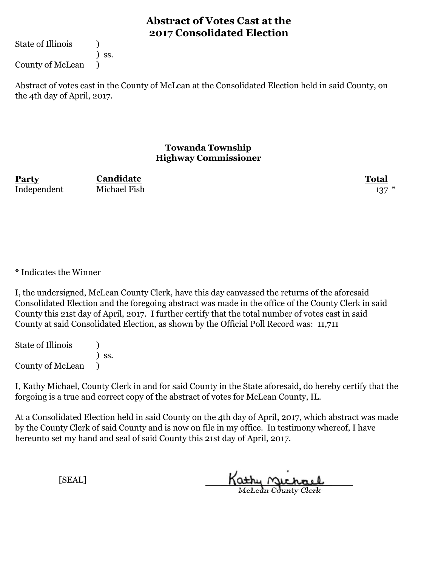State of Illinois (1)

) ss.

County of McLean )

Abstract of votes cast in the County of McLean at the Consolidated Election held in said County, on the 4th day of April, 2017.

### **Towanda Township Highway Commissioner**

**Party Total** Independent Michael Fish 137

**Candidate**

\* Indicates the Winner

I, the undersigned, McLean County Clerk, have this day canvassed the returns of the aforesaid Consolidated Election and the foregoing abstract was made in the office of the County Clerk in said County this 21st day of April, 2017. I further certify that the total number of votes cast in said County at said Consolidated Election, as shown by the Official Poll Record was: 11,711

State of Illinois (1) ) ss. County of McLean )

I, Kathy Michael, County Clerk in and for said County in the State aforesaid, do hereby certify that the forgoing is a true and correct copy of the abstract of votes for McLean County, IL.

At a Consolidated Election held in said County on the 4th day of April, 2017, which abstract was made by the County Clerk of said County and is now on file in my office. In testimony whereof, I have hereunto set my hand and seal of said County this 21st day of April, 2017.

Kathy Michael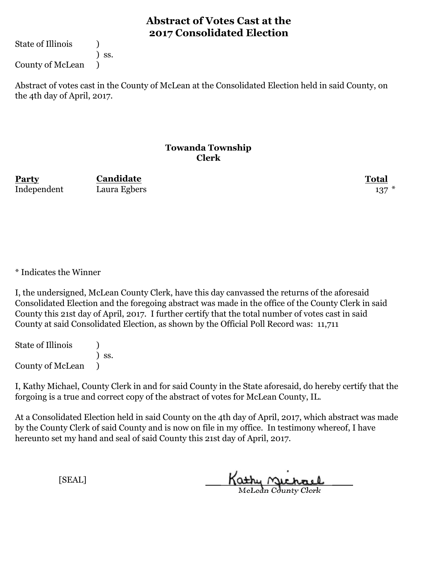State of Illinois (1)

) ss.

County of McLean )

Abstract of votes cast in the County of McLean at the Consolidated Election held in said County, on the 4th day of April, 2017.

#### **Towanda Township Clerk**

**Party Total Candidate** Independent Laura Egbers 137

\* Indicates the Winner

I, the undersigned, McLean County Clerk, have this day canvassed the returns of the aforesaid Consolidated Election and the foregoing abstract was made in the office of the County Clerk in said County this 21st day of April, 2017. I further certify that the total number of votes cast in said County at said Consolidated Election, as shown by the Official Poll Record was: 11,711

State of Illinois (1) ) ss. County of McLean )

I, Kathy Michael, County Clerk in and for said County in the State aforesaid, do hereby certify that the forgoing is a true and correct copy of the abstract of votes for McLean County, IL.

At a Consolidated Election held in said County on the 4th day of April, 2017, which abstract was made by the County Clerk of said County and is now on file in my office. In testimony whereof, I have hereunto set my hand and seal of said County this 21st day of April, 2017.

Kathy Michael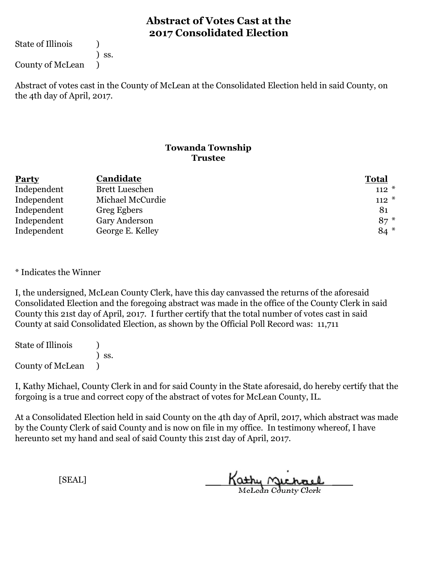State of Illinois (1)

) ss.

County of McLean )

Abstract of votes cast in the County of McLean at the Consolidated Election held in said County, on the 4th day of April, 2017.

### **Towanda Township Trustee**

| <b>Party</b> | Candidate             | <b>Total</b> |
|--------------|-----------------------|--------------|
| Independent  | <b>Brett Lueschen</b> | $112 *$      |
| Independent  | Michael McCurdie      | $112 *$      |
| Independent  | Greg Egbers           | 81           |
| Independent  | Gary Anderson         | $87 *$       |
| Independent  | George E. Kelley      | $84*$        |

\* Indicates the Winner

I, the undersigned, McLean County Clerk, have this day canvassed the returns of the aforesaid Consolidated Election and the foregoing abstract was made in the office of the County Clerk in said County this 21st day of April, 2017. I further certify that the total number of votes cast in said County at said Consolidated Election, as shown by the Official Poll Record was: 11,711

State of Illinois (1) ) ss. County of McLean )

I, Kathy Michael, County Clerk in and for said County in the State aforesaid, do hereby certify that the forgoing is a true and correct copy of the abstract of votes for McLean County, IL.

At a Consolidated Election held in said County on the 4th day of April, 2017, which abstract was made by the County Clerk of said County and is now on file in my office. In testimony whereof, I have hereunto set my hand and seal of said County this 21st day of April, 2017.

Kathy Michael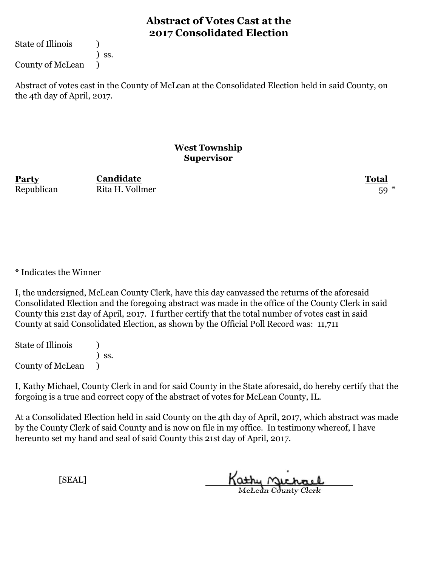State of Illinois (1)

) ss.

County of McLean )

Abstract of votes cast in the County of McLean at the Consolidated Election held in said County, on the 4th day of April, 2017.

#### **West Township Supervisor**

**Party Total** Republican Rita H. Vollmer 59<sup>\*</sup> **Candidate**

\* Indicates the Winner

I, the undersigned, McLean County Clerk, have this day canvassed the returns of the aforesaid Consolidated Election and the foregoing abstract was made in the office of the County Clerk in said County this 21st day of April, 2017. I further certify that the total number of votes cast in said County at said Consolidated Election, as shown by the Official Poll Record was: 11,711

State of Illinois (1) ) ss. County of McLean )

I, Kathy Michael, County Clerk in and for said County in the State aforesaid, do hereby certify that the forgoing is a true and correct copy of the abstract of votes for McLean County, IL.

At a Consolidated Election held in said County on the 4th day of April, 2017, which abstract was made by the County Clerk of said County and is now on file in my office. In testimony whereof, I have hereunto set my hand and seal of said County this 21st day of April, 2017.

Kathy <u>Michael</u>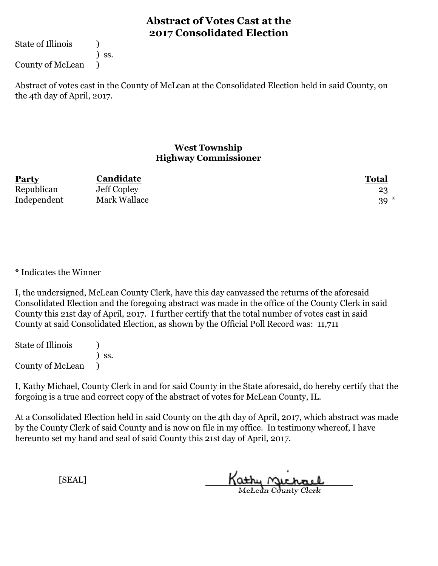State of Illinois (1)

) ss.

County of McLean )

Abstract of votes cast in the County of McLean at the Consolidated Election held in said County, on the 4th day of April, 2017.

#### **West Township Highway Commissioner**

| <b>Party</b> | Candidate    | <b>Total</b> |
|--------------|--------------|--------------|
| Republican   | Jeff Copley  | 23           |
| Independent  | Mark Wallace | $39*$        |

\* Indicates the Winner

I, the undersigned, McLean County Clerk, have this day canvassed the returns of the aforesaid Consolidated Election and the foregoing abstract was made in the office of the County Clerk in said County this 21st day of April, 2017. I further certify that the total number of votes cast in said County at said Consolidated Election, as shown by the Official Poll Record was: 11,711

State of Illinois (1) ) ss. County of McLean )

I, Kathy Michael, County Clerk in and for said County in the State aforesaid, do hereby certify that the forgoing is a true and correct copy of the abstract of votes for McLean County, IL.

At a Consolidated Election held in said County on the 4th day of April, 2017, which abstract was made by the County Clerk of said County and is now on file in my office. In testimony whereof, I have hereunto set my hand and seal of said County this 21st day of April, 2017.

Kathy Michael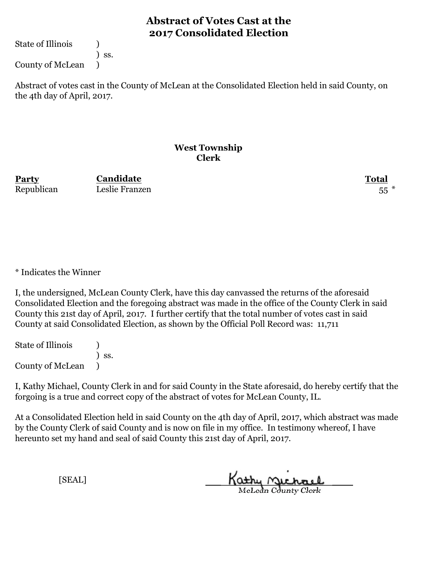State of Illinois (1)

) ss.

County of McLean )

Abstract of votes cast in the County of McLean at the Consolidated Election held in said County, on the 4th day of April, 2017.

#### **West Township Clerk**

**Party Total Candidate** Republican Leslie Franzen 55 \*

\* Indicates the Winner

I, the undersigned, McLean County Clerk, have this day canvassed the returns of the aforesaid Consolidated Election and the foregoing abstract was made in the office of the County Clerk in said County this 21st day of April, 2017. I further certify that the total number of votes cast in said County at said Consolidated Election, as shown by the Official Poll Record was: 11,711

State of Illinois (1) ) ss. County of McLean )

I, Kathy Michael, County Clerk in and for said County in the State aforesaid, do hereby certify that the forgoing is a true and correct copy of the abstract of votes for McLean County, IL.

At a Consolidated Election held in said County on the 4th day of April, 2017, which abstract was made by the County Clerk of said County and is now on file in my office. In testimony whereof, I have hereunto set my hand and seal of said County this 21st day of April, 2017.

Kathy Michael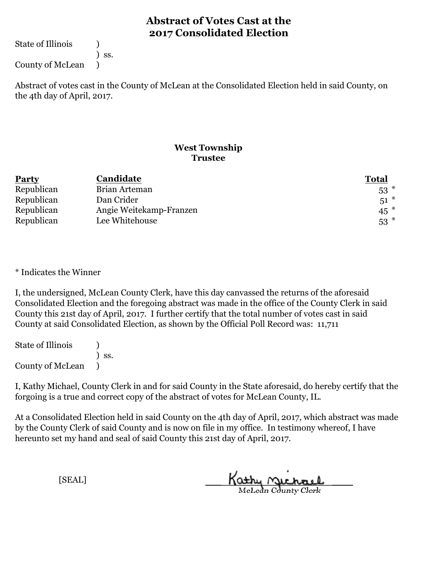State of Illinois (1)

) ss.

County of McLean )

Abstract of votes cast in the County of McLean at the Consolidated Election held in said County, on the 4th day of April, 2017.

### **West Township Trustee**

| <b>Party</b> | Candidate               | <b>Total</b> |
|--------------|-------------------------|--------------|
| Republican   | Brian Arteman           | $53$ $*$     |
| Republican   | Dan Crider              | $51^*$       |
| Republican   | Angie Weitekamp-Franzen | $45$ $*$     |
| Republican   | Lee Whitehouse          | $53$ $*$     |

\* Indicates the Winner

I, the undersigned, McLean County Clerk, have this day canvassed the returns of the aforesaid Consolidated Election and the foregoing abstract was made in the office of the County Clerk in said County this 21st day of April, 2017. I further certify that the total number of votes cast in said County at said Consolidated Election, as shown by the Official Poll Record was: 11,711

State of Illinois (1) ) ss. County of McLean )

I, Kathy Michael, County Clerk in and for said County in the State aforesaid, do hereby certify that the forgoing is a true and correct copy of the abstract of votes for McLean County, IL.

At a Consolidated Election held in said County on the 4th day of April, 2017, which abstract was made by the County Clerk of said County and is now on file in my office. In testimony whereof, I have hereunto set my hand and seal of said County this 21st day of April, 2017.

Kathy Michael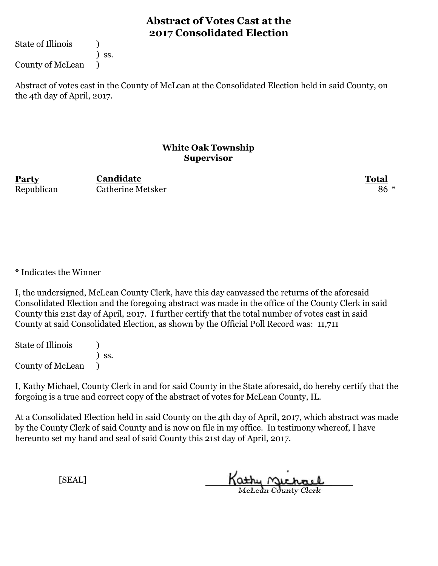State of Illinois (1)

) ss.

County of McLean )

Abstract of votes cast in the County of McLean at the Consolidated Election held in said County, on the 4th day of April, 2017.

#### **White Oak Township Supervisor**

**Party Total** Republican Catherine Metsker 86 \* **Candidate**

\* Indicates the Winner

I, the undersigned, McLean County Clerk, have this day canvassed the returns of the aforesaid Consolidated Election and the foregoing abstract was made in the office of the County Clerk in said County this 21st day of April, 2017. I further certify that the total number of votes cast in said County at said Consolidated Election, as shown by the Official Poll Record was: 11,711

State of Illinois (1) ) ss. County of McLean )

I, Kathy Michael, County Clerk in and for said County in the State aforesaid, do hereby certify that the forgoing is a true and correct copy of the abstract of votes for McLean County, IL.

At a Consolidated Election held in said County on the 4th day of April, 2017, which abstract was made by the County Clerk of said County and is now on file in my office. In testimony whereof, I have hereunto set my hand and seal of said County this 21st day of April, 2017.

Kathy Michael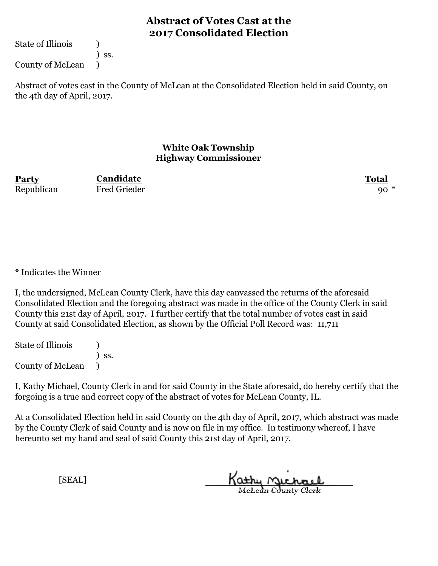State of Illinois (1)

) ss.

County of McLean )

Abstract of votes cast in the County of McLean at the Consolidated Election held in said County, on the 4th day of April, 2017.

#### **White Oak Township Highway Commissioner**

**Party Total Candidate** Republican Fred Grieder  $\,$  90  $^*$ 

\* Indicates the Winner

I, the undersigned, McLean County Clerk, have this day canvassed the returns of the aforesaid Consolidated Election and the foregoing abstract was made in the office of the County Clerk in said County this 21st day of April, 2017. I further certify that the total number of votes cast in said County at said Consolidated Election, as shown by the Official Poll Record was: 11,711

State of Illinois (1) ) ss. County of McLean )

I, Kathy Michael, County Clerk in and for said County in the State aforesaid, do hereby certify that the forgoing is a true and correct copy of the abstract of votes for McLean County, IL.

At a Consolidated Election held in said County on the 4th day of April, 2017, which abstract was made by the County Clerk of said County and is now on file in my office. In testimony whereof, I have hereunto set my hand and seal of said County this 21st day of April, 2017.

Kathy Michael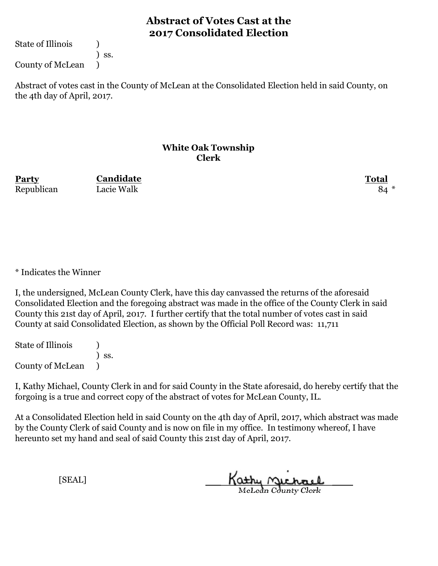State of Illinois (1)

) ss.

County of McLean )

Abstract of votes cast in the County of McLean at the Consolidated Election held in said County, on the 4th day of April, 2017.

#### **White Oak Township Clerk**

**Party Total Candidate** Republican Lacie Walk 84 \*

\* Indicates the Winner

I, the undersigned, McLean County Clerk, have this day canvassed the returns of the aforesaid Consolidated Election and the foregoing abstract was made in the office of the County Clerk in said County this 21st day of April, 2017. I further certify that the total number of votes cast in said County at said Consolidated Election, as shown by the Official Poll Record was: 11,711

State of Illinois (1) ) ss. County of McLean )

I, Kathy Michael, County Clerk in and for said County in the State aforesaid, do hereby certify that the forgoing is a true and correct copy of the abstract of votes for McLean County, IL.

At a Consolidated Election held in said County on the 4th day of April, 2017, which abstract was made by the County Clerk of said County and is now on file in my office. In testimony whereof, I have hereunto set my hand and seal of said County this 21st day of April, 2017.

Kathy Michael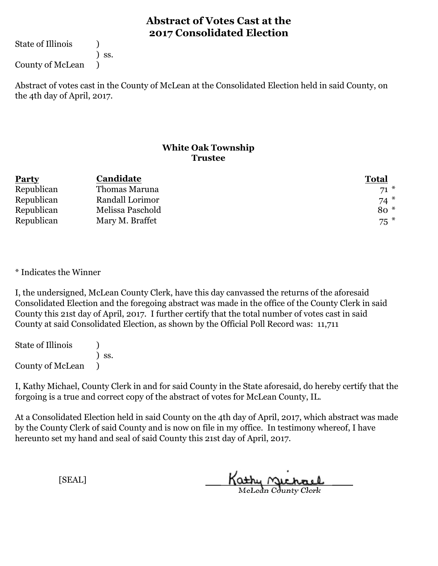State of Illinois (1)

) ss.

County of McLean )

Abstract of votes cast in the County of McLean at the Consolidated Election held in said County, on the 4th day of April, 2017.

### **White Oak Township Trustee**

| <b>Party</b> | Candidate        | <b>Total</b> |
|--------------|------------------|--------------|
| Republican   | Thomas Maruna    | $71*$        |
| Republican   | Randall Lorimor  | $74*$        |
| Republican   | Melissa Paschold | $80*$        |
| Republican   | Mary M. Braffet  | $75$ $*$     |

\* Indicates the Winner

I, the undersigned, McLean County Clerk, have this day canvassed the returns of the aforesaid Consolidated Election and the foregoing abstract was made in the office of the County Clerk in said County this 21st day of April, 2017. I further certify that the total number of votes cast in said County at said Consolidated Election, as shown by the Official Poll Record was: 11,711

State of Illinois (1) ) ss. County of McLean )

I, Kathy Michael, County Clerk in and for said County in the State aforesaid, do hereby certify that the forgoing is a true and correct copy of the abstract of votes for McLean County, IL.

At a Consolidated Election held in said County on the 4th day of April, 2017, which abstract was made by the County Clerk of said County and is now on file in my office. In testimony whereof, I have hereunto set my hand and seal of said County this 21st day of April, 2017.

Kathy Michael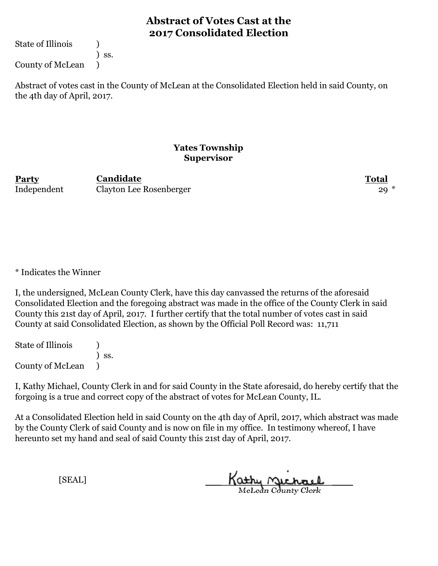State of Illinois (1)

) ss.

County of McLean )

Abstract of votes cast in the County of McLean at the Consolidated Election held in said County, on the 4th day of April, 2017.

#### **Yates Township Supervisor**

**Party Total Candidate** Independent Clayton Lee Rosenberger 29<sup>\*</sup>

\* Indicates the Winner

I, the undersigned, McLean County Clerk, have this day canvassed the returns of the aforesaid Consolidated Election and the foregoing abstract was made in the office of the County Clerk in said County this 21st day of April, 2017. I further certify that the total number of votes cast in said County at said Consolidated Election, as shown by the Official Poll Record was: 11,711

State of Illinois (1) ) ss. County of McLean )

I, Kathy Michael, County Clerk in and for said County in the State aforesaid, do hereby certify that the forgoing is a true and correct copy of the abstract of votes for McLean County, IL.

At a Consolidated Election held in said County on the 4th day of April, 2017, which abstract was made by the County Clerk of said County and is now on file in my office. In testimony whereof, I have hereunto set my hand and seal of said County this 21st day of April, 2017.

Kathy <u>Michael</u>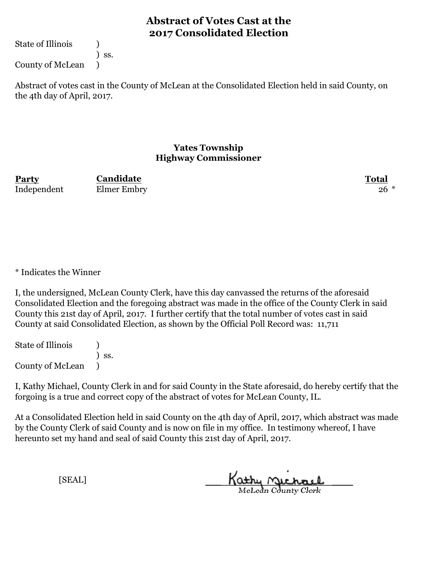State of Illinois (1)

) ss.

County of McLean )

Abstract of votes cast in the County of McLean at the Consolidated Election held in said County, on the 4th day of April, 2017.

### **Yates Township Highway Commissioner**

**Party Total Candidate** Independent Elmer Embry 26 \*

\* Indicates the Winner

I, the undersigned, McLean County Clerk, have this day canvassed the returns of the aforesaid Consolidated Election and the foregoing abstract was made in the office of the County Clerk in said County this 21st day of April, 2017. I further certify that the total number of votes cast in said County at said Consolidated Election, as shown by the Official Poll Record was: 11,711

State of Illinois (1) ) ss. County of McLean )

I, Kathy Michael, County Clerk in and for said County in the State aforesaid, do hereby certify that the forgoing is a true and correct copy of the abstract of votes for McLean County, IL.

At a Consolidated Election held in said County on the 4th day of April, 2017, which abstract was made by the County Clerk of said County and is now on file in my office. In testimony whereof, I have hereunto set my hand and seal of said County this 21st day of April, 2017.

Kathy Michael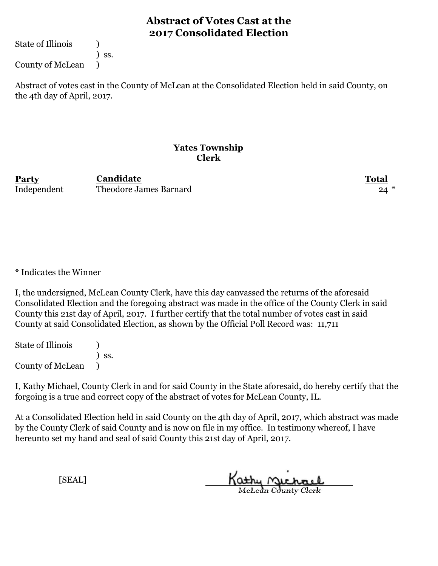State of Illinois (1)

) ss.

County of McLean )

Abstract of votes cast in the County of McLean at the Consolidated Election held in said County, on the 4th day of April, 2017.

#### **Yates Township Clerk**

**Party Total** Independent Theodore James Barnard 24 \* **Candidate**

\* Indicates the Winner

I, the undersigned, McLean County Clerk, have this day canvassed the returns of the aforesaid Consolidated Election and the foregoing abstract was made in the office of the County Clerk in said County this 21st day of April, 2017. I further certify that the total number of votes cast in said County at said Consolidated Election, as shown by the Official Poll Record was: 11,711

State of Illinois (1) ) ss. County of McLean )

I, Kathy Michael, County Clerk in and for said County in the State aforesaid, do hereby certify that the forgoing is a true and correct copy of the abstract of votes for McLean County, IL.

At a Consolidated Election held in said County on the 4th day of April, 2017, which abstract was made by the County Clerk of said County and is now on file in my office. In testimony whereof, I have hereunto set my hand and seal of said County this 21st day of April, 2017.

Kathy Michael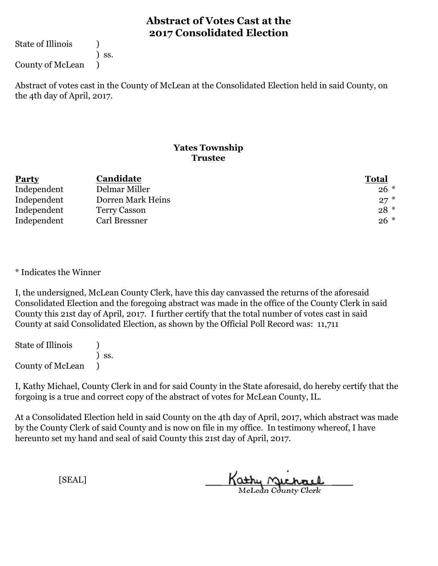State of Illinois (1)

) ss.

County of McLean )

Abstract of votes cast in the County of McLean at the Consolidated Election held in said County, on the 4th day of April, 2017.

### **Yates Township Trustee**

| <b>Party</b> | Candidate         | <b>Total</b> |
|--------------|-------------------|--------------|
| Independent  | Delmar Miller     | $26*$        |
| Independent  | Dorren Mark Heins | $27*$        |
| Independent  | Terry Casson      | $28*$        |
| Independent  | Carl Bressner     | $26*$        |

\* Indicates the Winner

I, the undersigned, McLean County Clerk, have this day canvassed the returns of the aforesaid Consolidated Election and the foregoing abstract was made in the office of the County Clerk in said County this 21st day of April, 2017. I further certify that the total number of votes cast in said County at said Consolidated Election, as shown by the Official Poll Record was: 11,711

State of Illinois (1) ) ss. County of McLean )

I, Kathy Michael, County Clerk in and for said County in the State aforesaid, do hereby certify that the forgoing is a true and correct copy of the abstract of votes for McLean County, IL.

At a Consolidated Election held in said County on the 4th day of April, 2017, which abstract was made by the County Clerk of said County and is now on file in my office. In testimony whereof, I have hereunto set my hand and seal of said County this 21st day of April, 2017.

Kathy Michael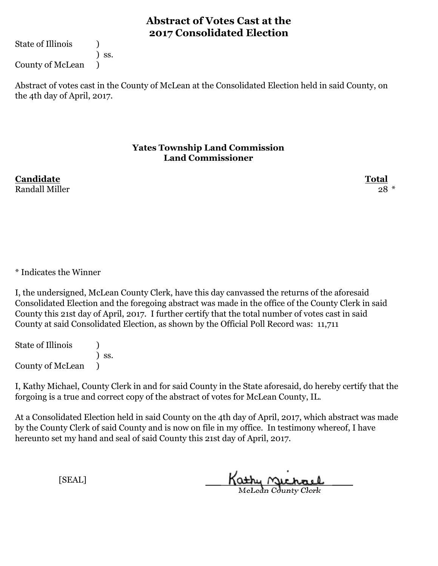State of Illinois (1)

) ss.

County of McLean )

Abstract of votes cast in the County of McLean at the Consolidated Election held in said County, on the 4th day of April, 2017.

#### **Yates Township Land Commission Land Commissioner**

**Candidate Total** Randall Miller 28  $*$ 

\* Indicates the Winner

I, the undersigned, McLean County Clerk, have this day canvassed the returns of the aforesaid Consolidated Election and the foregoing abstract was made in the office of the County Clerk in said County this 21st day of April, 2017. I further certify that the total number of votes cast in said County at said Consolidated Election, as shown by the Official Poll Record was: 11,711

State of Illinois (1) ) ss. County of McLean )

I, Kathy Michael, County Clerk in and for said County in the State aforesaid, do hereby certify that the forgoing is a true and correct copy of the abstract of votes for McLean County, IL.

At a Consolidated Election held in said County on the 4th day of April, 2017, which abstract was made by the County Clerk of said County and is now on file in my office. In testimony whereof, I have hereunto set my hand and seal of said County this 21st day of April, 2017.

Kathy Michael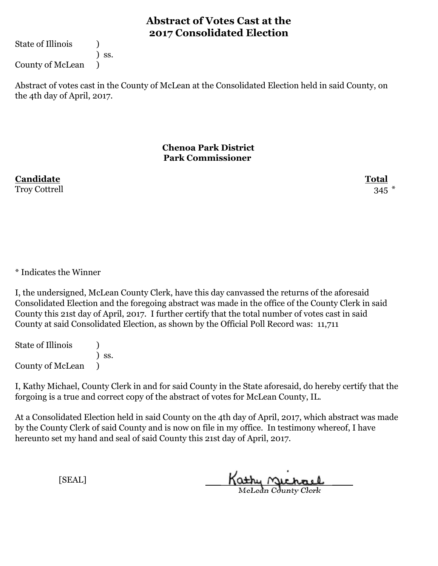State of Illinois (1)

) ss.

County of McLean )

Abstract of votes cast in the County of McLean at the Consolidated Election held in said County, on the 4th day of April, 2017.

> **Chenoa Park District Park Commissioner**

**Candidate Total** Troy Cottrell 345  $*$ 

\* Indicates the Winner

I, the undersigned, McLean County Clerk, have this day canvassed the returns of the aforesaid Consolidated Election and the foregoing abstract was made in the office of the County Clerk in said County this 21st day of April, 2017. I further certify that the total number of votes cast in said County at said Consolidated Election, as shown by the Official Poll Record was: 11,711

State of Illinois (1) ) ss. County of McLean )

I, Kathy Michael, County Clerk in and for said County in the State aforesaid, do hereby certify that the forgoing is a true and correct copy of the abstract of votes for McLean County, IL.

At a Consolidated Election held in said County on the 4th day of April, 2017, which abstract was made by the County Clerk of said County and is now on file in my office. In testimony whereof, I have hereunto set my hand and seal of said County this 21st day of April, 2017.

Kathy Michael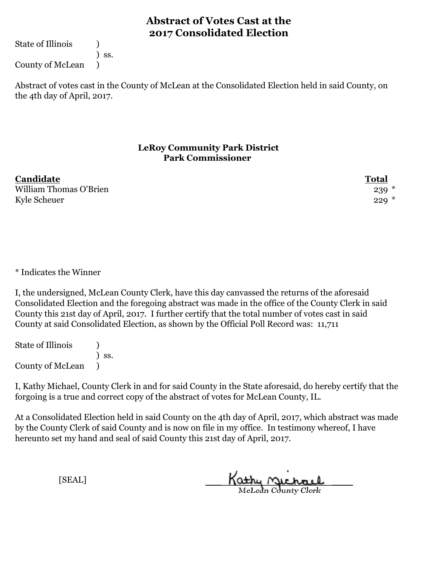State of Illinois (1)

) ss.

County of McLean )

Abstract of votes cast in the County of McLean at the Consolidated Election held in said County, on the 4th day of April, 2017.

### **LeRoy Community Park District Park Commissioner**

| Candidate              | <b>Total</b> |
|------------------------|--------------|
| William Thomas O'Brien | $239 *$      |
| Kyle Scheuer           | $229*$       |

\* Indicates the Winner

I, the undersigned, McLean County Clerk, have this day canvassed the returns of the aforesaid Consolidated Election and the foregoing abstract was made in the office of the County Clerk in said County this 21st day of April, 2017. I further certify that the total number of votes cast in said County at said Consolidated Election, as shown by the Official Poll Record was: 11,711

State of Illinois (1) ) ss. County of McLean )

I, Kathy Michael, County Clerk in and for said County in the State aforesaid, do hereby certify that the forgoing is a true and correct copy of the abstract of votes for McLean County, IL.

At a Consolidated Election held in said County on the 4th day of April, 2017, which abstract was made by the County Clerk of said County and is now on file in my office. In testimony whereof, I have hereunto set my hand and seal of said County this 21st day of April, 2017.

Kathy Michael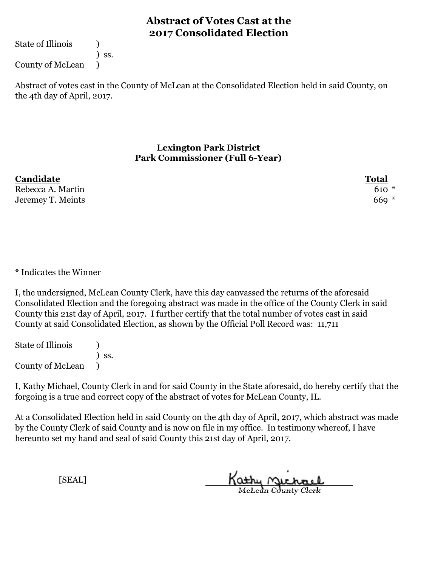State of Illinois (1)

) ss.

County of McLean )

Abstract of votes cast in the County of McLean at the Consolidated Election held in said County, on the 4th day of April, 2017.

#### **Lexington Park District Park Commissioner (Full 6-Year)**

| Candidate         | <b>Total</b> |
|-------------------|--------------|
| Rebecca A. Martin | $610*$       |
| Jeremey T. Meints | $669 *$      |

\* Indicates the Winner

I, the undersigned, McLean County Clerk, have this day canvassed the returns of the aforesaid Consolidated Election and the foregoing abstract was made in the office of the County Clerk in said County this 21st day of April, 2017. I further certify that the total number of votes cast in said County at said Consolidated Election, as shown by the Official Poll Record was: 11,711

State of Illinois (1) ) ss. County of McLean )

I, Kathy Michael, County Clerk in and for said County in the State aforesaid, do hereby certify that the forgoing is a true and correct copy of the abstract of votes for McLean County, IL.

At a Consolidated Election held in said County on the 4th day of April, 2017, which abstract was made by the County Clerk of said County and is now on file in my office. In testimony whereof, I have hereunto set my hand and seal of said County this 21st day of April, 2017.

Kathy Michael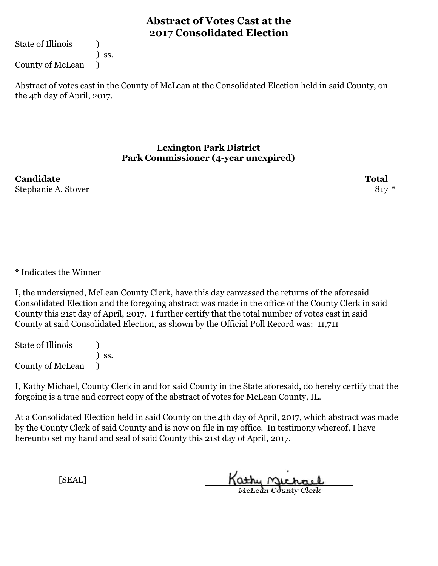State of Illinois (1)

) ss.

County of McLean )

Abstract of votes cast in the County of McLean at the Consolidated Election held in said County, on the 4th day of April, 2017.

#### **Lexington Park District Park Commissioner (4-year unexpired)**

**Candidate Total** Stephanie A. Stover 817 \*

\* Indicates the Winner

I, the undersigned, McLean County Clerk, have this day canvassed the returns of the aforesaid Consolidated Election and the foregoing abstract was made in the office of the County Clerk in said County this 21st day of April, 2017. I further certify that the total number of votes cast in said County at said Consolidated Election, as shown by the Official Poll Record was: 11,711

State of Illinois (1) ) ss. County of McLean )

I, Kathy Michael, County Clerk in and for said County in the State aforesaid, do hereby certify that the forgoing is a true and correct copy of the abstract of votes for McLean County, IL.

At a Consolidated Election held in said County on the 4th day of April, 2017, which abstract was made by the County Clerk of said County and is now on file in my office. In testimony whereof, I have hereunto set my hand and seal of said County this 21st day of April, 2017.

Kathy Michael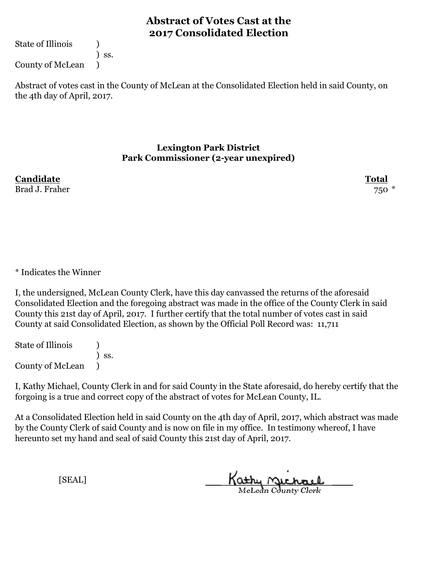State of Illinois (1)

) ss.

County of McLean )

Abstract of votes cast in the County of McLean at the Consolidated Election held in said County, on the 4th day of April, 2017.

#### **Lexington Park District Park Commissioner (2-year unexpired)**

**Candidate Total** Brad J. Fraher 750 \*

### \* Indicates the Winner

I, the undersigned, McLean County Clerk, have this day canvassed the returns of the aforesaid Consolidated Election and the foregoing abstract was made in the office of the County Clerk in said County this 21st day of April, 2017. I further certify that the total number of votes cast in said County at said Consolidated Election, as shown by the Official Poll Record was: 11,711

State of Illinois (1) ) ss. County of McLean )

I, Kathy Michael, County Clerk in and for said County in the State aforesaid, do hereby certify that the forgoing is a true and correct copy of the abstract of votes for McLean County, IL.

At a Consolidated Election held in said County on the 4th day of April, 2017, which abstract was made by the County Clerk of said County and is now on file in my office. In testimony whereof, I have hereunto set my hand and seal of said County this 21st day of April, 2017.

Kathy Michael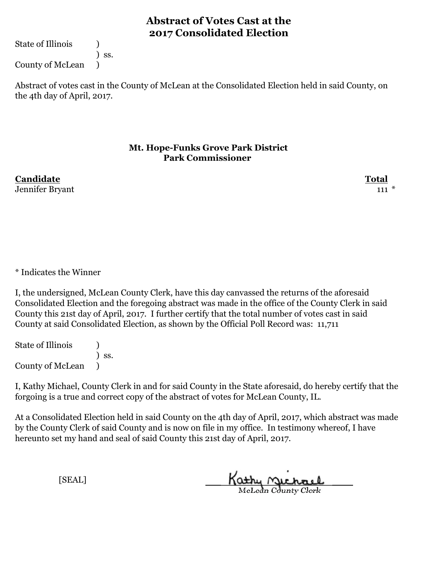State of Illinois (1)

) ss.

County of McLean )

Abstract of votes cast in the County of McLean at the Consolidated Election held in said County, on the 4th day of April, 2017.

#### **Mt. Hope-Funks Grove Park District Park Commissioner**

**Candidate Total** Jennifer Bryant 111 \*

### \* Indicates the Winner

I, the undersigned, McLean County Clerk, have this day canvassed the returns of the aforesaid Consolidated Election and the foregoing abstract was made in the office of the County Clerk in said County this 21st day of April, 2017. I further certify that the total number of votes cast in said County at said Consolidated Election, as shown by the Official Poll Record was: 11,711

State of Illinois (1) ) ss. County of McLean )

I, Kathy Michael, County Clerk in and for said County in the State aforesaid, do hereby certify that the forgoing is a true and correct copy of the abstract of votes for McLean County, IL.

At a Consolidated Election held in said County on the 4th day of April, 2017, which abstract was made by the County Clerk of said County and is now on file in my office. In testimony whereof, I have hereunto set my hand and seal of said County this 21st day of April, 2017.

Kathy Michael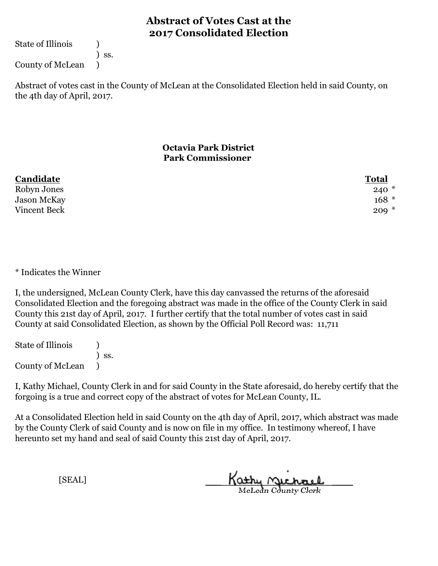State of Illinois (1)

) ss.

County of McLean )

Abstract of votes cast in the County of McLean at the Consolidated Election held in said County, on the 4th day of April, 2017.

### **Octavia Park District Park Commissioner**

| Candidate          | <b>Total</b> |
|--------------------|--------------|
| Robyn Jones        | $240*$       |
| <b>Jason McKay</b> | $168 *$      |
| Vincent Beck       | $209 *$      |

#### \* Indicates the Winner

I, the undersigned, McLean County Clerk, have this day canvassed the returns of the aforesaid Consolidated Election and the foregoing abstract was made in the office of the County Clerk in said County this 21st day of April, 2017. I further certify that the total number of votes cast in said County at said Consolidated Election, as shown by the Official Poll Record was: 11,711

State of Illinois (1) ) ss. County of McLean )

I, Kathy Michael, County Clerk in and for said County in the State aforesaid, do hereby certify that the forgoing is a true and correct copy of the abstract of votes for McLean County, IL.

At a Consolidated Election held in said County on the 4th day of April, 2017, which abstract was made by the County Clerk of said County and is now on file in my office. In testimony whereof, I have hereunto set my hand and seal of said County this 21st day of April, 2017.

Kathy Michael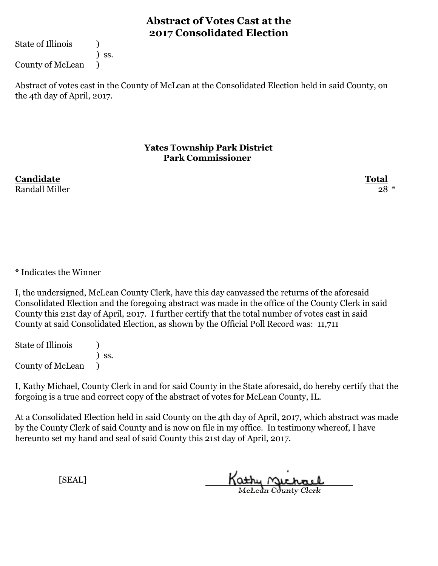State of Illinois (1)

) ss.

County of McLean )

Abstract of votes cast in the County of McLean at the Consolidated Election held in said County, on the 4th day of April, 2017.

#### **Yates Township Park District Park Commissioner**

**Candidate Total** Randall Miller 28  $*$ 

\* Indicates the Winner

I, the undersigned, McLean County Clerk, have this day canvassed the returns of the aforesaid Consolidated Election and the foregoing abstract was made in the office of the County Clerk in said County this 21st day of April, 2017. I further certify that the total number of votes cast in said County at said Consolidated Election, as shown by the Official Poll Record was: 11,711

State of Illinois (1) ) ss. County of McLean )

I, Kathy Michael, County Clerk in and for said County in the State aforesaid, do hereby certify that the forgoing is a true and correct copy of the abstract of votes for McLean County, IL.

At a Consolidated Election held in said County on the 4th day of April, 2017, which abstract was made by the County Clerk of said County and is now on file in my office. In testimony whereof, I have hereunto set my hand and seal of said County this 21st day of April, 2017.

Kathy Michael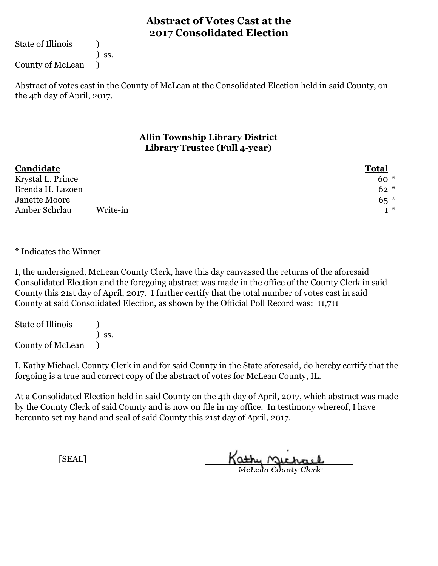State of Illinois (1)

) ss.

County of McLean )

Abstract of votes cast in the County of McLean at the Consolidated Election held in said County, on the 4th day of April, 2017.

### **Allin Township Library District Library Trustee (Full 4-year)**

| Candidate         |          | <b>Total</b> |  |
|-------------------|----------|--------------|--|
| Krystal L. Prince |          | $60*$        |  |
| Brenda H. Lazoen  |          | $62 *$       |  |
| Janette Moore     |          | $65*$        |  |
| Amber Schrlau     | Write-in | $+$ $*$      |  |

\* Indicates the Winner

I, the undersigned, McLean County Clerk, have this day canvassed the returns of the aforesaid Consolidated Election and the foregoing abstract was made in the office of the County Clerk in said County this 21st day of April, 2017. I further certify that the total number of votes cast in said County at said Consolidated Election, as shown by the Official Poll Record was: 11,711

State of Illinois (1) ) ss. County of McLean )

I, Kathy Michael, County Clerk in and for said County in the State aforesaid, do hereby certify that the forgoing is a true and correct copy of the abstract of votes for McLean County, IL.

At a Consolidated Election held in said County on the 4th day of April, 2017, which abstract was made by the County Clerk of said County and is now on file in my office. In testimony whereof, I have hereunto set my hand and seal of said County this 21st day of April, 2017.

Kathy Michael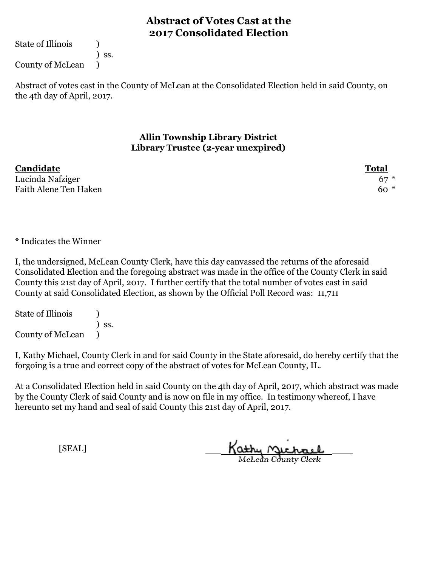State of Illinois (1)

) ss.

County of McLean )

Abstract of votes cast in the County of McLean at the Consolidated Election held in said County, on the 4th day of April, 2017.

### **Allin Township Library District Library Trustee (2-year unexpired)**

| Candidate             | <b>Total</b> |
|-----------------------|--------------|
| Lucinda Nafziger      | $67*$        |
| Faith Alene Ten Haken | $60*$        |

\* Indicates the Winner

I, the undersigned, McLean County Clerk, have this day canvassed the returns of the aforesaid Consolidated Election and the foregoing abstract was made in the office of the County Clerk in said County this 21st day of April, 2017. I further certify that the total number of votes cast in said County at said Consolidated Election, as shown by the Official Poll Record was: 11,711

State of Illinois (1) ) ss. County of McLean )

I, Kathy Michael, County Clerk in and for said County in the State aforesaid, do hereby certify that the forgoing is a true and correct copy of the abstract of votes for McLean County, IL.

At a Consolidated Election held in said County on the 4th day of April, 2017, which abstract was made by the County Clerk of said County and is now on file in my office. In testimony whereof, I have hereunto set my hand and seal of said County this 21st day of April, 2017.

Kathy Michael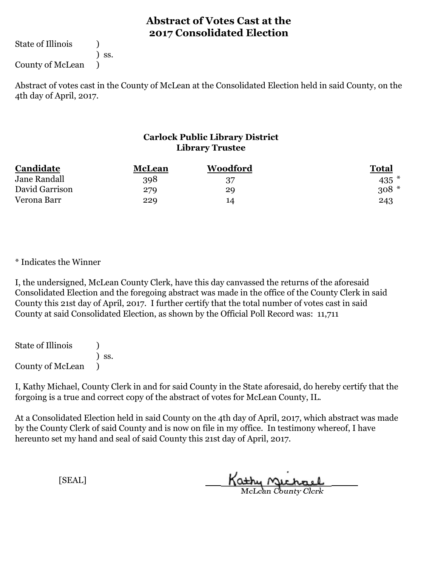State of Illinois (1)

) ss.

County of McLean )

Abstract of votes cast in the County of McLean at the Consolidated Election held in said County, on the 4th day of April, 2017.

### **Carlock Public Library District Library Trustee**

| Candidate      | McLean | <b>Woodford</b> | Total  |
|----------------|--------|-----------------|--------|
| Jane Randall   | 398    | 37              | 435    |
| David Garrison | 279    | 29              | $308*$ |
| Verona Barr    | 229    | 14              | 243    |

\* Indicates the Winner

I, the undersigned, McLean County Clerk, have this day canvassed the returns of the aforesaid Consolidated Election and the foregoing abstract was made in the office of the County Clerk in said County this 21st day of April, 2017. I further certify that the total number of votes cast in said County at said Consolidated Election, as shown by the Official Poll Record was: 11,711

State of Illinois (a) ) ss. County of McLean )

I, Kathy Michael, County Clerk in and for said County in the State aforesaid, do hereby certify that the forgoing is a true and correct copy of the abstract of votes for McLean County, IL.

At a Consolidated Election held in said County on the 4th day of April, 2017, which abstract was made by the County Clerk of said County and is now on file in my office. In testimony whereof, I have hereunto set my hand and seal of said County this 21st day of April, 2017.

Kathy Michael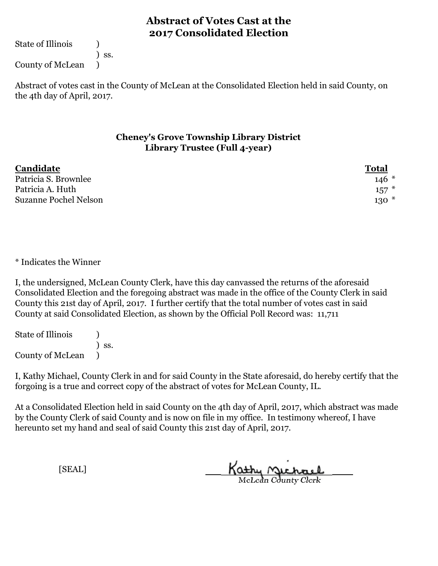State of Illinois (1)

) ss.

County of McLean )

Abstract of votes cast in the County of McLean at the Consolidated Election held in said County, on the 4th day of April, 2017.

### **Cheney's Grove Township Library District Library Trustee (Full 4-year)**

| Candidate             | <u>Total</u> |
|-----------------------|--------------|
| Patricia S. Brownlee  | $146*$       |
| Patricia A. Huth      | $157$ $*$    |
| Suzanne Pochel Nelson | $130*$       |

\* Indicates the Winner

I, the undersigned, McLean County Clerk, have this day canvassed the returns of the aforesaid Consolidated Election and the foregoing abstract was made in the office of the County Clerk in said County this 21st day of April, 2017. I further certify that the total number of votes cast in said County at said Consolidated Election, as shown by the Official Poll Record was: 11,711

State of Illinois (1) ) ss. County of McLean )

I, Kathy Michael, County Clerk in and for said County in the State aforesaid, do hereby certify that the forgoing is a true and correct copy of the abstract of votes for McLean County, IL.

At a Consolidated Election held in said County on the 4th day of April, 2017, which abstract was made by the County Clerk of said County and is now on file in my office. In testimony whereof, I have hereunto set my hand and seal of said County this 21st day of April, 2017.

Kathy Michael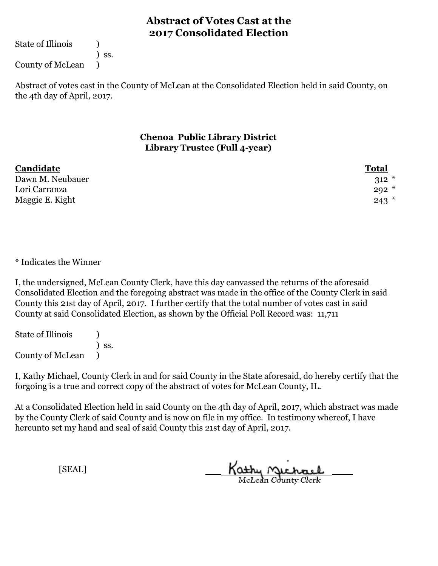State of Illinois (1)

) ss.

County of McLean )

Abstract of votes cast in the County of McLean at the Consolidated Election held in said County, on the 4th day of April, 2017.

#### **Chenoa Public Library District Library Trustee (Full 4-year)**

| Candidate        | <b>Total</b> |
|------------------|--------------|
| Dawn M. Neubauer | $312 *$      |
| Lori Carranza    | $292*$       |
| Maggie E. Kight  | $243$ *      |

\* Indicates the Winner

I, the undersigned, McLean County Clerk, have this day canvassed the returns of the aforesaid Consolidated Election and the foregoing abstract was made in the office of the County Clerk in said County this 21st day of April, 2017. I further certify that the total number of votes cast in said County at said Consolidated Election, as shown by the Official Poll Record was: 11,711

State of Illinois (1) ) ss. County of McLean )

I, Kathy Michael, County Clerk in and for said County in the State aforesaid, do hereby certify that the forgoing is a true and correct copy of the abstract of votes for McLean County, IL.

At a Consolidated Election held in said County on the 4th day of April, 2017, which abstract was made by the County Clerk of said County and is now on file in my office. In testimony whereof, I have hereunto set my hand and seal of said County this 21st day of April, 2017.

Kathy Michael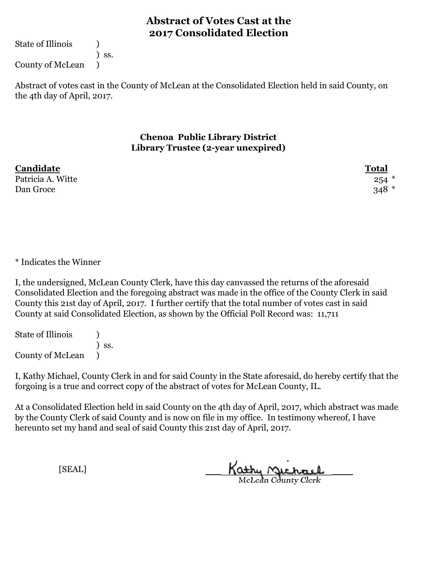State of Illinois (1)

) ss.

County of McLean )

Abstract of votes cast in the County of McLean at the Consolidated Election held in said County, on the 4th day of April, 2017.

#### **Chenoa Public Library District Library Trustee (2-year unexpired)**

| Candidate         | <b>Total</b> |
|-------------------|--------------|
| Patricia A. Witte | $254$ $*$    |
| Dan Groce         | $348 *$      |

\* Indicates the Winner

I, the undersigned, McLean County Clerk, have this day canvassed the returns of the aforesaid Consolidated Election and the foregoing abstract was made in the office of the County Clerk in said County this 21st day of April, 2017. I further certify that the total number of votes cast in said County at said Consolidated Election, as shown by the Official Poll Record was: 11,711

State of Illinois (1) ) ss. County of McLean )

I, Kathy Michael, County Clerk in and for said County in the State aforesaid, do hereby certify that the forgoing is a true and correct copy of the abstract of votes for McLean County, IL.

At a Consolidated Election held in said County on the 4th day of April, 2017, which abstract was made by the County Clerk of said County and is now on file in my office. In testimony whereof, I have hereunto set my hand and seal of said County this 21st day of April, 2017.

Kathy Michael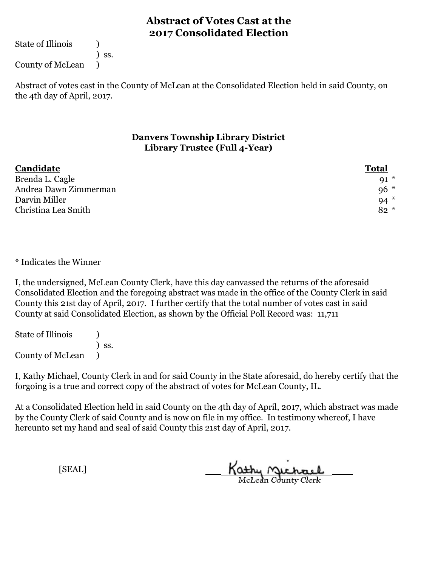State of Illinois (1)

) ss.

County of McLean )

Abstract of votes cast in the County of McLean at the Consolidated Election held in said County, on the 4th day of April, 2017.

#### **Danvers Township Library District Library Trustee (Full 4-Year)**

| Candidate             | <b>Total</b> |
|-----------------------|--------------|
| Brenda L. Cagle       | $91*$        |
| Andrea Dawn Zimmerman | $96*$        |
| Darvin Miller         | $94*$        |
| Christina Lea Smith   | $82 *$       |

\* Indicates the Winner

I, the undersigned, McLean County Clerk, have this day canvassed the returns of the aforesaid Consolidated Election and the foregoing abstract was made in the office of the County Clerk in said County this 21st day of April, 2017. I further certify that the total number of votes cast in said County at said Consolidated Election, as shown by the Official Poll Record was: 11,711

State of Illinois (1) ) ss. County of McLean )

I, Kathy Michael, County Clerk in and for said County in the State aforesaid, do hereby certify that the forgoing is a true and correct copy of the abstract of votes for McLean County, IL.

At a Consolidated Election held in said County on the 4th day of April, 2017, which abstract was made by the County Clerk of said County and is now on file in my office. In testimony whereof, I have hereunto set my hand and seal of said County this 21st day of April, 2017.

Kathy Michael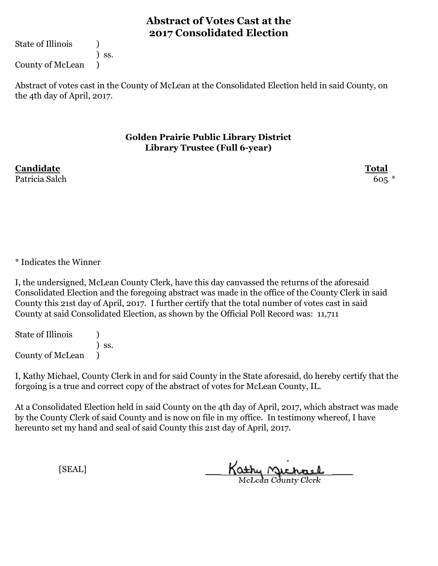State of Illinois (1)

) ss. County of McLean )

Abstract of votes cast in the County of McLean at the Consolidated Election held in said County, on the 4th day of April, 2017.

#### **Golden Prairie Public Library District Library Trustee (Full 6-year)**

**Candidate Total** Patricia Salch 605 \*

\* Indicates the Winner

I, the undersigned, McLean County Clerk, have this day canvassed the returns of the aforesaid Consolidated Election and the foregoing abstract was made in the office of the County Clerk in said County this 21st day of April, 2017. I further certify that the total number of votes cast in said County at said Consolidated Election, as shown by the Official Poll Record was: 11,711

State of Illinois (1) ) ss. County of McLean )

I, Kathy Michael, County Clerk in and for said County in the State aforesaid, do hereby certify that the forgoing is a true and correct copy of the abstract of votes for McLean County, IL.

At a Consolidated Election held in said County on the 4th day of April, 2017, which abstract was made by the County Clerk of said County and is now on file in my office. In testimony whereof, I have hereunto set my hand and seal of said County this 21st day of April, 2017.

Kathy Michael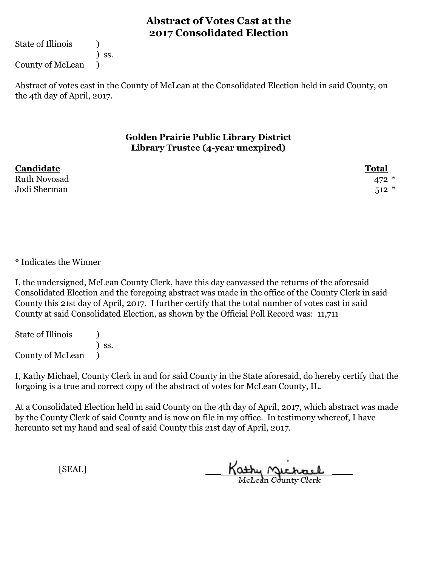State of Illinois (1)

) ss.

County of McLean )

Abstract of votes cast in the County of McLean at the Consolidated Election held in said County, on the 4th day of April, 2017.

#### **Golden Prairie Public Library District Library Trustee (4-year unexpired)**

| Candidate           | <b>Total</b> |
|---------------------|--------------|
| <b>Ruth Novosad</b> | 472 $*$      |
| Jodi Sherman        | $512*$       |

\* Indicates the Winner

I, the undersigned, McLean County Clerk, have this day canvassed the returns of the aforesaid Consolidated Election and the foregoing abstract was made in the office of the County Clerk in said County this 21st day of April, 2017. I further certify that the total number of votes cast in said County at said Consolidated Election, as shown by the Official Poll Record was: 11,711

State of Illinois (1) ) ss. County of McLean )

I, Kathy Michael, County Clerk in and for said County in the State aforesaid, do hereby certify that the forgoing is a true and correct copy of the abstract of votes for McLean County, IL.

At a Consolidated Election held in said County on the 4th day of April, 2017, which abstract was made by the County Clerk of said County and is now on file in my office. In testimony whereof, I have hereunto set my hand and seal of said County this 21st day of April, 2017.

Kathy Michael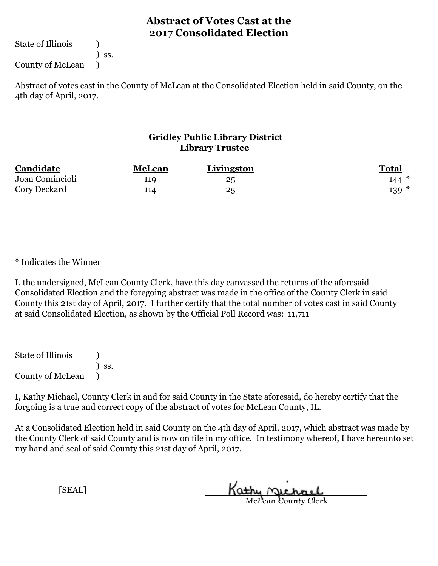State of Illinois (1)

) ss.

County of McLean )

Abstract of votes cast in the County of McLean at the Consolidated Election held in said County, on the 4th day of April, 2017.

### **Gridley Public Library District Library Trustee**

| Candidate       | <b>McLean</b> | Livingston | <u>Total</u> |
|-----------------|---------------|------------|--------------|
| Joan Comincioli | 119           | 25         | $144*$       |
| Cory Deckard    | 114           | 25         | $139 *$      |

\* Indicates the Winner

I, the undersigned, McLean County Clerk, have this day canvassed the returns of the aforesaid Consolidated Election and the foregoing abstract was made in the office of the County Clerk in said County this 21st day of April, 2017. I further certify that the total number of votes cast in said County at said Consolidated Election, as shown by the Official Poll Record was: 11,711

State of Illinois ) ) ss. County of McLean )

I, Kathy Michael, County Clerk in and for said County in the State aforesaid, do hereby certify that the forgoing is a true and correct copy of the abstract of votes for McLean County, IL.

At a Consolidated Election held in said County on the 4th day of April, 2017, which abstract was made by the County Clerk of said County and is now on file in my office. In testimony whereof, I have hereunto set my hand and seal of said County this 21st day of April, 2017.

Kathy Michael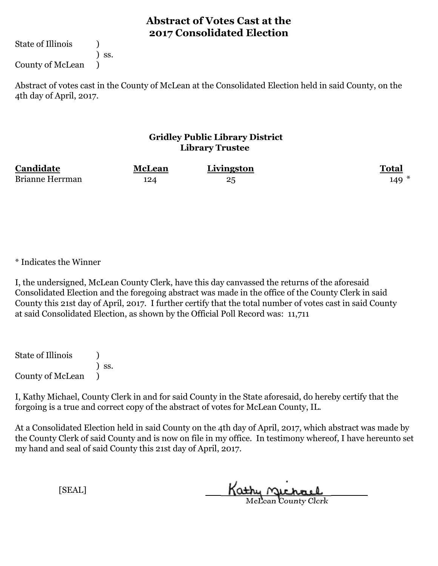State of Illinois (1)

) ss.

County of McLean )

Abstract of votes cast in the County of McLean at the Consolidated Election held in said County, on the 4th day of April, 2017.

### **Gridley Public Library District Library Trustee**

| Candidate              | <b>McLean</b> | Livingston | <b>Total</b> |
|------------------------|---------------|------------|--------------|
| <b>Brianne Herrman</b> | 124           | $25\,$     | $149 *$      |

\* Indicates the Winner

I, the undersigned, McLean County Clerk, have this day canvassed the returns of the aforesaid Consolidated Election and the foregoing abstract was made in the office of the County Clerk in said County this 21st day of April, 2017. I further certify that the total number of votes cast in said County at said Consolidated Election, as shown by the Official Poll Record was: 11,711

State of Illinois ) ) ss. County of McLean )

I, Kathy Michael, County Clerk in and for said County in the State aforesaid, do hereby certify that the forgoing is a true and correct copy of the abstract of votes for McLean County, IL.

At a Consolidated Election held in said County on the 4th day of April, 2017, which abstract was made by the County Clerk of said County and is now on file in my office. In testimony whereof, I have hereunto set my hand and seal of said County this 21st day of April, 2017.

Kathy Michael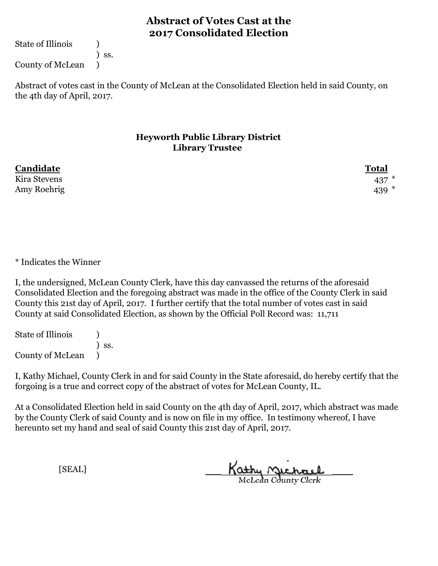State of Illinois (1)

) ss.

County of McLean )

Abstract of votes cast in the County of McLean at the Consolidated Election held in said County, on the 4th day of April, 2017.

#### **Heyworth Public Library District Library Trustee**

| Candidate    | <b>Total</b> |
|--------------|--------------|
| Kira Stevens | 437          |
| Amy Roehrig  | 439 $*$      |

\* Indicates the Winner

I, the undersigned, McLean County Clerk, have this day canvassed the returns of the aforesaid Consolidated Election and the foregoing abstract was made in the office of the County Clerk in said County this 21st day of April, 2017. I further certify that the total number of votes cast in said County at said Consolidated Election, as shown by the Official Poll Record was: 11,711

State of Illinois (1) ) ss. County of McLean )

I, Kathy Michael, County Clerk in and for said County in the State aforesaid, do hereby certify that the forgoing is a true and correct copy of the abstract of votes for McLean County, IL.

At a Consolidated Election held in said County on the 4th day of April, 2017, which abstract was made by the County Clerk of said County and is now on file in my office. In testimony whereof, I have hereunto set my hand and seal of said County this 21st day of April, 2017.

Kathy Michael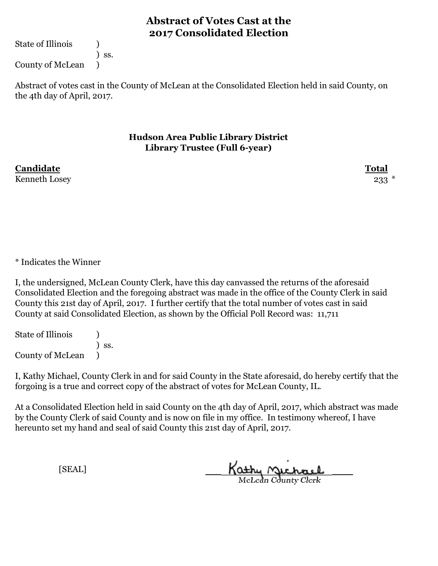State of Illinois (1)

) ss. County of McLean )

Abstract of votes cast in the County of McLean at the Consolidated Election held in said County, on the 4th day of April, 2017.

#### **Hudson Area Public Library District Library Trustee (Full 6-year)**

**Candidate Total** Kenneth Losey 233

\* Indicates the Winner

I, the undersigned, McLean County Clerk, have this day canvassed the returns of the aforesaid Consolidated Election and the foregoing abstract was made in the office of the County Clerk in said County this 21st day of April, 2017. I further certify that the total number of votes cast in said County at said Consolidated Election, as shown by the Official Poll Record was: 11,711

State of Illinois (1) ) ss. County of McLean )

I, Kathy Michael, County Clerk in and for said County in the State aforesaid, do hereby certify that the forgoing is a true and correct copy of the abstract of votes for McLean County, IL.

At a Consolidated Election held in said County on the 4th day of April, 2017, which abstract was made by the County Clerk of said County and is now on file in my office. In testimony whereof, I have hereunto set my hand and seal of said County this 21st day of April, 2017.

Kathy Michael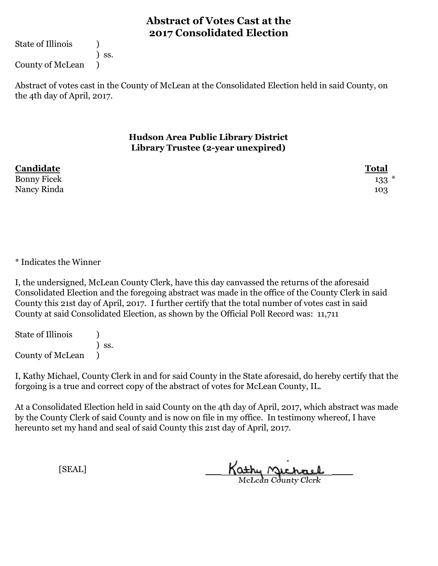State of Illinois (1)

County of McLean )

) ss.

Abstract of votes cast in the County of McLean at the Consolidated Election held in said County, on the 4th day of April, 2017.

> **Hudson Area Public Library District Library Trustee (2-year unexpired)**

| Candidate          | <b>Total</b> |
|--------------------|--------------|
| <b>Bonny Ficek</b> | $133*$       |
| Nancy Rinda        | 103          |

\* Indicates the Winner

I, the undersigned, McLean County Clerk, have this day canvassed the returns of the aforesaid Consolidated Election and the foregoing abstract was made in the office of the County Clerk in said County this 21st day of April, 2017. I further certify that the total number of votes cast in said County at said Consolidated Election, as shown by the Official Poll Record was: 11,711

State of Illinois (1) ) ss. County of McLean )

I, Kathy Michael, County Clerk in and for said County in the State aforesaid, do hereby certify that the forgoing is a true and correct copy of the abstract of votes for McLean County, IL.

At a Consolidated Election held in said County on the 4th day of April, 2017, which abstract was made by the County Clerk of said County and is now on file in my office. In testimony whereof, I have hereunto set my hand and seal of said County this 21st day of April, 2017.

Kathy Michael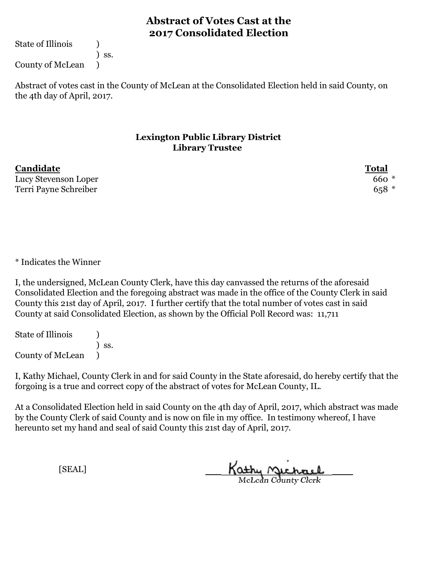State of Illinois (1)

) ss.

County of McLean )

Abstract of votes cast in the County of McLean at the Consolidated Election held in said County, on the 4th day of April, 2017.

#### **Lexington Public Library District Library Trustee**

**Candidate Total** Lucy Stevenson Loper 660  $*$ Terri Payne Schreiber 658 \*

\* Indicates the Winner

I, the undersigned, McLean County Clerk, have this day canvassed the returns of the aforesaid Consolidated Election and the foregoing abstract was made in the office of the County Clerk in said County this 21st day of April, 2017. I further certify that the total number of votes cast in said County at said Consolidated Election, as shown by the Official Poll Record was: 11,711

State of Illinois (1) ) ss. County of McLean )

I, Kathy Michael, County Clerk in and for said County in the State aforesaid, do hereby certify that the forgoing is a true and correct copy of the abstract of votes for McLean County, IL.

At a Consolidated Election held in said County on the 4th day of April, 2017, which abstract was made by the County Clerk of said County and is now on file in my office. In testimony whereof, I have hereunto set my hand and seal of said County this 21st day of April, 2017.

Kathy Michael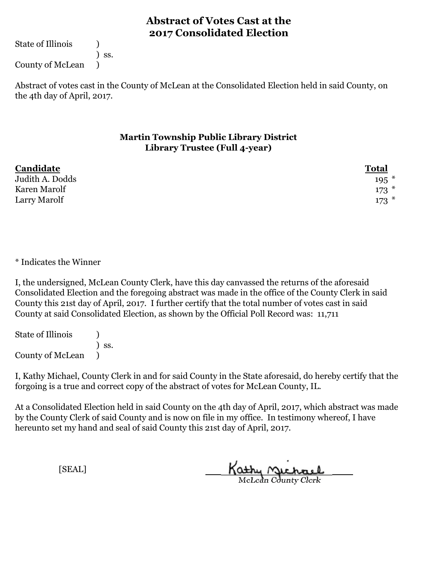State of Illinois (1)

) ss.

County of McLean )

Abstract of votes cast in the County of McLean at the Consolidated Election held in said County, on the 4th day of April, 2017.

### **Martin Township Public Library District Library Trustee (Full 4-year)**

| Candidate       | <b>Total</b> |
|-----------------|--------------|
| Judith A. Dodds | $195$ *      |
| Karen Marolf    | $173$ $*$    |
| Larry Marolf    | $173*$       |

\* Indicates the Winner

I, the undersigned, McLean County Clerk, have this day canvassed the returns of the aforesaid Consolidated Election and the foregoing abstract was made in the office of the County Clerk in said County this 21st day of April, 2017. I further certify that the total number of votes cast in said County at said Consolidated Election, as shown by the Official Poll Record was: 11,711

State of Illinois (1) ) ss. County of McLean )

I, Kathy Michael, County Clerk in and for said County in the State aforesaid, do hereby certify that the forgoing is a true and correct copy of the abstract of votes for McLean County, IL.

At a Consolidated Election held in said County on the 4th day of April, 2017, which abstract was made by the County Clerk of said County and is now on file in my office. In testimony whereof, I have hereunto set my hand and seal of said County this 21st day of April, 2017.

Kathy Michael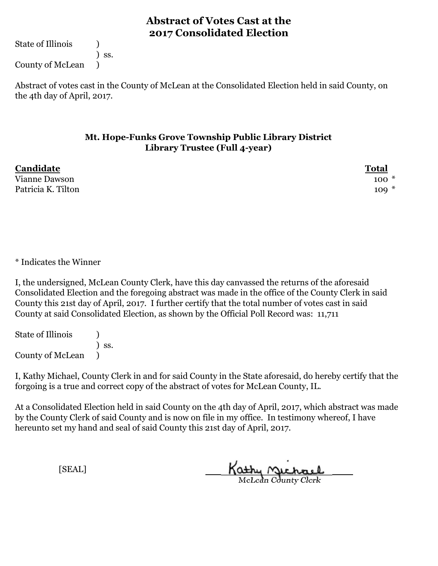State of Illinois (1)

) ss.

County of McLean )

Abstract of votes cast in the County of McLean at the Consolidated Election held in said County, on the 4th day of April, 2017.

### **Mt. Hope-Funks Grove Township Public Library District Library Trustee (Full 4-year)**

| Candidate          | <b>Total</b> |
|--------------------|--------------|
| Vianne Dawson      | $100*$       |
| Patricia K. Tilton | $109 *$      |

\* Indicates the Winner

I, the undersigned, McLean County Clerk, have this day canvassed the returns of the aforesaid Consolidated Election and the foregoing abstract was made in the office of the County Clerk in said County this 21st day of April, 2017. I further certify that the total number of votes cast in said County at said Consolidated Election, as shown by the Official Poll Record was: 11,711

State of Illinois (1) ) ss. County of McLean )

I, Kathy Michael, County Clerk in and for said County in the State aforesaid, do hereby certify that the forgoing is a true and correct copy of the abstract of votes for McLean County, IL.

At a Consolidated Election held in said County on the 4th day of April, 2017, which abstract was made by the County Clerk of said County and is now on file in my office. In testimony whereof, I have hereunto set my hand and seal of said County this 21st day of April, 2017.

Kathy Michael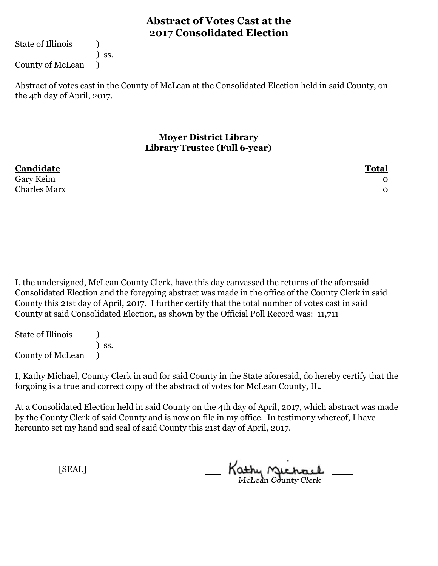State of Illinois (1)

) ss.

County of McLean )

Abstract of votes cast in the County of McLean at the Consolidated Election held in said County, on the 4th day of April, 2017.

> **Moyer District Library Library Trustee (Full 6-year)**

| Candidate           | <b>Total</b> |
|---------------------|--------------|
| Gary Keim           |              |
| <b>Charles Marx</b> |              |

I, the undersigned, McLean County Clerk, have this day canvassed the returns of the aforesaid Consolidated Election and the foregoing abstract was made in the office of the County Clerk in said County this 21st day of April, 2017. I further certify that the total number of votes cast in said County at said Consolidated Election, as shown by the Official Poll Record was: 11,711

State of Illinois (1) ) ss. County of McLean )

I, Kathy Michael, County Clerk in and for said County in the State aforesaid, do hereby certify that the forgoing is a true and correct copy of the abstract of votes for McLean County, IL.

At a Consolidated Election held in said County on the 4th day of April, 2017, which abstract was made by the County Clerk of said County and is now on file in my office. In testimony whereof, I have hereunto set my hand and seal of said County this 21st day of April, 2017.

Kathy Michael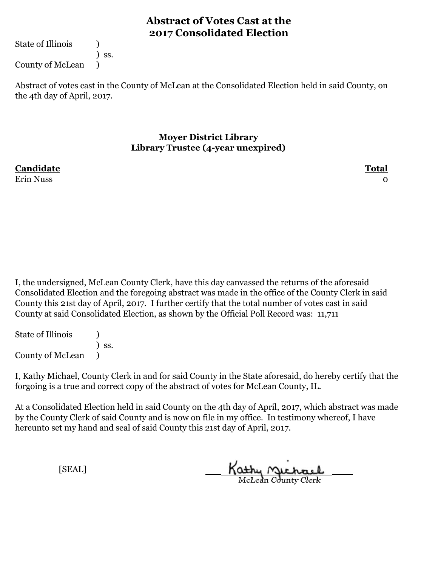State of Illinois (1)

) ss. County of McLean )

Abstract of votes cast in the County of McLean at the Consolidated Election held in said County, on the 4th day of April, 2017.

### **Moyer District Library Library Trustee (4-year unexpired)**

**Candidate Total** Erin Nuss 0

I, the undersigned, McLean County Clerk, have this day canvassed the returns of the aforesaid Consolidated Election and the foregoing abstract was made in the office of the County Clerk in said County this 21st day of April, 2017. I further certify that the total number of votes cast in said County at said Consolidated Election, as shown by the Official Poll Record was: 11,711

State of Illinois (1) ) ss. County of McLean )

I, Kathy Michael, County Clerk in and for said County in the State aforesaid, do hereby certify that the forgoing is a true and correct copy of the abstract of votes for McLean County, IL.

At a Consolidated Election held in said County on the 4th day of April, 2017, which abstract was made by the County Clerk of said County and is now on file in my office. In testimony whereof, I have hereunto set my hand and seal of said County this 21st day of April, 2017.

Kathy Michael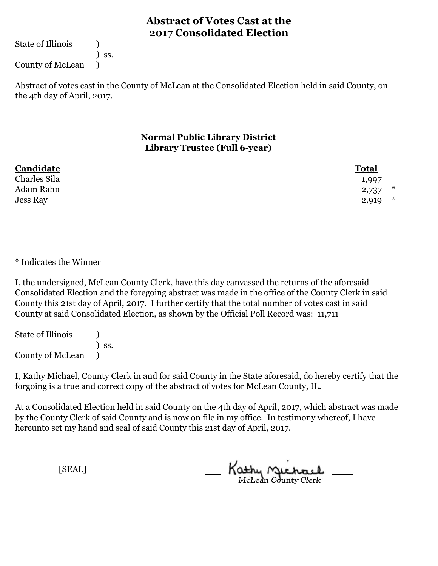State of Illinois (1)

) ss.

County of McLean )

Abstract of votes cast in the County of McLean at the Consolidated Election held in said County, on the 4th day of April, 2017.

### **Normal Public Library District Library Trustee (Full 6-year)**

| Candidate    | <b>Total</b> |
|--------------|--------------|
| Charles Sila | 1,997        |
| Adam Rahn    | ∗<br>2,737   |
| Jess Ray     | ∗<br>2,919   |

\* Indicates the Winner

I, the undersigned, McLean County Clerk, have this day canvassed the returns of the aforesaid Consolidated Election and the foregoing abstract was made in the office of the County Clerk in said County this 21st day of April, 2017. I further certify that the total number of votes cast in said County at said Consolidated Election, as shown by the Official Poll Record was: 11,711

State of Illinois (1) ) ss. County of McLean )

I, Kathy Michael, County Clerk in and for said County in the State aforesaid, do hereby certify that the forgoing is a true and correct copy of the abstract of votes for McLean County, IL.

At a Consolidated Election held in said County on the 4th day of April, 2017, which abstract was made by the County Clerk of said County and is now on file in my office. In testimony whereof, I have hereunto set my hand and seal of said County this 21st day of April, 2017.

Kathy Michael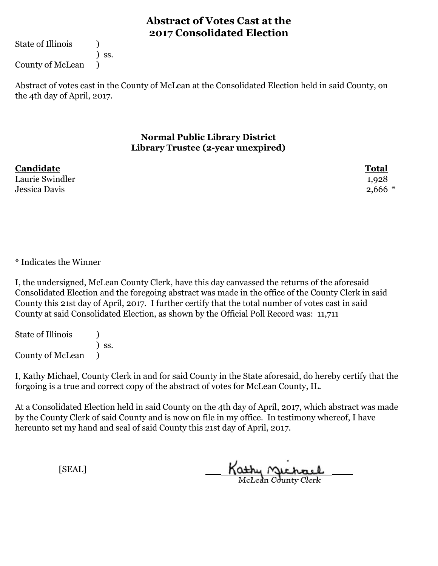State of Illinois (1)

) ss.

County of McLean )

Abstract of votes cast in the County of McLean at the Consolidated Election held in said County, on the 4th day of April, 2017.

#### **Normal Public Library District Library Trustee (2-year unexpired)**

| Candidate       | <b>Total</b> |
|-----------------|--------------|
| Laurie Swindler | 1,928        |
| Jessica Davis   | $2,666$ $*$  |

\* Indicates the Winner

I, the undersigned, McLean County Clerk, have this day canvassed the returns of the aforesaid Consolidated Election and the foregoing abstract was made in the office of the County Clerk in said County this 21st day of April, 2017. I further certify that the total number of votes cast in said County at said Consolidated Election, as shown by the Official Poll Record was: 11,711

State of Illinois (1) ) ss. County of McLean )

I, Kathy Michael, County Clerk in and for said County in the State aforesaid, do hereby certify that the forgoing is a true and correct copy of the abstract of votes for McLean County, IL.

At a Consolidated Election held in said County on the 4th day of April, 2017, which abstract was made by the County Clerk of said County and is now on file in my office. In testimony whereof, I have hereunto set my hand and seal of said County this 21st day of April, 2017.

Kathy Michael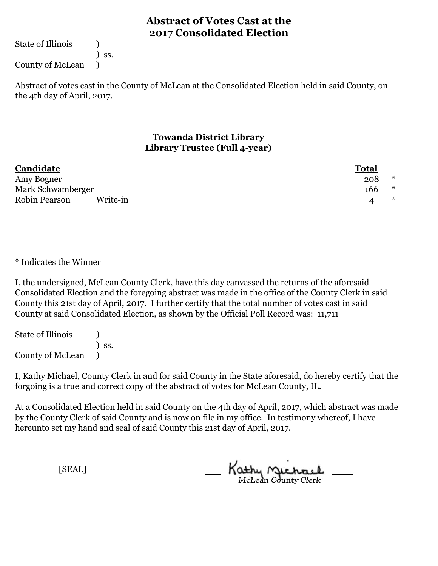State of Illinois (1)

) ss.

County of McLean )

Abstract of votes cast in the County of McLean at the Consolidated Election held in said County, on the 4th day of April, 2017.

#### **Towanda District Library Library Trustee (Full 4-year)**

| Candidate                 | <b>Total</b> |   |
|---------------------------|--------------|---|
| Amy Bogner                | 208          | ∗ |
| Mark Schwamberger         | 166          | ∗ |
| Robin Pearson<br>Write-in |              | ∗ |

\* Indicates the Winner

I, the undersigned, McLean County Clerk, have this day canvassed the returns of the aforesaid Consolidated Election and the foregoing abstract was made in the office of the County Clerk in said County this 21st day of April, 2017. I further certify that the total number of votes cast in said County at said Consolidated Election, as shown by the Official Poll Record was: 11,711

State of Illinois (1) ) ss. County of McLean )

I, Kathy Michael, County Clerk in and for said County in the State aforesaid, do hereby certify that the forgoing is a true and correct copy of the abstract of votes for McLean County, IL.

At a Consolidated Election held in said County on the 4th day of April, 2017, which abstract was made by the County Clerk of said County and is now on file in my office. In testimony whereof, I have hereunto set my hand and seal of said County this 21st day of April, 2017.

Kathy Michael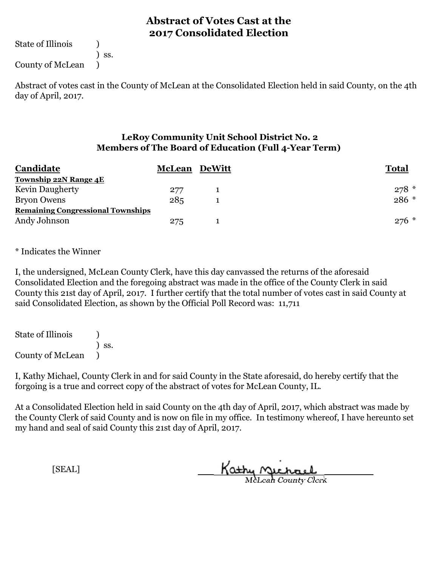State of Illinois (1)

) ss.

County of McLean )

Abstract of votes cast in the County of McLean at the Consolidated Election held in said County, on the 4th day of April, 2017.

### **LeRoy Community Unit School District No. 2 Members of The Board of Education (Full 4-Year Term)**

| Candidate                                | <b>McLean</b> | <b>DeWitt</b> | <b>Total</b> |
|------------------------------------------|---------------|---------------|--------------|
| Township 22N Range 4E                    |               |               |              |
| <b>Kevin Daugherty</b>                   | 277           |               | $278*$       |
| <b>Bryon Owens</b>                       | 285           |               | 286 *        |
| <b>Remaining Congressional Townships</b> |               |               |              |
| Andy Johnson                             | 275           |               | $276$ *      |

\* Indicates the Winner

I, the undersigned, McLean County Clerk, have this day canvassed the returns of the aforesaid Consolidated Election and the foregoing abstract was made in the office of the County Clerk in said County this 21st day of April, 2017. I further certify that the total number of votes cast in said County at said Consolidated Election, as shown by the Official Poll Record was: 11,711

State of Illinois (1) ) ss. County of McLean )

I, Kathy Michael, County Clerk in and for said County in the State aforesaid, do hereby certify that the forgoing is a true and correct copy of the abstract of votes for McLean County, IL.

At a Consolidated Election held in said County on the 4th day of April, 2017, which abstract was made by the County Clerk of said County and is now on file in my office. In testimony whereof, I have hereunto set my hand and seal of said County this 21st day of April, 2017.

Kathy Michael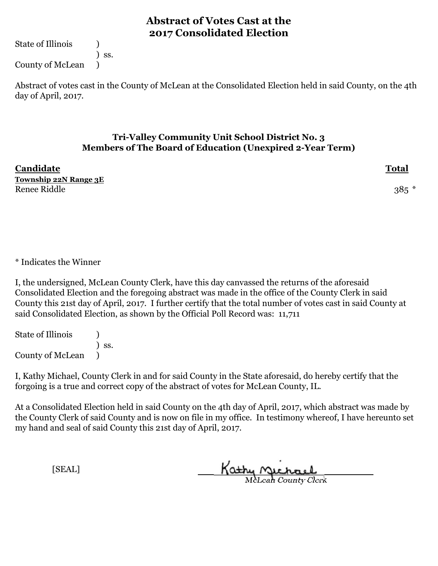State of Illinois (1)

) ss.

County of McLean )

Abstract of votes cast in the County of McLean at the Consolidated Election held in said County, on the 4th day of April, 2017.

### **Tri-Valley Community Unit School District No. 3 Members of The Board of Education (Unexpired 2-Year Term)**

| Candidate             | <b>Total</b> |
|-----------------------|--------------|
| Township 22N Range 3E |              |
| Renee Riddle          | $385 *$      |

\* Indicates the Winner

I, the undersigned, McLean County Clerk, have this day canvassed the returns of the aforesaid Consolidated Election and the foregoing abstract was made in the office of the County Clerk in said County this 21st day of April, 2017. I further certify that the total number of votes cast in said County at said Consolidated Election, as shown by the Official Poll Record was: 11,711

State of Illinois (1) ) ss. County of McLean )

I, Kathy Michael, County Clerk in and for said County in the State aforesaid, do hereby certify that the forgoing is a true and correct copy of the abstract of votes for McLean County, IL.

At a Consolidated Election held in said County on the 4th day of April, 2017, which abstract was made by the County Clerk of said County and is now on file in my office. In testimony whereof, I have hereunto set my hand and seal of said County this 21st day of April, 2017.

Kathy Michael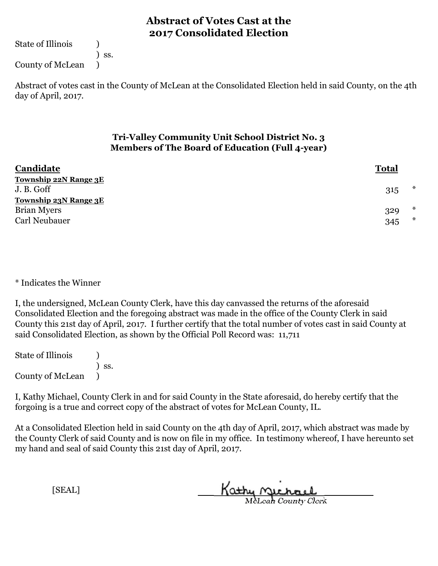State of Illinois (1)

) ss.

County of McLean )

Abstract of votes cast in the County of McLean at the Consolidated Election held in said County, on the 4th day of April, 2017.

### **Tri-Valley Community Unit School District No. 3 Members of The Board of Education (Full 4-year)**

| Candidate                    | <b>Total</b> |        |
|------------------------------|--------------|--------|
| <b>Township 22N Range 3E</b> |              |        |
| J. B. Goff                   | 315          | $\ast$ |
| <b>Township 23N Range 3E</b> |              |        |
| <b>Brian Myers</b>           | 329          | $\ast$ |
| Carl Neubauer                | 345          | $\ast$ |

\* Indicates the Winner

I, the undersigned, McLean County Clerk, have this day canvassed the returns of the aforesaid Consolidated Election and the foregoing abstract was made in the office of the County Clerk in said County this 21st day of April, 2017. I further certify that the total number of votes cast in said County at said Consolidated Election, as shown by the Official Poll Record was: 11,711

State of Illinois (1) ) ss. County of McLean )

I, Kathy Michael, County Clerk in and for said County in the State aforesaid, do hereby certify that the forgoing is a true and correct copy of the abstract of votes for McLean County, IL.

At a Consolidated Election held in said County on the 4th day of April, 2017, which abstract was made by the County Clerk of said County and is now on file in my office. In testimony whereof, I have hereunto set my hand and seal of said County this 21st day of April, 2017.

Kathy Michael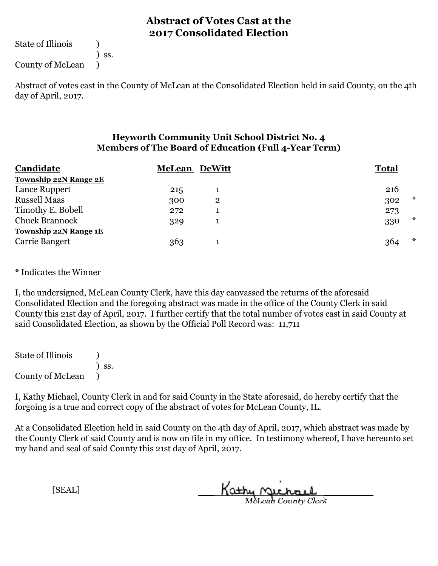State of Illinois (1)

) ss.

County of McLean )

Abstract of votes cast in the County of McLean at the Consolidated Election held in said County, on the 4th day of April, 2017.

### **Heyworth Community Unit School District No. 4 Members of The Board of Education (Full 4-Year Term)**

| Candidate                    | <b>McLean DeWitt</b> |              | <b>Total</b>  |
|------------------------------|----------------------|--------------|---------------|
| <b>Township 22N Range 2E</b> |                      |              |               |
| Lance Ruppert                | 215                  |              | 216           |
| <b>Russell Maas</b>          | 300                  | $\mathbf{2}$ | $\ast$<br>302 |
| Timothy E. Bobell            | 272                  |              | 273           |
| <b>Chuck Brannock</b>        | 329                  |              | $\ast$<br>330 |
| <b>Township 22N Range 1E</b> |                      |              |               |
| Carrie Bangert               | 363                  |              | $\ast$<br>364 |

\* Indicates the Winner

I, the undersigned, McLean County Clerk, have this day canvassed the returns of the aforesaid Consolidated Election and the foregoing abstract was made in the office of the County Clerk in said County this 21st day of April, 2017. I further certify that the total number of votes cast in said County at said Consolidated Election, as shown by the Official Poll Record was: 11,711

State of Illinois ) ) ss. County of McLean )

I, Kathy Michael, County Clerk in and for said County in the State aforesaid, do hereby certify that the forgoing is a true and correct copy of the abstract of votes for McLean County, IL.

At a Consolidated Election held in said County on the 4th day of April, 2017, which abstract was made by the County Clerk of said County and is now on file in my office. In testimony whereof, I have hereunto set my hand and seal of said County this 21st day of April, 2017.

Kathy Michael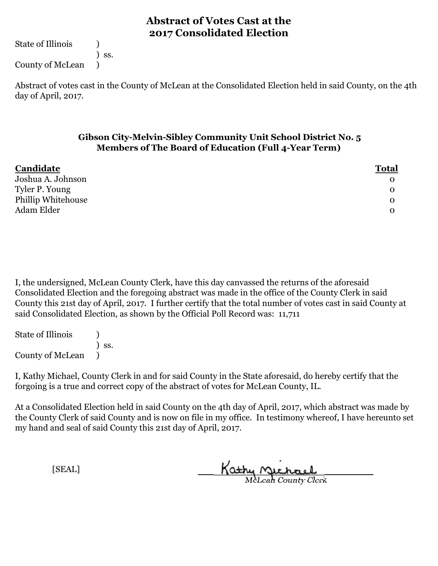State of Illinois (1)

) ss.

County of McLean )

Abstract of votes cast in the County of McLean at the Consolidated Election held in said County, on the 4th day of April, 2017.

#### **Gibson City-Melvin-Sibley Community Unit School District No. 5 Members of The Board of Education (Full 4-Year Term)**

| Candidate          | <b>Total</b> |
|--------------------|--------------|
| Joshua A. Johnson  | $\mathbf{O}$ |
| Tyler P. Young     | $\mathbf{O}$ |
| Phillip Whitehouse | $\mathbf{O}$ |
| Adam Elder         | $\mathbf{O}$ |

I, the undersigned, McLean County Clerk, have this day canvassed the returns of the aforesaid Consolidated Election and the foregoing abstract was made in the office of the County Clerk in said County this 21st day of April, 2017. I further certify that the total number of votes cast in said County at said Consolidated Election, as shown by the Official Poll Record was: 11,711

State of Illinois (1) ) ss. County of McLean )

I, Kathy Michael, County Clerk in and for said County in the State aforesaid, do hereby certify that the forgoing is a true and correct copy of the abstract of votes for McLean County, IL.

At a Consolidated Election held in said County on the 4th day of April, 2017, which abstract was made by the County Clerk of said County and is now on file in my office. In testimony whereof, I have hereunto set my hand and seal of said County this 21st day of April, 2017.

Kathy Michael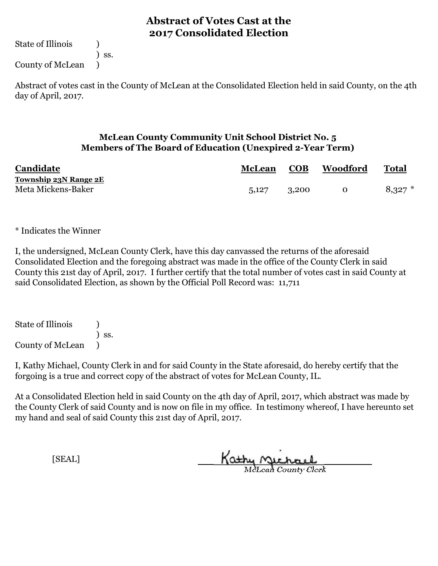State of Illinois (1)

) ss.

County of McLean )

Abstract of votes cast in the County of McLean at the Consolidated Election held in said County, on the 4th day of April, 2017.

### **McLean County Community Unit School District No. 5 Members of The Board of Education (Unexpired 2-Year Term)**

| Candidate             | <b>McLean</b> | COB   | <b>Woodford</b> | Total     |
|-----------------------|---------------|-------|-----------------|-----------|
| Township 23N Range 2E |               |       |                 |           |
| Meta Mickens-Baker    | 5,127         | 3,200 | $\Omega$        | $8,327$ * |

\* Indicates the Winner

I, the undersigned, McLean County Clerk, have this day canvassed the returns of the aforesaid Consolidated Election and the foregoing abstract was made in the office of the County Clerk in said County this 21st day of April, 2017. I further certify that the total number of votes cast in said County at said Consolidated Election, as shown by the Official Poll Record was: 11,711

State of Illinois ) ) ss. County of McLean )

I, Kathy Michael, County Clerk in and for said County in the State aforesaid, do hereby certify that the forgoing is a true and correct copy of the abstract of votes for McLean County, IL.

At a Consolidated Election held in said County on the 4th day of April, 2017, which abstract was made by the County Clerk of said County and is now on file in my office. In testimony whereof, I have hereunto set my hand and seal of said County this 21st day of April, 2017.

Kathy Michael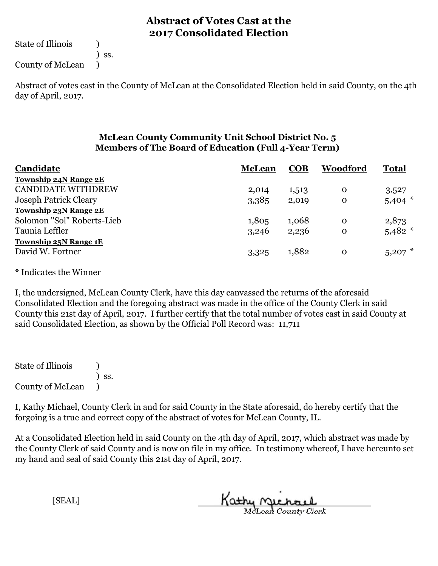State of Illinois (1)

) ss.

County of McLean )

Abstract of votes cast in the County of McLean at the Consolidated Election held in said County, on the 4th day of April, 2017.

### **McLean County Community Unit School District No. 5 Members of The Board of Education (Full 4-Year Term)**

| Candidate                    | <b>McLean</b> | <b>COB</b> | Woodford    | <b>Total</b> |
|------------------------------|---------------|------------|-------------|--------------|
| Township 24N Range 2E        |               |            |             |              |
| <b>CANDIDATE WITHDREW</b>    | 2,014         | 1,513      | $\mathbf 0$ | 3,527        |
| <b>Joseph Patrick Cleary</b> | 3,385         | 2,019      | $\mathbf 0$ | $5,404$ *    |
| Township 23N Range 2E        |               |            |             |              |
| Solomon "Sol" Roberts-Lieb   | 1,805         | 1,068      | $\Omega$    | 2,873        |
| Taunia Leffler               | 3,246         | 2,236      | $\mathbf 0$ | $5,482$ *    |
| <b>Township 25N Range 1E</b> |               |            |             |              |
| David W. Fortner             | 3,325         | 1,882      | $\mathbf 0$ | 5,207        |

\* Indicates the Winner

I, the undersigned, McLean County Clerk, have this day canvassed the returns of the aforesaid Consolidated Election and the foregoing abstract was made in the office of the County Clerk in said County this 21st day of April, 2017. I further certify that the total number of votes cast in said County at said Consolidated Election, as shown by the Official Poll Record was: 11,711

State of Illinois ) ) ss. County of McLean )

I, Kathy Michael, County Clerk in and for said County in the State aforesaid, do hereby certify that the forgoing is a true and correct copy of the abstract of votes for McLean County, IL.

At a Consolidated Election held in said County on the 4th day of April, 2017, which abstract was made by the County Clerk of said County and is now on file in my office. In testimony whereof, I have hereunto set my hand and seal of said County this 21st day of April, 2017.

Kathy Michael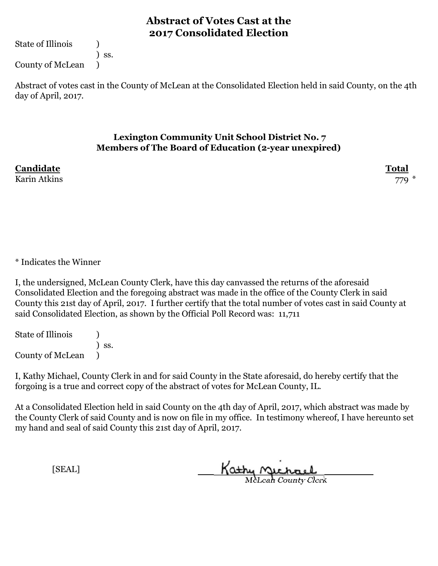State of Illinois (1)

) ss.

County of McLean )

Abstract of votes cast in the County of McLean at the Consolidated Election held in said County, on the 4th day of April, 2017.

#### **Lexington Community Unit School District No. 7 Members of The Board of Education (2-year unexpired)**

**Candidate Total**

Karin Atkins  $779$   $*$ 

\* Indicates the Winner

I, the undersigned, McLean County Clerk, have this day canvassed the returns of the aforesaid Consolidated Election and the foregoing abstract was made in the office of the County Clerk in said County this 21st day of April, 2017. I further certify that the total number of votes cast in said County at said Consolidated Election, as shown by the Official Poll Record was: 11,711

State of Illinois (1) ) ss. County of McLean )

I, Kathy Michael, County Clerk in and for said County in the State aforesaid, do hereby certify that the forgoing is a true and correct copy of the abstract of votes for McLean County, IL.

At a Consolidated Election held in said County on the 4th day of April, 2017, which abstract was made by the County Clerk of said County and is now on file in my office. In testimony whereof, I have hereunto set my hand and seal of said County this 21st day of April, 2017.

Kathy Michael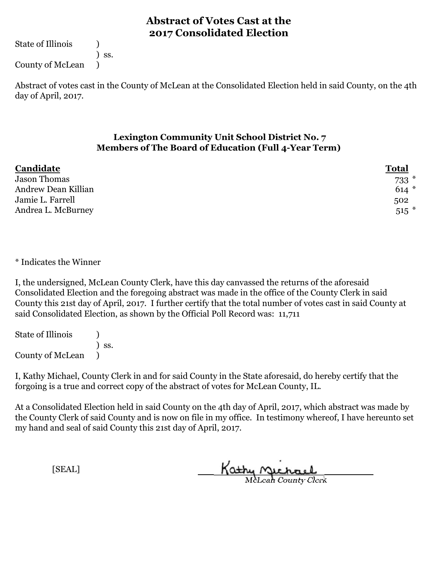State of Illinois (1)

) ss.

County of McLean )

Abstract of votes cast in the County of McLean at the Consolidated Election held in said County, on the 4th day of April, 2017.

### **Lexington Community Unit School District No. 7 Members of The Board of Education (Full 4-Year Term)**

| Candidate           | <b>Total</b> |
|---------------------|--------------|
| <b>Jason Thomas</b> | $733*$       |
| Andrew Dean Killian | $614*$       |
| Jamie L. Farrell    | 502          |
| Andrea L. McBurney  | $515$ *      |

\* Indicates the Winner

I, the undersigned, McLean County Clerk, have this day canvassed the returns of the aforesaid Consolidated Election and the foregoing abstract was made in the office of the County Clerk in said County this 21st day of April, 2017. I further certify that the total number of votes cast in said County at said Consolidated Election, as shown by the Official Poll Record was: 11,711

State of Illinois (1) ) ss. County of McLean )

I, Kathy Michael, County Clerk in and for said County in the State aforesaid, do hereby certify that the forgoing is a true and correct copy of the abstract of votes for McLean County, IL.

At a Consolidated Election held in said County on the 4th day of April, 2017, which abstract was made by the County Clerk of said County and is now on file in my office. In testimony whereof, I have hereunto set my hand and seal of said County this 21st day of April, 2017.

Kathy Michael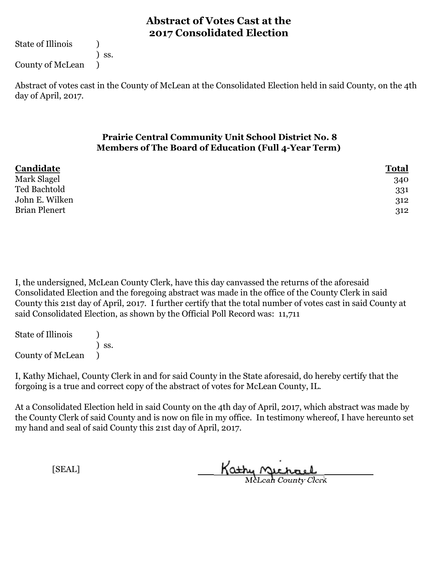State of Illinois (1)

) ss.

County of McLean )

Abstract of votes cast in the County of McLean at the Consolidated Election held in said County, on the 4th day of April, 2017.

### **Prairie Central Community Unit School District No. 8 Members of The Board of Education (Full 4-Year Term)**

| Candidate            | <u>Total</u> |
|----------------------|--------------|
| Mark Slagel          | 340          |
| Ted Bachtold         | 331          |
| John E. Wilken       | 312          |
| <b>Brian Plenert</b> | 312          |
|                      |              |

I, the undersigned, McLean County Clerk, have this day canvassed the returns of the aforesaid Consolidated Election and the foregoing abstract was made in the office of the County Clerk in said County this 21st day of April, 2017. I further certify that the total number of votes cast in said County at said Consolidated Election, as shown by the Official Poll Record was: 11,711

State of Illinois (1) ) ss. County of McLean )

I, Kathy Michael, County Clerk in and for said County in the State aforesaid, do hereby certify that the forgoing is a true and correct copy of the abstract of votes for McLean County, IL.

At a Consolidated Election held in said County on the 4th day of April, 2017, which abstract was made by the County Clerk of said County and is now on file in my office. In testimony whereof, I have hereunto set my hand and seal of said County this 21st day of April, 2017.

Kathy Michael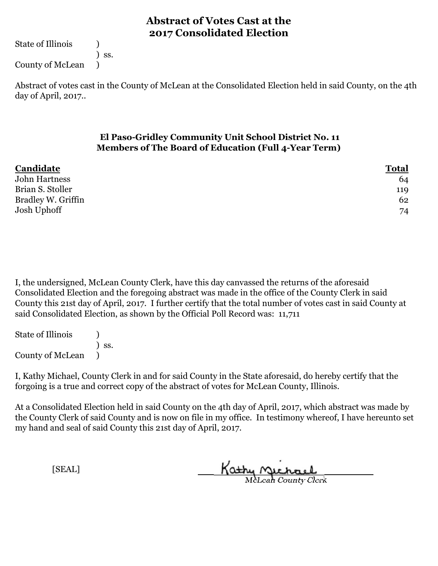State of Illinois (1)

) ss.

County of McLean )

Abstract of votes cast in the County of McLean at the Consolidated Election held in said County, on the 4th day of April, 2017..

### **El Paso-Gridley Community Unit School District No. 11 Members of The Board of Education (Full 4-Year Term)**

| Candidate<br><b>Total</b> |  |
|---------------------------|--|
| John Hartness<br>64       |  |
| Brian S. Stoller<br>119   |  |
| Bradley W. Griffin<br>62  |  |
| Josh Uphoff<br>74         |  |

I, the undersigned, McLean County Clerk, have this day canvassed the returns of the aforesaid Consolidated Election and the foregoing abstract was made in the office of the County Clerk in said County this 21st day of April, 2017. I further certify that the total number of votes cast in said County at said Consolidated Election, as shown by the Official Poll Record was: 11,711

State of Illinois (1) ) ss. County of McLean )

I, Kathy Michael, County Clerk in and for said County in the State aforesaid, do hereby certify that the forgoing is a true and correct copy of the abstract of votes for McLean County, Illinois.

At a Consolidated Election held in said County on the 4th day of April, 2017, which abstract was made by the County Clerk of said County and is now on file in my office. In testimony whereof, I have hereunto set my hand and seal of said County this 21st day of April, 2017.

Kathy Michael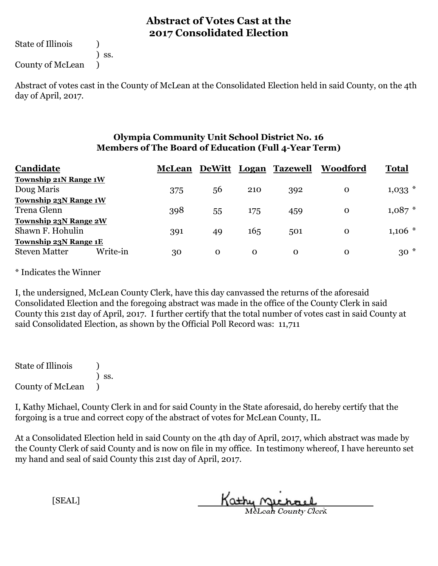State of Illinois (1)

) ss.

County of McLean )

Abstract of votes cast in the County of McLean at the Consolidated Election held in said County, on the 4th day of April, 2017.

#### **Olympia Community Unit School District No. 16 Members of The Board of Education (Full 4-Year Term)**

| Candidate                        | <b>McLean</b> |          |          | DeWitt Logan Tazewell | Woodford | <b>Total</b> |
|----------------------------------|---------------|----------|----------|-----------------------|----------|--------------|
| Township 21N Range 1W            |               |          |          |                       |          |              |
| Doug Maris                       | 375           | 56       | 210      | 392                   | $\Omega$ | $1,033$ *    |
| <b>Township 23N Range 1W</b>     |               |          |          |                       |          |              |
| Trena Glenn                      | 398           | 55       | 175      | 459                   | $\Omega$ | $1,087$ *    |
| <b>Township 23N Range 2W</b>     |               |          |          |                       |          |              |
| Shawn F. Hohulin                 | 391           | 49       | 165      | 501                   | $\Omega$ | $1,106$ *    |
| <b>Township 23N Range 1E</b>     |               |          |          |                       |          |              |
| Write-in<br><b>Steven Matter</b> | 30            | $\Omega$ | $\Omega$ | $\Omega$              | $\Omega$ | $30*$        |

\* Indicates the Winner

I, the undersigned, McLean County Clerk, have this day canvassed the returns of the aforesaid Consolidated Election and the foregoing abstract was made in the office of the County Clerk in said County this 21st day of April, 2017. I further certify that the total number of votes cast in said County at said Consolidated Election, as shown by the Official Poll Record was: 11,711

State of Illinois ) ) ss. County of McLean )

I, Kathy Michael, County Clerk in and for said County in the State aforesaid, do hereby certify that the forgoing is a true and correct copy of the abstract of votes for McLean County, IL.

At a Consolidated Election held in said County on the 4th day of April, 2017, which abstract was made by the County Clerk of said County and is now on file in my office. In testimony whereof, I have hereunto set my hand and seal of said County this 21st day of April, 2017.

Kathy Michael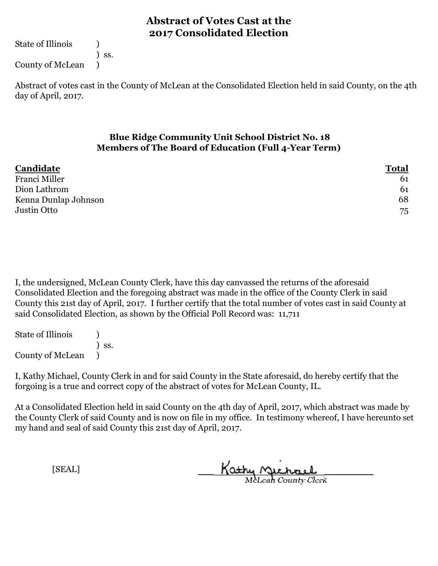State of Illinois (1)

) ss.

County of McLean )

Abstract of votes cast in the County of McLean at the Consolidated Election held in said County, on the 4th day of April, 2017.

### **Blue Ridge Community Unit School District No. 18 Members of The Board of Education (Full 4-Year Term)**

| Candidate            | <u>Total</u> |
|----------------------|--------------|
| Franci Miller        | 61           |
| Dion Lathrom         | 61           |
| Kenna Dunlap Johnson | 68           |
| Justin Otto          | 75           |

I, the undersigned, McLean County Clerk, have this day canvassed the returns of the aforesaid Consolidated Election and the foregoing abstract was made in the office of the County Clerk in said County this 21st day of April, 2017. I further certify that the total number of votes cast in said County at said Consolidated Election, as shown by the Official Poll Record was: 11,711

State of Illinois (1) ) ss. County of McLean )

I, Kathy Michael, County Clerk in and for said County in the State aforesaid, do hereby certify that the forgoing is a true and correct copy of the abstract of votes for McLean County, IL.

At a Consolidated Election held in said County on the 4th day of April, 2017, which abstract was made by the County Clerk of said County and is now on file in my office. In testimony whereof, I have hereunto set my hand and seal of said County this 21st day of April, 2017.

Kathy Michael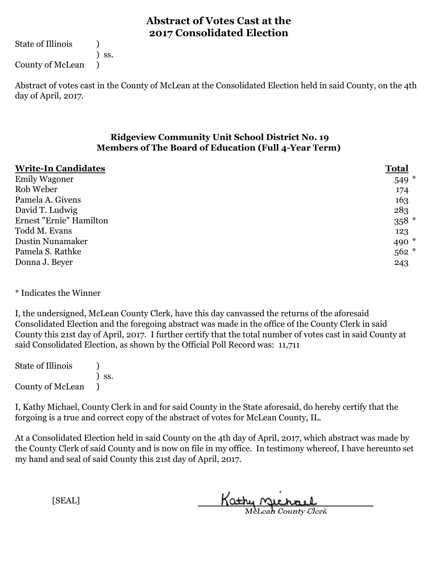State of Illinois (1)

) ss.

County of McLean )

Abstract of votes cast in the County of McLean at the Consolidated Election held in said County, on the 4th day of April, 2017.

### **Ridgeview Community Unit School District No. 19 Members of The Board of Education (Full 4-Year Term)**

| <b>Write-In Candidates</b> | <b>Total</b> |
|----------------------------|--------------|
| <b>Emily Wagoner</b>       | $549 *$      |
| Rob Weber                  | 174          |
| Pamela A. Givens           | 163          |
| David T. Ludwig            | 283          |
| Ernest "Ernie" Hamilton    | $358 *$      |
| Todd M. Evans              | 123          |
| Dustin Nunamaker           | 490 $*$      |
| Pamela S. Rathke           | $562 *$      |
| Donna J. Beyer             | 243          |

\* Indicates the Winner

I, the undersigned, McLean County Clerk, have this day canvassed the returns of the aforesaid Consolidated Election and the foregoing abstract was made in the office of the County Clerk in said County this 21st day of April, 2017. I further certify that the total number of votes cast in said County at said Consolidated Election, as shown by the Official Poll Record was: 11,711

State of Illinois ) ) ss. County of McLean )

I, Kathy Michael, County Clerk in and for said County in the State aforesaid, do hereby certify that the forgoing is a true and correct copy of the abstract of votes for McLean County, IL.

At a Consolidated Election held in said County on the 4th day of April, 2017, which abstract was made by the County Clerk of said County and is now on file in my office. In testimony whereof, I have hereunto set my hand and seal of said County this 21st day of April, 2017.

Kathy Michael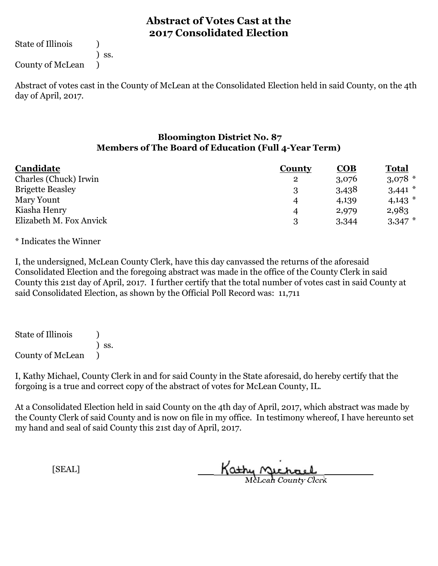State of Illinois (1)

) ss.

County of McLean )

Abstract of votes cast in the County of McLean at the Consolidated Election held in said County, on the 4th day of April, 2017.

### **Bloomington District No. 87 Members of The Board of Education (Full 4-Year Term)**

| Candidate               | <b>County</b>    | COB   | <u>Total</u> |
|-------------------------|------------------|-------|--------------|
| Charles (Chuck) Irwin   | $\mathbf{2}$     | 3,076 | $3,078$ *    |
| <b>Brigette Beasley</b> | 2                | 3,438 | $3,441$ *    |
| Mary Yount              | $\boldsymbol{4}$ | 4,139 | $4,143$ *    |
| Kiasha Henry            | $\boldsymbol{4}$ | 2,979 | 2,983        |
| Elizabeth M. Fox Anvick | 2                | 3,344 | $3,347$ *    |

\* Indicates the Winner

I, the undersigned, McLean County Clerk, have this day canvassed the returns of the aforesaid Consolidated Election and the foregoing abstract was made in the office of the County Clerk in said County this 21st day of April, 2017. I further certify that the total number of votes cast in said County at said Consolidated Election, as shown by the Official Poll Record was: 11,711

State of Illinois (1) ) ss. County of McLean )

I, Kathy Michael, County Clerk in and for said County in the State aforesaid, do hereby certify that the forgoing is a true and correct copy of the abstract of votes for McLean County, IL.

At a Consolidated Election held in said County on the 4th day of April, 2017, which abstract was made by the County Clerk of said County and is now on file in my office. In testimony whereof, I have hereunto set my hand and seal of said County this 21st day of April, 2017.

Kathy Michael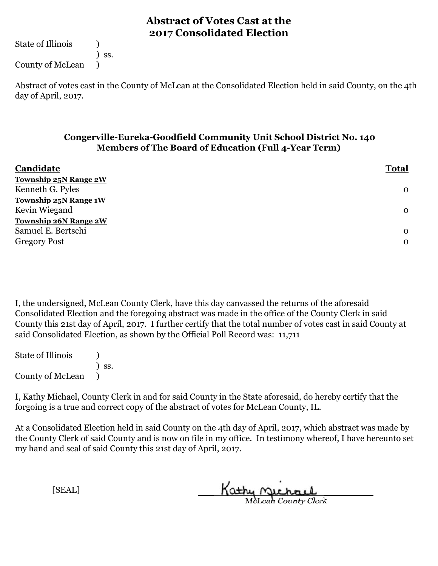State of Illinois (1)

) ss.

County of McLean )

Abstract of votes cast in the County of McLean at the Consolidated Election held in said County, on the 4th day of April, 2017.

### **Congerville-Eureka-Goodfield Community Unit School District No. 140 Members of The Board of Education (Full 4-Year Term)**

| Candidate                    | <b>Total</b> |
|------------------------------|--------------|
| <b>Township 25N Range 2W</b> |              |
| Kenneth G. Pyles             | $\mathbf 0$  |
| <b>Township 25N Range 1W</b> |              |
| Kevin Wiegand                | $\mathbf{O}$ |
| <b>Township 26N Range 2W</b> |              |
| Samuel E. Bertschi           | $\Omega$     |
| <b>Gregory Post</b>          | $\mathbf 0$  |
|                              |              |

I, the undersigned, McLean County Clerk, have this day canvassed the returns of the aforesaid Consolidated Election and the foregoing abstract was made in the office of the County Clerk in said County this 21st day of April, 2017. I further certify that the total number of votes cast in said County at said Consolidated Election, as shown by the Official Poll Record was: 11,711

State of Illinois (1) ) ss. County of McLean )

I, Kathy Michael, County Clerk in and for said County in the State aforesaid, do hereby certify that the forgoing is a true and correct copy of the abstract of votes for McLean County, IL.

At a Consolidated Election held in said County on the 4th day of April, 2017, which abstract was made by the County Clerk of said County and is now on file in my office. In testimony whereof, I have hereunto set my hand and seal of said County this 21st day of April, 2017.

Kathy Michael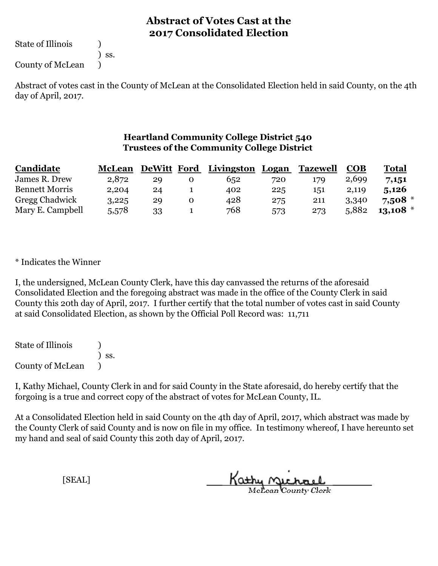State of Illinois (1)

) ss.

County of McLean )

Abstract of votes cast in the County of McLean at the Consolidated Election held in said County, on the 4th day of April, 2017.

### **Heartland Community College District 540 Trustees of the Community College District**

| Candidate             | <b>McLean</b> | DeWitt Ford | Livingston Logan |     | <b>Tazewell</b> | <b>COB</b> | Total      |
|-----------------------|---------------|-------------|------------------|-----|-----------------|------------|------------|
| James R. Drew         | 2,872         | 29          | 652              | 720 | 179             | 2,699      | 7,151      |
| <b>Bennett Morris</b> | 2,204         | 24          | 402              | 225 | 151             | 2,119      | 5,126      |
| <b>Gregg Chadwick</b> | 3,225         | 29          | 428              | 275 | 211             | 3,340      | $7,508$ *  |
| Mary E. Campbell      | 5,578         | 33          | 768              | 573 | 273             | 5,882      | $13,108$ * |

\* Indicates the Winner

I, the undersigned, McLean County Clerk, have this day canvassed the returns of the aforesaid Consolidated Election and the foregoing abstract was made in the office of the County Clerk in said County this 20th day of April, 2017. I further certify that the total number of votes cast in said County at said Consolidated Election, as shown by the Official Poll Record was: 11,711

State of Illinois ) ) ss. County of McLean )

I, Kathy Michael, County Clerk in and for said County in the State aforesaid, do hereby certify that the forgoing is a true and correct copy of the abstract of votes for McLean County, IL.

At a Consolidated Election held in said County on the 4th day of April, 2017, which abstract was made by the County Clerk of said County and is now on file in my office. In testimony whereof, I have hereunto set my hand and seal of said County this 20th day of April, 2017.

Kathy Michael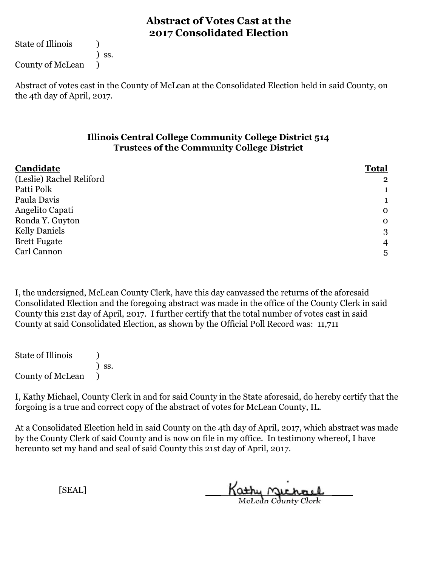State of Illinois (1)

) ss.

County of McLean )

Abstract of votes cast in the County of McLean at the Consolidated Election held in said County, on the 4th day of April, 2017.

#### **Illinois Central College Community College District 514 Trustees of the Community College District**

| Candidate                | <b>Total</b>   |
|--------------------------|----------------|
| (Leslie) Rachel Reliford | $\overline{2}$ |
| Patti Polk               | ᅩ              |
| Paula Davis              | J.             |
| Angelito Capati          | $\mathbf 0$    |
| Ronda Y. Guyton          | $\mathbf 0$    |
| <b>Kelly Daniels</b>     | 3              |
| <b>Brett Fugate</b>      | $\overline{4}$ |
| Carl Cannon              | 5              |

I, the undersigned, McLean County Clerk, have this day canvassed the returns of the aforesaid Consolidated Election and the foregoing abstract was made in the office of the County Clerk in said County this 21st day of April, 2017. I further certify that the total number of votes cast in said County at said Consolidated Election, as shown by the Official Poll Record was: 11,711

State of Illinois (a) ) ss. County of McLean )

I, Kathy Michael, County Clerk in and for said County in the State aforesaid, do hereby certify that the forgoing is a true and correct copy of the abstract of votes for McLean County, IL.

At a Consolidated Election held in said County on the 4th day of April, 2017, which abstract was made by the County Clerk of said County and is now on file in my office. In testimony whereof, I have hereunto set my hand and seal of said County this 21st day of April, 2017.

Kathy Michael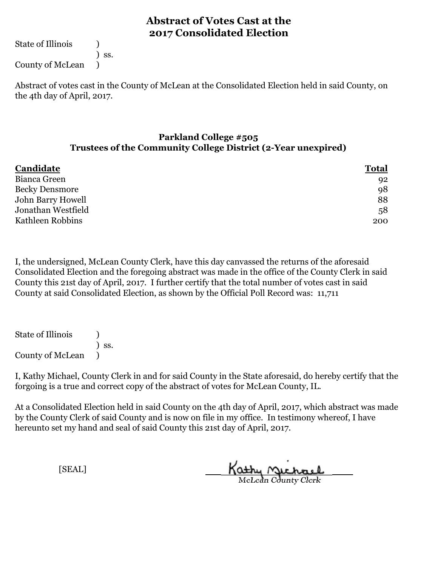State of Illinois (1)

) ss.

County of McLean )

Abstract of votes cast in the County of McLean at the Consolidated Election held in said County, on the 4th day of April, 2017.

### **Parkland College #505 Trustees of the Community College District (2-Year unexpired)**

| Candidate             | <b>Total</b> |
|-----------------------|--------------|
| Bianca Green          | 92           |
| <b>Becky Densmore</b> | 98           |
| John Barry Howell     | 88           |
| Jonathan Westfield    | 58           |
| Kathleen Robbins      | 200          |

I, the undersigned, McLean County Clerk, have this day canvassed the returns of the aforesaid Consolidated Election and the foregoing abstract was made in the office of the County Clerk in said County this 21st day of April, 2017. I further certify that the total number of votes cast in said County at said Consolidated Election, as shown by the Official Poll Record was: 11,711

State of Illinois (1) ) ss. County of McLean )

I, Kathy Michael, County Clerk in and for said County in the State aforesaid, do hereby certify that the forgoing is a true and correct copy of the abstract of votes for McLean County, IL.

At a Consolidated Election held in said County on the 4th day of April, 2017, which abstract was made by the County Clerk of said County and is now on file in my office. In testimony whereof, I have hereunto set my hand and seal of said County this 21st day of April, 2017.

Kathy Michael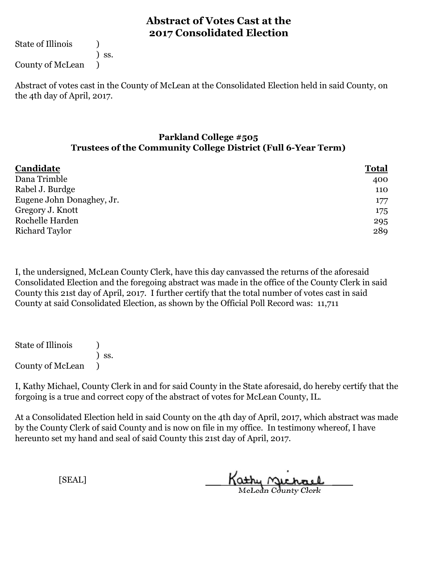State of Illinois (1)

) ss.

County of McLean )

Abstract of votes cast in the County of McLean at the Consolidated Election held in said County, on the 4th day of April, 2017.

#### **Parkland College #505 Trustees of the Community College District (Full 6-Year Term)**

| Candidate                 | <b>Total</b> |  |
|---------------------------|--------------|--|
| Dana Trimble              | 400          |  |
| Rabel J. Burdge           | 110          |  |
| Eugene John Donaghey, Jr. | 177          |  |
| Gregory J. Knott          | 175          |  |
| Rochelle Harden           | 295          |  |
| Richard Taylor            | 289          |  |

I, the undersigned, McLean County Clerk, have this day canvassed the returns of the aforesaid Consolidated Election and the foregoing abstract was made in the office of the County Clerk in said County this 21st day of April, 2017. I further certify that the total number of votes cast in said County at said Consolidated Election, as shown by the Official Poll Record was: 11,711

State of Illinois ) ) ss. County of McLean )

I, Kathy Michael, County Clerk in and for said County in the State aforesaid, do hereby certify that the forgoing is a true and correct copy of the abstract of votes for McLean County, IL.

At a Consolidated Election held in said County on the 4th day of April, 2017, which abstract was made by the County Clerk of said County and is now on file in my office. In testimony whereof, I have hereunto set my hand and seal of said County this 21st day of April, 2017.

Kathy <u>Michael</u>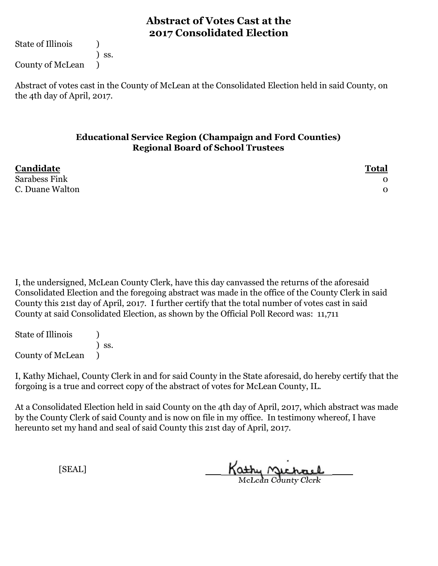State of Illinois (1)

) ss.

County of McLean )

Abstract of votes cast in the County of McLean at the Consolidated Election held in said County, on the 4th day of April, 2017.

#### **Educational Service Region (Champaign and Ford Counties) Regional Board of School Trustees**

| Candidate            | <b>Total</b> |
|----------------------|--------------|
| <b>Sarabess Fink</b> |              |
| C. Duane Walton      |              |

I, the undersigned, McLean County Clerk, have this day canvassed the returns of the aforesaid Consolidated Election and the foregoing abstract was made in the office of the County Clerk in said County this 21st day of April, 2017. I further certify that the total number of votes cast in said County at said Consolidated Election, as shown by the Official Poll Record was: 11,711

State of Illinois (1) ) ss. County of McLean )

I, Kathy Michael, County Clerk in and for said County in the State aforesaid, do hereby certify that the forgoing is a true and correct copy of the abstract of votes for McLean County, IL.

At a Consolidated Election held in said County on the 4th day of April, 2017, which abstract was made by the County Clerk of said County and is now on file in my office. In testimony whereof, I have hereunto set my hand and seal of said County this 21st day of April, 2017.

Kathy Michael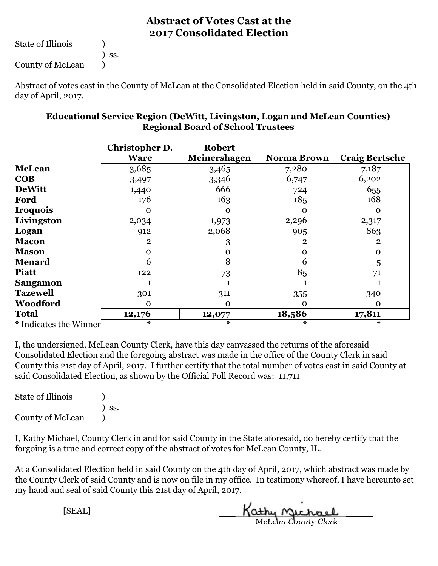State of Illinois (1)

) ss.

County of McLean )

Abstract of votes cast in the County of McLean at the Consolidated Election held in said County, on the 4th day of April, 2017.

|                        | Christopher D.<br><b>Ware</b> | <b>Robert</b><br>Meinershagen | <b>Norma Brown</b> | <b>Craig Bertsche</b> |
|------------------------|-------------------------------|-------------------------------|--------------------|-----------------------|
| <b>McLean</b>          | 3,685                         | 3,465                         | 7,280              | 7,187                 |
| <b>COB</b>             | 3,497                         | 3,346                         | 6,747              | 6,202                 |
| <b>DeWitt</b>          | 1,440                         | 666                           | 724                | 655                   |
| Ford                   | 176                           | 163                           | 185                | 168                   |
| Iroquois               | Ω                             | $\Omega$                      | $\Omega$           | $\Omega$              |
| Livingston             | 2,034                         | 1,973                         | 2,296              | 2,317                 |
| Logan                  | 912                           | 2,068                         | 905                | 863                   |
| <b>Macon</b>           | $\overline{2}$                | 3                             | $\overline{2}$     | $\overline{2}$        |
| Mason                  | O                             | O                             | $\mathbf 0$        | $\mathbf 0$           |
| Menard                 | 6                             |                               | 6                  | 5                     |
| Piatt                  | 122                           | 73                            | 85                 | 71                    |
| Sangamon               |                               |                               |                    |                       |
| <b>Tazewell</b>        | 301                           | 311                           | 355                | 340                   |
| Woodford               | O                             | $\Omega$                      | $\Omega$           | $\Omega$              |
| Total                  | 12,176                        | 12,077                        | 18,586             | 17,811                |
| * Indicatos the Winner | *                             | *                             | *                  | *                     |

### **Educational Service Region (DeWitt, Livingston, Logan and McLean Counties) Regional Board of School Trustees**

\* Indicates the Winner **\* \* \* \***

I, the undersigned, McLean County Clerk, have this day canvassed the returns of the aforesaid Consolidated Election and the foregoing abstract was made in the office of the County Clerk in said County this 21st day of April, 2017. I further certify that the total number of votes cast in said County at said Consolidated Election, as shown by the Official Poll Record was: 11,711

| <b>State of Illinois</b> |                              |
|--------------------------|------------------------------|
|                          | $\overline{\phantom{a}}$ ss. |
| <b>County of McLean</b>  |                              |

I, Kathy Michael, County Clerk in and for said County in the State aforesaid, do hereby certify that the forgoing is a true and correct copy of the abstract of votes for McLean County, IL.

At a Consolidated Election held in said County on the 4th day of April, 2017, which abstract was made by the County Clerk of said County and is now on file in my office. In testimony whereof, I have hereunto set my hand and seal of said County this 21st day of April, 2017.

McLean County Clerk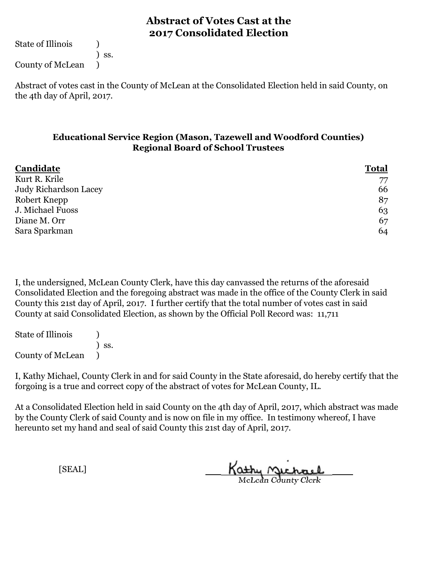State of Illinois (1)

) ss.

County of McLean )

Abstract of votes cast in the County of McLean at the Consolidated Election held in said County, on the 4th day of April, 2017.

### **Educational Service Region (Mason, Tazewell and Woodford Counties) Regional Board of School Trustees**

| Candidate             | <b>Total</b> |
|-----------------------|--------------|
| Kurt R. Krile         | 77           |
| Judy Richardson Lacey | 66           |
| Robert Knepp          | 87           |
| J. Michael Fuoss      | 63           |
| Diane M. Orr          | 67           |
| Sara Sparkman         | 64           |

I, the undersigned, McLean County Clerk, have this day canvassed the returns of the aforesaid Consolidated Election and the foregoing abstract was made in the office of the County Clerk in said County this 21st day of April, 2017. I further certify that the total number of votes cast in said County at said Consolidated Election, as shown by the Official Poll Record was: 11,711

State of Illinois (1) ) ss. County of McLean )

I, Kathy Michael, County Clerk in and for said County in the State aforesaid, do hereby certify that the forgoing is a true and correct copy of the abstract of votes for McLean County, IL.

At a Consolidated Election held in said County on the 4th day of April, 2017, which abstract was made by the County Clerk of said County and is now on file in my office. In testimony whereof, I have hereunto set my hand and seal of said County this 21st day of April, 2017.

Kathy Michael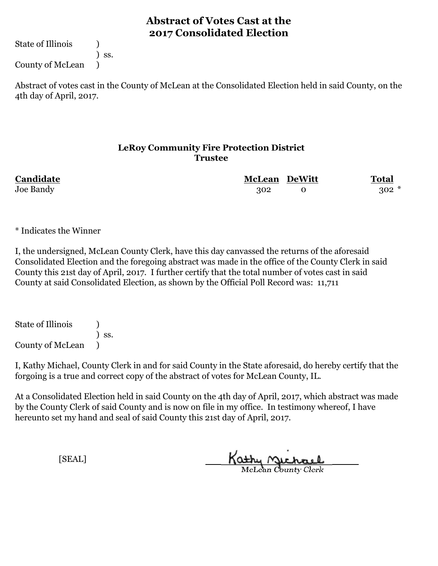State of Illinois (1)

) ss.

County of McLean )

Abstract of votes cast in the County of McLean at the Consolidated Election held in said County, on the 4th day of April, 2017.

### **LeRoy Community Fire Protection District Trustee**

| Candidate | <b>McLean DeWitt</b> | <b>Total</b> |
|-----------|----------------------|--------------|
| Joe Bandy | 302                  | $302*$       |

\* Indicates the Winner

I, the undersigned, McLean County Clerk, have this day canvassed the returns of the aforesaid Consolidated Election and the foregoing abstract was made in the office of the County Clerk in said County this 21st day of April, 2017. I further certify that the total number of votes cast in said County at said Consolidated Election, as shown by the Official Poll Record was: 11,711

State of Illinois ) ) ss. County of McLean )

I, Kathy Michael, County Clerk in and for said County in the State aforesaid, do hereby certify that the forgoing is a true and correct copy of the abstract of votes for McLean County, IL.

At a Consolidated Election held in said County on the 4th day of April, 2017, which abstract was made by the County Clerk of said County and is now on file in my office. In testimony whereof, I have hereunto set my hand and seal of said County this 21st day of April, 2017.

Kathy Michael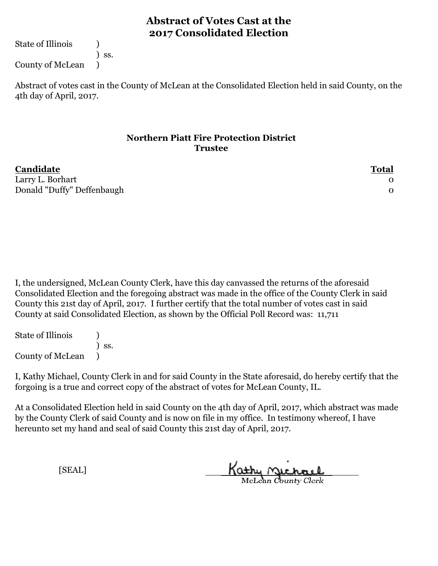State of Illinois (1)

) ss.

County of McLean )

Abstract of votes cast in the County of McLean at the Consolidated Election held in said County, on the 4th day of April, 2017.

### **Northern Piatt Fire Protection District Trustee**

| Candidate                  | <b>Total</b> |
|----------------------------|--------------|
| Larry L. Borhart           |              |
| Donald "Duffy" Deffenbaugh |              |

I, the undersigned, McLean County Clerk, have this day canvassed the returns of the aforesaid Consolidated Election and the foregoing abstract was made in the office of the County Clerk in said County this 21st day of April, 2017. I further certify that the total number of votes cast in said County at said Consolidated Election, as shown by the Official Poll Record was: 11,711

State of Illinois (1) ) ss. County of McLean )

I, Kathy Michael, County Clerk in and for said County in the State aforesaid, do hereby certify that the forgoing is a true and correct copy of the abstract of votes for McLean County, IL.

At a Consolidated Election held in said County on the 4th day of April, 2017, which abstract was made by the County Clerk of said County and is now on file in my office. In testimony whereof, I have hereunto set my hand and seal of said County this 21st day of April, 2017.

McLean County Clerk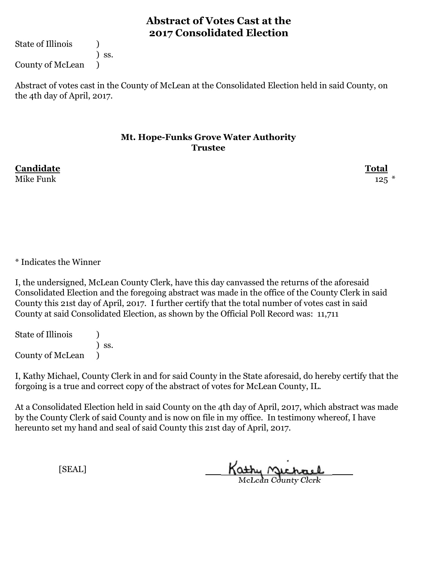State of Illinois (1)

) ss.

County of McLean )

Abstract of votes cast in the County of McLean at the Consolidated Election held in said County, on the 4th day of April, 2017.

#### **Mt. Hope-Funks Grove Water Authority Trustee**

Mike Funk  $125$   $*$ 

**Candidate Total**

\* Indicates the Winner

I, the undersigned, McLean County Clerk, have this day canvassed the returns of the aforesaid Consolidated Election and the foregoing abstract was made in the office of the County Clerk in said County this 21st day of April, 2017. I further certify that the total number of votes cast in said County at said Consolidated Election, as shown by the Official Poll Record was: 11,711

State of Illinois (1) ) ss. County of McLean )

I, Kathy Michael, County Clerk in and for said County in the State aforesaid, do hereby certify that the forgoing is a true and correct copy of the abstract of votes for McLean County, IL.

At a Consolidated Election held in said County on the 4th day of April, 2017, which abstract was made by the County Clerk of said County and is now on file in my office. In testimony whereof, I have hereunto set my hand and seal of said County this 21st day of April, 2017.

Kathy Michael